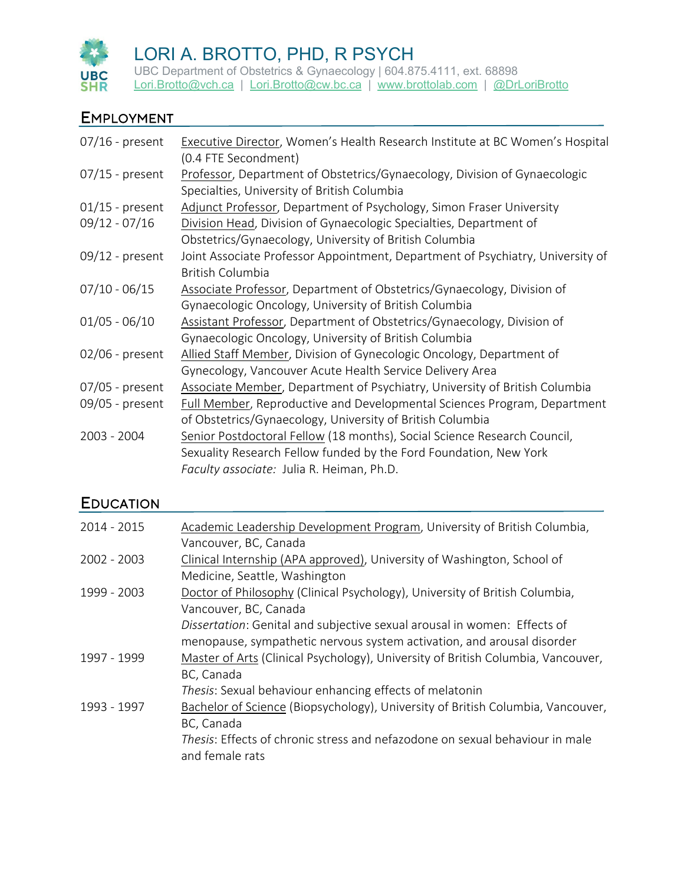

UBC Department of Obstetrics & Gynaecology | 604.875.4111, ext. 68898 [Lori.Brotto@vch.ca](mailto:Lori.Brotto@vch.ca) | [Lori.Brotto@cw.bc.ca](mailto:Lori.Brotto@cw.bc.ca) | [www.brottolab.com](http://www.brottolab.com/) | [@DrLoriBrotto](https://twitter.com/DrLoriBrotto)

#### EMPLOYMENT

| $07/16$ - present                    | Executive Director, Women's Health Research Institute at BC Women's Hospital<br>(0.4 FTE Secondment)                                                                                                 |
|--------------------------------------|------------------------------------------------------------------------------------------------------------------------------------------------------------------------------------------------------|
| $07/15$ - present                    | Professor, Department of Obstetrics/Gynaecology, Division of Gynaecologic<br>Specialties, University of British Columbia                                                                             |
| $01/15$ - present<br>$09/12 - 07/16$ | Adjunct Professor, Department of Psychology, Simon Fraser University<br>Division Head, Division of Gynaecologic Specialties, Department of<br>Obstetrics/Gynaecology, University of British Columbia |
| $09/12$ - present                    | Joint Associate Professor Appointment, Department of Psychiatry, University of<br><b>British Columbia</b>                                                                                            |
| $07/10 - 06/15$                      | Associate Professor, Department of Obstetrics/Gynaecology, Division of<br>Gynaecologic Oncology, University of British Columbia                                                                      |
| $01/05 - 06/10$                      | Assistant Professor, Department of Obstetrics/Gynaecology, Division of<br>Gynaecologic Oncology, University of British Columbia                                                                      |
| $02/06$ - present                    | Allied Staff Member, Division of Gynecologic Oncology, Department of<br>Gynecology, Vancouver Acute Health Service Delivery Area                                                                     |
| $07/05$ - present                    | Associate Member, Department of Psychiatry, University of British Columbia                                                                                                                           |
| 09/05 - present                      | Full Member, Reproductive and Developmental Sciences Program, Department<br>of Obstetrics/Gynaecology, University of British Columbia                                                                |
| 2003 - 2004                          | Senior Postdoctoral Fellow (18 months), Social Science Research Council,<br>Sexuality Research Fellow funded by the Ford Foundation, New York<br>Faculty associate: Julia R. Heiman, Ph.D.           |

## **EDUCATION**

| $2014 - 2015$ | Academic Leadership Development Program, University of British Columbia,         |
|---------------|----------------------------------------------------------------------------------|
|               | Vancouver, BC, Canada                                                            |
| 2002 - 2003   | Clinical Internship (APA approved), University of Washington, School of          |
|               | Medicine, Seattle, Washington                                                    |
| 1999 - 2003   | Doctor of Philosophy (Clinical Psychology), University of British Columbia,      |
|               | Vancouver, BC, Canada                                                            |
|               | Dissertation: Genital and subjective sexual arousal in women: Effects of         |
|               | menopause, sympathetic nervous system activation, and arousal disorder           |
| 1997 - 1999   | Master of Arts (Clinical Psychology), University of British Columbia, Vancouver, |
|               | BC, Canada                                                                       |
|               | Thesis: Sexual behaviour enhancing effects of melatonin                          |
| 1993 - 1997   | Bachelor of Science (Biopsychology), University of British Columbia, Vancouver,  |
|               | BC, Canada                                                                       |
|               | Thesis: Effects of chronic stress and nefazodone on sexual behaviour in male     |
|               | and female rats                                                                  |
|               |                                                                                  |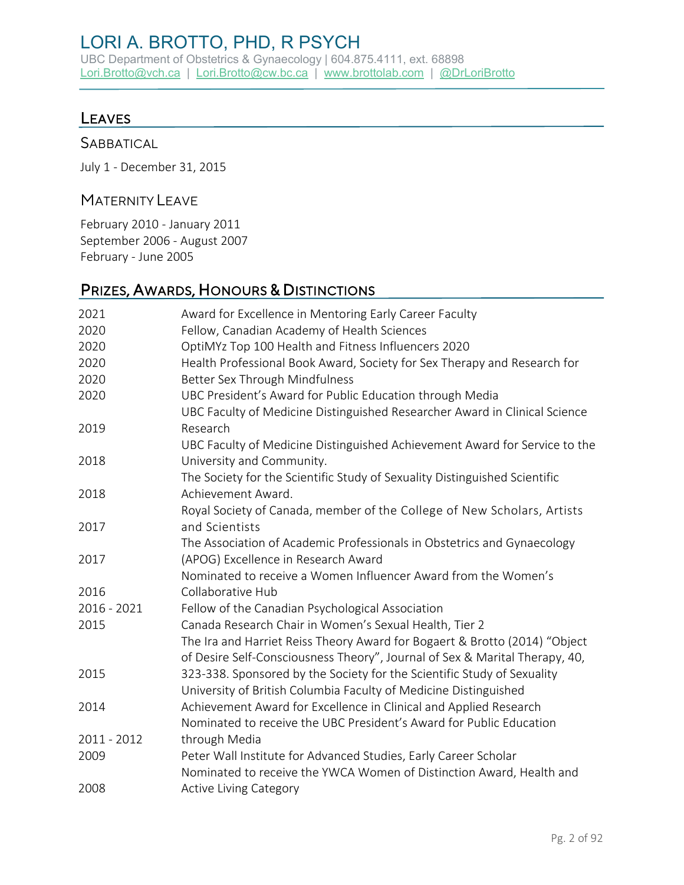UBC Department of Obstetrics & Gynaecology | 604.875.4111, ext. 68898 [Lori.Brotto@vch.ca](mailto:Lori.Brotto@vch.ca) | [Lori.Brotto@cw.bc.ca](mailto:Lori.Brotto@cw.bc.ca) | [www.brottolab.com](http://www.brottolab.com/) | [@DrLoriBrotto](https://twitter.com/DrLoriBrotto)

#### LEAVES

#### **SABBATICAL**

July 1 - December 31, 2015

#### MATERNITY LEAVE

February 2010 - January 2011 September 2006 - August 2007 February - June 2005

# PRIZES, AWARDS, HONOURS & DISTINCTIONS

| 2021        | Award for Excellence in Mentoring Early Career Faculty                                                                                                    |
|-------------|-----------------------------------------------------------------------------------------------------------------------------------------------------------|
| 2020        | Fellow, Canadian Academy of Health Sciences                                                                                                               |
| 2020        | OptiMYz Top 100 Health and Fitness Influencers 2020                                                                                                       |
| 2020        | Health Professional Book Award, Society for Sex Therapy and Research for                                                                                  |
| 2020        | Better Sex Through Mindfulness                                                                                                                            |
| 2020        | UBC President's Award for Public Education through Media                                                                                                  |
|             | UBC Faculty of Medicine Distinguished Researcher Award in Clinical Science                                                                                |
| 2019        | Research                                                                                                                                                  |
| 2018        | UBC Faculty of Medicine Distinguished Achievement Award for Service to the<br>University and Community.                                                   |
|             | The Society for the Scientific Study of Sexuality Distinguished Scientific                                                                                |
| 2018        | Achievement Award.                                                                                                                                        |
|             | Royal Society of Canada, member of the College of New Scholars, Artists                                                                                   |
| 2017        | and Scientists                                                                                                                                            |
|             | The Association of Academic Professionals in Obstetrics and Gynaecology                                                                                   |
| 2017        | (APOG) Excellence in Research Award                                                                                                                       |
|             | Nominated to receive a Women Influencer Award from the Women's                                                                                            |
| 2016        | Collaborative Hub                                                                                                                                         |
| 2016 - 2021 | Fellow of the Canadian Psychological Association                                                                                                          |
| 2015        | Canada Research Chair in Women's Sexual Health, Tier 2                                                                                                    |
|             | The Ira and Harriet Reiss Theory Award for Bogaert & Brotto (2014) "Object<br>of Desire Self-Consciousness Theory", Journal of Sex & Marital Therapy, 40, |
| 2015        | 323-338. Sponsored by the Society for the Scientific Study of Sexuality                                                                                   |
|             | University of British Columbia Faculty of Medicine Distinguished                                                                                          |
| 2014        | Achievement Award for Excellence in Clinical and Applied Research                                                                                         |
|             | Nominated to receive the UBC President's Award for Public Education                                                                                       |
| 2011 - 2012 | through Media                                                                                                                                             |
| 2009        | Peter Wall Institute for Advanced Studies, Early Career Scholar                                                                                           |
|             | Nominated to receive the YWCA Women of Distinction Award, Health and                                                                                      |
| 2008        | <b>Active Living Category</b>                                                                                                                             |
|             |                                                                                                                                                           |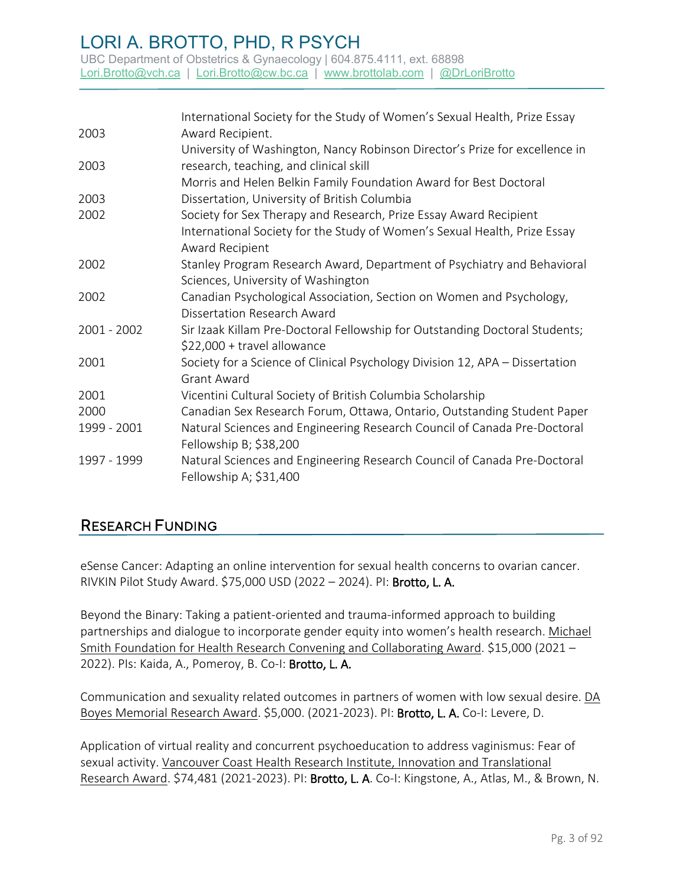UBC Department of Obstetrics & Gynaecology | 604.875.4111, ext. 68898 [Lori.Brotto@vch.ca](mailto:Lori.Brotto@vch.ca) | [Lori.Brotto@cw.bc.ca](mailto:Lori.Brotto@cw.bc.ca) | [www.brottolab.com](http://www.brottolab.com/) | [@DrLoriBrotto](https://twitter.com/DrLoriBrotto)

|               | International Society for the Study of Women's Sexual Health, Prize Essay    |
|---------------|------------------------------------------------------------------------------|
| 2003          | Award Recipient.                                                             |
|               | University of Washington, Nancy Robinson Director's Prize for excellence in  |
| 2003          | research, teaching, and clinical skill                                       |
|               | Morris and Helen Belkin Family Foundation Award for Best Doctoral            |
| 2003          | Dissertation, University of British Columbia                                 |
| 2002          | Society for Sex Therapy and Research, Prize Essay Award Recipient            |
|               | International Society for the Study of Women's Sexual Health, Prize Essay    |
|               | Award Recipient                                                              |
| 2002          | Stanley Program Research Award, Department of Psychiatry and Behavioral      |
|               | Sciences, University of Washington                                           |
| 2002          | Canadian Psychological Association, Section on Women and Psychology,         |
|               | Dissertation Research Award                                                  |
| $2001 - 2002$ | Sir Izaak Killam Pre-Doctoral Fellowship for Outstanding Doctoral Students;  |
|               | \$22,000 + travel allowance                                                  |
| 2001          | Society for a Science of Clinical Psychology Division 12, APA - Dissertation |
|               | <b>Grant Award</b>                                                           |
| 2001          | Vicentini Cultural Society of British Columbia Scholarship                   |
| 2000          | Canadian Sex Research Forum, Ottawa, Ontario, Outstanding Student Paper      |
| 1999 - 2001   | Natural Sciences and Engineering Research Council of Canada Pre-Doctoral     |
|               | Fellowship B; \$38,200                                                       |
| 1997 - 1999   | Natural Sciences and Engineering Research Council of Canada Pre-Doctoral     |
|               | Fellowship A; \$31,400                                                       |

## RESEARCH FUNDING

eSense Cancer: Adapting an online intervention for sexual health concerns to ovarian cancer. RIVKIN Pilot Study Award. \$75,000 USD (2022 – 2024). PI: Brotto, L. A.

Beyond the Binary: Taking a patient-oriented and trauma-informed approach to building partnerships and dialogue to incorporate gender equity into women's health research. Michael Smith Foundation for Health Research Convening and Collaborating Award. \$15,000 (2021 – 2022). PIs: Kaida, A., Pomeroy, B. Co-I: Brotto, L. A.

Communication and sexuality related outcomes in partners of women with low sexual desire. DA Boyes Memorial Research Award. \$5,000. (2021-2023). PI: Brotto, L. A. Co-I: Levere, D.

Application of virtual reality and concurrent psychoeducation to address vaginismus: Fear of sexual activity. Vancouver Coast Health Research Institute, Innovation and Translational Research Award. \$74,481 (2021-2023). PI: Brotto, L. A. Co-I: Kingstone, A., Atlas, M., & Brown, N.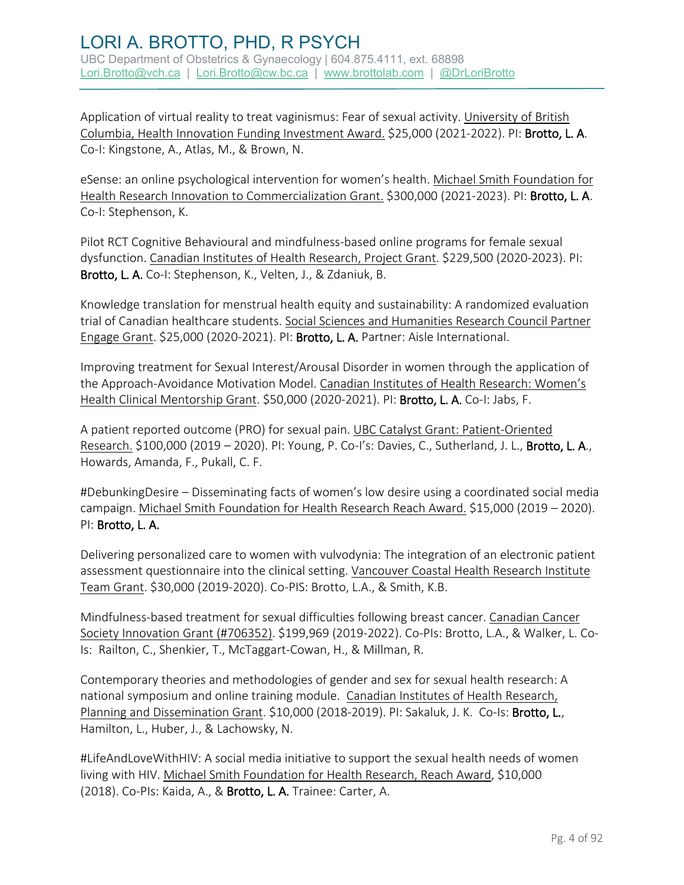Application of virtual reality to treat vaginismus: Fear of sexual activity. University of British Columbia, Health Innovation Funding Investment Award. \$25,000 (2021-2022). PI: Brotto, L. A. Co-I: Kingstone, A., Atlas, M., & Brown, N.

eSense: an online psychological intervention for women's health. Michael Smith Foundation for Health Research Innovation to Commercialization Grant. \$300,000 (2021-2023). PI: Brotto, L. A. Co-I: Stephenson, K.

Pilot RCT Cognitive Behavioural and mindfulness-based online programs for female sexual dysfunction. Canadian Institutes of Health Research, Project Grant. \$229,500 (2020-2023). PI: Brotto, L. A. Co-I: Stephenson, K., Velten, J., & Zdaniuk, B.

Knowledge translation for menstrual health equity and sustainability: A randomized evaluation trial of Canadian healthcare students. Social Sciences and Humanities Research Council Partner Engage Grant. \$25,000 (2020-2021). PI: Brotto, L. A. Partner: Aisle International.

Improving treatment for Sexual Interest/Arousal Disorder in women through the application of the Approach-Avoidance Motivation Model. Canadian Institutes of Health Research: Women's Health Clinical Mentorship Grant. \$50,000 (2020-2021). PI: Brotto, L. A. Co-I: Jabs, F.

A patient reported outcome (PRO) for sexual pain. UBC Catalyst Grant: Patient-Oriented Research. \$100,000 (2019 - 2020). Pl: Young, P. Co-I's: Davies, C., Sutherland, J. L., Brotto, L. A., Howards, Amanda, F., Pukall, C. F.

#DebunkingDesire – Disseminating facts of women's low desire using a coordinated social media campaign. Michael Smith Foundation for Health Research Reach Award. \$15,000 (2019 – 2020). PI: Brotto, L. A.

Delivering personalized care to women with vulvodynia: The integration of an electronic patient assessment questionnaire into the clinical setting. Vancouver Coastal Health Research Institute Team Grant. \$30,000 (2019-2020). Co-PIS: Brotto, L.A., & Smith, K.B.

Mindfulness-based treatment for sexual difficulties following breast cancer. Canadian Cancer Society Innovation Grant (#706352). \$199,969 (2019-2022). Co-PIs: Brotto, L.A., & Walker, L. Co-Is: Railton, C., Shenkier, T., McTaggart-Cowan, H., & Millman, R.

Contemporary theories and methodologies of gender and sex for sexual health research: A national symposium and online training module. Canadian Institutes of Health Research, Planning and Dissemination Grant. \$10,000 (2018-2019). PI: Sakaluk, J. K. Co-Is: Brotto, L., Hamilton, L., Huber, J., & Lachowsky, N.

#LifeAndLoveWithHIV: A social media initiative to support the sexual health needs of women living with HIV. Michael Smith Foundation for Health Research, Reach Award, \$10,000 (2018). Co-PIs: Kaida, A., & Brotto, L. A. Trainee: Carter, A.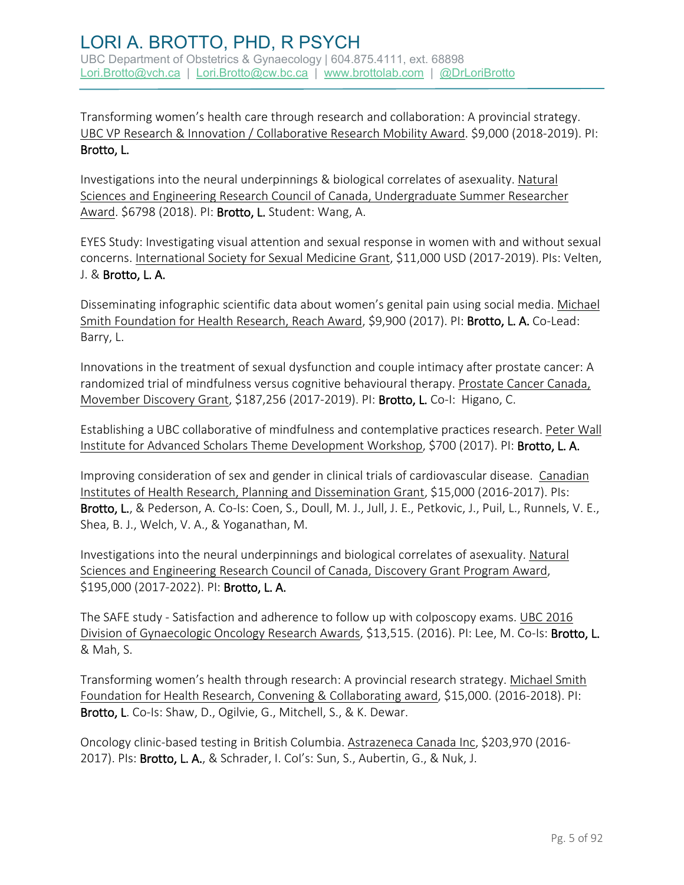Transforming women's health care through research and collaboration: A provincial strategy. UBC VP Research & Innovation / Collaborative Research Mobility Award. \$9,000 (2018-2019). PI: Brotto, L.

Investigations into the neural underpinnings & biological correlates of asexuality. Natural Sciences and Engineering Research Council of Canada, Undergraduate Summer Researcher Award. \$6798 (2018). PI: Brotto, L. Student: Wang, A.

EYES Study: Investigating visual attention and sexual response in women with and without sexual concerns. International Society for Sexual Medicine Grant, \$11,000 USD (2017-2019). PIs: Velten, J. & Brotto, L. A.

Disseminating infographic scientific data about women's genital pain using social media. Michael Smith Foundation for Health Research, Reach Award, \$9,900 (2017). PI: Brotto, L. A. Co-Lead: Barry, L.

Innovations in the treatment of sexual dysfunction and couple intimacy after prostate cancer: A randomized trial of mindfulness versus cognitive behavioural therapy. Prostate Cancer Canada, Movember Discovery Grant, \$187,256 (2017-2019). PI: Brotto, L. Co-I: Higano, C.

Establishing a UBC collaborative of mindfulness and contemplative practices research. Peter Wall Institute for Advanced Scholars Theme Development Workshop, \$700 (2017). PI: Brotto, L. A.

Improving consideration of sex and gender in clinical trials of cardiovascular disease. Canadian Institutes of Health Research, Planning and Dissemination Grant, \$15,000 (2016-2017). PIs: Brotto, L., & Pederson, A. Co-Is: Coen, S., Doull, M. J., Jull, J. E., Petkovic, J., Puil, L., Runnels, V. E., Shea, B. J., Welch, V. A., & Yoganathan, M.

Investigations into the neural underpinnings and biological correlates of asexuality. Natural Sciences and Engineering Research Council of Canada, Discovery Grant Program Award, \$195,000 (2017-2022). PI: Brotto, L. A.

The SAFE study - Satisfaction and adherence to follow up with colposcopy exams. UBC 2016 Division of Gynaecologic Oncology Research Awards, \$13,515. (2016). PI: Lee, M. Co-Is: Brotto, L. & Mah, S.

Transforming women's health through research: A provincial research strategy. Michael Smith Foundation for Health Research, Convening & Collaborating award, \$15,000. (2016-2018). PI: Brotto, L. Co-Is: Shaw, D., Ogilvie, G., Mitchell, S., & K. Dewar.

Oncology clinic-based testing in British Columbia. Astrazeneca Canada Inc, \$203,970 (2016- 2017). PIs: Brotto, L. A., & Schrader, I. Col's: Sun, S., Aubertin, G., & Nuk, J.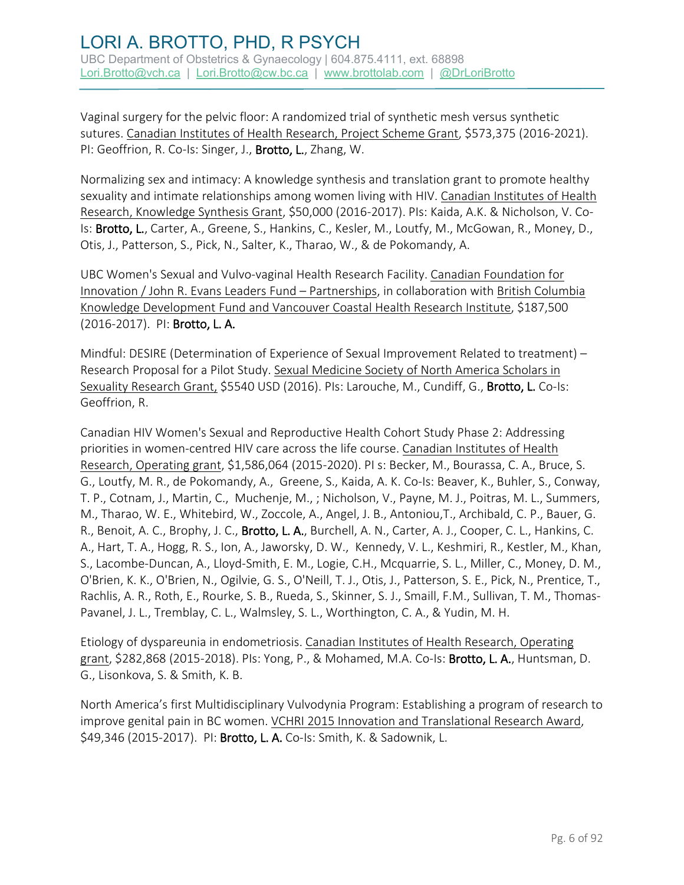Vaginal surgery for the pelvic floor: A randomized trial of synthetic mesh versus synthetic sutures. Canadian Institutes of Health Research, Project Scheme Grant, \$573,375 (2016-2021). PI: Geoffrion, R. Co-Is: Singer, J., Brotto, L., Zhang, W.

Normalizing sex and intimacy: A knowledge synthesis and translation grant to promote healthy sexuality and intimate relationships among women living with HIV. Canadian Institutes of Health Research, Knowledge Synthesis Grant, \$50,000 (2016-2017). PIs: Kaida, A.K. & Nicholson, V. Co-Is: Brotto, L., Carter, A., Greene, S., Hankins, C., Kesler, M., Loutfy, M., McGowan, R., Money, D., Otis, J., Patterson, S., Pick, N., Salter, K., Tharao, W., & de Pokomandy, A.

UBC Women's Sexual and Vulvo-vaginal Health Research Facility. Canadian Foundation for Innovation / John R. Evans Leaders Fund – Partnerships, in collaboration with British Columbia Knowledge Development Fund and Vancouver Coastal Health Research Institute, \$187,500 (2016-2017). PI: Brotto, L. A.

Mindful: DESIRE (Determination of Experience of Sexual Improvement Related to treatment) – Research Proposal for a Pilot Study. Sexual Medicine Society of North America Scholars in Sexuality Research Grant, \$5540 USD (2016). PIs: Larouche, M., Cundiff, G., Brotto, L. Co-Is: Geoffrion, R.

Canadian HIV Women's Sexual and Reproductive Health Cohort Study Phase 2: Addressing priorities in women-centred HIV care across the life course. Canadian Institutes of Health Research, Operating grant, \$1,586,064 (2015-2020). PI s: Becker, M., Bourassa, C. A., Bruce, S. G., Loutfy, M. R., de Pokomandy, A., Greene, S., Kaida, A. K. Co-Is: Beaver, K., Buhler, S., Conway, T. P., Cotnam, J., Martin, C., Muchenje, M., ; Nicholson, V., Payne, M. J., Poitras, M. L., Summers, M., Tharao, W. E., Whitebird, W., Zoccole, A., Angel, J. B., Antoniou,T., Archibald, C. P., Bauer, G. R., Benoit, A. C., Brophy, J. C., Brotto, L. A., Burchell, A. N., Carter, A. J., Cooper, C. L., Hankins, C. A., Hart, T. A., Hogg, R. S., Ion, A., Jaworsky, D. W., Kennedy, V. L., Keshmiri, R., Kestler, M., Khan, S., Lacombe-Duncan, A., Lloyd-Smith, E. M., Logie, C.H., Mcquarrie, S. L., Miller, C., Money, D. M., O'Brien, K. K., O'Brien, N., Ogilvie, G. S., O'Neill, T. J., Otis, J., Patterson, S. E., Pick, N., Prentice, T., Rachlis, A. R., Roth, E., Rourke, S. B., Rueda, S., Skinner, S. J., Smaill, F.M., Sullivan, T. M., Thomas-Pavanel, J. L., Tremblay, C. L., Walmsley, S. L., Worthington, C. A., & Yudin, M. H.

Etiology of dyspareunia in endometriosis. Canadian Institutes of Health Research, Operating grant, \$282,868 (2015-2018). PIs: Yong, P., & Mohamed, M.A. Co-Is: Brotto, L. A., Huntsman, D. G., Lisonkova, S. & Smith, K. B.

North America's first Multidisciplinary Vulvodynia Program: Establishing a program of research to improve genital pain in BC women. VCHRI 2015 Innovation and Translational Research Award, \$49,346 (2015-2017). PI: Brotto, L. A. Co-Is: Smith, K. & Sadownik, L.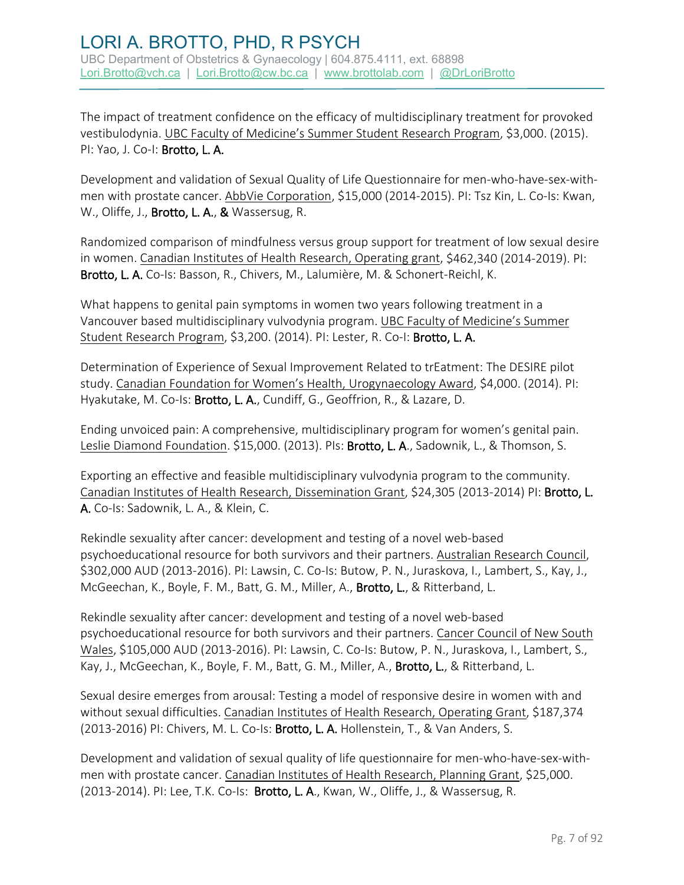The impact of treatment confidence on the efficacy of multidisciplinary treatment for provoked vestibulodynia. UBC Faculty of Medicine's Summer Student Research Program, \$3,000. (2015). PI: Yao, J. Co-I: Brotto, L. A.

Development and validation of Sexual Quality of Life Questionnaire for men-who-have-sex-withmen with prostate cancer. AbbVie Corporation, \$15,000 (2014-2015). PI: Tsz Kin, L. Co-Is: Kwan, W., Oliffe, J., Brotto, L. A., & Wassersug, R.

Randomized comparison of mindfulness versus group support for treatment of low sexual desire in women. Canadian Institutes of Health Research, Operating grant, \$462,340 (2014-2019). PI: Brotto, L. A. Co-Is: Basson, R., Chivers, M., Lalumière, M. & Schonert-Reichl, K.

What happens to genital pain symptoms in women two years following treatment in a Vancouver based multidisciplinary vulvodynia program. UBC Faculty of Medicine's Summer Student Research Program, \$3,200. (2014). PI: Lester, R. Co-I: Brotto, L. A.

Determination of Experience of Sexual Improvement Related to trEatment: The DESIRE pilot study. Canadian Foundation for Women's Health, Urogynaecology Award, \$4,000. (2014). PI: Hyakutake, M. Co-Is: Brotto, L. A., Cundiff, G., Geoffrion, R., & Lazare, D.

Ending unvoiced pain: A comprehensive, multidisciplinary program for women's genital pain. Leslie Diamond Foundation. \$15,000. (2013). Pls: Brotto, L. A., Sadownik, L., & Thomson, S.

Exporting an effective and feasible multidisciplinary vulvodynia program to the community. Canadian Institutes of Health Research, Dissemination Grant, \$24,305 (2013-2014) PI: Brotto, L. A. Co-Is: Sadownik, L. A., & Klein, C.

Rekindle sexuality after cancer: development and testing of a novel web-based psychoeducational resource for both survivors and their partners. Australian Research Council, \$302,000 AUD (2013-2016). PI: Lawsin, C. Co-Is: Butow, P. N., Juraskova, I., Lambert, S., Kay, J., McGeechan, K., Boyle, F. M., Batt, G. M., Miller, A., Brotto, L., & Ritterband, L.

Rekindle sexuality after cancer: development and testing of a novel web-based psychoeducational resource for both survivors and their partners. Cancer Council of New South Wales, \$105,000 AUD (2013-2016). PI: Lawsin, C. Co-Is: Butow, P. N., Juraskova, I., Lambert, S., Kay, J., McGeechan, K., Boyle, F. M., Batt, G. M., Miller, A., Brotto, L., & Ritterband, L.

Sexual desire emerges from arousal: Testing a model of responsive desire in women with and without sexual difficulties. Canadian Institutes of Health Research, Operating Grant, \$187,374 (2013-2016) PI: Chivers, M. L. Co-Is: Brotto, L. A. Hollenstein, T., & Van Anders, S.

Development and validation of sexual quality of life questionnaire for men-who-have-sex-withmen with prostate cancer. Canadian Institutes of Health Research, Planning Grant, \$25,000. (2013-2014). PI: Lee, T.K. Co-Is: Brotto, L. A., Kwan, W., Oliffe, J., & Wassersug, R.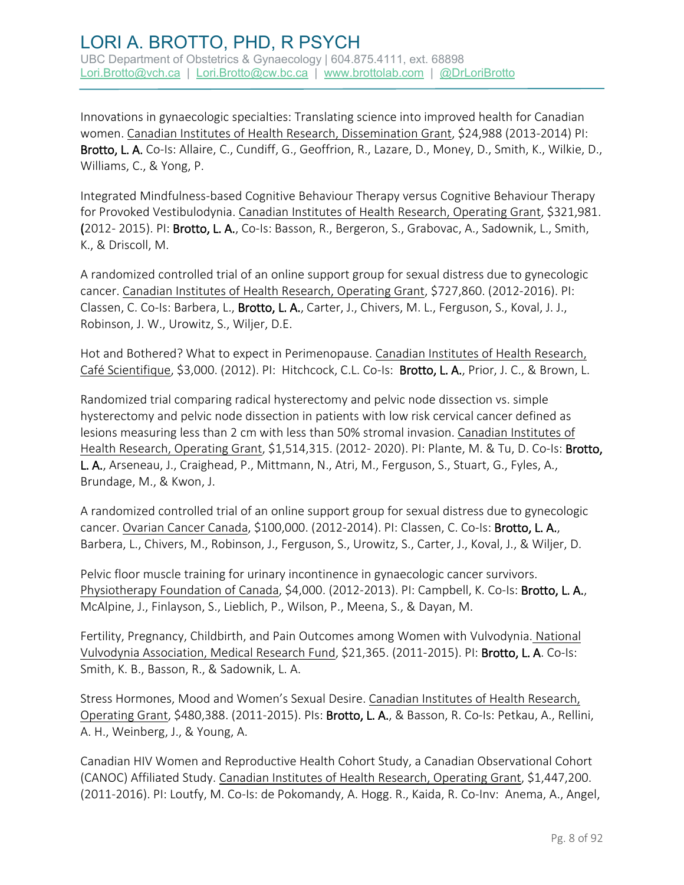Innovations in gynaecologic specialties: Translating science into improved health for Canadian women. Canadian Institutes of Health Research, Dissemination Grant, \$24,988 (2013-2014) PI: Brotto, L. A. Co-Is: Allaire, C., Cundiff, G., Geoffrion, R., Lazare, D., Money, D., Smith, K., Wilkie, D., Williams, C., & Yong, P.

Integrated Mindfulness-based Cognitive Behaviour Therapy versus Cognitive Behaviour Therapy for Provoked Vestibulodynia. Canadian Institutes of Health Research, Operating Grant, \$321,981. (2012- 2015). PI: Brotto, L. A., Co-Is: Basson, R., Bergeron, S., Grabovac, A., Sadownik, L., Smith, K., & Driscoll, M.

A randomized controlled trial of an online support group for sexual distress due to gynecologic cancer. Canadian Institutes of Health Research, Operating Grant, \$727,860. (2012-2016). PI: Classen, C. Co-Is: Barbera, L., Brotto, L. A., Carter, J., Chivers, M. L., Ferguson, S., Koval, J. J., Robinson, J. W., Urowitz, S., Wiljer, D.E.

Hot and Bothered? What to expect in Perimenopause. Canadian Institutes of Health Research, Café Scientifique, \$3,000. (2012). PI: Hitchcock, C.L. Co-Is: Brotto, L. A., Prior, J. C., & Brown, L.

Randomized trial comparing radical hysterectomy and pelvic node dissection vs. simple hysterectomy and pelvic node dissection in patients with low risk cervical cancer defined as lesions measuring less than 2 cm with less than 50% stromal invasion. Canadian Institutes of Health Research, Operating Grant, \$1,514,315. (2012- 2020). PI: Plante, M. & Tu, D. Co-Is: Brotto, L. A., Arseneau, J., Craighead, P., Mittmann, N., Atri, M., Ferguson, S., Stuart, G., Fyles, A., Brundage, M., & Kwon, J.

A randomized controlled trial of an online support group for sexual distress due to gynecologic cancer. Ovarian Cancer Canada, \$100,000. (2012-2014). PI: Classen, C. Co-Is: Brotto, L. A., Barbera, L., Chivers, M., Robinson, J., Ferguson, S., Urowitz, S., Carter, J., Koval, J., & Wiljer, D.

Pelvic floor muscle training for urinary incontinence in gynaecologic cancer survivors. Physiotherapy Foundation of Canada, \$4,000. (2012-2013). PI: Campbell, K. Co-Is: Brotto, L. A., McAlpine, J., Finlayson, S., Lieblich, P., Wilson, P., Meena, S., & Dayan, M.

Fertility, Pregnancy, Childbirth, and Pain Outcomes among Women with Vulvodynia. National Vulvodynia Association, Medical Research Fund, \$21,365. (2011-2015). PI: Brotto, L. A. Co-Is: Smith, K. B., Basson, R., & Sadownik, L. A.

Stress Hormones, Mood and Women's Sexual Desire. Canadian Institutes of Health Research, Operating Grant, \$480,388. (2011-2015). Pls: Brotto, L. A., & Basson, R. Co-Is: Petkau, A., Rellini, A. H., Weinberg, J., & Young, A.

Canadian HIV Women and Reproductive Health Cohort Study, a Canadian Observational Cohort (CANOC) Affiliated Study. Canadian Institutes of Health Research, Operating Grant, \$1,447,200. (2011-2016). PI: Loutfy, M. Co-Is: de Pokomandy, A. Hogg. R., Kaida, R. Co-Inv: Anema, A., Angel,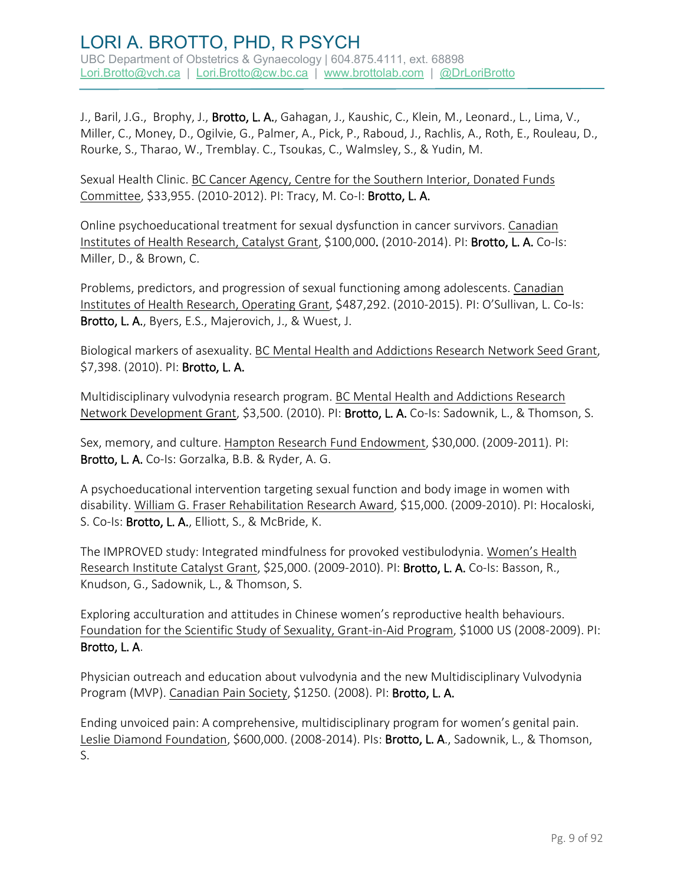J., Baril, J.G., Brophy, J., **Brotto, L. A.**, Gahagan, J., Kaushic, C., Klein, M., Leonard., L., Lima, V., Miller, C., Money, D., Ogilvie, G., Palmer, A., Pick, P., Raboud, J., Rachlis, A., Roth, E., Rouleau, D., Rourke, S., Tharao, W., Tremblay. C., Tsoukas, C., Walmsley, S., & Yudin, M.

Sexual Health Clinic. BC Cancer Agency, Centre for the Southern Interior, Donated Funds Committee, \$33,955. (2010-2012). PI: Tracy, M. Co-I: Brotto, L. A.

Online psychoeducational treatment for sexual dysfunction in cancer survivors. Canadian Institutes of Health Research, Catalyst Grant, \$100,000. (2010-2014). PI: Brotto, L. A. Co-Is: Miller, D., & Brown, C.

Problems, predictors, and progression of sexual functioning among adolescents. Canadian Institutes of Health Research, Operating Grant, \$487,292. (2010-2015). PI: O'Sullivan, L. Co-Is: Brotto, L. A., Byers, E.S., Majerovich, J., & Wuest, J.

Biological markers of asexuality. BC Mental Health and Addictions Research Network Seed Grant, \$7,398. (2010). PI: Brotto, L. A.

Multidisciplinary vulvodynia research program. BC Mental Health and Addictions Research Network Development Grant, \$3,500. (2010). PI: Brotto, L. A. Co-Is: Sadownik, L., & Thomson, S.

Sex, memory, and culture. Hampton Research Fund Endowment, \$30,000. (2009-2011). PI: Brotto, L. A. Co-Is: Gorzalka, B.B. & Ryder, A. G.

A psychoeducational intervention targeting sexual function and body image in women with disability. William G. Fraser Rehabilitation Research Award, \$15,000. (2009-2010). PI: Hocaloski, S. Co-Is: Brotto, L. A., Elliott, S., & McBride, K.

The IMPROVED study: Integrated mindfulness for provoked vestibulodynia. Women's Health Research Institute Catalyst Grant, \$25,000. (2009-2010). PI: Brotto, L. A. Co-Is: Basson, R., Knudson, G., Sadownik, L., & Thomson, S.

Exploring acculturation and attitudes in Chinese women's reproductive health behaviours. Foundation for the Scientific Study of Sexuality, Grant-in-Aid Program, \$1000 US (2008-2009). PI: Brotto, L. A.

Physician outreach and education about vulvodynia and the new Multidisciplinary Vulvodynia Program (MVP). Canadian Pain Society, \$1250. (2008). PI: Brotto, L. A.

Ending unvoiced pain: A comprehensive, multidisciplinary program for women's genital pain. Leslie Diamond Foundation, \$600,000. (2008-2014). PIs: Brotto, L. A., Sadownik, L., & Thomson, S.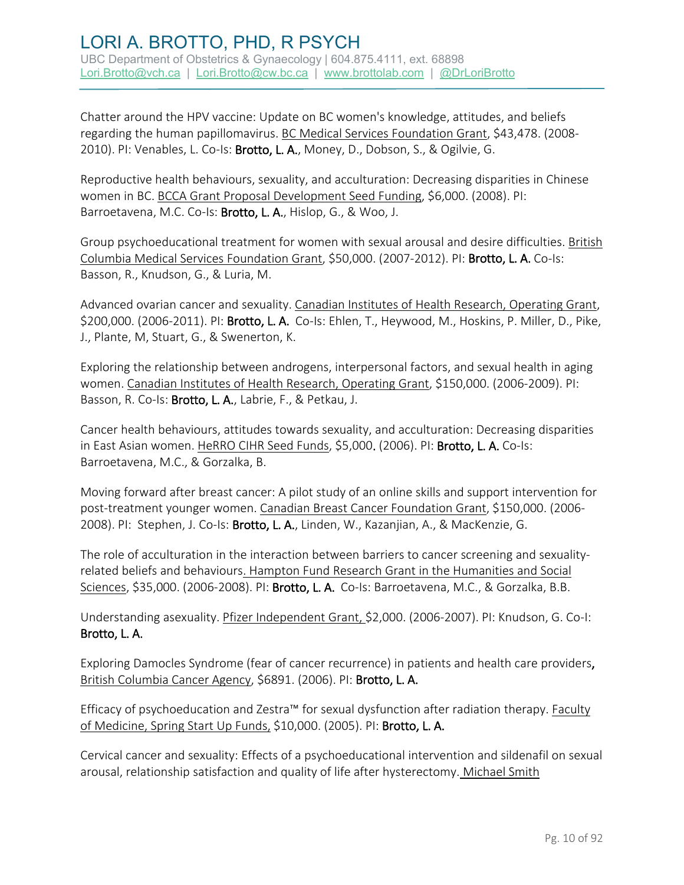Chatter around the HPV vaccine: Update on BC women's knowledge, attitudes, and beliefs regarding the human papillomavirus. BC Medical Services Foundation Grant, \$43,478. (2008- 2010). PI: Venables, L. Co-Is: Brotto, L. A., Money, D., Dobson, S., & Ogilvie, G.

Reproductive health behaviours, sexuality, and acculturation: Decreasing disparities in Chinese women in BC. BCCA Grant Proposal Development Seed Funding, \$6,000. (2008). PI: Barroetavena, M.C. Co-Is: Brotto, L. A., Hislop, G., & Woo, J.

Group psychoeducational treatment for women with sexual arousal and desire difficulties. British Columbia Medical Services Foundation Grant, \$50,000. (2007-2012). PI: Brotto, L. A. Co-Is: Basson, R., Knudson, G., & Luria, M.

Advanced ovarian cancer and sexuality. Canadian Institutes of Health Research, Operating Grant, \$200,000. (2006-2011). PI: Brotto, L. A. Co-Is: Ehlen, T., Heywood, M., Hoskins, P. Miller, D., Pike, J., Plante, M, Stuart, G., & Swenerton, K.

Exploring the relationship between androgens, interpersonal factors, and sexual health in aging women. Canadian Institutes of Health Research, Operating Grant, \$150,000. (2006-2009). PI: Basson, R. Co-Is: Brotto, L. A., Labrie, F., & Petkau, J.

Cancer health behaviours, attitudes towards sexuality, and acculturation: Decreasing disparities in East Asian women. HeRRO CIHR Seed Funds, \$5,000. (2006). PI: Brotto, L. A. Co-Is: Barroetavena, M.C., & Gorzalka, B.

Moving forward after breast cancer: A pilot study of an online skills and support intervention for post-treatment younger women. Canadian Breast Cancer Foundation Grant, \$150,000. (2006- 2008). PI: Stephen, J. Co-Is: Brotto, L. A., Linden, W., Kazanjian, A., & MacKenzie, G.

The role of acculturation in the interaction between barriers to cancer screening and sexualityrelated beliefs and behaviours. Hampton Fund Research Grant in the Humanities and Social Sciences, \$35,000. (2006-2008). PI: Brotto, L. A. Co-Is: Barroetavena, M.C., & Gorzalka, B.B.

Understanding asexuality. Pfizer Independent Grant, \$2,000. (2006-2007). PI: Knudson, G. Co-I: Brotto, L. A.

Exploring Damocles Syndrome (fear of cancer recurrence) in patients and health care providers, British Columbia Cancer Agency, \$6891. (2006). PI: Brotto, L. A.

Efficacy of psychoeducation and Zestra™ for sexual dysfunction after radiation therapy. Faculty of Medicine, Spring Start Up Funds, \$10,000. (2005). PI: Brotto, L. A.

Cervical cancer and sexuality: Effects of a psychoeducational intervention and sildenafil on sexual arousal, relationship satisfaction and quality of life after hysterectomy. Michael Smith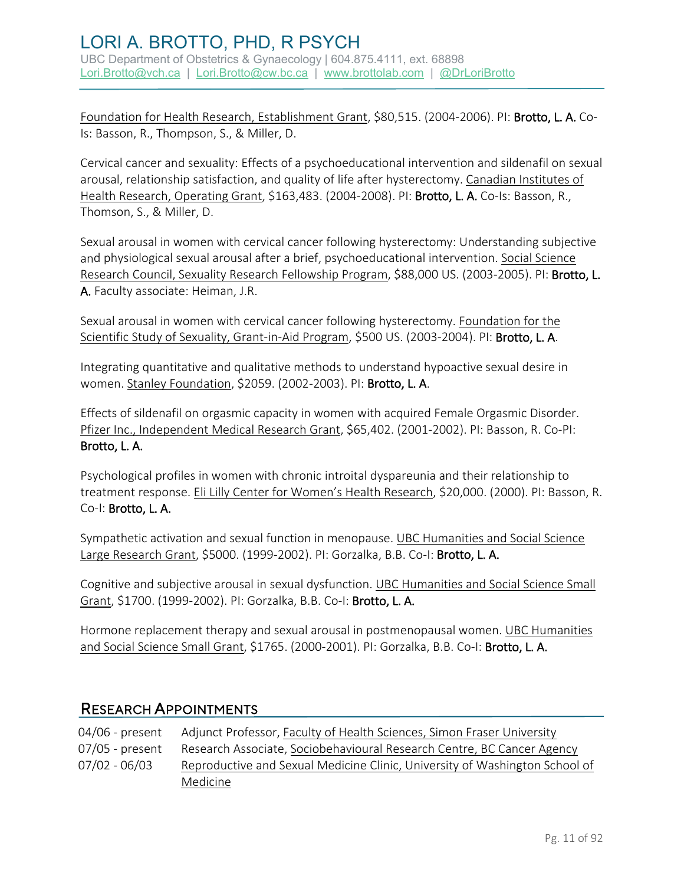Foundation for Health Research, Establishment Grant, \$80,515. (2004-2006). PI: Brotto, L. A. Co-Is: Basson, R., Thompson, S., & Miller, D.

Cervical cancer and sexuality: Effects of a psychoeducational intervention and sildenafil on sexual arousal, relationship satisfaction, and quality of life after hysterectomy. Canadian Institutes of Health Research, Operating Grant, \$163,483. (2004-2008). Pl: Brotto, L. A. Co-Is: Basson, R., Thomson, S., & Miller, D.

Sexual arousal in women with cervical cancer following hysterectomy: Understanding subjective and physiological sexual arousal after a brief, psychoeducational intervention. Social Science Research Council, Sexuality Research Fellowship Program, \$88,000 US. (2003-2005). PI: Brotto, L. A. Faculty associate: Heiman, J.R.

Sexual arousal in women with cervical cancer following hysterectomy. Foundation for the Scientific Study of Sexuality, Grant-in-Aid Program, \$500 US. (2003-2004). PI: Brotto, L. A.

Integrating quantitative and qualitative methods to understand hypoactive sexual desire in women. Stanley Foundation, \$2059. (2002-2003). PI: Brotto, L. A.

Effects of sildenafil on orgasmic capacity in women with acquired Female Orgasmic Disorder. Pfizer Inc., Independent Medical Research Grant, \$65,402. (2001-2002). PI: Basson, R. Co-PI: Brotto, L. A.

Psychological profiles in women with chronic introital dyspareunia and their relationship to treatment response. Eli Lilly Center for Women's Health Research, \$20,000. (2000). PI: Basson, R. Co-I: Brotto, L. A.

Sympathetic activation and sexual function in menopause. UBC Humanities and Social Science Large Research Grant, \$5000. (1999-2002). PI: Gorzalka, B.B. Co-I: Brotto, L. A.

Cognitive and subjective arousal in sexual dysfunction. UBC Humanities and Social Science Small Grant, \$1700. (1999-2002). PI: Gorzalka, B.B. Co-I: Brotto, L. A.

Hormone replacement therapy and sexual arousal in postmenopausal women. UBC Humanities and Social Science Small Grant, \$1765. (2000-2001). PI: Gorzalka, B.B. Co-I: Brotto, L.A.

#### RESEARCH APPOINTMENTS

| 04/06 - present   | Adjunct Professor, Faculty of Health Sciences, Simon Fraser University      |
|-------------------|-----------------------------------------------------------------------------|
| $07/05$ - present | Research Associate, Sociobehavioural Research Centre, BC Cancer Agency      |
| $07/02 - 06/03$   | Reproductive and Sexual Medicine Clinic, University of Washington School of |
|                   | Medicine                                                                    |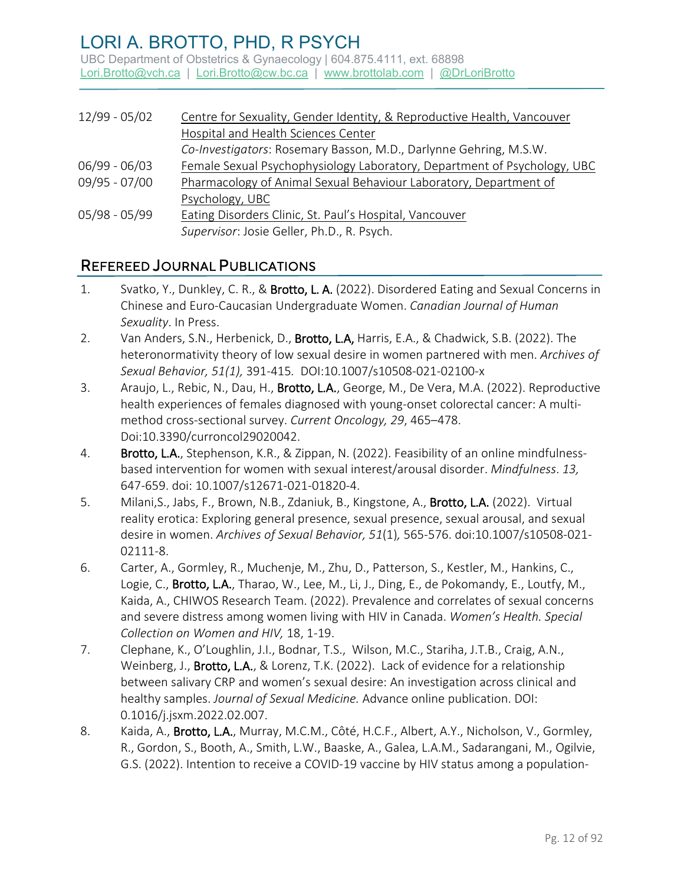UBC Department of Obstetrics & Gynaecology | 604.875.4111, ext. 68898 [Lori.Brotto@vch.ca](mailto:Lori.Brotto@vch.ca) | [Lori.Brotto@cw.bc.ca](mailto:Lori.Brotto@cw.bc.ca) | [www.brottolab.com](http://www.brottolab.com/) | [@DrLoriBrotto](https://twitter.com/DrLoriBrotto)

| 12/99 - 05/02 | Centre for Sexuality, Gender Identity, & Reproductive Health, Vancouver  |
|---------------|--------------------------------------------------------------------------|
|               | Hospital and Health Sciences Center                                      |
|               | Co-Investigators: Rosemary Basson, M.D., Darlynne Gehring, M.S.W.        |
| 06/99 - 06/03 | Female Sexual Psychophysiology Laboratory, Department of Psychology, UBC |
| 09/95 - 07/00 | Pharmacology of Animal Sexual Behaviour Laboratory, Department of        |
|               | Psychology, UBC                                                          |
| 05/98 - 05/99 | Eating Disorders Clinic, St. Paul's Hospital, Vancouver                  |
|               | Supervisor: Josie Geller, Ph.D., R. Psych.                               |

#### REFEREED JOURNAL PUBLICATIONS

- 1. Svatko, Y., Dunkley, C. R., & Brotto, L. A. (2022). Disordered Eating and Sexual Concerns in Chinese and Euro-Caucasian Undergraduate Women. *Canadian Journal of Human Sexuality*. In Press.
- 2. Van Anders, S.N., Herbenick, D., Brotto, L.A, Harris, E.A., & Chadwick, S.B. (2022). The heteronormativity theory of low sexual desire in women partnered with men. *Archives of Sexual Behavior, 51(1),* 391-415*.* DOI:10.1007/s10508-021-02100-x
- 3. Araujo, L., Rebic, N., Dau, H., Brotto, L.A., George, M., De Vera, M.A. (2022). Reproductive health experiences of females diagnosed with young-onset colorectal cancer: A multimethod cross-sectional survey. *Current Oncology, 29*, 465–478. Doi:10.3390/curroncol29020042.
- 4. Brotto, L.A., Stephenson, K.R., & Zippan, N. (2022). Feasibility of an online mindfulnessbased intervention for women with sexual interest/arousal disorder. *Mindfulness*. *13,*  647-659. doi: 10.1007/s12671-021-01820-4.
- 5. Milani,S., Jabs, F., Brown, N.B., Zdaniuk, B., Kingstone, A., Brotto, L.A. (2022). Virtual reality erotica: Exploring general presence, sexual presence, sexual arousal, and sexual desire in women. *Archives of Sexual Behavior, 51*(1)*,* 565-576. doi:10.1007/s10508-021- 02111-8.
- 6. Carter, A., Gormley, R., Muchenje, M., Zhu, D., Patterson, S., Kestler, M., Hankins, C., Logie, C., Brotto, L.A., Tharao, W., Lee, M., Li, J., Ding, E., de Pokomandy, E., Loutfy, M., Kaida, A., CHIWOS Research Team. (2022). Prevalence and correlates of sexual concerns and severe distress among women living with HIV in Canada. *Women's Health. Special Collection on Women and HIV,* 18, 1-19.
- 7. Clephane, K., O'Loughlin, J.I., Bodnar, T.S., Wilson, M.C., Stariha, J.T.B., Craig, A.N., Weinberg, J., Brotto, L.A., & Lorenz, T.K. (2022). Lack of evidence for a relationship between salivary CRP and women's sexual desire: An investigation across clinical and healthy samples. *Journal of Sexual Medicine.* Advance online publication. DOI: 0.1016/j.jsxm.2022.02.007.
- 8. Kaida, A., Brotto, L.A., Murray, M.C.M., Côté, H.C.F., Albert, A.Y., Nicholson, V., Gormley, R., Gordon, S., Booth, A., Smith, L.W., Baaske, A., Galea, L.A.M., Sadarangani, M., Ogilvie, G.S. (2022). Intention to receive a COVID-19 vaccine by HIV status among a population-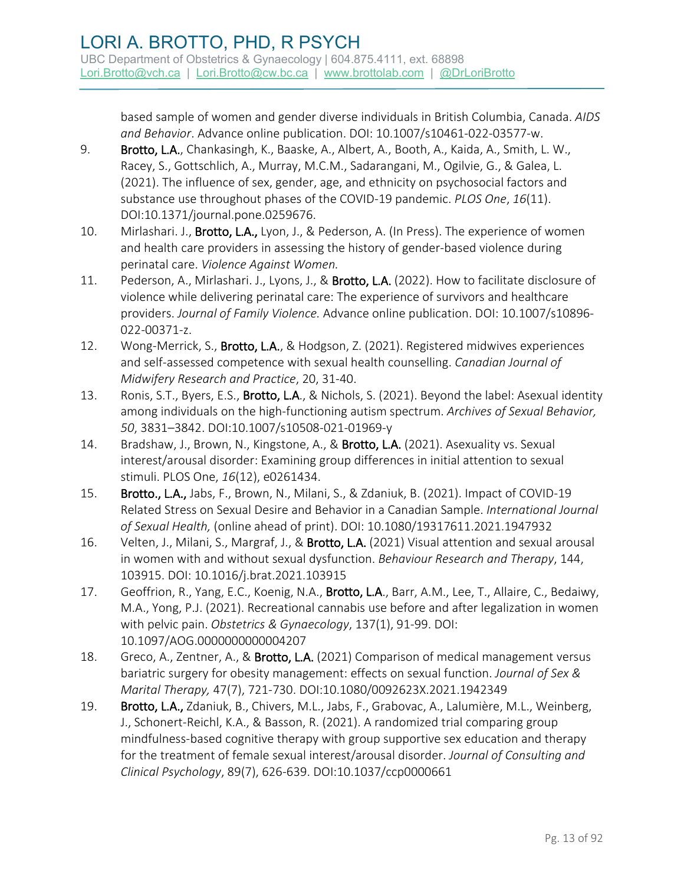based sample of women and gender diverse individuals in British Columbia, Canada. *AIDS and Behavior*. Advance online publication. DOI: 10.1007/s10461-022-03577-w.

- 9. Brotto, L.A., Chankasingh, K., Baaske, A., Albert, A., Booth, A., Kaida, A., Smith, L. W., Racey, S., Gottschlich, A., Murray, M.C.M., Sadarangani, M., Ogilvie, G., & Galea, L. (2021). The influence of sex, gender, age, and ethnicity on psychosocial factors and substance use throughout phases of the COVID-19 pandemic. *PLOS One*, *16*(11). DOI:10.1371/journal.pone.0259676.
- 10. Mirlashari. J., **Brotto, L.A.,** Lyon, J., & Pederson, A. (In Press). The experience of women and health care providers in assessing the history of gender-based violence during perinatal care. *Violence Against Women.*
- 11. Pederson, A., Mirlashari. J., Lyons, J., & Brotto, L.A. (2022). How to facilitate disclosure of violence while delivering perinatal care: The experience of survivors and healthcare providers. *Journal of Family Violence.* Advance online publication. DOI: 10.1007/s10896- 022-00371-z.
- 12. Wong-Merrick, S., Brotto, L.A., & Hodgson, Z. (2021). Registered midwives experiences and self-assessed competence with sexual health counselling. *Canadian Journal of Midwifery Research and Practice*, 20, 31-40.
- 13. Ronis, S.T., Byers, E.S., **Brotto, L.A.**, & Nichols, S. (2021). Beyond the label: Asexual identity among individuals on the high-functioning autism spectrum. *Archives of Sexual Behavior, 50*, 3831–3842. DOI:10.1007/s10508-021-01969-y
- 14. Bradshaw, J., Brown, N., Kingstone, A., & Brotto, L.A. (2021). Asexuality vs. Sexual interest/arousal disorder: Examining group differences in initial attention to sexual stimuli. PLOS One, *16*(12), e0261434.
- 15. Brotto., L.A., Jabs, F., Brown, N., Milani, S., & Zdaniuk, B. (2021). Impact of COVID-19 Related Stress on Sexual Desire and Behavior in a Canadian Sample. *International Journal of Sexual Health,* (online ahead of print). DOI: 10.1080/19317611.2021.1947932
- 16. Velten, J., Milani, S., Margraf, J., & Brotto, L.A. (2021) Visual attention and sexual arousal in women with and without sexual dysfunction. *Behaviour Research and Therapy*, 144, 103915. DOI: 10.1016/j.brat.2021.103915
- 17. Geoffrion, R., Yang, E.C., Koenig, N.A., Brotto, L.A., Barr, A.M., Lee, T., Allaire, C., Bedaiwy, M.A., Yong, P.J. (2021). Recreational cannabis use before and after legalization in women with pelvic pain. *Obstetrics & Gynaecology*, 137(1), 91-99. DOI: 10.1097/AOG.0000000000004207
- 18. Greco, A., Zentner, A., & Brotto, L.A. (2021) Comparison of medical management versus bariatric surgery for obesity management: effects on sexual function. *Journal of Sex & Marital Therapy,* 47(7), 721-730. DOI:10.1080/0092623X.2021.1942349
- 19. Brotto, L.A., Zdaniuk, B., Chivers, M.L., Jabs, F., Grabovac, A., Lalumière, M.L., Weinberg, J., Schonert-Reichl, K.A., & Basson, R. (2021). A randomized trial comparing group mindfulness-based cognitive therapy with group supportive sex education and therapy for the treatment of female sexual interest/arousal disorder. *Journal of Consulting and Clinical Psychology*, 89(7), 626-639. DOI:10.1037/ccp0000661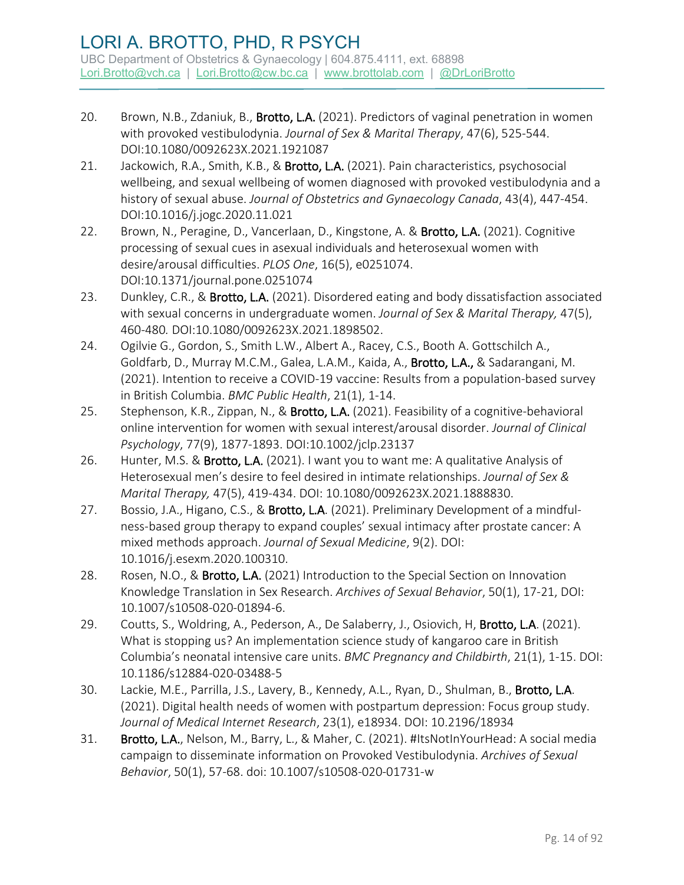- 20. Brown, N.B., Zdaniuk, B., Brotto, L.A. (2021). Predictors of vaginal penetration in women with provoked vestibulodynia. *Journal of Sex & Marital Therapy*, 47(6), 525-544. DOI:10.1080/0092623X.2021.1921087
- 21. Jackowich, R.A., Smith, K.B., & Brotto, L.A. (2021). Pain characteristics, psychosocial wellbeing, and sexual wellbeing of women diagnosed with provoked vestibulodynia and a history of sexual abuse. *Journal of Obstetrics and Gynaecology Canada*, 43(4), 447-454. DOI:10.1016/j.jogc.2020.11.021
- 22. Brown, N., Peragine, D., Vancerlaan, D., Kingstone, A. & Brotto, L.A. (2021). Cognitive processing of sexual cues in asexual individuals and heterosexual women with desire/arousal difficulties. *PLOS One*, 16(5), e0251074. DOI:10.1371/journal.pone.0251074
- 23. Dunkley, C.R., & Brotto, L.A. (2021). Disordered eating and body dissatisfaction associated with sexual concerns in undergraduate women. *Journal of Sex & Marital Therapy,* 47(5), 460-480*.* DOI:10.1080/0092623X.2021.1898502.
- 24. Ogilvie G., Gordon, S., Smith L.W., Albert A., Racey, C.S., Booth A. Gottschilch A., Goldfarb, D., Murray M.C.M., Galea, L.A.M., Kaida, A., Brotto, L.A., & Sadarangani, M. (2021). Intention to receive a COVID-19 vaccine: Results from a population-based survey in British Columbia. *BMC Public Health*, 21(1), 1-14.
- 25. Stephenson, K.R., Zippan, N., & Brotto, L.A. (2021). Feasibility of a cognitive-behavioral online intervention for women with sexual interest/arousal disorder. *Journal of Clinical Psychology*, 77(9), 1877-1893. DOI:10.1002/jclp.23137
- 26. Hunter, M.S. & Brotto, L.A. (2021). I want you to want me: A qualitative Analysis of Heterosexual men's desire to feel desired in intimate relationships. *Journal of Sex & Marital Therapy,* 47(5), 419-434. DOI: 10.1080/0092623X.2021.1888830.
- 27. Bossio, J.A., Higano, C.S., & Brotto, L.A. (2021). Preliminary Development of a mindfulness-based group therapy to expand couples' sexual intimacy after prostate cancer: A mixed methods approach. *Journal of Sexual Medicine*, 9(2). DOI: 10.1016/j.esexm.2020.100310.
- 28. Rosen, N.O., & Brotto, L.A. (2021) Introduction to the Special Section on Innovation Knowledge Translation in Sex Research. *Archives of Sexual Behavior*, 50(1), 17-21, DOI: 10.1007/s10508-020-01894-6.
- 29. Coutts, S., Woldring, A., Pederson, A., De Salaberry, J., Osiovich, H, Brotto, L.A. (2021). What is stopping us? An implementation science study of kangaroo care in British Columbia's neonatal intensive care units. *BMC Pregnancy and Childbirth*, 21(1), 1-15. DOI: 10.1186/s12884-020-03488-5
- 30. Lackie, M.E., Parrilla, J.S., Lavery, B., Kennedy, A.L., Ryan, D., Shulman, B., Brotto, L.A. (2021). Digital health needs of women with postpartum depression: Focus group study. *Journal of Medical Internet Research*, 23(1), e18934. DOI: 10.2196/18934
- 31. Brotto, L.A., Nelson, M., Barry, L., & Maher, C. (2021). #ItsNotInYourHead: A social media campaign to disseminate information on Provoked Vestibulodynia. *Archives of Sexual Behavior*, 50(1), 57-68. doi: 10.1007/s10508-020-01731-w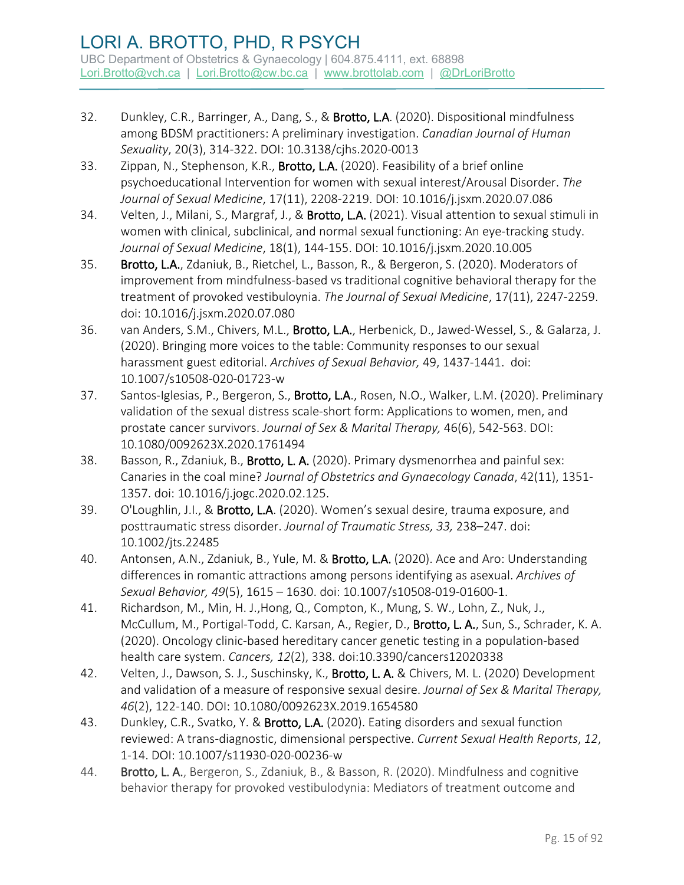- 32. Dunkley, C.R., Barringer, A., Dang, S., & Brotto, L.A. (2020). Dispositional mindfulness among BDSM practitioners: A preliminary investigation. *Canadian Journal of Human Sexuality*, 20(3), 314-322. DOI: 10.3138/cjhs.2020-0013
- 33. Zippan, N., Stephenson, K.R., Brotto, L.A. (2020). Feasibility of a brief online psychoeducational Intervention for women with sexual interest/Arousal Disorder. *The Journal of Sexual Medicine*, 17(11), 2208-2219. DOI: 10.1016/j.jsxm.2020.07.086
- 34. Velten, J., Milani, S., Margraf, J., & Brotto, L.A. (2021). Visual attention to sexual stimuli in women with clinical, subclinical, and normal sexual functioning: An eye-tracking study. *Journal of Sexual Medicine*, 18(1), 144-155. DOI: 10.1016/j.jsxm.2020.10.005
- 35. Brotto, L.A., Zdaniuk, B., Rietchel, L., Basson, R., & Bergeron, S. (2020). Moderators of improvement from mindfulness-based vs traditional cognitive behavioral therapy for the treatment of provoked vestibuloynia. *The Journal of Sexual Medicine*, 17(11), 2247-2259. doi: 10.1016/j.jsxm.2020.07.080
- 36. van Anders, S.M., Chivers, M.L., Brotto, L.A., Herbenick, D., Jawed-Wessel, S., & Galarza, J. (2020). Bringing more voices to the table: Community responses to our sexual harassment guest editorial. *Archives of Sexual Behavior,* 49, 1437-1441. doi: 10.1007/s10508-020-01723-w
- 37. Santos-Iglesias, P., Bergeron, S., Brotto, L.A., Rosen, N.O., Walker, L.M. (2020). Preliminary validation of the sexual distress scale-short form: Applications to women, men, and prostate cancer survivors. *Journal of Sex & Marital Therapy,* 46(6), 542-563. DOI: 10.1080/0092623X.2020.1761494
- 38. Basson, R., Zdaniuk, B., Brotto, L. A. (2020). Primary dysmenorrhea and painful sex: Canaries in the coal mine? *Journal of Obstetrics and Gynaecology Canada*, 42(11), 1351- 1357. doi: 10.1016/j.jogc.2020.02.125.
- 39. O'Loughlin, J.I., & Brotto, L.A. (2020). Women's sexual desire, trauma exposure, and posttraumatic stress disorder. *Journal of Traumatic Stress, 33,* 238–247. doi: 10.1002/jts.22485
- 40. Antonsen, A.N., Zdaniuk, B., Yule, M. & Brotto, L.A. (2020). Ace and Aro: Understanding differences in romantic attractions among persons identifying as asexual. *Archives of Sexual Behavior, 49*(5), 1615 – 1630. doi: 10.1007/s10508-019-01600-1.
- 41. Richardson, M., Min, H. J.,Hong, Q., Compton, K., Mung, S. W., Lohn, Z., Nuk, J., McCullum, M., Portigal-Todd, C. Karsan, A., Regier, D., Brotto, L. A., Sun, S., Schrader, K. A. (2020). Oncology clinic-based hereditary cancer genetic testing in a population-based health care system. *Cancers, 12*(2), 338. doi:10.3390/cancers12020338
- 42. Velten, J., Dawson, S. J., Suschinsky, K., Brotto, L. A. & Chivers, M. L. (2020) Development and validation of a measure of responsive sexual desire. *Journal of Sex & Marital Therapy, 46*(2), 122-140. DOI: 10.1080/0092623X.2019.1654580
- 43. Dunkley, C.R., Svatko, Y. & Brotto, L.A. (2020). Eating disorders and sexual function reviewed: A trans-diagnostic, dimensional perspective. *Current Sexual Health Reports*, *12*, 1-14. DOI: 10.1007/s11930-020-00236-w
- 44. Brotto, L. A., Bergeron, S., Zdaniuk, B., & Basson, R. (2020). Mindfulness and cognitive behavior therapy for provoked vestibulodynia: Mediators of treatment outcome and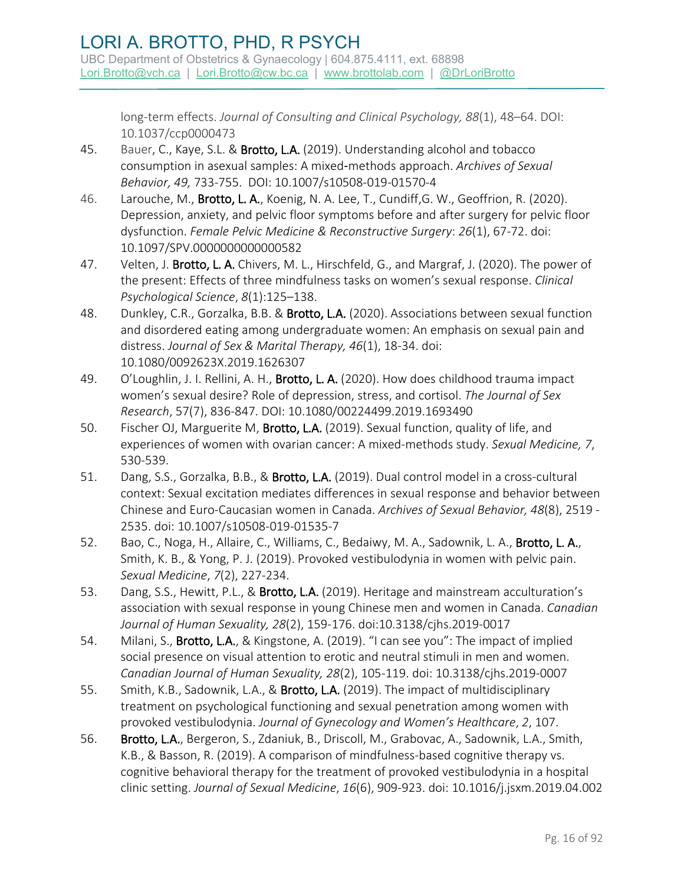long-term effects. *Journal of Consulting and Clinical Psychology, 88*(1), 48–64. DOI: 10.1037/ccp0000473

- 45. Bauer, C., Kaye, S.L. & Brotto, L.A. (2019). Understanding alcohol and tobacco consumption in asexual samples: A mixed‑methods approach. *Archives of Sexual Behavior, 49,* 733-755. DOI: 10.1007/s10508-019-01570-4
- 46. Larouche, M., Brotto, L. A., Koenig, N. A. Lee, T., Cundiff, G. W., Geoffrion, R. (2020). Depression, anxiety, and pelvic floor symptoms before and after surgery for pelvic floor dysfunction. *Female Pelvic Medicine & Reconstructive Surgery*: *26*(1), 67-72. doi: 10.1097/SPV.0000000000000582
- 47. Velten, J. Brotto, L. A. Chivers, M. L., Hirschfeld, G., and Margraf, J. (2020). The power of the present: Effects of three mindfulness tasks on women's sexual response. *Clinical Psychological Science*, *8*(1):125–138.
- 48. Dunkley, C.R., Gorzalka, B.B. & Brotto, L.A. (2020). Associations between sexual function and disordered eating among undergraduate women: An emphasis on sexual pain and distress. *Journal of Sex & Marital Therapy, 46*(1), 18-34. doi: 10.1080/0092623X.2019.1626307
- 49. O'Loughlin, J. I. Rellini, A. H., Brotto, L. A. (2020). How does childhood trauma impact women's sexual desire? Role of depression, stress, and cortisol. *The Journal of Sex Research*, 57(7), 836-847. DOI: 10.1080/00224499.2019.1693490
- 50. Fischer OJ, Marguerite M, Brotto, L.A. (2019). Sexual function, quality of life, and experiences of women with ovarian cancer: A mixed-methods study. *Sexual Medicine, 7*, 530-539.
- 51. Dang, S.S., Gorzalka, B.B., & Brotto, L.A. (2019). Dual control model in a cross-cultural context: Sexual excitation mediates differences in sexual response and behavior between Chinese and Euro-Caucasian women in Canada. *Archives of Sexual Behavior, 48*(8), 2519 - 2535. doi: 10.1007/s10508-019-01535-7
- 52. Bao, C., Noga, H., Allaire, C., Williams, C., Bedaiwy, M. A., Sadownik, L. A., Brotto, L. A., Smith, K. B., & Yong, P. J. (2019). Provoked vestibulodynia in women with pelvic pain. *Sexual Medicine*, *7*(2), 227-234.
- 53. Dang, S.S., Hewitt, P.L., & Brotto, L.A. (2019). Heritage and mainstream acculturation's association with sexual response in young Chinese men and women in Canada. *Canadian Journal of Human Sexuality, 28*(2), 159-176. doi:10.3138/cjhs.2019-0017
- 54. Milani, S., **Brotto, L.A.**, & Kingstone, A. (2019). "I can see you": The impact of implied social presence on visual attention to erotic and neutral stimuli in men and women. *Canadian Journal of Human Sexuality, 28*(2), 105-119. doi: 10.3138/cjhs.2019-0007
- 55. Smith, K.B., Sadownik, L.A., & Brotto, L.A. (2019). The impact of multidisciplinary treatment on psychological functioning and sexual penetration among women with provoked vestibulodynia. *Journal of Gynecology and Women's Healthcare*, *2*, 107.
- 56. Brotto, L.A., Bergeron, S., Zdaniuk, B., Driscoll, M., Grabovac, A., Sadownik, L.A., Smith, K.B., & Basson, R. (2019). A comparison of mindfulness-based cognitive therapy vs. cognitive behavioral therapy for the treatment of provoked vestibulodynia in a hospital clinic setting. *Journal of Sexual Medicine*, *16*(6), 909-923. doi: 10.1016/j.jsxm.2019.04.002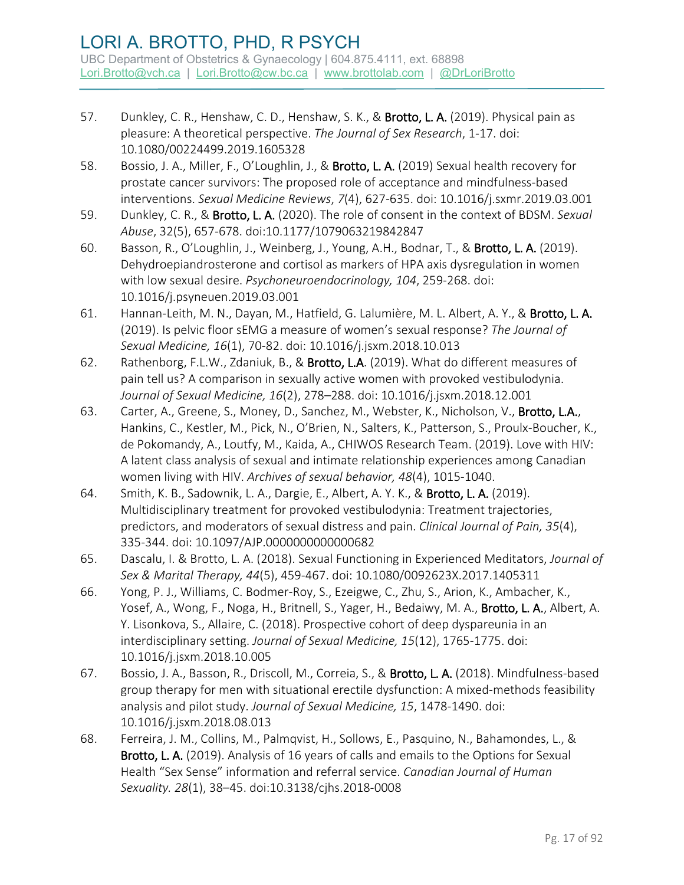- 57. Dunkley, C. R., Henshaw, C. D., Henshaw, S. K., & Brotto, L. A. (2019). Physical pain as pleasure: A theoretical perspective. *The Journal of Sex Research*, 1-17. doi: 10.1080/00224499.2019.1605328
- 58. Bossio, J. A., Miller, F., O'Loughlin, J., & Brotto, L. A. (2019) Sexual health recovery for prostate cancer survivors: The proposed role of acceptance and mindfulness-based interventions. *Sexual Medicine Reviews*, *7*(4), 627-635. doi: 10.1016/j.sxmr.2019.03.001
- 59. Dunkley, C. R., & Brotto, L. A. (2020). The role of consent in the context of BDSM. *Sexual Abuse*, 32(5), 657-678. doi:10.1177/1079063219842847
- 60. Basson, R., O'Loughlin, J., Weinberg, J., Young, A.H., Bodnar, T., & Brotto, L. A. (2019). Dehydroepiandrosterone and cortisol as markers of HPA axis dysregulation in women with low sexual desire. *Psychoneuroendocrinology, 104*, 259-268. doi: [10.1016/j.psyneuen.2019.03.001](https://doi-org.ezproxy.library.ubc.ca/10.1016/j.psyneuen.2019.03.001)
- 61. Hannan-Leith, M. N., Dayan, M., Hatfield, G. Lalumière, M. L. Albert, A. Y., & Brotto, L. A. (2019). Is pelvic floor sEMG a measure of women's sexual response? *The Journal of Sexual Medicine, 16*(1), 70-82. doi: 10.1016/j.jsxm.2018.10.013
- 62. Rathenborg, F.L.W., Zdaniuk, B., & Brotto, L.A. (2019). What do different measures of pain tell us? A comparison in sexually active women with provoked vestibulodynia. *Journal of Sexual Medicine, 16*(2), 278–288. doi: 10.1016/j.jsxm.2018.12.001
- 63. Carter, A., Greene, S., Money, D., Sanchez, M., Webster, K., Nicholson, V., Brotto, L.A., Hankins, C., Kestler, M., Pick, N., O'Brien, N., Salters, K., Patterson, S., Proulx-Boucher, K., de Pokomandy, A., Loutfy, M., Kaida, A., CHIWOS Research Team. (2019). Love with HIV: A latent class analysis of sexual and intimate relationship experiences among Canadian women living with HIV. *Archives of sexual behavior, 48*(4), 1015-1040.
- 64. Smith, K. B., Sadownik, L. A., Dargie, E., Albert, A. Y. K., & **Brotto, L. A.** (2019). Multidisciplinary treatment for provoked vestibulodynia: Treatment trajectories, predictors, and moderators of sexual distress and pain. *Clinical Journal of Pain, 35*(4), 335-344. doi: 10.1097/AJP.0000000000000682
- 65. Dascalu, I. & Brotto, L. A. (2018). Sexual Functioning in Experienced Meditators, *Journal of Sex & Marital Therapy, 44*(5), 459-467. doi: 10.1080/0092623X.2017.1405311
- 66. Yong, P. J., Williams, C. Bodmer-Roy, S., Ezeigwe, C., Zhu, S., Arion, K., Ambacher, K., Yosef, A., Wong, F., Noga, H., Britnell, S., Yager, H., Bedaiwy, M. A., Brotto, L. A., Albert, A. Y. Lisonkova, S., Allaire, C. (2018). Prospective cohort of deep dyspareunia in an interdisciplinary setting. *Journal of Sexual Medicine, 15*(12), 1765-1775. doi: [10.1016/j.jsxm.2018.10.005](https://doi.org/10.1016/j.jsxm.2018.10.005)
- 67. Bossio, J. A., Basson, R., Driscoll, M., Correia, S., & Brotto, L. A. (2018). Mindfulness-based group therapy for men with situational erectile dysfunction: A mixed-methods feasibility analysis and pilot study. *Journal of Sexual Medicine, 15*, 1478-1490. doi: 10.1016/j.jsxm.2018.08.013
- 68. Ferreira, J. M., Collins, M., Palmqvist, H., Sollows, E., Pasquino, N., Bahamondes, L., & Brotto, L. A. (2019). Analysis of 16 years of calls and emails to the Options for Sexual Health "Sex Sense" information and referral service. *Canadian Journal of Human Sexuality. 28*(1), 38–45. doi:10.3138/cjhs.2018-0008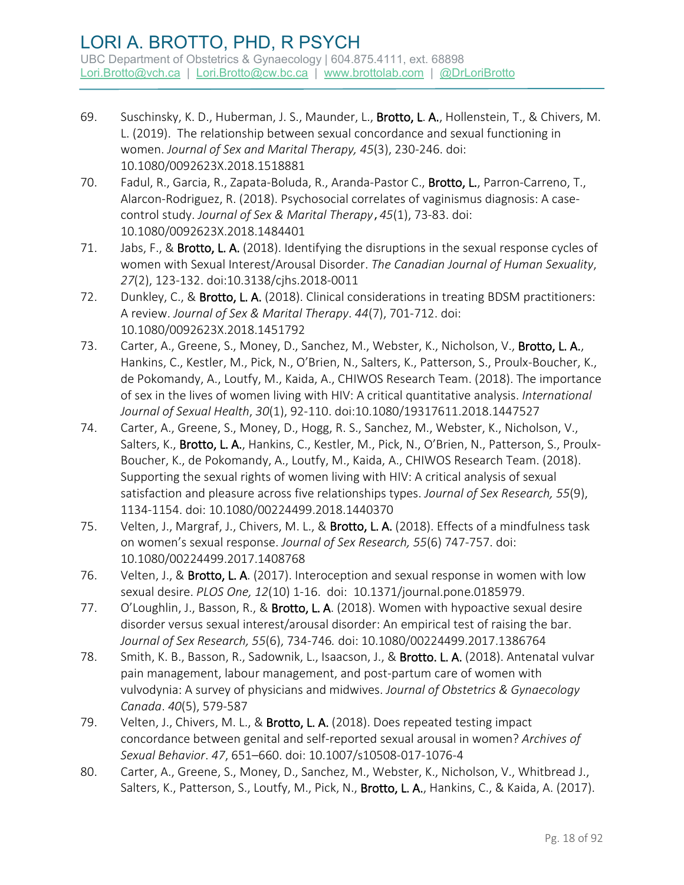- 69. Suschinsky, K. D., Huberman, J. S., Maunder, L., Brotto, L. A., Hollenstein, T., & Chivers, M. L. (2019). The relationship between sexual concordance and sexual functioning in women. *Journal of Sex and Marital Therapy, 45*(3), 230-246. doi: 10.1080/0092623X.2018.1518881
- 70. Fadul, R., Garcia, R., Zapata-Boluda, R., Aranda-Pastor C., Brotto, L., Parron-Carreno, T., Alarcon-Rodriguez, R. (2018). Psychosocial correlates of vaginismus diagnosis: A casecontrol study. *Journal of Sex & Marital Therapy*,*45*(1), 73-83. doi: 10.1080/0092623X.2018.1484401
- 71. Jabs, F., & Brotto, L. A. (2018). Identifying the disruptions in the sexual response cycles of women with Sexual Interest/Arousal Disorder. *The Canadian Journal of Human Sexuality*, *27*(2), 123-132. doi:10.3138/cjhs.2018-0011
- 72. Dunkley, C., & Brotto, L. A. (2018). Clinical considerations in treating BDSM practitioners: A review. *Journal of Sex & Marital Therapy*. *44*(7), 701-712. doi: 10.1080/0092623X.2018.1451792
- 73. Carter, A., Greene, S., Money, D., Sanchez, M., Webster, K., Nicholson, V., Brotto, L. A., Hankins, C., Kestler, M., Pick, N., O'Brien, N., Salters, K., Patterson, S., Proulx-Boucher, K., de Pokomandy, A., Loutfy, M., Kaida, A., CHIWOS Research Team. (2018). The importance of sex in the lives of women living with HIV: A critical quantitative analysis. *International Journal of Sexual Health*, *30*(1), 92-110. doi:10.1080/19317611.2018.1447527
- 74. Carter, A., Greene, S., Money, D., Hogg, R. S., Sanchez, M., Webster, K., Nicholson, V., Salters, K., Brotto, L. A., Hankins, C., Kestler, M., Pick, N., O'Brien, N., Patterson, S., Proulx-Boucher, K., de Pokomandy, A., Loutfy, M., Kaida, A., CHIWOS Research Team. (2018). Supporting the sexual rights of women living with HIV: A critical analysis of sexual satisfaction and pleasure across five relationships types. *Journal of Sex Research, 55*(9), 1134-1154. doi: 10.1080/00224499.2018.1440370
- 75. Velten, J., Margraf, J., Chivers, M. L., & Brotto, L. A. (2018). Effects of a mindfulness task on women's sexual response. *Journal of Sex Research, 55*(6) 747-757. doi: 10.1080/00224499.2017.1408768
- 76. Velten, J., & Brotto, L. A. (2017). Interoception and sexual response in women with low sexual desire. *PLOS One, 12*(10) 1-16. doi:10.1371/journal.pone.0185979.
- 77. O'Loughlin, J., Basson, R., & Brotto, L. A. (2018). Women with hypoactive sexual desire disorder versus sexual interest/arousal disorder: An empirical test of raising the bar. *Journal of Sex Research, 55*(6), 734-746*.* doi: 10.1080/00224499.2017.1386764
- 78. Smith, K. B., Basson, R., Sadownik, L., Isaacson, J., & Brotto. L. A. (2018). Antenatal vulvar pain management, labour management, and post-partum care of women with vulvodynia: A survey of physicians and midwives. *Journal of Obstetrics & Gynaecology Canada*. *40*(5), 579-587
- 79. Velten, J., Chivers, M. L., & Brotto, L. A. (2018). Does repeated testing impact concordance between genital and self-reported sexual arousal in women? *Archives of Sexual Behavior*. *47*, 651–660. doi: 10.1007/s10508-017-1076-4
- 80. Carter, A., Greene, S., Money, D., Sanchez, M., Webster, K., Nicholson, V., Whitbread J., Salters, K., Patterson, S., Loutfy, M., Pick, N., Brotto, L. A., Hankins, C., & Kaida, A. (2017).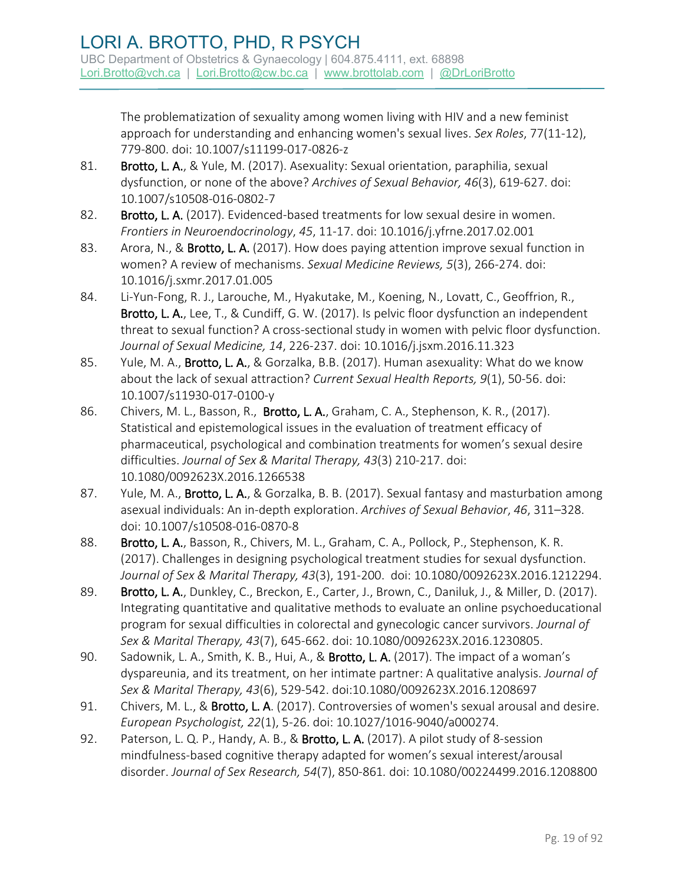The problematization of sexuality among women living with HIV and a new feminist approach for understanding and enhancing women's sexual lives. *Sex Roles*, 77(11-12), 779-800. doi: 10.1007/s11199-017-0826-z

- 81. Brotto, L. A., & Yule, M. (2017). Asexuality: Sexual orientation, paraphilia, sexual dysfunction, or none of the above? *Archives of Sexual Behavior, 46*(3), 619-627. doi: 10.1007/s10508-016-0802-7
- 82. Brotto, L. A. (2017). Evidenced-based treatments for low sexual desire in women. *Frontiers in Neuroendocrinology*, *45*, 11-17. doi: 10.1016/j.yfrne.2017.02.001
- 83. Arora, N., & Brotto, L. A. (2017). How does paying attention improve sexual function in women? A review of mechanisms. *Sexual Medicine Reviews, 5*(3), 266-274. doi: 10.1016/j.sxmr.2017.01.005
- 84. Li-Yun-Fong, R. J., Larouche, M., Hyakutake, M., Koening, N., Lovatt, C., Geoffrion, R., Brotto, L. A., Lee, T., & Cundiff, G. W. (2017). Is pelvic floor dysfunction an independent threat to sexual function? A cross-sectional study in women with pelvic floor dysfunction. *Journal of Sexual Medicine, 14*, 226-237. doi: 10.1016/j.jsxm.2016.11.323
- 85. Yule, M. A., Brotto, L. A., & Gorzalka, B.B. (2017). Human asexuality: What do we know about the lack of sexual attraction? *Current Sexual Health Reports, 9*(1), 50-56. doi: 10.1007/s11930-017-0100-y
- 86. Chivers, M. L., Basson, R., Brotto, L. A., Graham, C. A., Stephenson, K. R., (2017). Statistical and epistemological issues in the evaluation of treatment efficacy of pharmaceutical, psychological and combination treatments for women's sexual desire difficulties. *Journal of Sex & Marital Therapy, 43*(3) 210-217. doi: 10.1080/0092623X.2016.1266538
- 87. Yule, M. A., Brotto, L. A., & Gorzalka, B. B. (2017). Sexual fantasy and masturbation among asexual individuals: An in-depth exploration. *Archives of Sexual Behavior*, *46*, 311–328. doi: 10.1007/s10508-016-0870-8
- 88. Brotto, L. A., Basson, R., Chivers, M. L., Graham, C. A., Pollock, P., Stephenson, K. R. (2017). Challenges in designing psychological treatment studies for sexual dysfunction. *Journal of Sex & Marital Therapy, 43*(3), 191-200.doi: 10.1080/0092623X.2016.1212294.
- 89. Brotto, L. A., Dunkley, C., Breckon, E., Carter, J., Brown, C., Daniluk, J., & Miller, D. (2017). Integrating quantitative and qualitative methods to evaluate an online psychoeducational program for sexual difficulties in colorectal and gynecologic cancer survivors. *Journal of Sex & Marital Therapy, 43*(7), 645-662. doi: 10.1080/0092623X.2016.1230805.
- 90. Sadownik, L. A., Smith, K. B., Hui, A., & Brotto, L. A. (2017). The impact of a woman's dyspareunia, and its treatment, on her intimate partner: A qualitative analysis. *Journal of Sex & Marital Therapy, 43*(6), 529-542. doi:10.1080/0092623X.2016.1208697
- 91. Chivers, M. L., & Brotto, L. A. (2017). Controversies of women's sexual arousal and desire. *European Psychologist, 22*(1), 5-26. doi: 10.1027/1016-9040/a000274.
- 92. Paterson, L. Q. P., Handy, A. B., & Brotto, L. A. (2017). A pilot study of 8-session mindfulness-based cognitive therapy adapted for women's sexual interest/arousal disorder. *Journal of Sex Research, 54*(7), 850-861*.* doi: 10.1080/00224499.2016.1208800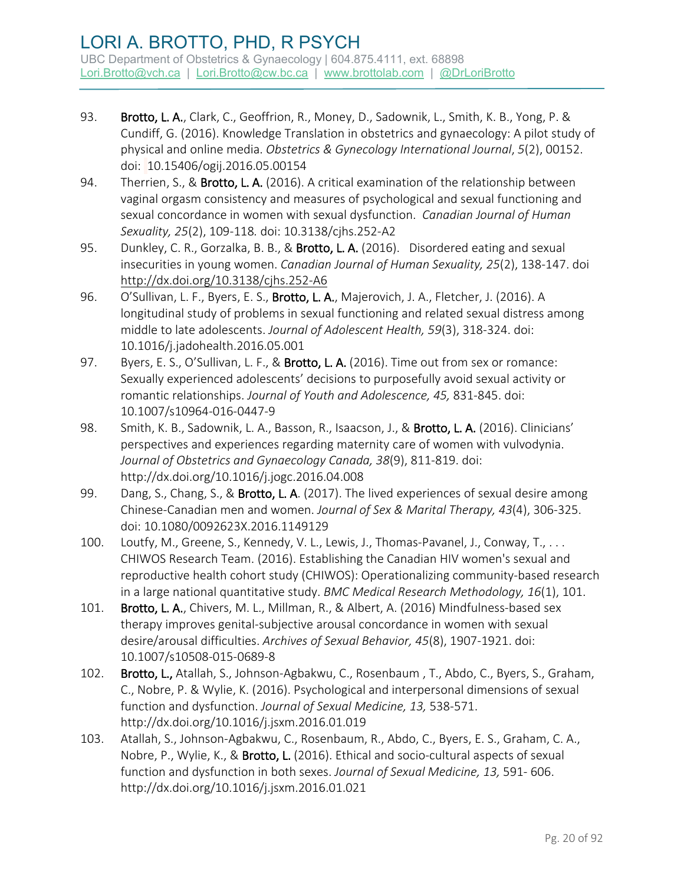- 93. Brotto, L. A., Clark, C., Geoffrion, R., Money, D., Sadownik, L., Smith, K. B., Yong, P. & Cundiff, G. (2016). Knowledge Translation in obstetrics and gynaecology: A pilot study of physical and online media. *Obstetrics & Gynecology International Journal*, *5*(2), 00152. doi: 10.15406/ogij.2016.05.00154
- 94. Therrien, S., & Brotto, L. A. (2016). A critical examination of the relationship between vaginal orgasm consistency and measures of psychological and sexual functioning and sexual concordance in women with sexual dysfunction. *Canadian Journal of Human Sexuality, 25*(2), 109-118*.* doi: 10.3138/cjhs.252-A2
- 95. Dunkley, C. R., Gorzalka, B. B., & Brotto, L. A. (2016). Disordered eating and sexual insecurities in young women. *Canadian Journal of Human Sexuality, 25*(2), 138-147. doi <http://dx.doi.org/10.3138/cjhs.252-A6>
- 96. O'Sullivan, L. F., Byers, E. S., Brotto, L. A., Majerovich, J. A., Fletcher, J. (2016). A longitudinal study of problems in sexual functioning and related sexual distress among middle to late adolescents. *Journal of Adolescent Health, 59*(3), 318-324. doi: 10.1016/j.jadohealth.2016.05.001
- 97. Byers, E. S., O'Sullivan, L. F., & Brotto, L. A. (2016). Time out from sex or romance: Sexually experienced adolescents' decisions to purposefully avoid sexual activity or romantic relationships. *Journal of Youth and Adolescence, 45,* 831-845. doi: 10.1007/s10964-016-0447-9
- 98. Smith, K. B., Sadownik, L. A., Basson, R., Isaacson, J., & Brotto, L. A. (2016). Clinicians' perspectives and experiences regarding maternity care of women with vulvodynia. *Journal of Obstetrics and Gynaecology Canada, 38*(9), 811-819. doi: http://dx.doi.org/10.1016/j.jogc.2016.04.008
- 99. Dang, S., Chang, S., & Brotto, L. A. (2017). The lived experiences of sexual desire among Chinese-Canadian men and women. *Journal of Sex & Marital Therapy, 43*(4), 306-325. doi: 10.1080/0092623X.2016.1149129
- 100. Loutfy, M., Greene, S., Kennedy, V. L., Lewis, J., Thomas-Pavanel, J., Conway, T., . . . CHIWOS Research Team. (2016). Establishing the Canadian HIV women's sexual and reproductive health cohort study (CHIWOS): Operationalizing community-based research in a large national quantitative study. *BMC Medical Research Methodology, 16*(1), 101.
- 101. Brotto, L. A., Chivers, M. L., Millman, R., & Albert, A. (2016) Mindfulness-based sex therapy improves genital-subjective arousal concordance in women with sexual desire/arousal difficulties. *Archives of Sexual Behavior, 45*(8), 1907-1921. doi: 10.1007/s10508-015-0689-8
- 102. Brotto, L., Atallah, S., Johnson-Agbakwu, C., Rosenbaum , T., Abdo, C., Byers, S., Graham, C., Nobre, P. & Wylie, K. (2016). Psychological and interpersonal dimensions of sexual function and dysfunction. *Journal of Sexual Medicine, 13,* 538-571. http://dx.doi.org/10.1016/j.jsxm.2016.01.019
- 103. Atallah, S., Johnson-Agbakwu, C., Rosenbaum, R., Abdo, C., Byers, E. S., Graham, C. A., Nobre, P., Wylie, K., & Brotto, L. (2016). Ethical and socio-cultural aspects of sexual function and dysfunction in both sexes. *Journal of Sexual Medicine, 13,* 591- 606. http://dx.doi.org/10.1016/j.jsxm.2016.01.021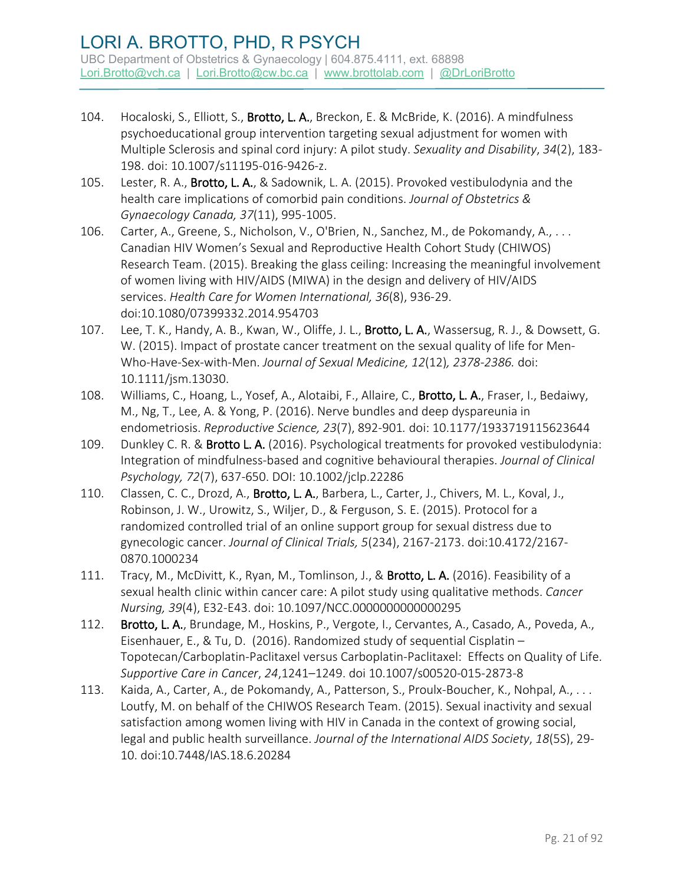- 104. Hocaloski, S., Elliott, S., Brotto, L. A., Breckon, E. & McBride, K. (2016). A mindfulness psychoeducational group intervention targeting sexual adjustment for women with Multiple Sclerosis and spinal cord injury: A pilot study. *Sexuality and Disability*, *34*(2), 183- 198. doi: 10.1007/s11195-016-9426-z.
- 105. Lester, R. A., Brotto, L. A., & Sadownik, L. A. (2015). Provoked vestibulodynia and the health care implications of comorbid pain conditions. *Journal of Obstetrics & Gynaecology Canada, 37*(11), 995-1005.
- 106. Carter, A., Greene, S., Nicholson, V., O'Brien, N., Sanchez, M., de Pokomandy, A., . . . Canadian HIV Women's Sexual and Reproductive Health Cohort Study (CHIWOS) Research Team. (2015). Breaking the glass ceiling: Increasing the meaningful involvement of women living with HIV/AIDS (MIWA) in the design and delivery of HIV/AIDS services. *Health Care for Women International, 36*(8), 936-29. doi:10.1080/07399332.2014.954703
- 107. Lee, T. K., Handy, A. B., Kwan, W., Oliffe, J. L., Brotto, L. A., Wassersug, R. J., & Dowsett, G. W. (2015). Impact of prostate cancer treatment on the sexual quality of life for Men-Who-Have-Sex-with-Men. *Journal of Sexual Medicine, 12*(12)*, 2378-2386.* doi: 10.1111/jsm.13030.
- 108. Williams, C., Hoang, L., Yosef, A., Alotaibi, F., Allaire, C., Brotto, L. A., Fraser, I., Bedaiwy, M., Ng, T., Lee, A. & Yong, P. (2016). Nerve bundles and deep dyspareunia in endometriosis. *Reproductive Science, 23*(7), 892-901*.* doi: 10.1177/1933719115623644
- 109. Dunkley C. R. & Brotto L. A. (2016). Psychological treatments for provoked vestibulodynia: Integration of mindfulness-based and cognitive behavioural therapies. *Journal of Clinical Psychology, 72*(7), 637-650. DOI: 10.1002/jclp.22286
- 110. Classen, C. C., Drozd, A., Brotto, L. A., Barbera, L., Carter, J., Chivers, M. L., Koval, J., Robinson, J. W., Urowitz, S., Wiljer, D., & Ferguson, S. E. (2015). Protocol for a randomized controlled trial of an online support group for sexual distress due to gynecologic cancer. *Journal of Clinical Trials, 5*(234), 2167-2173. doi:10.4172/2167- 0870.1000234
- 111. Tracy, M., McDivitt, K., Ryan, M., Tomlinson, J., & Brotto, L. A. (2016). Feasibility of a sexual health clinic within cancer care: A pilot study using qualitative methods. *Cancer Nursing, 39*(4), E32-E43. doi: 10.1097/NCC.0000000000000295
- 112. Brotto, L. A., Brundage, M., Hoskins, P., Vergote, I., Cervantes, A., Casado, A., Poveda, A., Eisenhauer, E., & Tu, D. (2016). Randomized study of sequential Cisplatin – Topotecan/Carboplatin-Paclitaxel versus Carboplatin-Paclitaxel: Effects on Quality of Life. *Supportive Care in Cancer*, *24*,1241–1249. doi 10.1007/s00520-015-2873-8
- 113. Kaida, A., Carter, A., de Pokomandy, A., Patterson, S., Proulx-Boucher, K., Nohpal, A., . . . Loutfy, M. on behalf of the CHIWOS Research Team. (2015). Sexual inactivity and sexual satisfaction among women living with HIV in Canada in the context of growing social, legal and public health surveillance. *Journal of the International AIDS Society*, *18*(5S), 29- 10. doi:10.7448/IAS.18.6.20284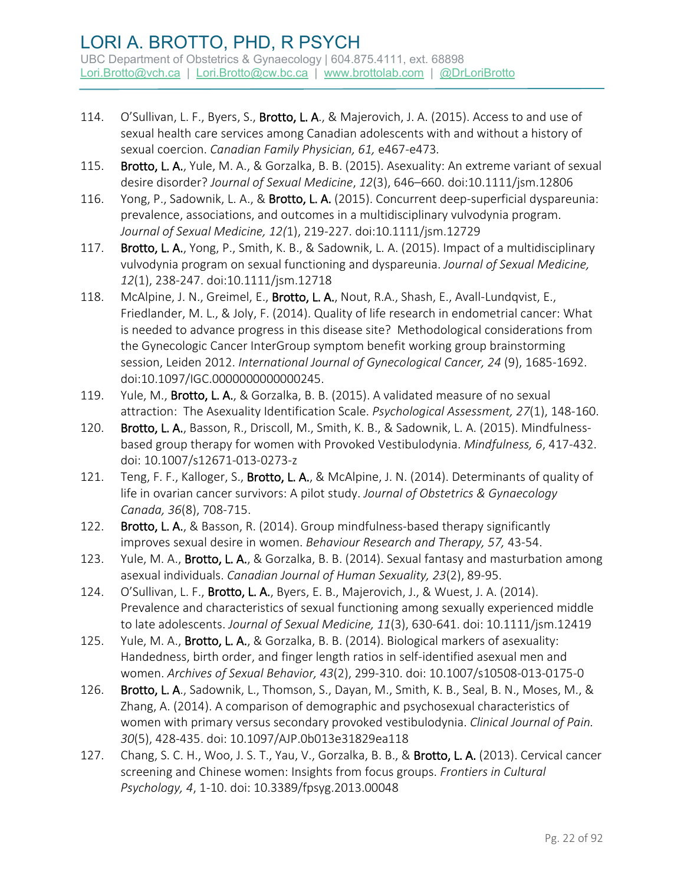- 114. O'Sullivan, L. F., Byers, S., Brotto, L. A., & Majerovich, J. A. (2015). Access to and use of sexual health care services among Canadian adolescents with and without a history of sexual coercion. *Canadian Family Physician, 61,* e467-e473*.*
- 115. Brotto, L. A., Yule, M. A., & Gorzalka, B. B. (2015). Asexuality: An extreme variant of sexual desire disorder? *Journal of Sexual Medicine*, *12*(3), 646–660. doi:10.1111/jsm.12806
- 116. Yong, P., Sadownik, L. A., & Brotto, L. A. (2015). Concurrent deep-superficial dyspareunia: prevalence, associations, and outcomes in a multidisciplinary vulvodynia program. *Journal of Sexual Medicine, 12(*1), 219-227. doi:10.1111/jsm.12729
- 117. Brotto, L. A., Yong, P., Smith, K. B., & Sadownik, L. A. (2015). Impact of a multidisciplinary vulvodynia program on sexual functioning and dyspareunia. *Journal of Sexual Medicine, 12*(1), 238-247. doi:10.1111/jsm.12718
- 118. McAlpine, J. N., Greimel, E., Brotto, L. A., Nout, R.A., Shash, E., Avall-Lundqvist, E., Friedlander, M. L., & Joly, F. (2014). Quality of life research in endometrial cancer: What is needed to advance progress in this disease site? Methodological considerations from the Gynecologic Cancer InterGroup symptom benefit working group brainstorming session, Leiden 2012. *International Journal of Gynecological Cancer, 24* (9), 1685-1692. doi:10.1097/IGC.0000000000000245.
- 119. Yule, M., Brotto, L. A., & Gorzalka, B. B. (2015). A validated measure of no sexual attraction: The Asexuality Identification Scale. *Psychological Assessment, 27*(1), 148-160.
- 120. Brotto, L. A., Basson, R., Driscoll, M., Smith, K. B., & Sadownik, L. A. (2015). Mindfulnessbased group therapy for women with Provoked Vestibulodynia. *Mindfulness, 6*, 417-432. doi: 10.1007/s12671-013-0273-z
- 121. Teng, F. F., Kalloger, S., Brotto, L. A., & McAlpine, J. N. (2014). Determinants of quality of life in ovarian cancer survivors: A pilot study. *Journal of Obstetrics & Gynaecology Canada, 36*(8), 708-715.
- 122. Brotto, L. A., & Basson, R. (2014). Group mindfulness-based therapy significantly improves sexual desire in women. *Behaviour Research and Therapy, 57,* 43-54.
- 123. Yule, M. A., Brotto, L. A., & Gorzalka, B. B. (2014). Sexual fantasy and masturbation among asexual individuals. *Canadian Journal of Human Sexuality, 23*(2), 89-95.
- 124. O'Sullivan, L. F., Brotto, L. A., Byers, E. B., Majerovich, J., & Wuest, J. A. (2014). Prevalence and characteristics of sexual functioning among sexually experienced middle to late adolescents. *Journal of Sexual Medicine, 11*(3), 630-641. doi: 10.1111/jsm.12419
- 125. Yule, M. A., Brotto, L. A., & Gorzalka, B. B. (2014). Biological markers of asexuality: Handedness, birth order, and finger length ratios in self-identified asexual men and women. *Archives of Sexual Behavior, 43*(2), 299-310. doi: 10.1007/s10508-013-0175-0
- 126. Brotto, L. A., Sadownik, L., Thomson, S., Dayan, M., Smith, K. B., Seal, B. N., Moses, M., & Zhang, A. (2014). A comparison of demographic and psychosexual characteristics of women with primary versus secondary provoked vestibulodynia. *Clinical Journal of Pain. 30*(5), 428-435. doi: 10.1097/AJP.0b013e31829ea118
- 127. Chang, S. C. H., Woo, J. S. T., Yau, V., Gorzalka, B. B., & Brotto, L. A. (2013). Cervical cancer screening and Chinese women: Insights from focus groups. *Frontiers in Cultural Psychology, 4*, 1-10. doi: 10.3389/fpsyg.2013.00048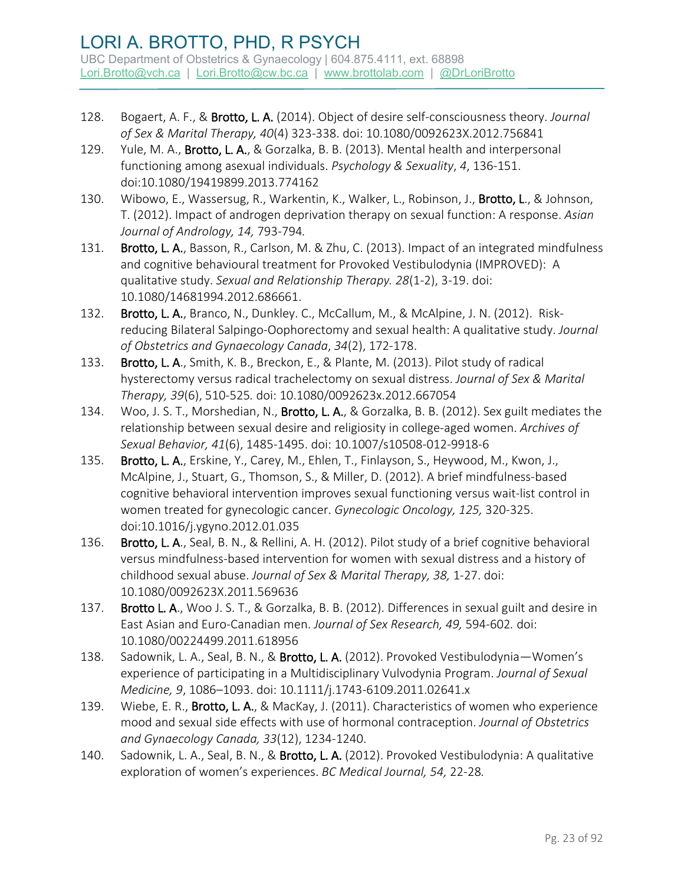- 128. Bogaert, A. F., & Brotto, L. A. (2014). Object of desire self-consciousness theory. *Journal of Sex & Marital Therapy, 40*(4) 323-338. doi: 10.1080/0092623X.2012.756841
- 129. Yule, M. A., Brotto, L. A., & Gorzalka, B. B. (2013). Mental health and interpersonal functioning among asexual individuals. *Psychology & Sexuality*, *4*, 136-151. doi:10.1080/19419899.2013.774162
- 130. Wibowo, E., Wassersug, R., Warkentin, K., Walker, L., Robinson, J., Brotto, L., & Johnson, T. (2012). Impact of androgen deprivation therapy on sexual function: A response. *Asian Journal of Andrology, 14,* 793-794*.*
- 131. Brotto, L. A., Basson, R., Carlson, M. & Zhu, C. (2013). Impact of an integrated mindfulness and cognitive behavioural treatment for Provoked Vestibulodynia (IMPROVED): A qualitative study. *Sexual and Relationship Therapy. 28*(1-2), 3-19. doi: 10.1080/14681994.2012.686661.
- 132. Brotto, L. A., Branco, N., Dunkley. C., McCallum, M., & McAlpine, J. N. (2012). Riskreducing Bilateral Salpingo-Oophorectomy and sexual health: A qualitative study. *Journal of Obstetrics and Gynaecology Canada*, *34*(2), 172-178.
- 133. Brotto, L. A., Smith, K. B., Breckon, E., & Plante, M. (2013). Pilot study of radical hysterectomy versus radical trachelectomy on sexual distress. *Journal of Sex & Marital Therapy, 39*(6), 510-525*.* doi: 10.1080/0092623x.2012.667054
- 134. Woo, J. S. T., Morshedian, N., Brotto, L. A., & Gorzalka, B. B. (2012). Sex guilt mediates the relationship between sexual desire and religiosity in college-aged women. *Archives of Sexual Behavior, 41*(6), 1485-1495. doi: 10.1007/s10508-012-9918-6
- 135. Brotto, L. A., Erskine, Y., Carey, M., Ehlen, T., Finlayson, S., Heywood, M., Kwon, J., McAlpine, J., Stuart, G., Thomson, S., & Miller, D. (2012). A brief mindfulness-based cognitive behavioral intervention improves sexual functioning versus wait-list control in women treated for gynecologic cancer. *Gynecologic Oncology, 125,* 320-325. doi:10.1016/j.ygyno.2012.01.035
- 136. Brotto, L. A., Seal, B. N., & Rellini, A. H. (2012). Pilot study of a brief cognitive behavioral versus mindfulness-based intervention for women with sexual distress and a history of childhood sexual abuse. *Journal of Sex & Marital Therapy, 38,* 1-27. doi: 10.1080/0092623X.2011.569636
- 137. Brotto L. A., Woo J. S. T., & Gorzalka, B. B. (2012). Differences in sexual guilt and desire in East Asian and Euro-Canadian men. *Journal of Sex Research, 49,* 594-602*.* doi: 10.1080/00224499.2011.618956
- 138. Sadownik, L. A., Seal, B. N., & Brotto, L. A. (2012). Provoked Vestibulodynia-Women's experience of participating in a Multidisciplinary Vulvodynia Program. *Journal of Sexual Medicine, 9*, 1086–1093. doi: 10.1111/j.1743-6109.2011.02641.x
- 139. Wiebe, E. R., Brotto, L. A., & MacKay, J. (2011). Characteristics of women who experience mood and sexual side effects with use of hormonal contraception. *Journal of Obstetrics and Gynaecology Canada, 33*(12), 1234-1240.
- 140. Sadownik, L. A., Seal, B. N., & Brotto, L. A. (2012). Provoked Vestibulodynia: A qualitative exploration of women's experiences. *BC Medical Journal, 54,* 22-28*.*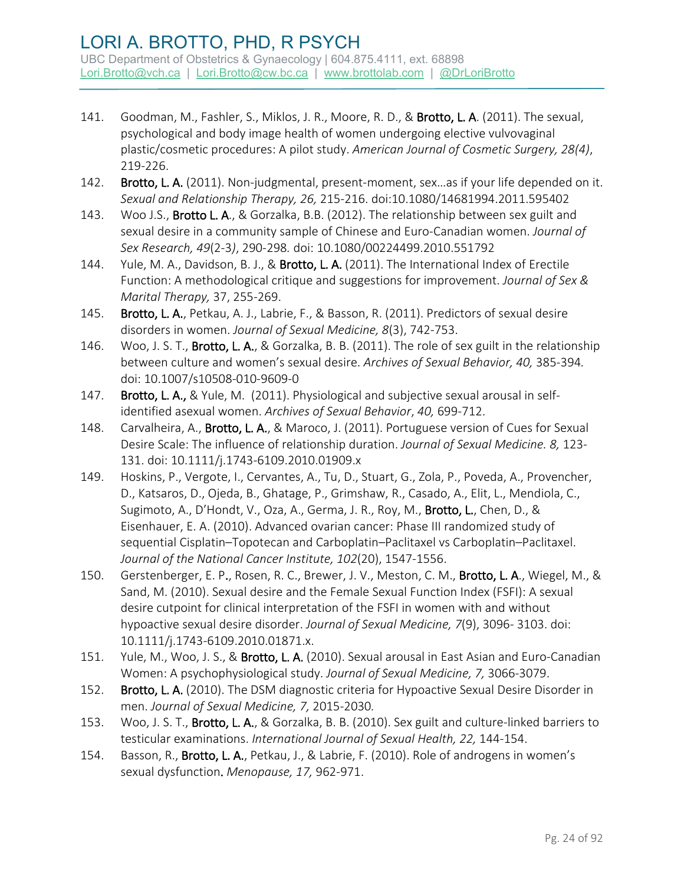- 141. Goodman, M., Fashler, S., Miklos, J. R., Moore, R. D., & Brotto, L. A. (2011). The sexual, psychological and body image health of women undergoing elective vulvovaginal plastic/cosmetic procedures: A pilot study. *American Journal of Cosmetic Surgery, 28(4)*, 219-226.
- 142. Brotto, L. A. (2011). Non-judgmental, present-moment, sex...as if your life depended on it. *Sexual and Relationship Therapy, 26,* 215-216. doi:10.1080/14681994.2011.595402
- 143. Woo J.S., Brotto L. A., & Gorzalka, B.B. (2012). The relationship between sex guilt and sexual desire in a community sample of Chinese and Euro-Canadian women. *Journal of Sex Research, 49*(2-3*)*, 290-298*.* doi: 10.1080/00224499.2010.551792
- 144. Yule, M. A., Davidson, B. J., & Brotto, L. A. (2011). The International Index of Erectile Function: A methodological critique and suggestions for improvement. *Journal of Sex & Marital Therapy,* 37, 255-269.
- 145. Brotto, L. A., Petkau, A. J., Labrie, F., & Basson, R. (2011). Predictors of sexual desire disorders in women. *Journal of Sexual Medicine, 8*(3), 742-753.
- 146. Woo, J. S. T., Brotto, L. A., & Gorzalka, B. B. (2011). The role of sex guilt in the relationship between culture and women's sexual desire. *Archives of Sexual Behavior, 40,* 385-394*.*  doi: 10.1007/s10508-010-9609-0
- 147. Brotto, L. A., & Yule, M. (2011). Physiological and subjective sexual arousal in selfidentified asexual women. *Archives of Sexual Behavior*, *40,* 699-712.
- 148. Carvalheira, A., Brotto, L. A., & Maroco, J. (2011). Portuguese version of Cues for Sexual Desire Scale: The influence of relationship duration. *Journal of Sexual Medicine. 8,* 123- 131. doi: 10.1111/j.1743-6109.2010.01909.x
- 149. Hoskins, P., Vergote, I., Cervantes, A., Tu, D., Stuart, G., Zola, P., Poveda, A., Provencher, D., Katsaros, D., Ojeda, B., Ghatage, P., Grimshaw, R., Casado, A., Elit, L., Mendiola, C., Sugimoto, A., D'Hondt, V., Oza, A., Germa, J. R., Roy, M., Brotto, L., Chen, D., & Eisenhauer, E. A. (2010). Advanced ovarian cancer: Phase III randomized study of sequential Cisplatin–Topotecan and Carboplatin–Paclitaxel vs Carboplatin–Paclitaxel. *Journal of the National Cancer Institute, 102*(20), 1547-1556.
- 150. [Gerstenberger, E. P.](http://www.ncbi.nlm.nih.gov/pubmed?term=%22Gerstenberger%20EP%22%5BAuthor%5D), [Rosen, R. C.](http://www.ncbi.nlm.nih.gov/pubmed?term=%22Rosen%20RC%22%5BAuthor%5D), [Brewer, J. V.](http://www.ncbi.nlm.nih.gov/pubmed?term=%22Brewer%20JV%22%5BAuthor%5D), [Meston, C. M.](http://www.ncbi.nlm.nih.gov/pubmed?term=%22Meston%20CM%22%5BAuthor%5D), [Brotto, L. A.](http://www.ncbi.nlm.nih.gov/pubmed?term=%22Brotto%20LA%22%5BAuthor%5D)[, Wiegel, M.](http://www.ncbi.nlm.nih.gov/pubmed?term=%22Wiegel%20M%22%5BAuthor%5D), & [Sand, M.](http://www.ncbi.nlm.nih.gov/pubmed?term=%22Sand%20M%22%5BAuthor%5D) (2010). Sexual desire and the Female Sexual Function Index (FSFI): A sexual desire cutpoint for clinical interpretation of the FSFI in women with and without hypoactive sexual desire disorder. *Journal of Sexual Medicine, 7*(9), 3096- 3103. doi: 10.1111/j.1743-6109.2010.01871.x.
- 151. Yule, M., Woo, J. S., & Brotto, L. A. (2010). Sexual arousal in East Asian and Euro-Canadian Women: A psychophysiological study. *Journal of Sexual Medicine, 7,* 3066-3079.
- 152. Brotto, L. A. (2010). The DSM diagnostic criteria for Hypoactive Sexual Desire Disorder in men. *Journal of Sexual Medicine, 7,* 2015-2030*.*
- 153. Woo, J. S. T., Brotto, L. A., & Gorzalka, B. B. (2010). Sex guilt and culture-linked barriers to testicular examinations. *International Journal of Sexual Health, 22,* 144-154.
- 154. Basson, R., Brotto, L. A., Petkau, J., & Labrie, F. (2010). Role of androgens in women's sexual dysfunction. *Menopause, 17,* 962-971.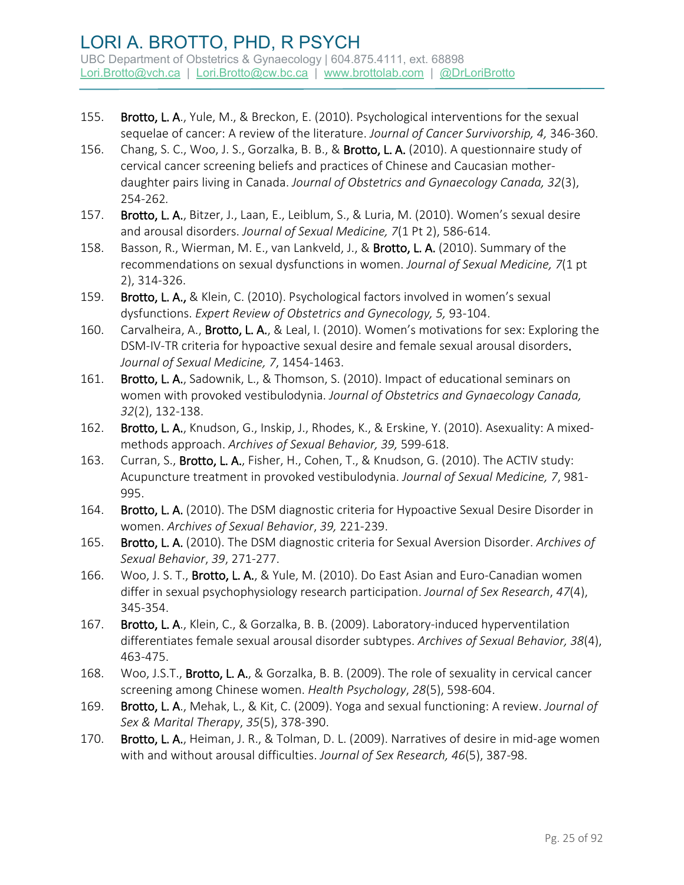- 155. Brotto, L. A., Yule, M., & Breckon, E. (2010). Psychological interventions for the sexual sequelae of cancer: A review of the literature. *Journal of Cancer Survivorship, 4,* 346-360.
- 156. Chang, S. C., Woo, J. S., Gorzalka, B. B., & Brotto, L. A. (2010). A questionnaire study of cervical cancer screening beliefs and practices of Chinese and Caucasian motherdaughter pairs living in Canada. *Journal of Obstetrics and Gynaecology Canada, 32*(3), 254-262*.*
- 157. Brotto, L. A., Bitzer, J., Laan, E., Leiblum, S., & Luria, M. (2010). Women's sexual desire and arousal disorders. *Journal of Sexual Medicine, 7*(1 Pt 2), 586-614*.*
- 158. Basson, R., Wierman, M. E., van Lankveld, J., & Brotto, L. A. (2010). Summary of the recommendations on sexual dysfunctions in women. *Journal of Sexual Medicine, 7*(1 pt 2), 314-326.
- 159. Brotto, L. A., & Klein, C. (2010). Psychological factors involved in women's sexual dysfunctions. *Expert Review of Obstetrics and Gynecology, 5,* 93-104.
- 160. Carvalheira, A., Brotto, L. A., & Leal, I. (2010). Women's motivations for sex: Exploring the DSM-IV-TR criteria for hypoactive sexual desire and female sexual arousal disorders. *Journal of Sexual Medicine, 7*, 1454-1463.
- 161. Brotto, L. A., Sadownik, L., & Thomson, S. (2010). Impact of educational seminars on women with provoked vestibulodynia. *Journal of Obstetrics and Gynaecology Canada, 32*(2), 132-138.
- 162. Brotto, L. A., Knudson, G., Inskip, J., Rhodes, K., & Erskine, Y. (2010). Asexuality: A mixedmethods approach. *Archives of Sexual Behavior, 39,* 599-618.
- 163. Curran, S., Brotto, L. A., Fisher, H., Cohen, T., & Knudson, G. (2010). The ACTIV study: Acupuncture treatment in provoked vestibulodynia. *Journal of Sexual Medicine, 7*, 981- 995.
- 164. Brotto, L. A. (2010). The DSM diagnostic criteria for Hypoactive Sexual Desire Disorder in women. *Archives of Sexual Behavior*, *39,* 221-239.
- 165. Brotto, L. A. (2010). The DSM diagnostic criteria for Sexual Aversion Disorder. *Archives of Sexual Behavior*, *39*, 271-277.
- 166. Woo, J. S. T., Brotto, L. A., & Yule, M. (2010). Do East Asian and Euro-Canadian women differ in sexual psychophysiology research participation. *Journal of Sex Research*, *47*(4), 345-354.
- 167. Brotto, L. A., Klein, C., & Gorzalka, B. B. (2009). Laboratory-induced hyperventilation differentiates female sexual arousal disorder subtypes. *Archives of Sexual Behavior, 38*(4), 463-475.
- 168. Woo, J.S.T., Brotto, L. A., & Gorzalka, B. B. (2009). The role of sexuality in cervical cancer screening among Chinese women. *Health Psychology*, *28*(5), 598-604.
- 169. Brotto, L. A., Mehak, L., & Kit, C. (2009). Yoga and sexual functioning: A review. *Journal of Sex & Marital Therapy*, *35*(5), 378-390.
- 170. Brotto, L. A., Heiman, J. R., & Tolman, D. L. (2009). Narratives of desire in mid-age women with and without arousal difficulties. *Journal of Sex Research, 46*(5), 387-98.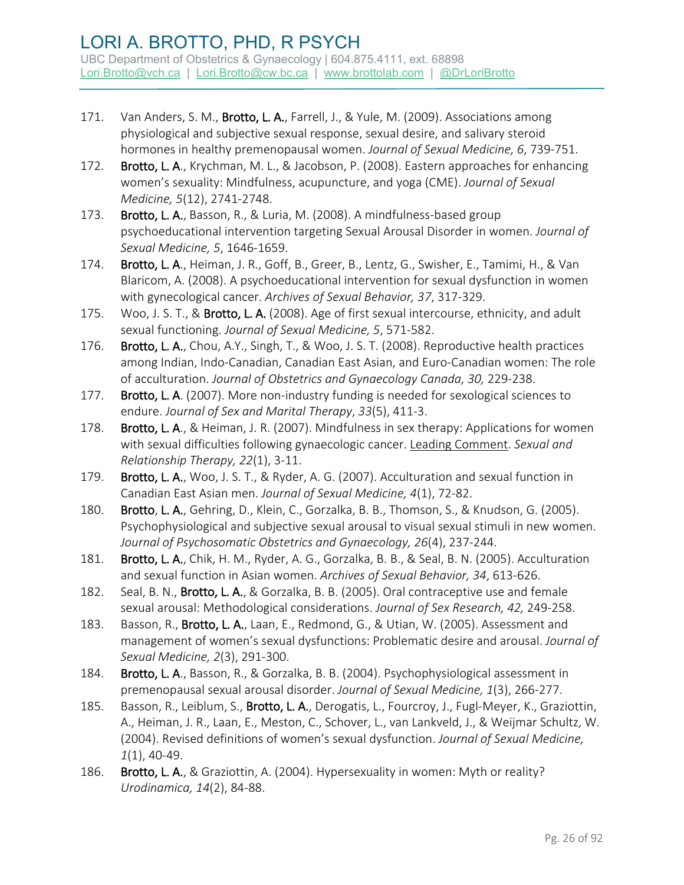- 171. Van Anders, S. M., Brotto, L. A., Farrell, J., & Yule, M. (2009). Associations among physiological and subjective sexual response, sexual desire, and salivary steroid hormones in healthy premenopausal women. *Journal of Sexual Medicine, 6*, 739-751.
- 172. Brotto, L. A., Krychman, M. L., & Jacobson, P. (2008). Eastern approaches for enhancing women's sexuality: Mindfulness, acupuncture, and yoga (CME). *Journal of Sexual Medicine, 5*(12), 2741-2748.
- 173. Brotto, L. A., Basson, R., & Luria, M. (2008). A mindfulness-based group psychoeducational intervention targeting Sexual Arousal Disorder in women. *Journal of Sexual Medicine, 5*, 1646-1659.
- 174. Brotto, L. A., Heiman, J. R., Goff, B., Greer, B., Lentz, G., Swisher, E., Tamimi, H., & Van Blaricom, A. (2008). A psychoeducational intervention for sexual dysfunction in women with gynecological cancer. *Archives of Sexual Behavior, 37*, 317-329.
- 175. Woo, J. S. T., & Brotto, L. A. (2008). Age of first sexual intercourse, ethnicity, and adult sexual functioning. *Journal of Sexual Medicine, 5*, 571-582.
- 176. Brotto, L. A., Chou, A.Y., Singh, T., & Woo, J. S. T. (2008). Reproductive health practices among Indian, Indo-Canadian, Canadian East Asian, and Euro-Canadian women: The role of acculturation. *Journal of Obstetrics and Gynaecology Canada, 30,* 229-238.
- 177. Brotto, L. A. (2007). More non-industry funding is needed for sexological sciences to endure. *Journal of Sex and Marital Therapy*, *33*(5), 411-3.
- 178. Brotto, L. A., & Heiman, J. R. (2007). Mindfulness in sex therapy: Applications for women with sexual difficulties following gynaecologic cancer. Leading Comment. *Sexual and Relationship Therapy, 22*(1), 3-11.
- 179. Brotto, L. A., Woo, J. S. T., & Ryder, A. G. (2007). Acculturation and sexual function in Canadian East Asian men. *Journal of Sexual Medicine, 4*(1), 72-82.
- 180. Brotto, L. A., Gehring, D., Klein, C., Gorzalka, B. B., Thomson, S., & Knudson, G. (2005). Psychophysiological and subjective sexual arousal to visual sexual stimuli in new women. *Journal of Psychosomatic Obstetrics and Gynaecology, 26*(4), 237-244.
- 181. Brotto, L. A., Chik, H. M., Ryder, A. G., Gorzalka, B. B., & Seal, B. N. (2005). Acculturation and sexual function in Asian women. *Archives of Sexual Behavior, 34*, 613-626.
- 182. Seal, B. N., Brotto, L. A., & Gorzalka, B. B. (2005). Oral contraceptive use and female sexual arousal: Methodological considerations. *Journal of Sex Research, 42,* 249-258.
- 183. Basson, R., Brotto, L. A., Laan, E., Redmond, G., & Utian, W. (2005). Assessment and management of women's sexual dysfunctions: Problematic desire and arousal. *Journal of Sexual Medicine, 2*(3), 291-300.
- 184. Brotto, L. A., Basson, R., & Gorzalka, B. B. (2004). Psychophysiological assessment in premenopausal sexual arousal disorder. *Journal of Sexual Medicine, 1*(3), 266-277.
- 185. Basson, R., Leiblum, S., Brotto, L. A., Derogatis, L., Fourcroy, J., Fugl-Meyer, K., Graziottin, A., Heiman, J. R., Laan, E., Meston, C., Schover, L., van Lankveld, J., & Weijmar Schultz, W. (2004). Revised definitions of women's sexual dysfunction. *Journal of Sexual Medicine, 1*(1), 40-49.
- 186. Brotto, L. A., & Graziottin, A. (2004). Hypersexuality in women: Myth or reality? *Urodinamica, 14*(2), 84-88.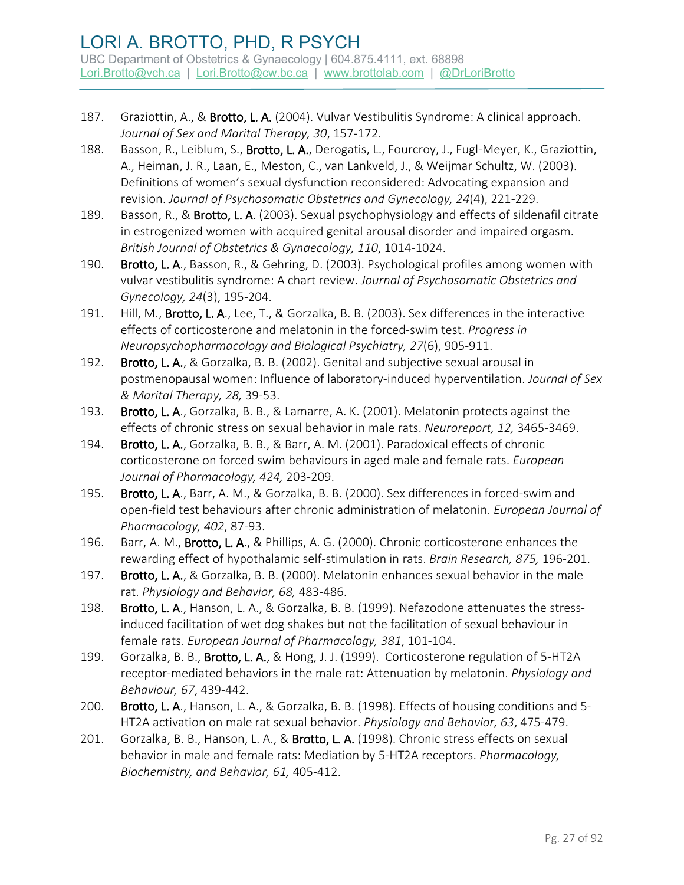- 187. Graziottin, A., & Brotto, L. A. (2004). Vulvar Vestibulitis Syndrome: A clinical approach. *Journal of Sex and Marital Therapy, 30*, 157-172.
- 188. Basson, R., Leiblum, S., Brotto, L. A., Derogatis, L., Fourcroy, J., Fugl-Meyer, K., Graziottin, A., Heiman, J. R., Laan, E., Meston, C., van Lankveld, J., & Weijmar Schultz, W. (2003). Definitions of women's sexual dysfunction reconsidered: Advocating expansion and revision. *Journal of Psychosomatic Obstetrics and Gynecology, 24*(4), 221-229.
- 189. Basson, R., & Brotto, L. A. (2003). Sexual psychophysiology and effects of sildenafil citrate in estrogenized women with acquired genital arousal disorder and impaired orgasm. *British Journal of Obstetrics & Gynaecology, 110*, 1014-1024.
- 190. Brotto, L. A., Basson, R., & Gehring, D. (2003). Psychological profiles among women with vulvar vestibulitis syndrome: A chart review. *Journal of Psychosomatic Obstetrics and Gynecology, 24*(3), 195-204.
- 191. Hill, M., Brotto, L. A., Lee, T., & Gorzalka, B. B. (2003). Sex differences in the interactive effects of corticosterone and melatonin in the forced-swim test. *Progress in Neuropsychopharmacology and Biological Psychiatry, 27*(6), 905-911.
- 192. Brotto, L. A., & Gorzalka, B. B. (2002). Genital and subjective sexual arousal in postmenopausal women: Influence of laboratory-induced hyperventilation. *Journal of Sex & Marital Therapy, 28,* 39-53.
- 193. Brotto, L. A., Gorzalka, B. B., & Lamarre, A. K. (2001). Melatonin protects against the effects of chronic stress on sexual behavior in male rats. *Neuroreport, 12,* 3465-3469.
- 194. Brotto, L. A., Gorzalka, B. B., & Barr, A. M. (2001). Paradoxical effects of chronic corticosterone on forced swim behaviours in aged male and female rats. *European Journal of Pharmacology, 424,* 203-209.
- 195. Brotto, L. A., Barr, A. M., & Gorzalka, B. B. (2000). Sex differences in forced-swim and open-field test behaviours after chronic administration of melatonin. *European Journal of Pharmacology, 402*, 87-93.
- 196. Barr, A. M., Brotto, L. A., & Phillips, A. G. (2000). Chronic corticosterone enhances the rewarding effect of hypothalamic self-stimulation in rats. *Brain Research, 875,* 196-201.
- 197. Brotto, L. A., & Gorzalka, B. B. (2000). Melatonin enhances sexual behavior in the male rat. *Physiology and Behavior, 68,* 483-486.
- 198. Brotto, L. A., Hanson, L. A., & Gorzalka, B. B. (1999). Nefazodone attenuates the stressinduced facilitation of wet dog shakes but not the facilitation of sexual behaviour in female rats. *European Journal of Pharmacology, 381*, 101-104.
- 199. Gorzalka, B. B., Brotto, L. A., & Hong, J. J. (1999). Corticosterone regulation of 5-HT2A receptor-mediated behaviors in the male rat: Attenuation by melatonin. *Physiology and Behaviour, 67*, 439-442.
- 200. Brotto, L. A., Hanson, L. A., & Gorzalka, B. B. (1998). Effects of housing conditions and 5-HT2A activation on male rat sexual behavior. *Physiology and Behavior, 63*, 475-479.
- 201. Gorzalka, B. B., Hanson, L. A., & Brotto, L. A. (1998). Chronic stress effects on sexual behavior in male and female rats: Mediation by 5-HT2A receptors. *Pharmacology, Biochemistry, and Behavior, 61,* 405-412.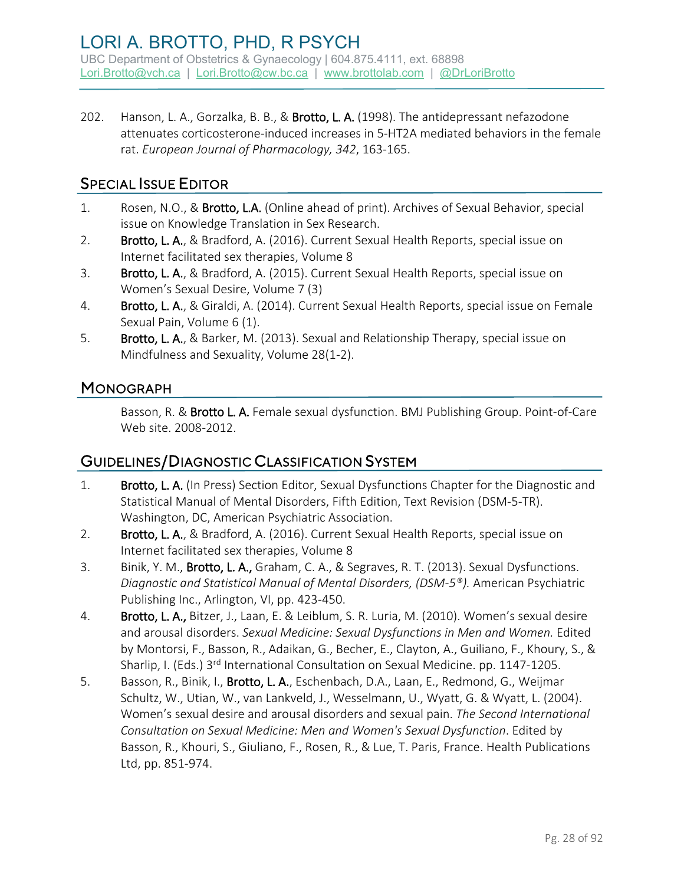202. Hanson, L. A., Gorzalka, B. B., & Brotto, L. A. (1998). The antidepressant nefazodone attenuates corticosterone-induced increases in 5-HT2A mediated behaviors in the female rat. *European Journal of Pharmacology, 342*, 163-165.

# SPECIAL ISSUE EDITOR

- 1. Rosen, N.O., & Brotto, L.A. (Online ahead of print). Archives of Sexual Behavior, special issue on Knowledge Translation in Sex Research.
- 2. Brotto, L. A., & Bradford, A. (2016). Current Sexual Health Reports, special issue on Internet facilitated sex therapies, Volume 8
- 3. Brotto, L. A., & Bradford, A. (2015). Current Sexual Health Reports, special issue on Women's Sexual Desire, Volume 7 (3)
- 4. Brotto, L. A., & Giraldi, A. (2014). Current Sexual Health Reports, special issue on Female Sexual Pain, Volume 6 (1).
- 5. Brotto, L. A., & Barker, M. (2013). Sexual and Relationship Therapy, special issue on Mindfulness and Sexuality, Volume 28(1-2).

### **MONOGRAPH**

Basson, R. & Brotto L. A. Female sexual dysfunction. BMJ Publishing Group. Point-of-Care Web site. 2008-2012.

### GUIDELINES/DIAGNOSTIC CLASSIFICATION SYSTEM

- 1. Brotto, L. A. (In Press) Section Editor, Sexual Dysfunctions Chapter for the Diagnostic and Statistical Manual of Mental Disorders, Fifth Edition, Text Revision (DSM-5-TR). Washington, DC, American Psychiatric Association.
- 2. Brotto, L. A., & Bradford, A. (2016). Current Sexual Health Reports, special issue on Internet facilitated sex therapies, Volume 8
- 3. Binik, Y. M., Brotto, L. A., Graham, C. A., & Segraves, R. T. (2013). Sexual Dysfunctions. *Diagnostic and Statistical Manual of Mental Disorders, (DSM-5®).* American Psychiatric Publishing Inc., Arlington, VI, pp. 423-450.
- 4. Brotto, L. A., Bitzer, J., Laan, E. & Leiblum, S. R. Luria, M. (2010). Women's sexual desire and arousal disorders. *Sexual Medicine: Sexual Dysfunctions in Men and Women.* Edited by Montorsi, F., Basson, R., Adaikan, G., Becher, E., Clayton, A., Guiliano, F., Khoury, S., & Sharlip, I. (Eds.) 3<sup>rd</sup> International Consultation on Sexual Medicine. pp. 1147-1205.
- 5. Basson, R., Binik, I., Brotto, L. A., Eschenbach, D.A., Laan, E., Redmond, G., Weijmar Schultz, W., Utian, W., van Lankveld, J., Wesselmann, U., Wyatt, G. & Wyatt, L. (2004). Women's sexual desire and arousal disorders and sexual pain. *The Second International Consultation on Sexual Medicine: Men and Women's Sexual Dysfunction*. Edited by Basson, R., Khouri, S., Giuliano, F., Rosen, R., & Lue, T. Paris, France. Health Publications Ltd, pp. 851-974.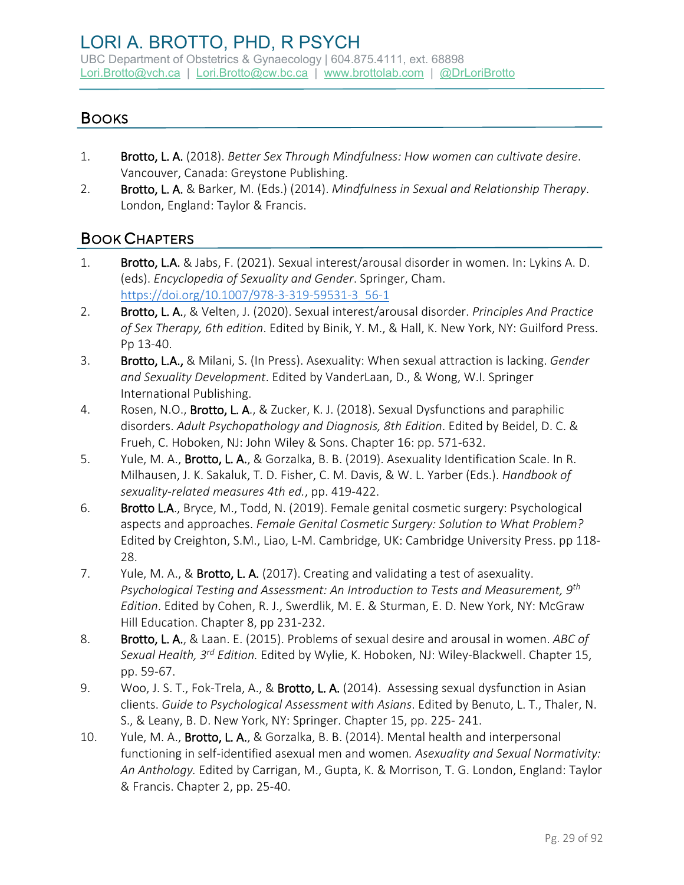UBC Department of Obstetrics & Gynaecology | 604.875.4111, ext. 68898 [Lori.Brotto@vch.ca](mailto:Lori.Brotto@vch.ca) | [Lori.Brotto@cw.bc.ca](mailto:Lori.Brotto@cw.bc.ca) | [www.brottolab.com](http://www.brottolab.com/) | [@DrLoriBrotto](https://twitter.com/DrLoriBrotto)

### **BOOKS**

- 1. Brotto, L. A. (2018). *Better Sex Through Mindfulness: How women can cultivate desire*. Vancouver, Canada: Greystone Publishing.
- 2. Brotto, L. A. & Barker, M. (Eds.) (2014). *Mindfulness in Sexual and Relationship Therapy*. London, England: Taylor & Francis.

#### BOOK CHAPTERS

- 1. Brotto, L.A. & Jabs, F. (2021). Sexual interest/arousal disorder in women. In: Lykins A. D. (eds). *Encyclopedia of Sexuality and Gender*. Springer, Cham. [https://doi.org/10.1007/978-3-319-59531-3\\_56-1](https://doi.org/10.1007/978-3-319-59531-3_56-1)
- 2. Brotto, L. A., & Velten, J. (2020). Sexual interest/arousal disorder. *Principles And Practice of Sex Therapy, 6th edition*. Edited by Binik, Y. M., & Hall, K. New York, NY: Guilford Press. Pp 13-40.
- 3. Brotto, L.A., & Milani, S. (In Press). Asexuality: When sexual attraction is lacking. *Gender and Sexuality Development*. Edited by VanderLaan, D., & Wong, W.I. Springer International Publishing.
- 4. Rosen, N.O., Brotto, L.A., & Zucker, K. J. (2018). Sexual Dysfunctions and paraphilic disorders. *Adult Psychopathology and Diagnosis, 8th Edition*. Edited by Beidel, D. C. & Frueh, C. Hoboken, NJ: John Wiley & Sons. Chapter 16: pp. 571-632.
- 5. Yule, M. A., Brotto, L. A., & Gorzalka, B. B. (2019). Asexuality Identification Scale. In R. Milhausen, J. K. Sakaluk, T. D. Fisher, C. M. Davis, & W. L. Yarber (Eds.). *Handbook of sexuality-related measures 4th ed.*, pp. 419-422.
- 6. Brotto L.A., Bryce, M., Todd, N. (2019). Female genital cosmetic surgery: Psychological aspects and approaches. *Female Genital Cosmetic Surgery: Solution to What Problem?*  Edited by Creighton, S.M., Liao, L-M. Cambridge, UK: Cambridge University Press. pp 118- 28.
- 7. Yule, M. A., & Brotto, L. A. (2017). Creating and validating a test of asexuality. *Psychological Testing and Assessment: An Introduction to Tests and Measurement, 9th Edition*. Edited by Cohen, R. J., Swerdlik, M. E. & Sturman, E. D. New York, NY: McGraw Hill Education. Chapter 8, pp 231-232.
- 8. Brotto, L. A., & Laan. E. (2015). Problems of sexual desire and arousal in women. *ABC of Sexual Health, 3rd Edition.* Edited by Wylie, K. Hoboken, NJ: Wiley-Blackwell. Chapter 15, pp. 59-67.
- 9. Woo, J. S. T., Fok-Trela, A., & Brotto, L. A. (2014). Assessing sexual dysfunction in Asian clients. *Guide to Psychological Assessment with Asians*. Edited by Benuto, L. T., Thaler, N. S., & Leany, B. D. New York, NY: Springer. Chapter 15, pp. 225- 241.
- 10. Yule, M. A., Brotto, L. A., & Gorzalka, B. B. (2014). Mental health and interpersonal functioning in self-identified asexual men and women*. Asexuality and Sexual Normativity: An Anthology.* Edited by Carrigan, M., Gupta, K. & Morrison, T. G. London, England: Taylor & Francis. Chapter 2, pp. 25-40.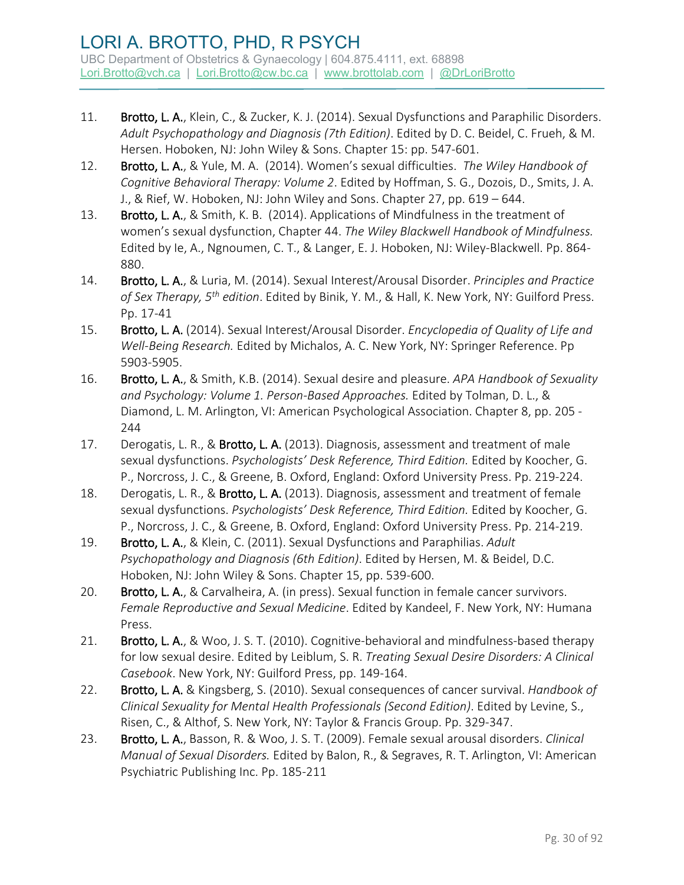- 11. Brotto, L. A., Klein, C., & Zucker, K. J. (2014). Sexual Dysfunctions and Paraphilic Disorders. *Adult Psychopathology and Diagnosis (7th Edition)*. Edited by D. C. Beidel, C. Frueh, & M. Hersen. Hoboken, NJ: John Wiley & Sons. Chapter 15: pp. 547-601.
- 12. Brotto, L. A., & Yule, M. A. (2014). Women's sexual difficulties. *The Wiley Handbook of Cognitive Behavioral Therapy: Volume 2*. Edited by Hoffman, S. G., Dozois, D., Smits, J. A. J., & Rief, W. Hoboken, NJ: John Wiley and Sons. Chapter 27, pp. 619 – 644.
- 13. Brotto, L. A., & Smith, K. B. (2014). Applications of Mindfulness in the treatment of women's sexual dysfunction, Chapter 44. *The Wiley Blackwell Handbook of Mindfulness.*  Edited by Ie, A., Ngnoumen, C. T., & Langer, E. J. Hoboken, NJ: Wiley-Blackwell. Pp. 864- 880.
- 14. Brotto, L. A., & Luria, M. (2014). Sexual Interest/Arousal Disorder. *Principles and Practice of Sex Therapy, 5th edition*. Edited by Binik, Y. M., & Hall, K. New York, NY: Guilford Press. Pp. 17-41
- 15. Brotto, L. A. (2014). Sexual Interest/Arousal Disorder. *Encyclopedia of Quality of Life and Well-Being Research.* Edited by Michalos, A. C. New York, NY: Springer Reference. Pp 5903-5905.
- 16. Brotto, L. A., & Smith, K.B. (2014). Sexual desire and pleasure. *APA Handbook of Sexuality and Psychology: Volume 1. Person-Based Approaches.* Edited by Tolman, D. L., & Diamond, L. M. Arlington, VI: American Psychological Association. Chapter 8, pp. 205 - 244
- 17. Derogatis, L. R., & Brotto, L. A. (2013). Diagnosis, assessment and treatment of male sexual dysfunctions. *Psychologists' Desk Reference, Third Edition.* Edited by Koocher, G. P., Norcross, J. C., & Greene, B. Oxford, England: Oxford University Press. Pp. 219-224.
- 18. Derogatis, L. R., & Brotto, L. A. (2013). Diagnosis, assessment and treatment of female sexual dysfunctions. *Psychologists' Desk Reference, Third Edition.* Edited by Koocher, G. P., Norcross, J. C., & Greene, B. Oxford, England: Oxford University Press. Pp. 214-219.
- 19. Brotto, L. A., & Klein, C. (2011). Sexual Dysfunctions and Paraphilias. *Adult Psychopathology and Diagnosis (6th Edition)*. Edited by Hersen, M. & Beidel, D.C. Hoboken, NJ: John Wiley & Sons. Chapter 15, pp. 539-600.
- 20. Brotto, L. A., & Carvalheira, A. (in press). Sexual function in female cancer survivors. *Female Reproductive and Sexual Medicine*. Edited by Kandeel, F. New York, NY: Humana Press.
- 21. Brotto, L. A., & Woo, J. S. T. (2010). Cognitive-behavioral and mindfulness-based therapy for low sexual desire. Edited by Leiblum, S. R. *Treating Sexual Desire Disorders: A Clinical Casebook*. New York, NY: Guilford Press, pp. 149-164.
- 22. Brotto, L. A. & Kingsberg, S. (2010). Sexual consequences of cancer survival. *Handbook of Clinical Sexuality for Mental Health Professionals (Second Edition)*. Edited by Levine, S., Risen, C., & Althof, S. New York, NY: Taylor & Francis Group. Pp. 329-347.
- 23. Brotto, L. A., Basson, R. & Woo, J. S. T. (2009). Female sexual arousal disorders. *Clinical Manual of Sexual Disorders.* Edited by Balon, R., & Segraves, R. T. Arlington, VI: American Psychiatric Publishing Inc. Pp. 185-211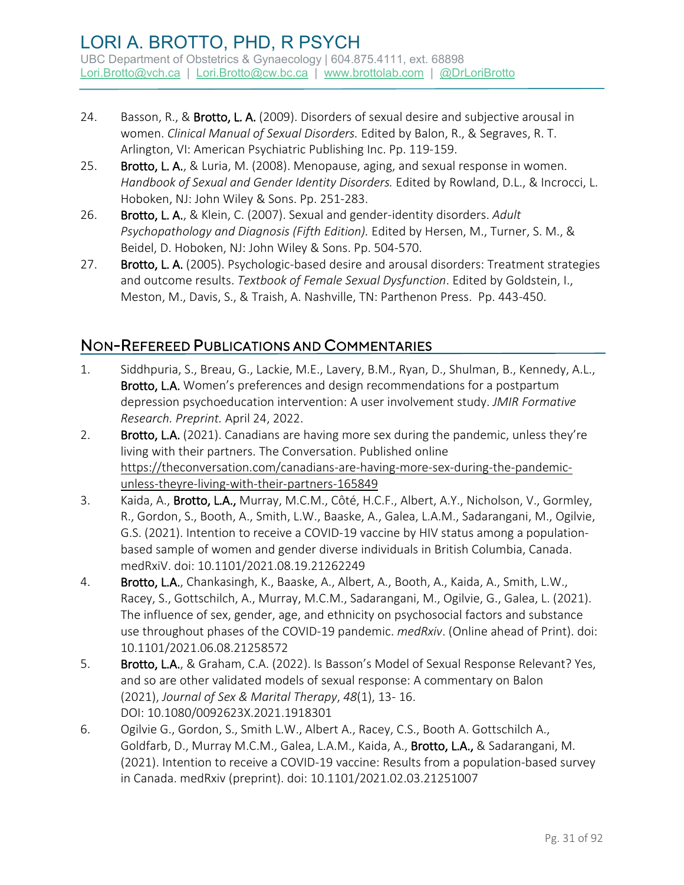- 24. Basson, R., & Brotto, L. A. (2009). Disorders of sexual desire and subjective arousal in women. *Clinical Manual of Sexual Disorders.* Edited by Balon, R., & Segraves, R. T. Arlington, VI: American Psychiatric Publishing Inc. Pp. 119-159.
- 25. Brotto, L. A., & Luria, M. (2008). Menopause, aging, and sexual response in women. *Handbook of Sexual and Gender Identity Disorders.* Edited by Rowland, D.L., & Incrocci, L. Hoboken, NJ: John Wiley & Sons. Pp. 251-283.
- 26. Brotto, L. A., & Klein, C. (2007). Sexual and gender-identity disorders. *Adult Psychopathology and Diagnosis (Fifth Edition).* Edited by Hersen, M., Turner, S. M., & Beidel, D. Hoboken, NJ: John Wiley & Sons. Pp. 504-570.
- 27. Brotto, L. A. (2005). Psychologic-based desire and arousal disorders: Treatment strategies and outcome results. *Textbook of Female Sexual Dysfunction*. Edited by Goldstein, I., Meston, M., Davis, S., & Traish, A. Nashville, TN: Parthenon Press. Pp. 443-450.

# NON-REFEREED PUBLICATIONS AND COMMENTARIES

- 1. Siddhpuria, S., Breau, G., Lackie, M.E., Lavery, B.M., Ryan, D., Shulman, B., Kennedy, A.L., Brotto, L.A. Women's preferences and design recommendations for a postpartum depression psychoeducation intervention: A user involvement study. *JMIR Formative Research. Preprint.* April 24, 2022.
- 2. Brotto, L.A. (2021). Canadians are having more sex during the pandemic, unless they're living with their partners. The Conversation. Published online [https://theconversation.com/canadians-are-having-more-sex-during-the-pandemic](https://theconversation.com/canadians-are-having-more-sex-during-the-pandemic-unless-theyre-living-with-their-partners-165849)[unless-theyre-living-with-their-partners-165849](https://theconversation.com/canadians-are-having-more-sex-during-the-pandemic-unless-theyre-living-with-their-partners-165849)
- 3. Kaida, A., Brotto, L.A., Murray, M.C.M., Côté, H.C.F., Albert, A.Y., Nicholson, V., Gormley, R., Gordon, S., Booth, A., Smith, L.W., Baaske, A., Galea, L.A.M., Sadarangani, M., Ogilvie, G.S. (2021). Intention to receive a COVID-19 vaccine by HIV status among a populationbased sample of women and gender diverse individuals in British Columbia, Canada. medRxiV. doi: 10.1101/2021.08.19.21262249
- 4. Brotto, L.A., Chankasingh, K., Baaske, A., Albert, A., Booth, A., Kaida, A., Smith, L.W., Racey, S., Gottschilch, A., Murray, M.C.M., Sadarangani, M., Ogilvie, G., Galea, L. (2021). The influence of sex, gender, age, and ethnicity on psychosocial factors and substance use throughout phases of the COVID-19 pandemic. *medRxiv*. (Online ahead of Print). doi: 10.1101/2021.06.08.21258572
- 5. Brotto, L.A., & Graham, C.A. (2022). Is Basson's Model of Sexual Response Relevant? Yes, and so are other validated models of sexual response: A commentary on Balon (2021), *Journal of Sex & Marital Therapy*, *48*(1), 13- 16. DOI: [10.1080/0092623X.2021.1918301](https://doi.org/10.1080/0092623X.2021.1918301)
- 6. Ogilvie G., Gordon, S., Smith L.W., Albert A., Racey, C.S., Booth A. Gottschilch A., Goldfarb, D., Murray M.C.M., Galea, L.A.M., Kaida, A., Brotto, L.A., & Sadarangani, M. (2021). Intention to receive a COVID-19 vaccine: Results from a population-based survey in Canada. medRxiv (preprint). doi: 10.1101/2021.02.03.21251007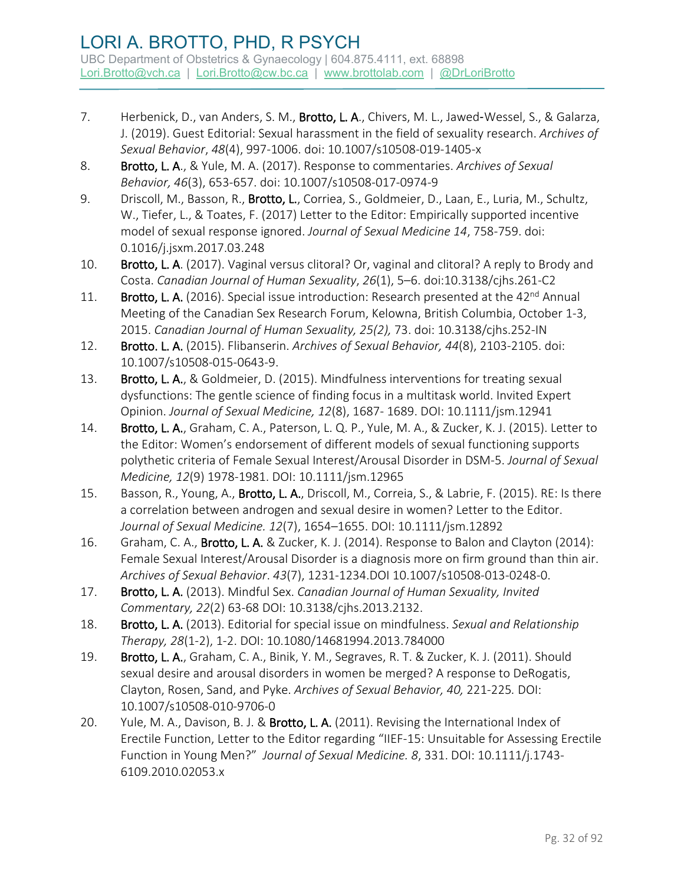- 7. Herbenick, D., van Anders, S. M., Brotto, L. A., Chivers, M. L., Jawed-Wessel, S., & Galarza, J. (2019). Guest Editorial: Sexual harassment in the field of sexuality research. *Archives of Sexual Behavior*, *48*(4), 997-1006. doi: 10.1007/s10508-019-1405-x
- 8. Brotto, L. A., & Yule, M. A. (2017). Response to commentaries. *Archives of Sexual Behavior, 46*(3), 653-657. doi: 10.1007/s10508-017-0974-9
- 9. Driscoll, M., Basson, R., Brotto, L., Corriea, S., Goldmeier, D., Laan, E., Luria, M., Schultz, W., Tiefer, L., & Toates, F. (2017) Letter to the Editor: Empirically supported incentive model of sexual response ignored. *Journal of Sexual Medicine 14*, 758-759. doi: 0.1016/j.jsxm.2017.03.248
- 10. Brotto, L. A. (2017). Vaginal versus clitoral? Or, vaginal and clitoral? A reply to Brody and Costa. *Canadian Journal of Human Sexuality*, *26*(1), 5–6. doi:10.3138/cjhs.261-C2
- 11. Brotto, L. A. (2016). Special issue introduction: Research presented at the 42<sup>nd</sup> Annual Meeting of the Canadian Sex Research Forum, Kelowna, British Columbia, October 1-3, 2015. *Canadian Journal of Human Sexuality, 25(2),* 73. doi: 10.3138/cjhs.252-IN
- 12. Brotto. L. A. (2015). Flibanserin. *Archives of Sexual Behavior, 44*(8), 2103-2105. doi: 10.1007/s10508-015-0643-9.
- 13. Brotto, L. A., & Goldmeier, D. (2015). Mindfulness interventions for treating sexual dysfunctions: The gentle science of finding focus in a multitask world. Invited Expert Opinion. *Journal of Sexual Medicine, 12*(8), 1687- 1689. DOI: 10.1111/jsm.12941
- 14. Brotto, L. A., Graham, C. A., Paterson, L. Q. P., Yule, M. A., & Zucker, K. J. (2015). Letter to the Editor: Women's endorsement of different models of sexual functioning supports polythetic criteria of Female Sexual Interest/Arousal Disorder in DSM-5. *Journal of Sexual Medicine, 12*(9) 1978-1981. DOI: 10.1111/jsm.12965
- 15. Basson, R., Young, A., Brotto, L. A., Driscoll, M., Correia, S., & Labrie, F. (2015). RE: Is there a correlation between androgen and sexual desire in women? Letter to the Editor. *Journal of Sexual Medicine. 12*(7), 1654–1655. DOI: 10.1111/jsm.12892
- 16. Graham, C. A., Brotto, L. A. & Zucker, K. J. (2014). Response to Balon and Clayton (2014): Female Sexual Interest/Arousal Disorder is a diagnosis more on firm ground than thin air. *Archives of Sexual Behavior*. *43*(7), 1231-1234.DOI 10.1007/s10508-013-0248-0.
- 17. Brotto, L. A. (2013). Mindful Sex. *Canadian Journal of Human Sexuality, Invited Commentary, 22*(2) 63-68 DOI: 10.3138/cjhs.2013.2132.
- 18. Brotto, L. A. (2013). Editorial for special issue on mindfulness. *Sexual and Relationship Therapy, 28*(1-2), 1-2. DOI: 10.1080/14681994.2013.784000
- 19. Brotto, L. A., Graham, C. A., Binik, Y. M., Segraves, R. T. & Zucker, K. J. (2011). Should sexual desire and arousal disorders in women be merged? A response to DeRogatis, Clayton, Rosen, Sand, and Pyke. *Archives of Sexual Behavior, 40,* 221-225*.* DOI: 10.1007/s10508-010-9706-0
- 20. Yule, M. A., Davison, B. J. & Brotto, L. A. (2011). Revising the International Index of Erectile Function, Letter to the Editor regarding "IIEF-15: Unsuitable for Assessing Erectile Function in Young Men?" *Journal of Sexual Medicine. 8*, 331. DOI: 10.1111/j.1743- 6109.2010.02053.x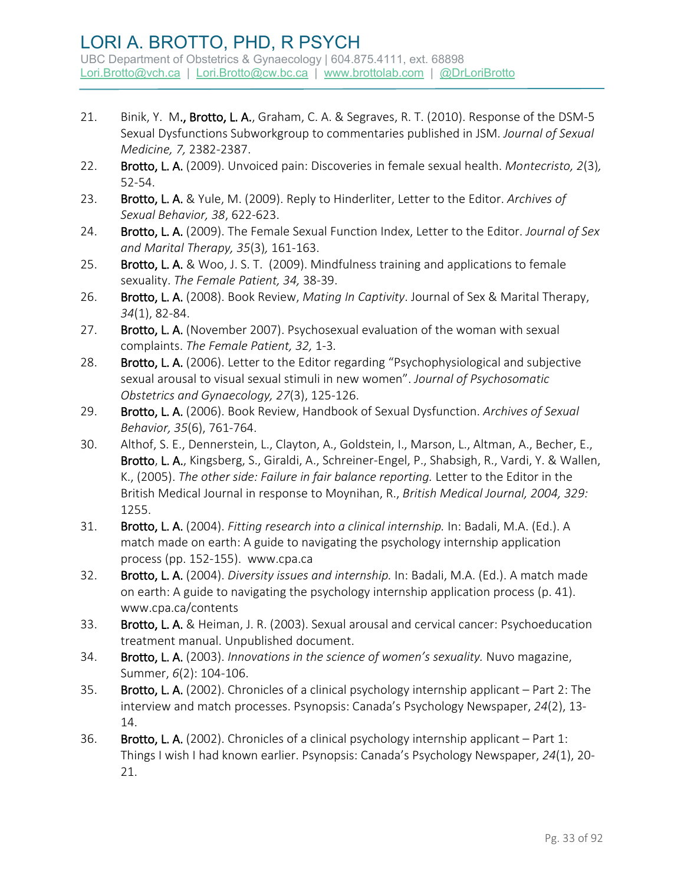- 21. Binik, Y. M., Brotto, L. A., Graham, C. A. & Segraves, R. T. (2010). Response of the DSM-5 Sexual Dysfunctions Subworkgroup to commentaries published in JSM. *Journal of Sexual Medicine, 7,* 2382-2387.
- 22. Brotto, L. A. (2009). Unvoiced pain: Discoveries in female sexual health. *Montecristo, 2*(3)*,*  52-54.
- 23. Brotto, L. A. & Yule, M. (2009). Reply to Hinderliter, Letter to the Editor. *Archives of Sexual Behavior, 38*, 622-623.
- 24. Brotto, L. A. (2009). The Female Sexual Function Index, Letter to the Editor. *Journal of Sex and Marital Therapy, 35*(3)*,* 161-163.
- 25. Brotto, L. A. & Woo, J. S. T. (2009). Mindfulness training and applications to female sexuality. *The Female Patient, 34,* 38-39.
- 26. Brotto, L. A. (2008). Book Review, *Mating In Captivity*. Journal of Sex & Marital Therapy, *34*(1), 82-84.
- 27. Brotto, L. A. (November 2007). Psychosexual evaluation of the woman with sexual complaints. *The Female Patient, 32,* 1-3*.*
- 28. Brotto, L. A. (2006). Letter to the Editor regarding "Psychophysiological and subjective sexual arousal to visual sexual stimuli in new women". *Journal of Psychosomatic Obstetrics and Gynaecology, 27*(3), 125-126.
- 29. Brotto, L. A. (2006). Book Review, Handbook of Sexual Dysfunction. *Archives of Sexual Behavior, 35*(6), 761-764.
- 30. Althof, S. E., Dennerstein, L., Clayton, A., Goldstein, I., Marson, L., Altman, A., Becher, E., Brotto, L. A., Kingsberg, S., Giraldi, A., Schreiner-Engel, P., Shabsigh, R., Vardi, Y. & Wallen, K., (2005). *The other side: Failure in fair balance reporting.* Letter to the Editor in the British Medical Journal in response to Moynihan, R., *British Medical Journal, 2004, 329:* 1255.
- 31. Brotto, L. A. (2004). *Fitting research into a clinical internship.* In: Badali, M.A. (Ed.). A match made on earth: A guide to navigating the psychology internship application process (pp. 152-155). www.cpa.ca
- 32. Brotto, L. A. (2004). *Diversity issues and internship.* In: Badali, M.A. (Ed.). A match made on earth: A guide to navigating the psychology internship application process (p. 41). www.cpa.ca/contents
- 33. Brotto, L. A. & Heiman, J. R. (2003). Sexual arousal and cervical cancer: Psychoeducation treatment manual. Unpublished document.
- 34. Brotto, L. A. (2003). *Innovations in the science of women's sexuality.* Nuvo magazine, Summer, *6*(2): 104-106.
- 35. Brotto, L. A. (2002). Chronicles of a clinical psychology internship applicant Part 2: The interview and match processes. Psynopsis: Canada's Psychology Newspaper, *24*(2), 13- 14.
- 36. Brotto, L. A. (2002). Chronicles of a clinical psychology internship applicant Part 1: Things I wish I had known earlier. Psynopsis: Canada's Psychology Newspaper, *24*(1), 20- 21.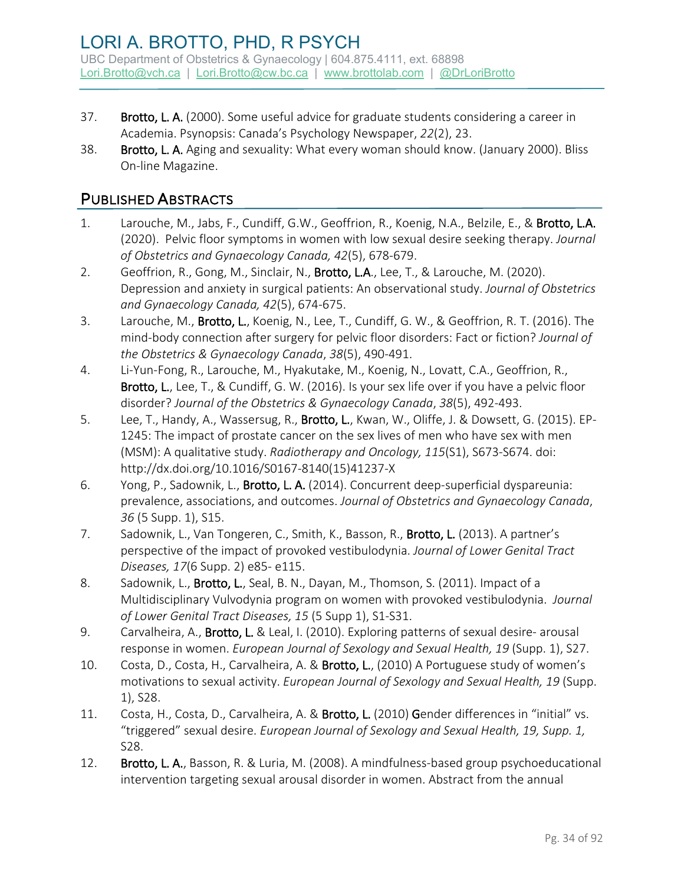- 37. Brotto, L. A. (2000). Some useful advice for graduate students considering a career in Academia. Psynopsis: Canada's Psychology Newspaper, *22*(2), 23.
- 38. Brotto, L. A. Aging and sexuality: What every woman should know. (January 2000). Bliss On-line Magazine.

### PUBLISHED ABSTRACTS

- 1. Larouche, M., Jabs, F., Cundiff, G.W., Geoffrion, R., Koenig, N.A., Belzile, E., & Brotto, L.A. (2020). Pelvic floor symptoms in women with low sexual desire seeking therapy. *Journal of Obstetrics and Gynaecology Canada, 42*(5), 678-679.
- 2. Geoffrion, R., Gong, M., Sinclair, N., Brotto, L.A., Lee, T., & Larouche, M. (2020). Depression and anxiety in surgical patients: An observational study. *Journal of Obstetrics and Gynaecology Canada, 42*(5), 674-675.
- 3. Larouche, M., Brotto, L., Koenig, N., Lee, T., Cundiff, G. W., & Geoffrion, R. T. (2016). The mind-body connection after surgery for pelvic floor disorders: Fact or fiction? *Journal of the Obstetrics & Gynaecology Canada*, *38*(5), 490-491.
- 4. Li-Yun-Fong, R., Larouche, M., Hyakutake, M., Koenig, N., Lovatt, C.A., Geoffrion, R., Brotto, L., Lee, T., & Cundiff, G. W. (2016). Is your sex life over if you have a pelvic floor disorder? *Journal of the Obstetrics & Gynaecology Canada*, *38*(5), 492-493.
- 5. Lee, T., Handy, A., Wassersug, R., Brotto, L., Kwan, W., Oliffe, J. & Dowsett, G. (2015). EP-1245: The impact of prostate cancer on the sex lives of men who have sex with men (MSM): A qualitative study. *Radiotherapy and Oncology, 115*(S1), S673-S674. doi: http://dx.doi.org/10.1016/S0167-8140(15)41237-X
- 6. Yong, P., Sadownik, L., Brotto, L. A. (2014). Concurrent deep-superficial dyspareunia: prevalence, associations, and outcomes. *Journal of Obstetrics and Gynaecology Canada*, *36* (5 Supp. 1), S15.
- 7. Sadownik, L., Van Tongeren, C., Smith, K., Basson, R., Brotto, L. (2013). A partner's perspective of the impact of provoked vestibulodynia. *Journal of Lower Genital Tract Diseases, 17*(6 Supp. 2) e85- e115.
- 8. Sadownik, L., Brotto, L., Seal, B. N., Dayan, M., Thomson, S. (2011). Impact of a Multidisciplinary Vulvodynia program on women with provoked vestibulodynia. *Journal of Lower Genital Tract Diseases, 15* (5 Supp 1), S1-S31.
- 9. Carvalheira, A., **Brotto, L.** & Leal, I. (2010). Exploring patterns of sexual desire- arousal response in women. *European Journal of Sexology and Sexual Health, 19* (Supp. 1), S27.
- 10. Costa, D., Costa, H., Carvalheira, A. & Brotto, L., (2010) A Portuguese study of women's motivations to sexual activity. *European Journal of Sexology and Sexual Health, 19* (Supp. 1), S28.
- 11. Costa, H., Costa, D., Carvalheira, A. & Brotto, L. (2010) Gender differences in "initial" vs. "triggered" sexual desire. *European Journal of Sexology and Sexual Health, 19, Supp. 1,*  S28.
- 12. Brotto, L. A., Basson, R. & Luria, M. (2008). A mindfulness-based group psychoeducational intervention targeting sexual arousal disorder in women. Abstract from the annual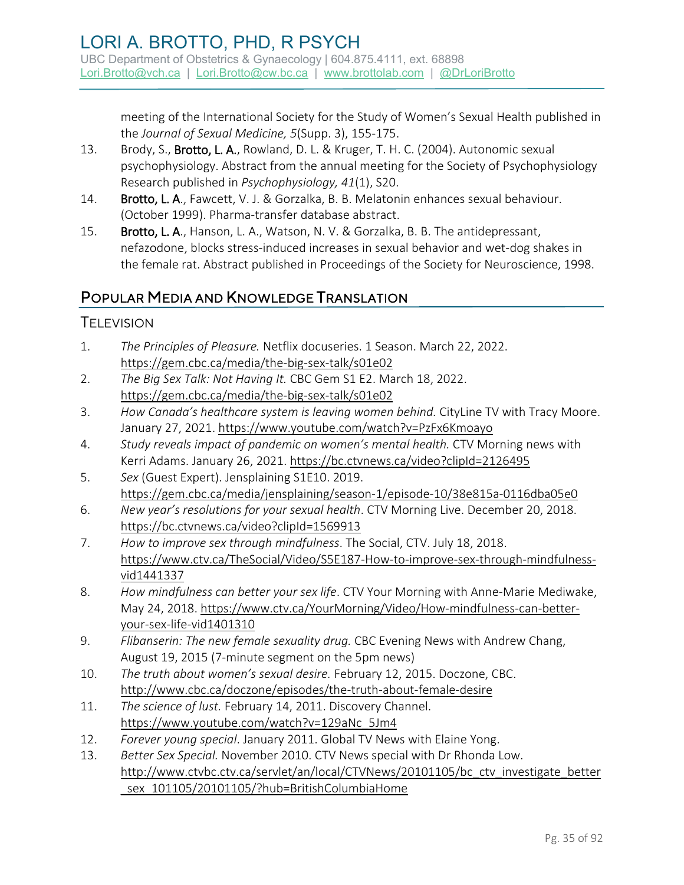meeting of the International Society for the Study of Women's Sexual Health published in the *Journal of Sexual Medicine, 5*(Supp. 3), 155-175.

- 13. Brody, S., Brotto, L. A., Rowland, D. L. & Kruger, T. H. C. (2004). Autonomic sexual psychophysiology. Abstract from the annual meeting for the Society of Psychophysiology Research published in *Psychophysiology, 41*(1), S20.
- 14. Brotto, L. A., Fawcett, V. J. & Gorzalka, B. B. Melatonin enhances sexual behaviour. (October 1999). Pharma-transfer database abstract.
- 15. Brotto, L. A., Hanson, L. A., Watson, N. V. & Gorzalka, B. B. The antidepressant, nefazodone, blocks stress-induced increases in sexual behavior and wet-dog shakes in the female rat. Abstract published in Proceedings of the Society for Neuroscience, 1998.

### POPULAR MEDIA AND KNOWLEDGE TRANSLATION

#### **TELEVISION**

- 1. *The Principles of Pleasure.* Netflix docuseries. 1 Season. March 22, 2022. <https://gem.cbc.ca/media/the-big-sex-talk/s01e02>
- 2. *The Big Sex Talk: Not Having It.* CBC Gem S1 E2. March 18, 2022. <https://gem.cbc.ca/media/the-big-sex-talk/s01e02>
- 3. *How Canada's healthcare system is leaving women behind.* CityLine TV with Tracy Moore. January 27, 2021.<https://www.youtube.com/watch?v=PzFx6Kmoayo>
- 4. *Study reveals impact of pandemic on women's mental health.* CTV Morning news with Kerri Adams. January 26, 2021.<https://bc.ctvnews.ca/video?clipId=2126495>
- 5. *Sex* (Guest Expert). Jensplaining S1E10. 2019. <https://gem.cbc.ca/media/jensplaining/season-1/episode-10/38e815a-0116dba05e0>
- 6. *New year's resolutions for your sexual health*. CTV Morning Live. December 20, 2018. <https://bc.ctvnews.ca/video?clipId=1569913>
- 7. *How to improve sex through mindfulness*. The Social, CTV. July 18, 2018. [https://www.ctv.ca/TheSocial/Video/S5E187-How-to-improve-sex-through-mindfulness](https://www.ctv.ca/TheSocial/Video/S5E187-How-to-improve-sex-through-mindfulness-vid1441337)[vid1441337](https://www.ctv.ca/TheSocial/Video/S5E187-How-to-improve-sex-through-mindfulness-vid1441337)
- 8. *How mindfulness can better your sex life*. CTV Your Morning with Anne-Marie Mediwake, May 24, 2018. [https://www.ctv.ca/YourMorning/Video/How-mindfulness-can-better](https://www.ctv.ca/YourMorning/Video/How-mindfulness-can-better-your-sex-life-vid1401310)[your-sex-life-vid1401310](https://www.ctv.ca/YourMorning/Video/How-mindfulness-can-better-your-sex-life-vid1401310)
- 9. *Flibanserin: The new female sexuality drug.* CBC Evening News with Andrew Chang, August 19, 2015 (7-minute segment on the 5pm news)
- 10. *The truth about women's sexual desire.* February 12, 2015. Doczone, CBC. <http://www.cbc.ca/doczone/episodes/the-truth-about-female-desire>
- 11. *The science of lust.* February 14, 2011. Discovery Channel. [https://www.youtube.com/watch?v=129aNc\\_5Jm4](https://www.youtube.com/watch?v=129aNc_5Jm4)
- 12. *Forever young special*. January 2011. Global TV News with Elaine Yong.
- 13. *Better Sex Special.* November 2010. CTV News special with Dr Rhonda Low. [http://www.ctvbc.ctv.ca/servlet/an/local/CTVNews/20101105/bc\\_ctv\\_investigate\\_better](http://www.ctvbc.ctv.ca/servlet/an/local/CTVNews/20101105/bc_ctv_investigate_better_sex_101105/20101105/?hub=BritishColumbiaHome) sex\_101105/20101105/?hub=BritishColumbiaHome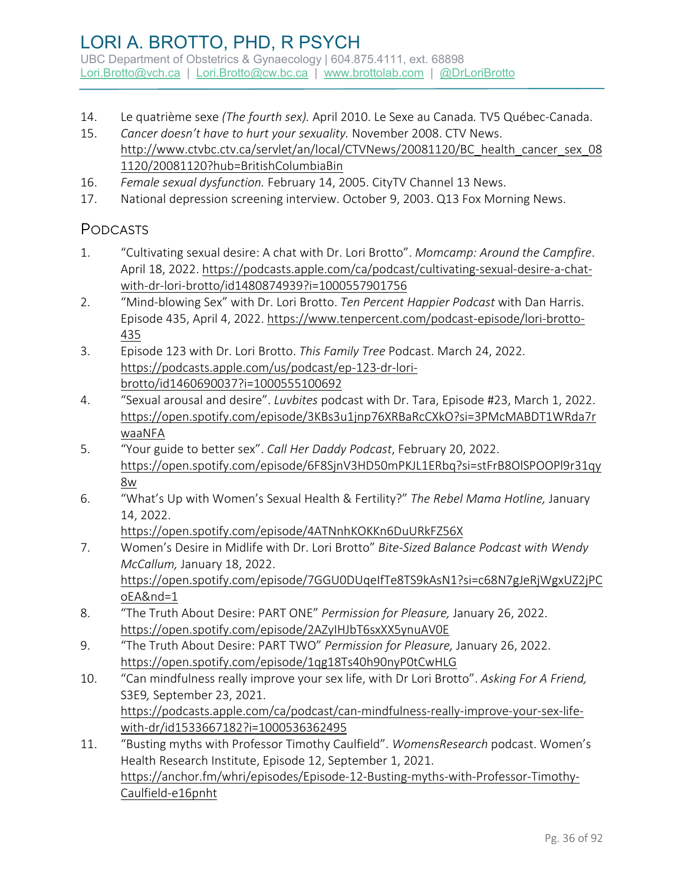- 14. Le quatrième sexe *(The fourth sex).* April 2010. Le Sexe au Canada*.* TV5 Québec-Canada.
- 15. *Cancer doesn't have to hurt your sexuality.* November 2008. CTV News. [http://www.ctvbc.ctv.ca/servlet/an/local/CTVNews/20081120/BC\\_health\\_cancer\\_sex\\_08](http://www.ctvbc.ctv.ca/servlet/an/local/CTVNews/20081120/BC_health_cancer_sex_081120/20081120?hub=BritishColumbiaBin) [1120/20081120?hub=BritishColumbiaBin](http://www.ctvbc.ctv.ca/servlet/an/local/CTVNews/20081120/BC_health_cancer_sex_081120/20081120?hub=BritishColumbiaBin)
- 16. *Female sexual dysfunction.* February 14, 2005. CityTV Channel 13 News.
- 17. National depression screening interview. October 9, 2003. Q13 Fox Morning News.

#### PODCASTS

- 1. "Cultivating sexual desire: A chat with Dr. Lori Brotto". *Momcamp: Around the Campfire*. April 18, 2022. [https://podcasts.apple.com/ca/podcast/cultivating-sexual-desire-a-chat](https://podcasts.apple.com/ca/podcast/cultivating-sexual-desire-a-chat-with-dr-lori-brotto/id1480874939?i=1000557901756)[with-dr-lori-brotto/id1480874939?i=1000557901756](https://podcasts.apple.com/ca/podcast/cultivating-sexual-desire-a-chat-with-dr-lori-brotto/id1480874939?i=1000557901756)
- 2. "Mind-blowing Sex" with Dr. Lori Brotto. *Ten Percent Happier Podcast* with Dan Harris. Episode 435, April 4, 2022. [https://www.tenpercent.com/podcast-episode/lori-brotto-](https://www.tenpercent.com/podcast-episode/lori-brotto-435)[435](https://www.tenpercent.com/podcast-episode/lori-brotto-435)
- 3. Episode 123 with Dr. Lori Brotto. *This Family Tree* Podcast. March 24, 2022. [https://podcasts.apple.com/us/podcast/ep-123-dr-lori](https://podcasts.apple.com/us/podcast/ep-123-dr-lori-brotto/id1460690037?i=1000555100692)[brotto/id1460690037?i=1000555100692](https://podcasts.apple.com/us/podcast/ep-123-dr-lori-brotto/id1460690037?i=1000555100692)
- 4. "Sexual arousal and desire". *Luvbites* podcast with Dr. Tara, Episode #23, March 1, 2022. [https://open.spotify.com/episode/3KBs3u1jnp76XRBaRcCXkO?si=3PMcMABDT1WRda7r](https://open.spotify.com/episode/3KBs3u1jnp76XRBaRcCXkO?si=3PMcMABDT1WRda7rwaaNFA) [waaNFA](https://open.spotify.com/episode/3KBs3u1jnp76XRBaRcCXkO?si=3PMcMABDT1WRda7rwaaNFA)
- 5. "Your guide to better sex". *Call Her Daddy Podcast*, February 20, 2022. [https://open.spotify.com/episode/6F8SjnV3HD50mPKJL1ERbq?si=stFrB8OlSPOOPl9r31qy](https://open.spotify.com/episode/6F8SjnV3HD50mPKJL1ERbq?si=stFrB8OlSPOOPl9r31qy8w) [8w](https://open.spotify.com/episode/6F8SjnV3HD50mPKJL1ERbq?si=stFrB8OlSPOOPl9r31qy8w)
- 6. "What's Up with Women's Sexual Health & Fertility?" *The Rebel Mama Hotline,* January 14, 2022.

<https://open.spotify.com/episode/4ATNnhKOKKn6DuURkFZ56X>

- 7. Women's Desire in Midlife with Dr. Lori Brotto" *Bite-Sized Balance Podcast with Wendy McCallum,* January 18, 2022. [https://open.spotify.com/episode/7GGU0DUqeIfTe8TS9kAsN1?si=c68N7gJeRjWgxUZ2jPC](https://open.spotify.com/episode/7GGU0DUqeIfTe8TS9kAsN1?si=c68N7gJeRjWgxUZ2jPCoEA&nd=1) [oEA&nd=1](https://open.spotify.com/episode/7GGU0DUqeIfTe8TS9kAsN1?si=c68N7gJeRjWgxUZ2jPCoEA&nd=1)
- 8. "The Truth About Desire: PART ONE" *Permission for Pleasure,* January 26, 2022. <https://open.spotify.com/episode/2AZyIHJbT6sxXX5ynuAV0E>
- 9. "The Truth About Desire: PART TWO" *Permission for Pleasure,* January 26, 2022. <https://open.spotify.com/episode/1qg18Ts40h90nyP0tCwHLG>
- 10. "Can mindfulness really improve your sex life, with Dr Lori Brotto". *Asking For A Friend,*  S3E9*,* September 23, 2021. [https://podcasts.apple.com/ca/podcast/can-mindfulness-really-improve-your-sex-life](https://podcasts.apple.com/ca/podcast/can-mindfulness-really-improve-your-sex-life-with-dr/id1533667182?i=1000536362495)[with-dr/id1533667182?i=1000536362495](https://podcasts.apple.com/ca/podcast/can-mindfulness-really-improve-your-sex-life-with-dr/id1533667182?i=1000536362495)
- 11. "Busting myths with Professor Timothy Caulfield". *WomensResearch* podcast. Women's Health Research Institute, Episode 12, September 1, 2021. [https://anchor.fm/whri/episodes/Episode-12-Busting-myths-with-Professor-Timothy-](https://anchor.fm/whri/episodes/Episode-12-Busting-myths-with-Professor-Timothy-Caulfield-e16pnht)[Caulfield-e16pnht](https://anchor.fm/whri/episodes/Episode-12-Busting-myths-with-Professor-Timothy-Caulfield-e16pnht)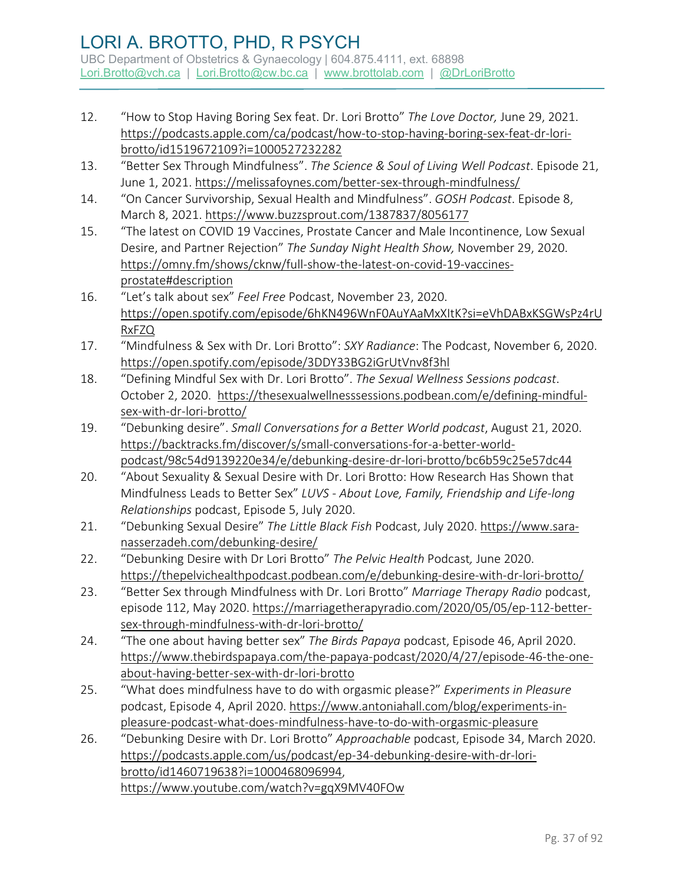- 12. "How to Stop Having Boring Sex feat. Dr. Lori Brotto" *The Love Doctor,* June 29, 2021. [https://podcasts.apple.com/ca/podcast/how-to-stop-having-boring-sex-feat-dr-lori](https://podcasts.apple.com/ca/podcast/how-to-stop-having-boring-sex-feat-dr-lori-brotto/id1519672109?i=1000527232282)[brotto/id1519672109?i=1000527232282](https://podcasts.apple.com/ca/podcast/how-to-stop-having-boring-sex-feat-dr-lori-brotto/id1519672109?i=1000527232282)
- 13. "Better Sex Through Mindfulness". *The Science & Soul of Living Well Podcast*. Episode 21, June 1, 2021[. https://melissafoynes.com/better-sex-through-mindfulness/](https://melissafoynes.com/better-sex-through-mindfulness/)
- 14. "On Cancer Survivorship, Sexual Health and Mindfulness". *GOSH Podcast*. Episode 8, March 8, 2021[. https://www.buzzsprout.com/1387837/8056177](https://www.buzzsprout.com/1387837/8056177)
- 15. "The latest on COVID 19 Vaccines, Prostate Cancer and Male Incontinence, Low Sexual Desire, and Partner Rejection" *The Sunday Night Health Show,* November 29, 2020. [https://omny.fm/shows/cknw/full-show-the-latest-on-covid-19-vaccines](https://omny.fm/shows/cknw/full-show-the-latest-on-covid-19-vaccines-prostate#description)[prostate#description](https://omny.fm/shows/cknw/full-show-the-latest-on-covid-19-vaccines-prostate#description)
- 16. "Let's talk about sex" *Feel Free* Podcast, November 23, 2020. [https://open.spotify.com/episode/6hKN496WnF0AuYAaMxXItK?si=eVhDABxKSGWsPz4rU](https://open.spotify.com/episode/6hKN496WnF0AuYAaMxXItK?si=eVhDABxKSGWsPz4rURxFZQ) [RxFZQ](https://open.spotify.com/episode/6hKN496WnF0AuYAaMxXItK?si=eVhDABxKSGWsPz4rURxFZQ)
- 17. "Mindfulness & Sex with Dr. Lori Brotto": *SXY Radiance*: The Podcast, November 6, 2020. <https://open.spotify.com/episode/3DDY33BG2iGrUtVnv8f3hl>
- 18. "Defining Mindful Sex with Dr. Lori Brotto". *The Sexual Wellness Sessions podcast*. October 2, 2020. [https://thesexualwellnesssessions.podbean.com/e/defining-mindful](https://thesexualwellnesssessions.podbean.com/e/defining-mindful-sex-with-dr-lori-brotto/)[sex-with-dr-lori-brotto/](https://thesexualwellnesssessions.podbean.com/e/defining-mindful-sex-with-dr-lori-brotto/)
- 19. "Debunking desire". *Small Conversations for a Better World podcast*, August 21, 2020. [https://backtracks.fm/discover/s/small-conversations-for-a-better-world](https://backtracks.fm/discover/s/small-conversations-for-a-better-world-podcast/98c54d9139220e34/e/debunking-desire-dr-lori-brotto/bc6b59c25e57dc44)[podcast/98c54d9139220e34/e/debunking-desire-dr-lori-brotto/bc6b59c25e57dc44](https://backtracks.fm/discover/s/small-conversations-for-a-better-world-podcast/98c54d9139220e34/e/debunking-desire-dr-lori-brotto/bc6b59c25e57dc44)
- 20. "About Sexuality & Sexual Desire with Dr. Lori Brotto: How Research Has Shown that Mindfulness Leads to Better Sex" *LUVS - About Love, Family, Friendship and Life-long Relationships* podcast, Episode 5, July 2020.
- 21. "Debunking Sexual Desire" *The Little Black Fish* Podcast, July 2020. [https://www.sara](https://www.sara-nasserzadeh.com/debunking-desire/)[nasserzadeh.com/debunking-desire/](https://www.sara-nasserzadeh.com/debunking-desire/)
- 22. "Debunking Desire with Dr Lori Brotto" *The Pelvic Health* Podcast*,* June 2020. <https://thepelvichealthpodcast.podbean.com/e/debunking-desire-with-dr-lori-brotto/>
- 23. "Better Sex through Mindfulness with Dr. Lori Brotto" *Marriage Therapy Radio* podcast, episode 112, May 2020. [https://marriagetherapyradio.com/2020/05/05/ep-112-better](https://marriagetherapyradio.com/2020/05/05/ep-112-better-sex-through-mindfulness-with-dr-lori-brotto/)[sex-through-mindfulness-with-dr-lori-brotto/](https://marriagetherapyradio.com/2020/05/05/ep-112-better-sex-through-mindfulness-with-dr-lori-brotto/)
- 24. "The one about having better sex" *The Birds Papaya* podcast, Episode 46, April 2020. [https://www.thebirdspapaya.com/the-papaya-podcast/2020/4/27/episode-46-the-one](https://www.thebirdspapaya.com/the-papaya-podcast/2020/4/27/episode-46-the-one-about-having-better-sex-with-dr-lori-brotto)[about-having-better-sex-with-dr-lori-brotto](https://www.thebirdspapaya.com/the-papaya-podcast/2020/4/27/episode-46-the-one-about-having-better-sex-with-dr-lori-brotto)
- 25. "What does mindfulness have to do with orgasmic please?" *Experiments in Pleasure* podcast, Episode 4, April 2020. [https://www.antoniahall.com/blog/experiments-in](https://www.antoniahall.com/blog/experiments-in-pleasure-podcast-what-does-mindfulness-have-to-do-with-orgasmic-pleasure)[pleasure-podcast-what-does-mindfulness-have-to-do-with-orgasmic-pleasure](https://www.antoniahall.com/blog/experiments-in-pleasure-podcast-what-does-mindfulness-have-to-do-with-orgasmic-pleasure)
- 26. "Debunking Desire with Dr. Lori Brotto" *Approachable* podcast, Episode 34, March 2020. [https://podcasts.apple.com/us/podcast/ep-34-debunking-desire-with-dr-lori](https://podcasts.apple.com/us/podcast/ep-34-debunking-desire-with-dr-lori-brotto/id1460719638?i=1000468096994)[brotto/id1460719638?i=1000468096994,](https://podcasts.apple.com/us/podcast/ep-34-debunking-desire-with-dr-lori-brotto/id1460719638?i=1000468096994) <https://www.youtube.com/watch?v=gqX9MV40FOw>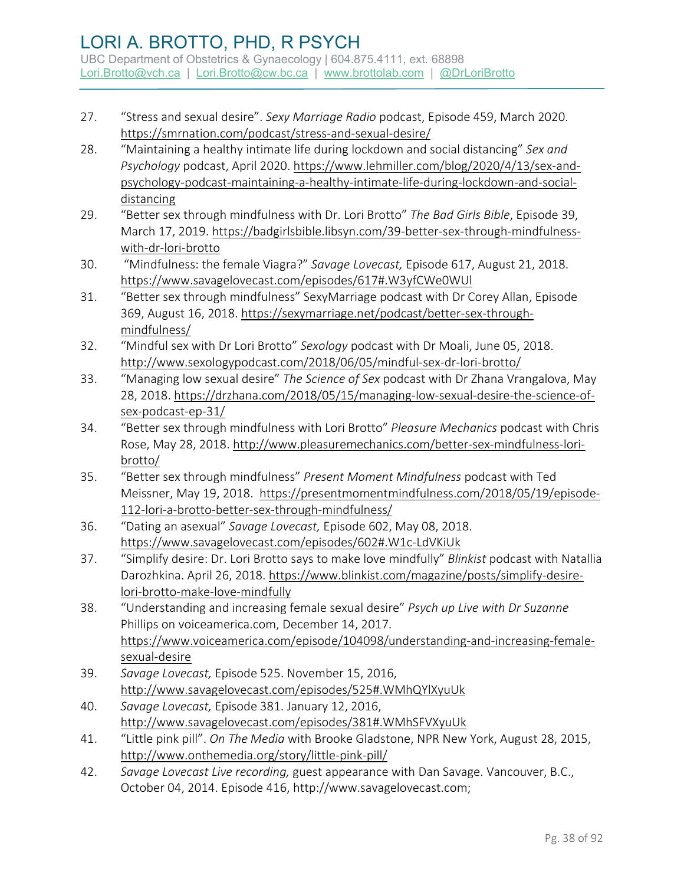- 27. "Stress and sexual desire". *Sexy Marriage Radio* podcast, Episode 459, March 2020. <https://smrnation.com/podcast/stress-and-sexual-desire/>
- 28. "Maintaining a healthy intimate life during lockdown and social distancing" *Sex and Psychology* podcast, April 2020[. https://www.lehmiller.com/blog/2020/4/13/sex-and](https://www.lehmiller.com/blog/2020/4/13/sex-and-psychology-podcast-maintaining-a-healthy-intimate-life-during-lockdown-and-social-distancing)[psychology-podcast-maintaining-a-healthy-intimate-life-during-lockdown-and-social](https://www.lehmiller.com/blog/2020/4/13/sex-and-psychology-podcast-maintaining-a-healthy-intimate-life-during-lockdown-and-social-distancing)[distancing](https://www.lehmiller.com/blog/2020/4/13/sex-and-psychology-podcast-maintaining-a-healthy-intimate-life-during-lockdown-and-social-distancing)
- 29. "Better sex through mindfulness with Dr. Lori Brotto" *The Bad Girls Bible*, Episode 39, March 17, 2019. [https://badgirlsbible.libsyn.com/39-better-sex-through-mindfulness](https://badgirlsbible.libsyn.com/39-better-sex-through-mindfulness-with-dr-lori-brotto)[with-dr-lori-brotto](https://badgirlsbible.libsyn.com/39-better-sex-through-mindfulness-with-dr-lori-brotto)
- 30. "Mindfulness: the female Viagra?" *Savage Lovecast,* Episode 617, August 21, 2018. <https://www.savagelovecast.com/episodes/617#.W3yfCWe0WUl>
- 31. "Better sex through mindfulness" SexyMarriage podcast with Dr Corey Allan, Episode 369, August 16, 2018. [https://sexymarriage.net/podcast/better-sex-through](https://sexymarriage.net/podcast/better-sex-through-mindfulness/)[mindfulness/](https://sexymarriage.net/podcast/better-sex-through-mindfulness/)
- 32. "Mindful sex with Dr Lori Brotto" *Sexology* podcast with Dr Moali, June 05, 2018. <http://www.sexologypodcast.com/2018/06/05/mindful-sex-dr-lori-brotto/>
- 33. "Managing low sexual desire" *The Science of Sex* podcast with Dr Zhana Vrangalova, May 28, 2018. [https://drzhana.com/2018/05/15/managing-low-sexual-desire-the-science-of](https://drzhana.com/2018/05/15/managing-low-sexual-desire-the-science-of-sex-podcast-ep-31/)[sex-podcast-ep-31/](https://drzhana.com/2018/05/15/managing-low-sexual-desire-the-science-of-sex-podcast-ep-31/)
- 34. "Better sex through mindfulness with Lori Brotto" *Pleasure Mechanics* podcast with Chris Rose, May 28, 2018. [http://www.pleasuremechanics.com/better-sex-mindfulness-lori](http://www.pleasuremechanics.com/better-sex-mindfulness-lori-brotto/)[brotto/](http://www.pleasuremechanics.com/better-sex-mindfulness-lori-brotto/)
- 35. "Better sex through mindfulness" *Present Moment Mindfulness* podcast with Ted Meissner, May 19, 2018. [https://presentmomentmindfulness.com/2018/05/19/episode-](https://presentmomentmindfulness.com/2018/05/19/episode-112-lori-a-brotto-better-sex-through-mindfulness/)[112-lori-a-brotto-better-sex-through-mindfulness/](https://presentmomentmindfulness.com/2018/05/19/episode-112-lori-a-brotto-better-sex-through-mindfulness/)
- 36. "Dating an asexual" *Savage Lovecast,* Episode 602, May 08, 2018. <https://www.savagelovecast.com/episodes/602#.W1c-LdVKiUk>
- 37. "Simplify desire: Dr. Lori Brotto says to make love mindfully" *Blinkist* podcast with Natallia Darozhkina. April 26, 2018[. https://www.blinkist.com/magazine/posts/simplify-desire](https://www.blinkist.com/magazine/posts/simplify-desire-lori-brotto-make-love-mindfully)[lori-brotto-make-love-mindfully](https://www.blinkist.com/magazine/posts/simplify-desire-lori-brotto-make-love-mindfully)
- 38. "Understanding and increasing female sexual desire" *Psych up Live with Dr Suzanne*  Phillips on voiceamerica.com, December 14, 2017. [https://www.voiceamerica.com/episode/104098/understanding-and-increasing-female](https://www.voiceamerica.com/episode/104098/understanding-and-increasing-female-sexual-desire)[sexual-desire](https://www.voiceamerica.com/episode/104098/understanding-and-increasing-female-sexual-desire)
- 39. *Savage Lovecast,* Episode 525. November 15, 2016, <http://www.savagelovecast.com/episodes/525#.WMhQYlXyuUk>
- 40. *Savage Lovecast,* Episode 381. January 12, 2016, <http://www.savagelovecast.com/episodes/381#.WMhSFVXyuUk>
- 41. "Little pink pill". *On The Media* with Brooke Gladstone, NPR New York, August 28, 2015, <http://www.onthemedia.org/story/little-pink-pill/>
- 42. *Savage Lovecast Live recording,* guest appearance with Dan Savage. Vancouver, B.C., October 04, 2014. Episode 416, [http://www.savagelovecast.com;](http://www.savagelovecast.com/)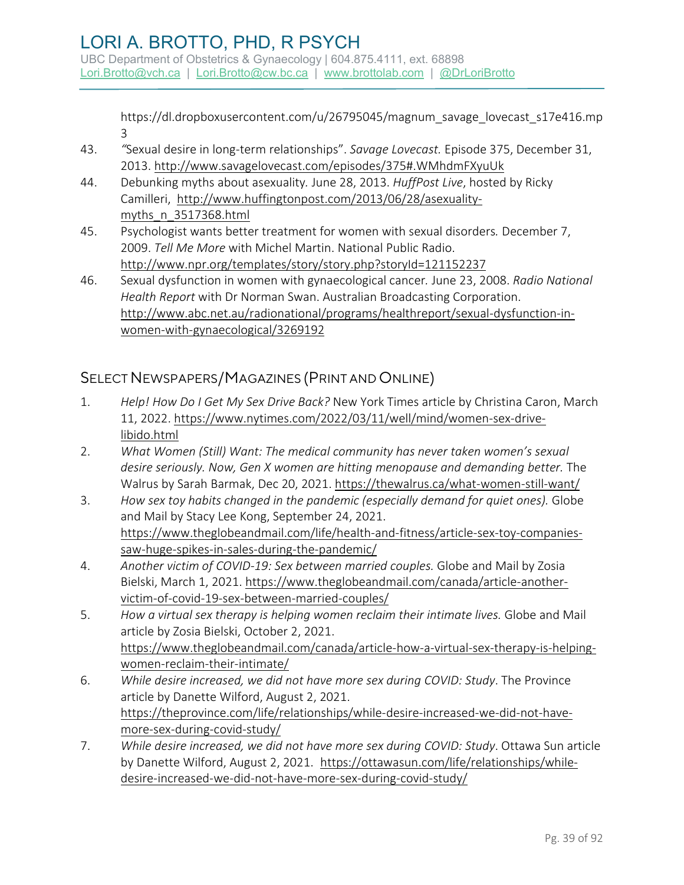[https://dl.dropboxusercontent.com/u/26795045/magnum\\_savage\\_lovecast\\_s17e416.mp](https://dl.dropboxusercontent.com/u/26795045/magnum_savage_lovecast_s17e416.mp3) [3](https://dl.dropboxusercontent.com/u/26795045/magnum_savage_lovecast_s17e416.mp3)

- 43. *"*Sexual desire in long-term relationships". *Savage Lovecast.* Episode 375, December 31, 2013.<http://www.savagelovecast.com/episodes/375#.WMhdmFXyuUk>
- 44. Debunking myths about asexuality*.* June 28, 2013. *HuffPost Live*, hosted by Ricky Camilleri, [http://www.huffingtonpost.com/2013/06/28/asexuality](http://www.huffingtonpost.com/2013/06/28/asexuality-myths_n_3517368.html)[myths\\_n\\_3517368.html](http://www.huffingtonpost.com/2013/06/28/asexuality-myths_n_3517368.html)
- 45. Psychologist wants better treatment for women with sexual disorders*.* December 7, 2009. *Tell Me More* with Michel Martin. National Public Radio. <http://www.npr.org/templates/story/story.php?storyId=121152237>
- 46. Sexual dysfunction in women with gynaecological cancer*.* June 23, 2008. *Radio National Health Report* with Dr Norman Swan. Australian Broadcasting Corporation. [http://www.abc.net.au/radionational/programs/healthreport/sexual-dysfunction-in](http://www.abc.net.au/radionational/programs/healthreport/sexual-dysfunction-in-women-with-gynaecological/3269192)[women-with-gynaecological/3269192](http://www.abc.net.au/radionational/programs/healthreport/sexual-dysfunction-in-women-with-gynaecological/3269192)

## SELECT NEWSPAPERS/MAGAZINES (PRINT AND ONLINE)

- 1. *Help! How Do I Get My Sex Drive Back?* New York Times article by Christina Caron, March 11, 2022. [https://www.nytimes.com/2022/03/11/well/mind/women-sex-drive](https://www.nytimes.com/2022/03/11/well/mind/women-sex-drive-libido.html)[libido.html](https://www.nytimes.com/2022/03/11/well/mind/women-sex-drive-libido.html)
- 2. *What Women (Still) Want: The medical community has never taken women's sexual*  desire seriously. Now, Gen X women are hitting menopause and demanding better. The Walrus by Sarah Barmak, Dec 20, 2021[. https://thewalrus.ca/what-women-still-want/](https://thewalrus.ca/what-women-still-want/)
- 3. *How sex toy habits changed in the pandemic (especially demand for quiet ones).* Globe and Mail by Stacy Lee Kong, September 24, 2021. [https://www.theglobeandmail.com/life/health-and-fitness/article-sex-toy-companies](https://www.theglobeandmail.com/life/health-and-fitness/article-sex-toy-companies-saw-huge-spikes-in-sales-during-the-pandemic/)[saw-huge-spikes-in-sales-during-the-pandemic/](https://www.theglobeandmail.com/life/health-and-fitness/article-sex-toy-companies-saw-huge-spikes-in-sales-during-the-pandemic/)
- 4. *Another victim of COVID-19: Sex between married couples.* Globe and Mail by Zosia Bielski, March 1, 2021[. https://www.theglobeandmail.com/canada/article-another](https://www.theglobeandmail.com/canada/article-another-victim-of-covid-19-sex-between-married-couples/)[victim-of-covid-19-sex-between-married-couples/](https://www.theglobeandmail.com/canada/article-another-victim-of-covid-19-sex-between-married-couples/)
- 5. *How a virtual sex therapy is helping women reclaim their intimate lives.* Globe and Mail article by Zosia Bielski, October 2, 2021. [https://www.theglobeandmail.com/canada/article-how-a-virtual-sex-therapy-is-helping](https://www.theglobeandmail.com/canada/article-how-a-virtual-sex-therapy-is-helping-women-reclaim-their-intimate/)[women-reclaim-their-intimate/](https://www.theglobeandmail.com/canada/article-how-a-virtual-sex-therapy-is-helping-women-reclaim-their-intimate/)
- 6. *While desire increased, we did not have more sex during COVID: Study*. The Province article by Danette Wilford, August 2, 2021. [https://theprovince.com/life/relationships/while-desire-increased-we-did-not-have](https://theprovince.com/life/relationships/while-desire-increased-we-did-not-have-more-sex-during-covid-study/)[more-sex-during-covid-study/](https://theprovince.com/life/relationships/while-desire-increased-we-did-not-have-more-sex-during-covid-study/)
- 7. *While desire increased, we did not have more sex during COVID: Study*. Ottawa Sun article by Danette Wilford, August 2, 2021. [https://ottawasun.com/life/relationships/while](https://ottawasun.com/life/relationships/while-desire-increased-we-did-not-have-more-sex-during-covid-study/)[desire-increased-we-did-not-have-more-sex-during-covid-study/](https://ottawasun.com/life/relationships/while-desire-increased-we-did-not-have-more-sex-during-covid-study/)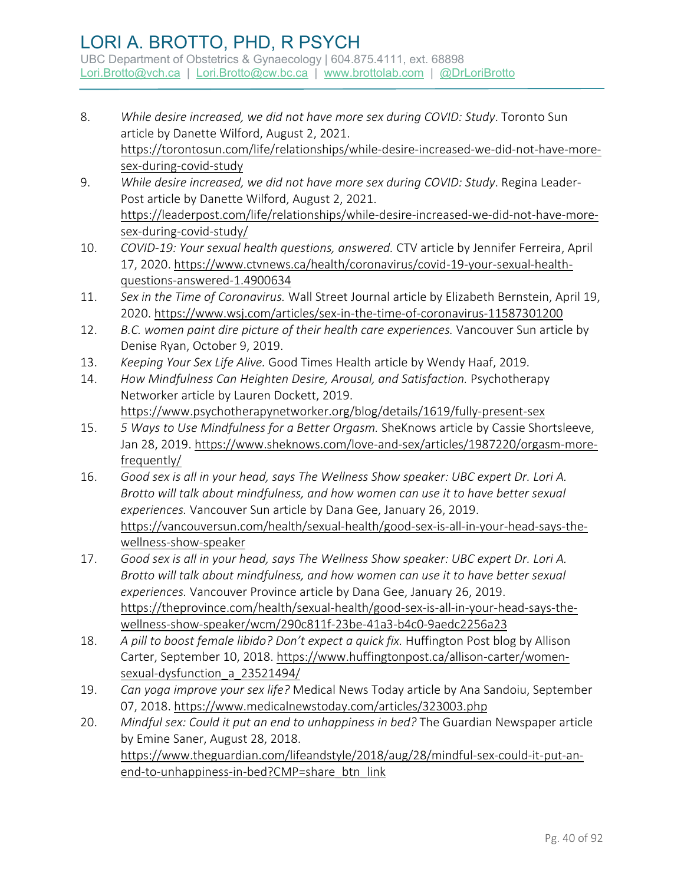- 8. *While desire increased, we did not have more sex during COVID: Study*. Toronto Sun article by Danette Wilford, August 2, 2021. [https://torontosun.com/life/relationships/while-desire-increased-we-did-not-have-more](https://torontosun.com/life/relationships/while-desire-increased-we-did-not-have-more-sex-during-covid-study)[sex-during-covid-study](https://torontosun.com/life/relationships/while-desire-increased-we-did-not-have-more-sex-during-covid-study)
- 9. *While desire increased, we did not have more sex during COVID: Study*. Regina Leader-Post article by Danette Wilford, August 2, 2021. [https://leaderpost.com/life/relationships/while-desire-increased-we-did-not-have-more](https://leaderpost.com/life/relationships/while-desire-increased-we-did-not-have-more-sex-during-covid-study/)[sex-during-covid-study/](https://leaderpost.com/life/relationships/while-desire-increased-we-did-not-have-more-sex-during-covid-study/)
- 10. *COVID-19: Your sexual health questions, answered.* CTV article by Jennifer Ferreira, April 17, 2020. [https://www.ctvnews.ca/health/coronavirus/covid-19-your-sexual-health](https://www.ctvnews.ca/health/coronavirus/covid-19-your-sexual-health-questions-answered-1.4900634)[questions-answered-1.4900634](https://www.ctvnews.ca/health/coronavirus/covid-19-your-sexual-health-questions-answered-1.4900634)
- 11. *Sex in the Time of Coronavirus.* Wall Street Journal article by Elizabeth Bernstein, April 19, 2020.<https://www.wsj.com/articles/sex-in-the-time-of-coronavirus-11587301200>
- 12. *B.C. women paint dire picture of their health care experiences.* Vancouver Sun article by Denise Ryan, October 9, 2019.
- 13. *Keeping Your Sex Life Alive.* Good Times Health article by Wendy Haaf, 2019.
- 14. *How Mindfulness Can Heighten Desire, Arousal, and Satisfaction.* Psychotherapy Networker article by [Lauren Dockett,](https://www.psychotherapynetworker.org/author/bio/3116/lauren-dockett) 2019. <https://www.psychotherapynetworker.org/blog/details/1619/fully-present-sex>
- 15. *5 Ways to Use Mindfulness for a Better Orgasm.* SheKnows article by Cassie Shortsleeve, Jan 28, 2019. https://www.sheknows.com/love-and-sex/articles/1987220/orgasm-morefrequently/
- 16. *Good sex is all in your head, says The Wellness Show speaker: UBC expert Dr. Lori A. Brotto will talk about mindfulness, and how women can use it to have better sexual experiences.* Vancouver Sun article by Dana Gee, January 26, 2019. https://vancouversun.com/health/sexual-health/good-sex-is-all-in-your-head-says-thewellness-show-speaker
- 17. *Good sex is all in your head, says The Wellness Show speaker: UBC expert Dr. Lori A. Brotto will talk about mindfulness, and how women can use it to have better sexual experiences.* Vancouver Province article by Dana Gee, January 26, 2019. https://theprovince.com/health/sexual-health/good-sex-is-all-in-your-head-says-thewellness-show-speaker/wcm/290c811f-23be-41a3-b4c0-9aedc2256a23
- 18. A pill to boost female libido? Don't expect a quick fix. Huffington Post blog by Allison Carter, September 10, 2018. [https://www.huffingtonpost.ca/allison-carter/women](https://www.huffingtonpost.ca/allison-carter/women-sexual-dysfunction_a_23521494/)[sexual-dysfunction\\_a\\_23521494/](https://www.huffingtonpost.ca/allison-carter/women-sexual-dysfunction_a_23521494/)
- 19. *Can yoga improve your sex life?* Medical News Today article by Ana Sandoiu, September 07, 2018.<https://www.medicalnewstoday.com/articles/323003.php>
- 20. *Mindful sex: Could it put an end to unhappiness in bed?* The Guardian Newspaper article by Emine Saner, August 28, 2018. [https://www.theguardian.com/lifeandstyle/2018/aug/28/mindful-sex-could-it-put-an](https://www.theguardian.com/lifeandstyle/2018/aug/28/mindful-sex-could-it-put-an-end-to-unhappiness-in-bed?CMP=share_btn_link)[end-to-unhappiness-in-bed?CMP=share\\_btn\\_link](https://www.theguardian.com/lifeandstyle/2018/aug/28/mindful-sex-could-it-put-an-end-to-unhappiness-in-bed?CMP=share_btn_link)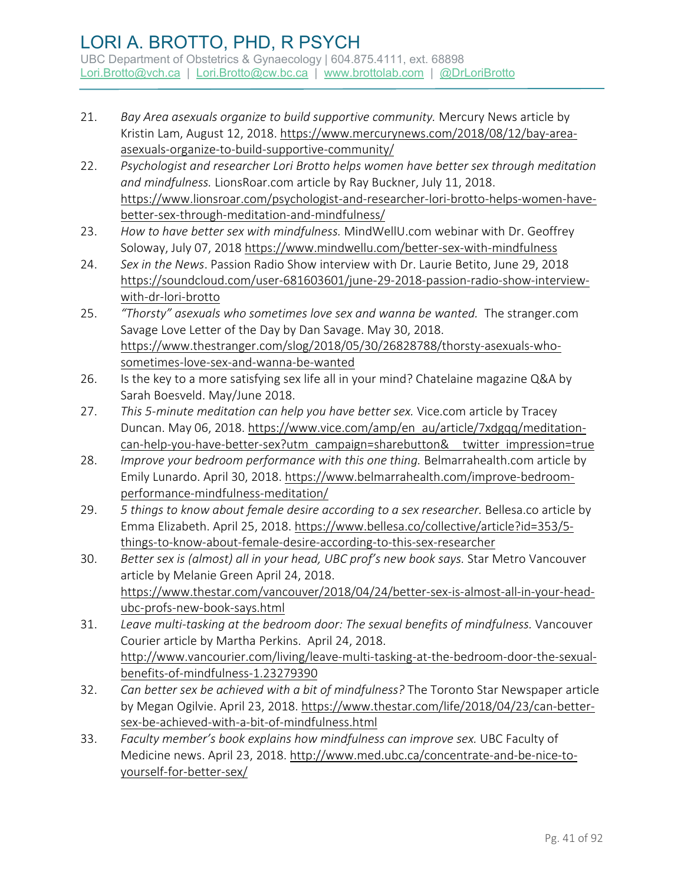- 21. *Bay Area asexuals organize to build supportive community.* Mercury News article by Kristin Lam, August 12, 2018. [https://www.mercurynews.com/2018/08/12/bay-area](https://www.mercurynews.com/2018/08/12/bay-area-asexuals-organize-to-build-supportive-community/)[asexuals-organize-to-build-supportive-community/](https://www.mercurynews.com/2018/08/12/bay-area-asexuals-organize-to-build-supportive-community/)
- 22. *Psychologist and researcher Lori Brotto helps women have better sex through meditation and mindfulness.* LionsRoar.com article by Ray Buckner, July 11, 2018. [https://www.lionsroar.com/psychologist-and-researcher-lori-brotto-helps-women-have](https://www.lionsroar.com/psychologist-and-researcher-lori-brotto-helps-women-have-better-sex-through-meditation-and-mindfulness/)[better-sex-through-meditation-and-mindfulness/](https://www.lionsroar.com/psychologist-and-researcher-lori-brotto-helps-women-have-better-sex-through-meditation-and-mindfulness/)
- 23. *How to have better sex with mindfulness.* MindWellU.com webinar with Dr. Geoffrey Soloway, July 07, 2018<https://www.mindwellu.com/better-sex-with-mindfulness>
- 24. *Sex in the News*. [Passion Radio Show interview with Dr. Laurie](https://med-fom-brotto.sites.olt.ubc.ca/wp-admin/post.php?post=3842&action=edit) Betito, June 29, 2018 [https://soundcloud.com/user-681603601/june-29-2018-passion-radio-show-interview](https://soundcloud.com/user-681603601/june-29-2018-passion-radio-show-interview-with-dr-lori-brotto)[with-dr-lori-brotto](https://soundcloud.com/user-681603601/june-29-2018-passion-radio-show-interview-with-dr-lori-brotto)
- 25. *"Thorsty" asexuals who sometimes love sex and wanna be wanted.* The stranger.com Savage Love Letter of the Day by Dan Savage. May 30, 2018. [https://www.thestranger.com/slog/2018/05/30/26828788/thorsty-asexuals-who](https://www.thestranger.com/slog/2018/05/30/26828788/thorsty-asexuals-who-sometimes-love-sex-and-wanna-be-wanted)[sometimes-love-sex-and-wanna-be-wanted](https://www.thestranger.com/slog/2018/05/30/26828788/thorsty-asexuals-who-sometimes-love-sex-and-wanna-be-wanted)
- 26. Is the key to a more satisfying sex life all in your mind? Chatelaine magazine Q&A by Sarah Boesveld. May/June 2018.
- 27. *This 5-minute meditation can help you have better sex.* Vice.com article by Tracey Duncan. May 06, 2018. [https://www.vice.com/amp/en\\_au/article/7xdgqq/meditation](https://www.vice.com/amp/en_au/article/7xdgqq/meditation-can-help-you-have-better-sex?utm_campaign=sharebutton&__twitter_impression=true)can-help-you-have-better-sex?utm\_campaign=sharebutton& twitter\_impression=true
- 28. *Improve your bedroom performance with this one thing.* Belmarrahealth.com article by Emily Lunardo. April 30, 2018. [https://www.belmarrahealth.com/improve-bedroom](https://www.belmarrahealth.com/improve-bedroom-performance-mindfulness-meditation/)[performance-mindfulness-meditation/](https://www.belmarrahealth.com/improve-bedroom-performance-mindfulness-meditation/)
- 29. *5 things to know about female desire according to a sex researcher.* Bellesa.co article by Emma Elizabeth. April 25, 2018[. https://www.bellesa.co/collective/article?id=353/5](https://www.bellesa.co/collective/article?id=353/5-things-to-know-about-female-desire-according-to-this-sex-researcher) [things-to-know-about-female-desire-according-to-this-sex-researcher](https://www.bellesa.co/collective/article?id=353/5-things-to-know-about-female-desire-according-to-this-sex-researcher)
- 30. *Better sex is (almost) all in your head, UBC prof's new book says.* Star Metro Vancouver article by Melanie Green April 24, 2018. [https://www.thestar.com/vancouver/2018/04/24/better-sex-is-almost-all-in-your-head](https://www.thestar.com/vancouver/2018/04/24/better-sex-is-almost-all-in-your-head-ubc-profs-new-book-says.html)[ubc-profs-new-book-says.html](https://www.thestar.com/vancouver/2018/04/24/better-sex-is-almost-all-in-your-head-ubc-profs-new-book-says.html)
- 31. *Leave multi-tasking at the bedroom door: The sexual benefits of mindfulness.* Vancouver Courier article by Martha Perkins. April 24, 2018. [http://www.vancourier.com/living/leave-multi-tasking-at-the-bedroom-door-the-sexual](http://www.vancourier.com/living/leave-multi-tasking-at-the-bedroom-door-the-sexual-benefits-of-mindfulness-1.23279390)[benefits-of-mindfulness-1.23279390](http://www.vancourier.com/living/leave-multi-tasking-at-the-bedroom-door-the-sexual-benefits-of-mindfulness-1.23279390)
- 32. *Can better sex be achieved with a bit of mindfulness?* The Toronto Star Newspaper article by Megan Ogilvie. April 23, 2018[. https://www.thestar.com/life/2018/04/23/can-better](https://www.thestar.com/life/2018/04/23/can-better-sex-be-achieved-with-a-bit-of-mindfulness.html)[sex-be-achieved-with-a-bit-of-mindfulness.html](https://www.thestar.com/life/2018/04/23/can-better-sex-be-achieved-with-a-bit-of-mindfulness.html)
- 33. *Faculty member's book explains how mindfulness can improve sex.* UBC Faculty of Medicine news. April 23, 2018. [http://www.med.ubc.ca/concentrate-and-be-nice-to](http://www.med.ubc.ca/concentrate-and-be-nice-to-yourself-for-better-sex/)[yourself-for-better-sex/](http://www.med.ubc.ca/concentrate-and-be-nice-to-yourself-for-better-sex/)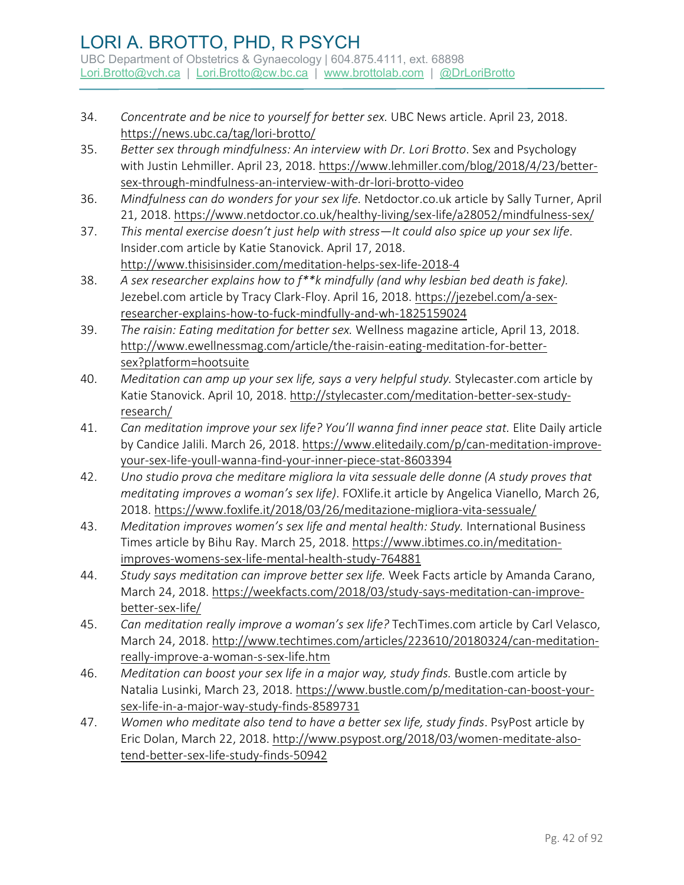- 34. *Concentrate and be nice to yourself for better sex.* UBC News article. April 23, 2018. <https://news.ubc.ca/tag/lori-brotto/>
- 35. *Better sex through mindfulness: An interview with Dr. Lori Brotto*. Sex and Psychology with Justin Lehmiller. April 23, 2018. [https://www.lehmiller.com/blog/2018/4/23/better](https://www.lehmiller.com/blog/2018/4/23/better-sex-through-mindfulness-an-interview-with-dr-lori-brotto-video)[sex-through-mindfulness-an-interview-with-dr-lori-brotto-video](https://www.lehmiller.com/blog/2018/4/23/better-sex-through-mindfulness-an-interview-with-dr-lori-brotto-video)
- 36. *Mindfulness can do wonders for your sex life.* Netdoctor.co.uk article by Sally Turner, April 21, 2018.<https://www.netdoctor.co.uk/healthy-living/sex-life/a28052/mindfulness-sex/>
- 37. *This mental exercise doesn't just help with stress—It could also spice up your sex life*. Insider.com article by Katie Stanovick. April 17, 2018. <http://www.thisisinsider.com/meditation-helps-sex-life-2018-4>
- 38. *A sex researcher explains how to f\*\*k mindfully (and why lesbian bed death is fake).* Jezebel.com article by Tracy Clark-Floy. April 16, 2018. [https://jezebel.com/a-sex](https://jezebel.com/a-sex-researcher-explains-how-to-fuck-mindfully-and-wh-1825159024)[researcher-explains-how-to-fuck-mindfully-and-wh-1825159024](https://jezebel.com/a-sex-researcher-explains-how-to-fuck-mindfully-and-wh-1825159024)
- 39. *The raisin: Eating meditation for better sex.* Wellness magazine article, April 13, 2018. [http://www.ewellnessmag.com/article/the-raisin-eating-meditation-for-better](http://www.ewellnessmag.com/article/the-raisin-eating-meditation-for-better-sex?platform=hootsuite)[sex?platform=hootsuite](http://www.ewellnessmag.com/article/the-raisin-eating-meditation-for-better-sex?platform=hootsuite)
- 40. *Meditation can amp up your sex life, says a very helpful study.* Stylecaster.com article by Katie Stanovick. April 10, 2018. [http://stylecaster.com/meditation-better-sex-study](http://stylecaster.com/meditation-better-sex-study-research/)[research/](http://stylecaster.com/meditation-better-sex-study-research/)
- 41. *Can meditation improve your sex life? You'll wanna find inner peace stat.* Elite Daily article by Candice Jalili. March 26, 2018[. https://www.elitedaily.com/p/can-meditation-improve](https://www.elitedaily.com/p/can-meditation-improve-your-sex-life-youll-wanna-find-your-inner-piece-stat-8603394)[your-sex-life-youll-wanna-find-your-inner-piece-stat-8603394](https://www.elitedaily.com/p/can-meditation-improve-your-sex-life-youll-wanna-find-your-inner-piece-stat-8603394)
- 42. *Uno studio prova che meditare migliora la vita sessuale delle donne (A study proves that meditating improves a woman's sex life)*. FOXlife.it article by Angelica Vianello, March 26, 2018.<https://www.foxlife.it/2018/03/26/meditazione-migliora-vita-sessuale/>
- 43. *Meditation improves women's sex life and mental health: Study.* International Business Times article by Bihu Ray. March 25, 2018. [https://www.ibtimes.co.in/meditation](https://www.ibtimes.co.in/meditation-improves-womens-sex-life-mental-health-study-764881)[improves-womens-sex-life-mental-health-study-764881](https://www.ibtimes.co.in/meditation-improves-womens-sex-life-mental-health-study-764881)
- 44. *Study says meditation can improve better sex life.* Week Facts article by Amanda Carano, March 24, 2018. [https://weekfacts.com/2018/03/study-says-meditation-can-improve](https://weekfacts.com/2018/03/study-says-meditation-can-improve-better-sex-life/)[better-sex-life/](https://weekfacts.com/2018/03/study-says-meditation-can-improve-better-sex-life/)
- 45. *Can meditation really improve a woman's sex life?* TechTimes.com article by Carl Velasco, March 24, 2018. [http://www.techtimes.com/articles/223610/20180324/can-meditation](http://www.techtimes.com/articles/223610/20180324/can-meditation-really-improve-a-woman-s-sex-life.htm)[really-improve-a-woman-s-sex-life.htm](http://www.techtimes.com/articles/223610/20180324/can-meditation-really-improve-a-woman-s-sex-life.htm)
- 46. *Meditation can boost your sex life in a major way, study finds.* Bustle.com article by Natalia Lusinki, March 23, 2018[. https://www.bustle.com/p/meditation-can-boost-your](https://www.bustle.com/p/meditation-can-boost-your-sex-life-in-a-major-way-study-finds-8589731)[sex-life-in-a-major-way-study-finds-8589731](https://www.bustle.com/p/meditation-can-boost-your-sex-life-in-a-major-way-study-finds-8589731)
- 47. *Women who meditate also tend to have a better sex life, study finds*. PsyPost article by Eric Dolan, March 22, 2018. [http://www.psypost.org/2018/03/women-meditate-also](http://www.psypost.org/2018/03/women-meditate-also-tend-better-sex-life-study-finds-50942)[tend-better-sex-life-study-finds-50942](http://www.psypost.org/2018/03/women-meditate-also-tend-better-sex-life-study-finds-50942)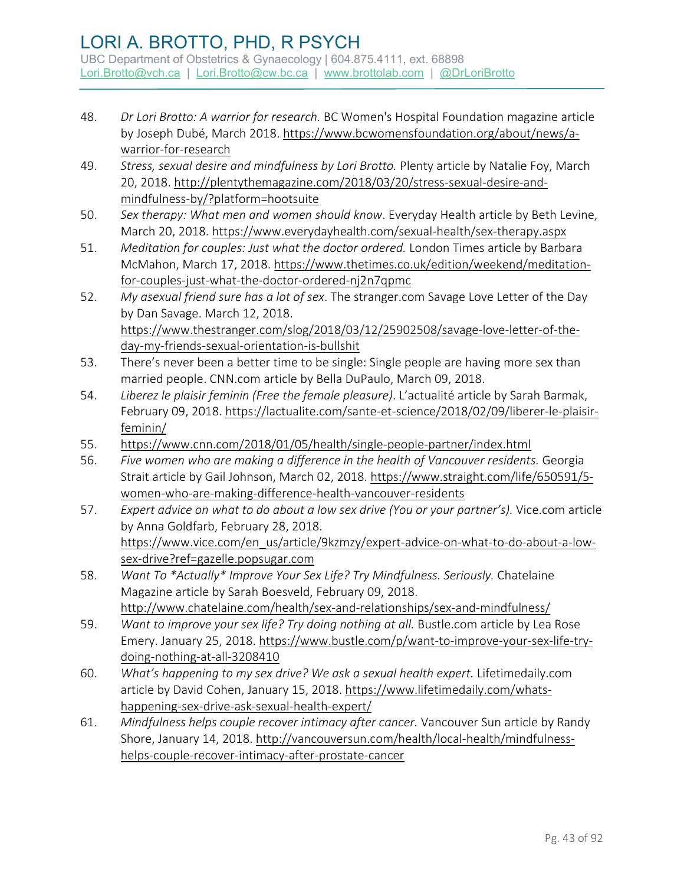- 48. *Dr Lori Brotto: A warrior for research.* BC Women's Hospital Foundation magazine article by Joseph Dubé, March 2018. [https://www.bcwomensfoundation.org/about/news/a](https://www.bcwomensfoundation.org/about/news/a-warrior-for-research)[warrior-for-research](https://www.bcwomensfoundation.org/about/news/a-warrior-for-research)
- 49. *Stress, sexual desire and mindfulness by Lori Brotto.* Plenty article by Natalie Foy, March 20, 2018. [http://plentythemagazine.com/2018/03/20/stress-sexual-desire-and](http://plentythemagazine.com/2018/03/20/stress-sexual-desire-and-mindfulness-by/?platform=hootsuite)[mindfulness-by/?platform=hootsuite](http://plentythemagazine.com/2018/03/20/stress-sexual-desire-and-mindfulness-by/?platform=hootsuite)
- 50. *Sex therapy: What men and women should know*. Everyday Health article by Beth Levine, March 20, 2018.<https://www.everydayhealth.com/sexual-health/sex-therapy.aspx>
- 51. *Meditation for couples: Just what the doctor ordered.* London Times article by Barbara McMahon, March 17, 2018. [https://www.thetimes.co.uk/edition/weekend/meditation](https://www.thetimes.co.uk/edition/weekend/meditation-for-couples-just-what-the-doctor-ordered-nj2n7qpmc)[for-couples-just-what-the-doctor-ordered-nj2n7qpmc](https://www.thetimes.co.uk/edition/weekend/meditation-for-couples-just-what-the-doctor-ordered-nj2n7qpmc)
- 52. *My asexual friend sure has a lot of sex*. The stranger.com Savage Love Letter of the Day by Dan Savage. March 12, 2018. [https://www.thestranger.com/slog/2018/03/12/25902508/savage-love-letter-of-the](https://www.thestranger.com/slog/2018/03/12/25902508/savage-love-letter-of-the-day-my-friends-sexual-orientation-is-bullshit)[day-my-friends-sexual-orientation-is-bullshit](https://www.thestranger.com/slog/2018/03/12/25902508/savage-love-letter-of-the-day-my-friends-sexual-orientation-is-bullshit)
- 53. There's never been a better time to be single: Single people are having more sex than married people. CNN.com article by Bella DuPaulo, March 09, 2018.
- 54. *Liberez le plaisir feminin (Free the female pleasure)*. L'actualité article by Sarah Barmak, February 09, 2018[. https://lactualite.com/sante-et-science/2018/02/09/liberer-le-plaisir](https://lactualite.com/sante-et-science/2018/02/09/liberer-le-plaisir-feminin/)[feminin/](https://lactualite.com/sante-et-science/2018/02/09/liberer-le-plaisir-feminin/)
- 55. <https://www.cnn.com/2018/01/05/health/single-people-partner/index.html>
- 56. *Five women who are making a difference in the health of Vancouver residents.* Georgia Strait article by Gail Johnson, March 02, 2018[. https://www.straight.com/life/650591/5](https://www.straight.com/life/650591/5-women-who-are-making-difference-health-vancouver-residents) [women-who-are-making-difference-health-vancouver-residents](https://www.straight.com/life/650591/5-women-who-are-making-difference-health-vancouver-residents)
- 57. *Expert advice on what to do about a low sex drive (You or your partner's).* Vice.com article by Anna Goldfarb, February 28, 2018. [https://www.vice.com/en\\_us/article/9kzmzy/expert-advice-on-what-to-do-about-a-low](https://www.vice.com/en_us/article/9kzmzy/expert-advice-on-what-to-do-about-a-low-sex-drive?ref=gazelle.popsugar.com)[sex-drive?ref=gazelle.popsugar.com](https://www.vice.com/en_us/article/9kzmzy/expert-advice-on-what-to-do-about-a-low-sex-drive?ref=gazelle.popsugar.com)
- 58. *Want To \*Actually\* Improve Your Sex Life? Try Mindfulness. Seriously.* Chatelaine Magazine article by Sarah Boesveld, February 09, 2018. <http://www.chatelaine.com/health/sex-and-relationships/sex-and-mindfulness/>
- 59. *Want to improve your sex life? Try doing nothing at all. Bustle.com article by Lea Rose* Emery. January 25, 2018. [https://www.bustle.com/p/want-to-improve-your-sex-life-try](https://www.bustle.com/p/want-to-improve-your-sex-life-try-doing-nothing-at-all-3208410)[doing-nothing-at-all-3208410](https://www.bustle.com/p/want-to-improve-your-sex-life-try-doing-nothing-at-all-3208410)
- 60. *What's happening to my sex drive? We ask a sexual health expert.* Lifetimedaily.com article by David Cohen, January 15, 2018. [https://www.lifetimedaily.com/whats](https://www.lifetimedaily.com/whats-happening-sex-drive-ask-sexual-health-expert/)[happening-sex-drive-ask-sexual-health-expert/](https://www.lifetimedaily.com/whats-happening-sex-drive-ask-sexual-health-expert/)
- 61. *Mindfulness helps couple recover intimacy after cancer.* Vancouver Sun article by Randy Shore, January 14, 2018. [http://vancouversun.com/health/local-health/mindfulness](http://vancouversun.com/health/local-health/mindfulness-helps-couple-recover-intimacy-after-prostate-cancer)[helps-couple-recover-intimacy-after-prostate-cancer](http://vancouversun.com/health/local-health/mindfulness-helps-couple-recover-intimacy-after-prostate-cancer)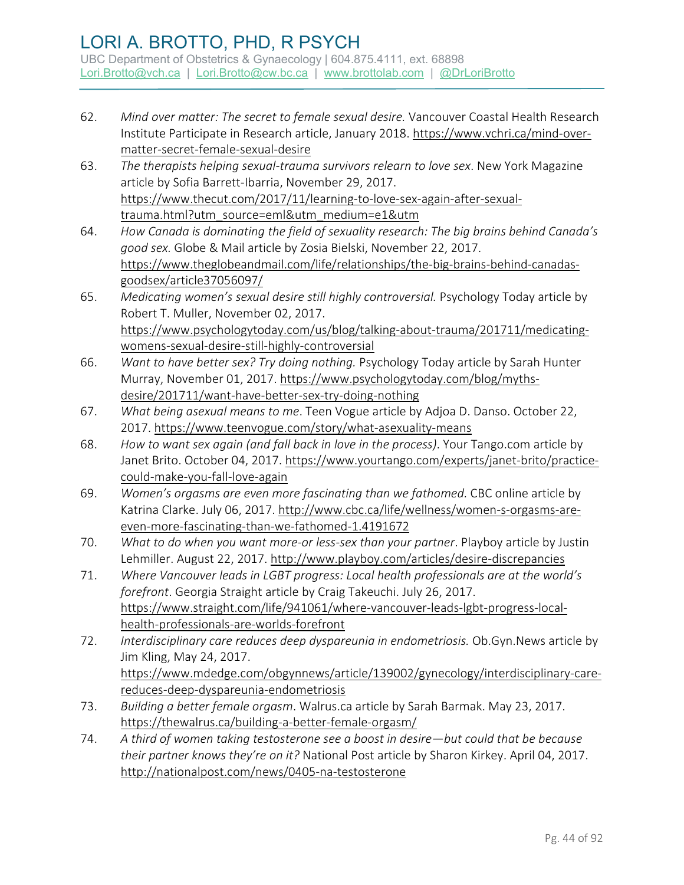- 62. *Mind over matter: The secret to female sexual desire.* Vancouver Coastal Health Research Institute Participate in Research article, January 2018. [https://www.vchri.ca/mind-over](https://www.vchri.ca/mind-over-matter-secret-female-sexual-desire)[matter-secret-female-sexual-desire](https://www.vchri.ca/mind-over-matter-secret-female-sexual-desire)
- 63. *The therapists helping sexual-trauma survivors relearn to love sex*. New York Magazine article by Sofia Barrett-Ibarria, November 29, 2017. [https://www.thecut.com/2017/11/learning-to-love-sex-again-after-sexual](https://www.thecut.com/2017/11/learning-to-love-sex-again-after-sexual-trauma.html?utm_source=eml&utm_medium=e1&utm)[trauma.html?utm\\_source=eml&utm\\_medium=e1&utm](https://www.thecut.com/2017/11/learning-to-love-sex-again-after-sexual-trauma.html?utm_source=eml&utm_medium=e1&utm)
- 64. *How Canada is dominating the field of sexuality research: The big brains behind Canada's good sex.* Globe & Mail article by Zosia Bielski, November 22, 2017. [https://www.theglobeandmail.com/life/relationships/the-big-brains-behind-canadas](https://www.theglobeandmail.com/life/relationships/the-big-brains-behind-canadas-goodsex/article37056097/)[goodsex/article37056097/](https://www.theglobeandmail.com/life/relationships/the-big-brains-behind-canadas-goodsex/article37056097/)
- 65. *Medicating women's sexual desire still highly controversial.* Psychology Today article by Robert T. Muller, November 02, 2017. [https://www.psychologytoday.com/us/blog/talking-about-trauma/201711/medicating](https://www.psychologytoday.com/us/blog/talking-about-trauma/201711/medicating-womens-sexual-desire-still-highly-controversial)[womens-sexual-desire-still-highly-controversial](https://www.psychologytoday.com/us/blog/talking-about-trauma/201711/medicating-womens-sexual-desire-still-highly-controversial)
- 66. *Want to have better sex? Try doing nothing.* Psychology Today article by Sarah Hunter Murray, November 01, 2017[. https://www.psychologytoday.com/blog/myths](https://www.psychologytoday.com/blog/myths-desire/201711/want-have-better-sex-try-doing-nothing)[desire/201711/want-have-better-sex-try-doing-nothing](https://www.psychologytoday.com/blog/myths-desire/201711/want-have-better-sex-try-doing-nothing)
- 67. *What being asexual means to me*. Teen Vogue article by Adjoa D. Danso. October 22, 2017.<https://www.teenvogue.com/story/what-asexuality-means>
- 68. *How to want sex again (and fall back in love in the process)*. Your Tango.com article by Janet Brito. October 04, 2017. [https://www.yourtango.com/experts/janet-brito/practice](https://www.yourtango.com/experts/janet-brito/practice-could-make-you-fall-love-again)[could-make-you-fall-love-again](https://www.yourtango.com/experts/janet-brito/practice-could-make-you-fall-love-again)
- 69. *Women's orgasms are even more fascinating than we fathomed.* CBC online article by Katrina Clarke. July 06, 2017. [http://www.cbc.ca/life/wellness/women-s-orgasms-are](http://www.cbc.ca/life/wellness/women-s-orgasms-are-even-more-fascinating-than-we-fathomed-1.4191672)[even-more-fascinating-than-we-fathomed-1.4191672](http://www.cbc.ca/life/wellness/women-s-orgasms-are-even-more-fascinating-than-we-fathomed-1.4191672)
- 70. *What to do when you want more-or less-sex than your partner*. Playboy article by Justin Lehmiller. August 22, 2017.<http://www.playboy.com/articles/desire-discrepancies>
- 71. *Where Vancouver leads in LGBT progress: Local health professionals are at the world's forefront*. Georgia Straight article by Craig Takeuchi. July 26, 2017. [https://www.straight.com/life/941061/where-vancouver-leads-lgbt-progress-local](https://www.straight.com/life/941061/where-vancouver-leads-lgbt-progress-local-health-professionals-are-worlds-forefront)[health-professionals-are-worlds-forefront](https://www.straight.com/life/941061/where-vancouver-leads-lgbt-progress-local-health-professionals-are-worlds-forefront)
- 72. *Interdisciplinary care reduces deep dyspareunia in endometriosis.* Ob.Gyn.News article by Jim Kling, May 24, 2017. [https://www.mdedge.com/obgynnews/article/139002/gynecology/interdisciplinary-care](https://www.mdedge.com/obgynnews/article/139002/gynecology/interdisciplinary-care-reduces-deep-dyspareunia-endometriosis)[reduces-deep-dyspareunia-endometriosis](https://www.mdedge.com/obgynnews/article/139002/gynecology/interdisciplinary-care-reduces-deep-dyspareunia-endometriosis)
- 73. *Building a better female orgasm*. Walrus.ca article by Sarah Barmak. May 23, 2017. <https://thewalrus.ca/building-a-better-female-orgasm/>
- 74. *A third of women taking testosterone see a boost in desire—but could that be because their partner knows they're on it?* National Post article by Sharon Kirkey. April 04, 2017. <http://nationalpost.com/news/0405-na-testosterone>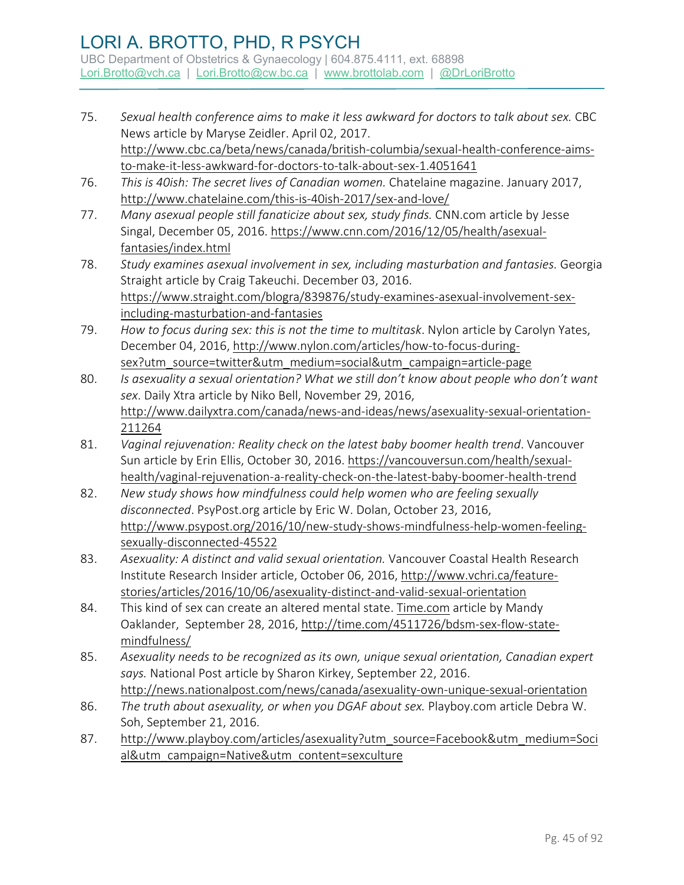- 75. *Sexual health conference aims to make it less awkward for doctors to talk about sex.* CBC News article by Maryse Zeidler. April 02, 2017. [http://www.cbc.ca/beta/news/canada/british-columbia/sexual-health-conference-aims](http://www.cbc.ca/beta/news/canada/british-columbia/sexual-health-conference-aims-to-make-it-less-awkward-for-doctors-to-talk-about-sex-1.4051641)[to-make-it-less-awkward-for-doctors-to-talk-about-sex-1.4051641](http://www.cbc.ca/beta/news/canada/british-columbia/sexual-health-conference-aims-to-make-it-less-awkward-for-doctors-to-talk-about-sex-1.4051641)
- 76. *This is 40ish: The secret lives of Canadian women.* Chatelaine magazine. January 2017, <http://www.chatelaine.com/this-is-40ish-2017/sex-and-love/>
- 77. *Many asexual people still fanaticize about sex, study finds.* CNN.com article by Jesse Singal, December 05, 2016. [https://www.cnn.com/2016/12/05/health/asexual](https://www.cnn.com/2016/12/05/health/asexual-fantasies/index.html)[fantasies/index.html](https://www.cnn.com/2016/12/05/health/asexual-fantasies/index.html)
- 78. *Study examines asexual involvement in sex, including masturbation and fantasies.* Georgia Straight article by Craig Takeuchi. December 03, 2016. [https://www.straight.com/blogra/839876/study-examines-asexual-involvement-sex](https://www.straight.com/blogra/839876/study-examines-asexual-involvement-sex-including-masturbation-and-fantasies)[including-masturbation-and-fantasies](https://www.straight.com/blogra/839876/study-examines-asexual-involvement-sex-including-masturbation-and-fantasies)
- 79. *How to focus during sex: this is not the time to multitask*. Nylon article by Carolyn Yates, December 04, 2016, [http://www.nylon.com/articles/how-to-focus-during](http://www.nylon.com/articles/how-to-focus-during-sex?utm_source=twitter&utm_medium=social&utm_campaign=article-page)[sex?utm\\_source=twitter&utm\\_medium=social&utm\\_campaign=article-page](http://www.nylon.com/articles/how-to-focus-during-sex?utm_source=twitter&utm_medium=social&utm_campaign=article-page)
- 80. *Is asexuality a sexual orientation? What we still don't know about people who don't want sex*. Daily Xtra article by Niko Bell, November 29, 2016, [http://www.dailyxtra.com/canada/news-and-ideas/news/asexuality-sexual-orientation-](http://www.dailyxtra.com/canada/news-and-ideas/news/asexuality-sexual-orientation-211264)[211264](http://www.dailyxtra.com/canada/news-and-ideas/news/asexuality-sexual-orientation-211264)
- 81. *Vaginal rejuvenation: Reality check on the latest baby boomer health trend*. Vancouver Sun article by Erin Ellis, October 30, 2016. [https://vancouversun.com/health/sexual](https://vancouversun.com/health/sexual-health/vaginal-rejuvenation-a-reality-check-on-the-latest-baby-boomer-health-trend)[health/vaginal-rejuvenation-a-reality-check-on-the-latest-baby-boomer-health-trend](https://vancouversun.com/health/sexual-health/vaginal-rejuvenation-a-reality-check-on-the-latest-baby-boomer-health-trend)
- 82. *New study shows how mindfulness could help women who are feeling sexually disconnected*. PsyPost.org article by Eric W. Dolan, October 23, 2016, [http://www.psypost.org/2016/10/new-study-shows-mindfulness-help-women-feeling](http://www.psypost.org/2016/10/new-study-shows-mindfulness-help-women-feeling-sexually-disconnected-45522)[sexually-disconnected-45522](http://www.psypost.org/2016/10/new-study-shows-mindfulness-help-women-feeling-sexually-disconnected-45522)
- 83. *Asexuality: A distinct and valid sexual orientation.* Vancouver Coastal Health Research Institute Research Insider article, October 06, 2016, [http://www.vchri.ca/feature](http://www.vchri.ca/feature-stories/articles/2016/10/06/asexuality-distinct-and-valid-sexual-orientation)[stories/articles/2016/10/06/asexuality-distinct-and-valid-sexual-orientation](http://www.vchri.ca/feature-stories/articles/2016/10/06/asexuality-distinct-and-valid-sexual-orientation)
- 84. This kind of sex can create an altered mental state. [Time.com](http://time.com/) article by Mandy Oaklander, September 28, 2016[, http://time.com/4511726/bdsm-sex-flow-state](http://time.com/4511726/bdsm-sex-flow-state-mindfulness/)[mindfulness/](http://time.com/4511726/bdsm-sex-flow-state-mindfulness/)
- 85. *Asexuality needs to be recognized as its own, unique sexual orientation, Canadian expert says.* National Post article by Sharon Kirkey, September 22, 2016. <http://news.nationalpost.com/news/canada/asexuality-own-unique-sexual-orientation>
- 86. *The truth about asexuality, or when you DGAF about sex.* Playboy.com article Debra W. Soh, September 21, 2016.
- 87. [http://www.playboy.com/articles/asexuality?utm\\_source=Facebook&utm\\_medium=Soci](http://www.playboy.com/articles/asexuality?utm_source=Facebook&utm_medium=Social&utm_campaign=Native&utm_content=sexculture) [al&utm\\_campaign=Native&utm\\_content=sexculture](http://www.playboy.com/articles/asexuality?utm_source=Facebook&utm_medium=Social&utm_campaign=Native&utm_content=sexculture)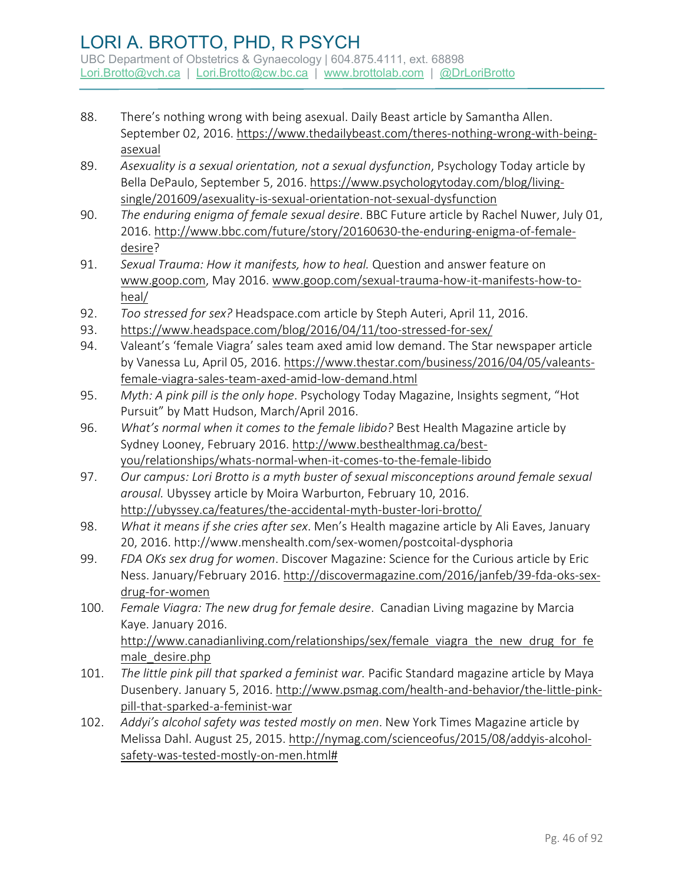- 88. There's nothing wrong with being asexual. Daily Beast article by Samantha Allen. September 02, 2016. [https://www.thedailybeast.com/theres-nothing-wrong-with-being](https://www.thedailybeast.com/theres-nothing-wrong-with-being-asexual)[asexual](https://www.thedailybeast.com/theres-nothing-wrong-with-being-asexual)
- 89. *Asexuality is a sexual orientation, not a sexual dysfunction*, Psychology Today article by Bella DePaulo, September 5, 2016. [https://www.psychologytoday.com/blog/living](https://www.psychologytoday.com/blog/living-single/201609/asexuality-is-sexual-orientation-not-sexual-dysfunction)[single/201609/asexuality-is-sexual-orientation-not-sexual-dysfunction](https://www.psychologytoday.com/blog/living-single/201609/asexuality-is-sexual-orientation-not-sexual-dysfunction)
- 90. *The enduring enigma of female sexual desire*. BBC Future article by Rachel Nuwer, July 01, 2016. [http://www.bbc.com/future/story/20160630-the-enduring-enigma-of-female](http://www.bbc.com/future/story/20160630-the-enduring-enigma-of-female-desire)[desire?](http://www.bbc.com/future/story/20160630-the-enduring-enigma-of-female-desire)
- 91. *Sexual Trauma: How it manifests, how to heal.* Question and answer feature on [www.goop.com,](http://www.goop.com/) May 2016[. www.goop.com/sexual-trauma-how-it-manifests-how-to](http://www.goop.com/sexual-trauma-how-it-manifests-how-to-heal/)[heal/](http://www.goop.com/sexual-trauma-how-it-manifests-how-to-heal/)
- 92. *Too stressed for sex?* Headspace.com article by Steph Auteri, April 11, 2016.
- 93. <https://www.headspace.com/blog/2016/04/11/too-stressed-for-sex/>
- 94. Valeant's 'female Viagra' sales team axed amid low demand. The Star newspaper article by Vanessa Lu, April 05, 2016. [https://www.thestar.com/business/2016/04/05/valeants](https://www.thestar.com/business/2016/04/05/valeants-female-viagra-sales-team-axed-amid-low-demand.html)[female-viagra-sales-team-axed-amid-low-demand.html](https://www.thestar.com/business/2016/04/05/valeants-female-viagra-sales-team-axed-amid-low-demand.html)
- 95. *Myth: A pink pill is the only hope*. Psychology Today Magazine, Insights segment, "Hot Pursuit" by Matt Hudson, March/April 2016.
- 96. *What's normal when it comes to the female libido?* Best Health Magazine article by Sydney Looney, February 2016[. http://www.besthealthmag.ca/best](http://www.besthealthmag.ca/best-you/relationships/whats-normal-when-it-comes-to-the-female-libido)[you/relationships/whats-normal-when-it-comes-to-the-female-libido](http://www.besthealthmag.ca/best-you/relationships/whats-normal-when-it-comes-to-the-female-libido)
- 97. *Our campus: Lori Brotto is a myth buster of sexual misconceptions around female sexual arousal.* Ubyssey article by Moira Warburton, February 10, 2016. <http://ubyssey.ca/features/the-accidental-myth-buster-lori-brotto/>
- 98. *What it means if she cries after sex*. Men's Health magazine article by Ali Eaves, January 20, 2016.<http://www.menshealth.com/sex-women/postcoital-dysphoria>
- 99. *FDA OKs sex drug for women*. Discover Magazine: Science for the Curious article by Eric Ness. January/February 2016[. http://discovermagazine.com/2016/janfeb/39-fda-oks-sex](http://discovermagazine.com/2016/janfeb/39-fda-oks-sex-drug-for-women)[drug-for-women](http://discovermagazine.com/2016/janfeb/39-fda-oks-sex-drug-for-women)
- 100. *Female Viagra: The new drug for female desire*. Canadian Living magazine by Marcia Kaye. January 2016. http://www.canadianliving.com/relationships/sex/female viagra the new drug for fe [male\\_desire.php](http://www.canadianliving.com/relationships/sex/female_viagra_the_new_drug_for_female_desire.php)
- 101. *The little pink pill that sparked a feminist war.* Pacific Standard magazine article by Maya Dusenbery. January 5, 2016. [http://www.psmag.com/health-and-behavior/the-little-pink](http://www.psmag.com/health-and-behavior/the-little-pink-pill-that-sparked-a-feminist-war)[pill-that-sparked-a-feminist-war](http://www.psmag.com/health-and-behavior/the-little-pink-pill-that-sparked-a-feminist-war)
- 102. *Addyi's alcohol safety was tested mostly on men*. New York Times Magazine article by Melissa Dahl. August 25, 2015. [http://nymag.com/scienceofus/2015/08/addyis-alcohol](http://nymag.com/scienceofus/2015/08/addyis-alcohol-safety-was-tested-mostly-on-men.html)[safety-was-tested-mostly-on-men.html#](http://nymag.com/scienceofus/2015/08/addyis-alcohol-safety-was-tested-mostly-on-men.html)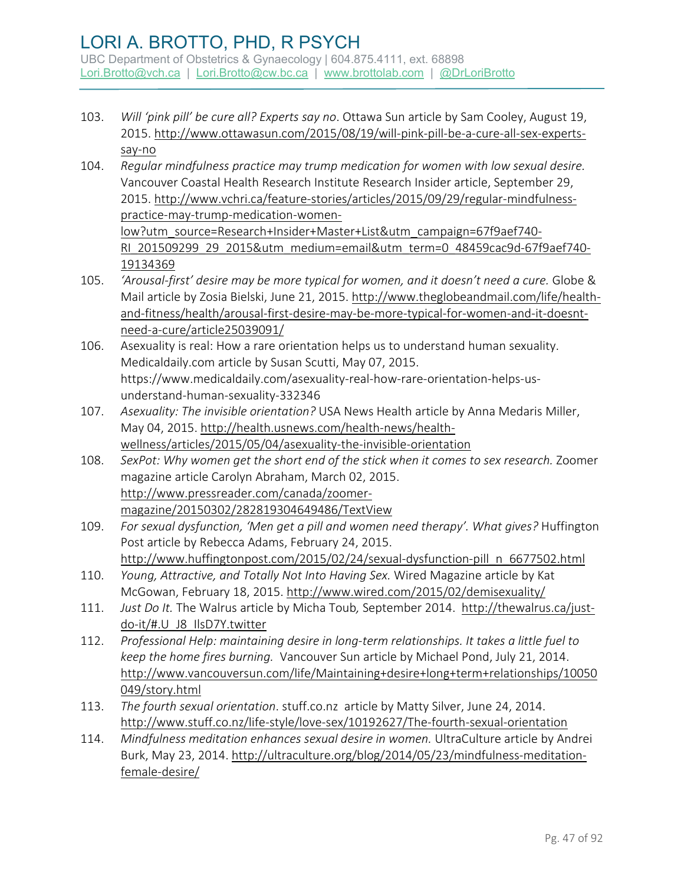- 103. *Will 'pink pill' be cure all? Experts say no*. Ottawa Sun article by Sam Cooley, August 19, 2015. [http://www.ottawasun.com/2015/08/19/will-pink-pill-be-a-cure-all-sex-experts](http://www.ottawasun.com/2015/08/19/will-pink-pill-be-a-cure-all-sex-experts-say-no)[say-no](http://www.ottawasun.com/2015/08/19/will-pink-pill-be-a-cure-all-sex-experts-say-no)
- 104. *Regular mindfulness practice may trump medication for women with low sexual desire.* Vancouver Coastal Health Research Institute Research Insider article, September 29, 2015. [http://www.vchri.ca/feature-stories/articles/2015/09/29/regular-mindfulness](http://www.vchri.ca/feature-stories/articles/2015/09/29/regular-mindfulness-practice-may-trump-medication-women-low?utm_source=Research+Insider+Master+List&utm_campaign=67f9aef740-RI_201509299_29_2015&utm_medium=email&utm_term=0_48459cac9d-67f9aef740-19134369)[practice-may-trump-medication-women](http://www.vchri.ca/feature-stories/articles/2015/09/29/regular-mindfulness-practice-may-trump-medication-women-low?utm_source=Research+Insider+Master+List&utm_campaign=67f9aef740-RI_201509299_29_2015&utm_medium=email&utm_term=0_48459cac9d-67f9aef740-19134369)[low?utm\\_source=Research+Insider+Master+List&utm\\_campaign=67f9aef740-](http://www.vchri.ca/feature-stories/articles/2015/09/29/regular-mindfulness-practice-may-trump-medication-women-low?utm_source=Research+Insider+Master+List&utm_campaign=67f9aef740-RI_201509299_29_2015&utm_medium=email&utm_term=0_48459cac9d-67f9aef740-19134369) [RI\\_201509299\\_29\\_2015&utm\\_medium=email&utm\\_term=0\\_48459cac9d-67f9aef740-](http://www.vchri.ca/feature-stories/articles/2015/09/29/regular-mindfulness-practice-may-trump-medication-women-low?utm_source=Research+Insider+Master+List&utm_campaign=67f9aef740-RI_201509299_29_2015&utm_medium=email&utm_term=0_48459cac9d-67f9aef740-19134369) [19134369](http://www.vchri.ca/feature-stories/articles/2015/09/29/regular-mindfulness-practice-may-trump-medication-women-low?utm_source=Research+Insider+Master+List&utm_campaign=67f9aef740-RI_201509299_29_2015&utm_medium=email&utm_term=0_48459cac9d-67f9aef740-19134369)
- 105. *'Arousal-first' desire may be more typical for women, and it doesn't need a cure.* Globe & Mail article by Zosia Bielski, June 21, 2015. [http://www.theglobeandmail.com/life/health](http://www.theglobeandmail.com/life/health-and-fitness/health/arousal-first-desire-may-be-more-typical-for-women-and-it-doesnt-need-a-cure/article25039091/)[and-fitness/health/arousal-first-desire-may-be-more-typical-for-women-and-it-doesnt](http://www.theglobeandmail.com/life/health-and-fitness/health/arousal-first-desire-may-be-more-typical-for-women-and-it-doesnt-need-a-cure/article25039091/)[need-a-cure/article25039091/](http://www.theglobeandmail.com/life/health-and-fitness/health/arousal-first-desire-may-be-more-typical-for-women-and-it-doesnt-need-a-cure/article25039091/)
- 106. Asexuality is real: How a rare orientation helps us to understand human sexuality. Medicaldaily.com article by Susan Scutti, May 07, 2015. https://www.medicaldaily.com/asexuality-real-how-rare-orientation-helps-usunderstand-human-sexuality-332346
- 107. *Asexuality: The invisible orientation?* USA News Health article by Anna Medaris Miller, May 04, 2015. [http://health.usnews.com/health-news/health](http://health.usnews.com/health-news/health-wellness/articles/2015/05/04/asexuality-the-invisible-orientation)[wellness/articles/2015/05/04/asexuality-the-invisible-orientation](http://health.usnews.com/health-news/health-wellness/articles/2015/05/04/asexuality-the-invisible-orientation)
- 108. *SexPot: Why women get the short end of the stick when it comes to sex research.* Zoomer magazine article Carolyn Abraham, March 02, 2015. [http://www.pressreader.com/canada/zoomer](http://www.pressreader.com/canada/zoomer-magazine/20150302/282819304649486/TextView)[magazine/20150302/282819304649486/TextView](http://www.pressreader.com/canada/zoomer-magazine/20150302/282819304649486/TextView)
- 109. *For sexual dysfunction, 'Men get a pill and women need therapy'. What gives?* Huffington Post article by Rebecca Adams, February 24, 2015. [http://www.huffingtonpost.com/2015/02/24/sexual-dysfunction-pill\\_n\\_6677502.html](http://www.huffingtonpost.com/2015/02/24/sexual-dysfunction-pill_n_6677502.html)
- 110. *Young, Attractive, and Totally Not Into Having Sex.* Wired Magazine article by Kat McGowan, February 18, 2015.<http://www.wired.com/2015/02/demisexuality/>
- 111. *Just Do It.* The Walrus article by Micha Toub*,* September 2014. [http://thewalrus.ca/just](http://thewalrus.ca/just-do-it/#.U_J8_IlsD7Y.twitter)[do-it/#.U\\_J8\\_IlsD7Y.twitter](http://thewalrus.ca/just-do-it/#.U_J8_IlsD7Y.twitter)
- 112. *Professional Help: maintaining desire in long-term relationships. It takes a little fuel to keep the home fires burning.* Vancouver Sun article by Michael Pond, July 21, 2014. [http://www.vancouversun.com/life/Maintaining+desire+long+term+relationships/10050](http://www.vancouversun.com/life/Maintaining+desire+long+term+relationships/10050049/story.html) [049/story.html](http://www.vancouversun.com/life/Maintaining+desire+long+term+relationships/10050049/story.html)
- 113. *The fourth sexual orientation*. stuff.co.nz article by Matty Silver, June 24, 2014. <http://www.stuff.co.nz/life-style/love-sex/10192627/The-fourth-sexual-orientation>
- 114. *Mindfulness meditation enhances sexual desire in women.* UltraCulture article by Andrei Burk, May 23, 2014. [http://ultraculture.org/blog/2014/05/23/mindfulness-meditation](http://ultraculture.org/blog/2014/05/23/mindfulness-meditation-female-desire/)[female-desire/](http://ultraculture.org/blog/2014/05/23/mindfulness-meditation-female-desire/)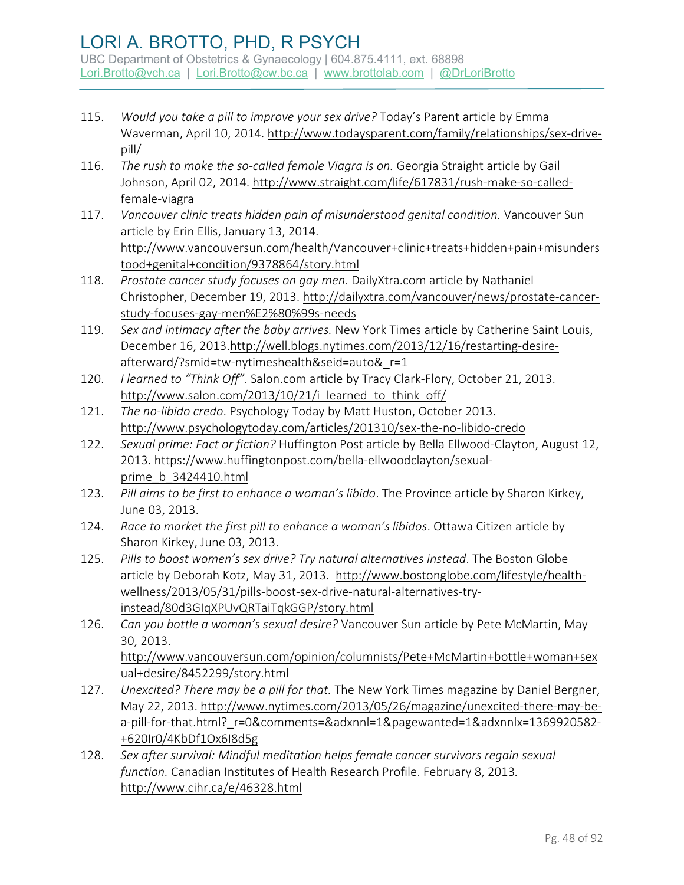- 115. *Would you take a pill to improve your sex drive?* Today's Parent article by Emma Waverman, April 10, 2014. [http://www.todaysparent.com/family/relationships/sex-drive](http://www.todaysparent.com/family/relationships/sex-drive-pill/)[pill/](http://www.todaysparent.com/family/relationships/sex-drive-pill/)
- 116. *The rush to make the so-called female Viagra is on.* Georgia Straight article by Gail Johnson, April 02, 2014. [http://www.straight.com/life/617831/rush-make-so-called](http://www.straight.com/life/617831/rush-make-so-called-female-viagra)[female-viagra](http://www.straight.com/life/617831/rush-make-so-called-female-viagra)
- 117. *Vancouver clinic treats hidden pain of misunderstood genital condition.* Vancouver Sun article by Erin Ellis, January 13, 2014. [http://www.vancouversun.com/health/Vancouver+clinic+treats+hidden+pain+misunders](http://www.vancouversun.com/health/Vancouver+clinic+treats+hidden+pain+misunderstood+genital+condition/9378864/story.html) [tood+genital+condition/9378864/story.html](http://www.vancouversun.com/health/Vancouver+clinic+treats+hidden+pain+misunderstood+genital+condition/9378864/story.html)
- 118. *Prostate cancer study focuses on gay men*. DailyXtra.com article by Nathaniel Christopher, December 19, 2013. [http://dailyxtra.com/vancouver/news/prostate-cancer](http://dailyxtra.com/vancouver/news/prostate-cancer-study-focuses-gay-men%E2%80%99s-needs)[study-focuses-gay-men%E2%80%99s-needs](http://dailyxtra.com/vancouver/news/prostate-cancer-study-focuses-gay-men%E2%80%99s-needs)
- 119. *Sex and intimacy after the baby arrives.* New York Times article by Catherine Saint Louis, December 16, 2013[.http://well.blogs.nytimes.com/2013/12/16/restarting-desire](http://well.blogs.nytimes.com/2013/12/16/restarting-desire-afterward/?smid=tw-nytimeshealth&seid=auto&_r=1)[afterward/?smid=tw-nytimeshealth&seid=auto&\\_r=1](http://well.blogs.nytimes.com/2013/12/16/restarting-desire-afterward/?smid=tw-nytimeshealth&seid=auto&_r=1)
- 120. *I learned to "Think Off"*. Salon.com article by Tracy Clark-Flory, October 21, 2013. http://www.salon.com/2013/10/21/i learned to think off/
- 121. *The no-libido credo*. Psychology Today by Matt Huston, October 2013. <http://www.psychologytoday.com/articles/201310/sex-the-no-libido-credo>
- 122. *Sexual prime: Fact or fiction?* Huffington Post article by Bella Ellwood-Clayton, August 12, 2013. [https://www.huffingtonpost.com/bella-ellwoodclayton/sexual](https://www.huffingtonpost.com/bella-ellwoodclayton/sexual-prime_b_3424410.html)[prime\\_b\\_3424410.html](https://www.huffingtonpost.com/bella-ellwoodclayton/sexual-prime_b_3424410.html)
- 123. *Pill aims to be first to enhance a woman's libido*. The Province article by Sharon Kirkey, June 03, 2013.
- 124. *Race to market the first pill to enhance a woman's libidos*. Ottawa Citizen article by Sharon Kirkey, June 03, 2013.
- 125. *Pills to boost women's sex drive? Try natural alternatives instead*. The Boston Globe article by Deborah Kotz, May 31, 2013. [http://www.bostonglobe.com/lifestyle/health](http://www.bostonglobe.com/lifestyle/health-wellness/2013/05/31/pills-boost-sex-drive-natural-alternatives-try-instead/80d3GIqXPUvQRTaiTqkGGP/story.html)[wellness/2013/05/31/pills-boost-sex-drive-natural-alternatives-try](http://www.bostonglobe.com/lifestyle/health-wellness/2013/05/31/pills-boost-sex-drive-natural-alternatives-try-instead/80d3GIqXPUvQRTaiTqkGGP/story.html)[instead/80d3GIqXPUvQRTaiTqkGGP/story.html](http://www.bostonglobe.com/lifestyle/health-wellness/2013/05/31/pills-boost-sex-drive-natural-alternatives-try-instead/80d3GIqXPUvQRTaiTqkGGP/story.html)
- 126. *Can you bottle a woman's sexual desire?* Vancouver Sun article by Pete McMartin, May 30, 2013. [http://www.vancouversun.com/opinion/columnists/Pete+McMartin+bottle+woman+sex](http://www.vancouversun.com/opinion/columnists/Pete+McMartin+bottle+woman+sexual+desire/8452299/story.html) [ual+desire/8452299/story.html](http://www.vancouversun.com/opinion/columnists/Pete+McMartin+bottle+woman+sexual+desire/8452299/story.html)
- 127. *Unexcited? There may be a pill for that.* The New York Times magazine by Daniel Bergner, May 22, 2013. [http://www.nytimes.com/2013/05/26/magazine/unexcited-there-may-be](http://www.nytimes.com/2013/05/26/magazine/unexcited-there-may-be-a-pill-for-that.html?_r=0&comments=&adxnnl=1&pagewanted=1&adxnnlx=1369920582-+620Ir0/4KbDf1Ox6I8d5g)a-pill-for-that.html? r=0&comments=&adxnnl=1&pagewanted=1&adxnnlx=1369920582-[+620Ir0/4KbDf1Ox6I8d5g](http://www.nytimes.com/2013/05/26/magazine/unexcited-there-may-be-a-pill-for-that.html?_r=0&comments=&adxnnl=1&pagewanted=1&adxnnlx=1369920582-+620Ir0/4KbDf1Ox6I8d5g)
- 128. *Sex after survival: Mindful meditation helps female cancer survivors regain sexual function.* Canadian Institutes of Health Research Profile. February 8, 2013*.*  <http://www.cihr.ca/e/46328.html>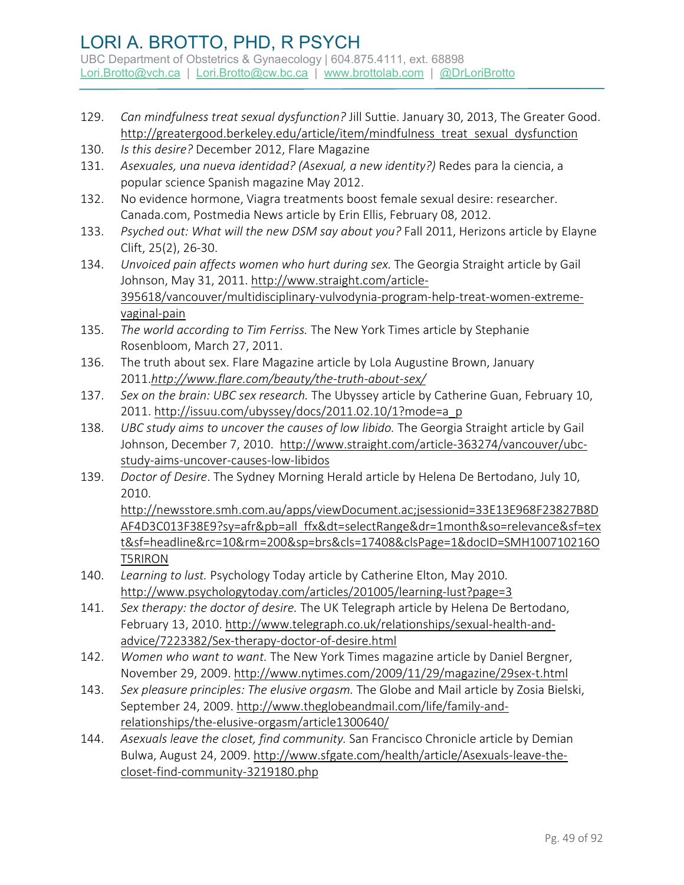- 129. *Can mindfulness treat sexual dysfunction?* Jill Suttie. January 30, 2013, The Greater Good. [http://greatergood.berkeley.edu/article/item/mindfulness\\_treat\\_sexual\\_dysfunction](http://greatergood.berkeley.edu/article/item/mindfulness_treat_sexual_dysfunction)
- 130. *Is this desire?* December 2012, Flare Magazine
- 131. *Asexuales, una nueva identidad? (Asexual, a new identity?)* Redes para la ciencia, a popular science Spanish magazine May 2012.
- 132. No evidence hormone, Viagra treatments boost female sexual desire: researcher. Canada.com, Postmedia News article by Erin Ellis, February 08, 2012.
- 133. *Psyched out: What will the new DSM say about you?* Fall 2011, Herizons article by Elayne Clift, 25(2), 26-30.
- 134. *Unvoiced pain affects women who hurt during sex.* The Georgia Straight article by Gail Johnson, May 31, 2011. [http://www.straight.com/article-](http://www.straight.com/article-395618/vancouver/multidisciplinary-vulvodynia-program-help-treat-women-extreme-vaginal-pain)[395618/vancouver/multidisciplinary-vulvodynia-program-help-treat-women-extreme](http://www.straight.com/article-395618/vancouver/multidisciplinary-vulvodynia-program-help-treat-women-extreme-vaginal-pain)[vaginal-pain](http://www.straight.com/article-395618/vancouver/multidisciplinary-vulvodynia-program-help-treat-women-extreme-vaginal-pain)
- 135. *The world according to Tim Ferriss.* The New York Times article by Stephanie Rosenbloom, March 27, 2011.
- 136. The truth about sex. Flare Magazine article by Lola Augustine Brown, January 2011.*<http://www.flare.com/beauty/the-truth-about-sex/>*
- 137. *Sex on the brain: UBC sex research.* The Ubyssey article by Catherine Guan, February 10, 2011. [http://issuu.com/ubyssey/docs/2011.02.10/1?mode=a\\_p](http://issuu.com/ubyssey/docs/2011.02.10/1?mode=a_p)
- 138. *UBC study aims to uncover the causes of low libido.* The Georgia Straight article by Gail Johnson, December 7, 2010. [http://www.straight.com/article-363274/vancouver/ubc](http://www.straight.com/article-363274/vancouver/ubc-study-aims-uncover-causes-low-libidos)[study-aims-uncover-causes-low-libidos](http://www.straight.com/article-363274/vancouver/ubc-study-aims-uncover-causes-low-libidos)
- 139. *Doctor of Desire*. The Sydney Morning Herald article by Helena De Bertodano, July 10, 2010. [http://newsstore.smh.com.au/apps/viewDocument.ac;jsessionid=33E13E968F23827B8D](http://newsstore.smh.com.au/apps/viewDocument.ac;jsessionid=33E13E968F23827B8DAF4D3C013F38E9?sy=afr&pb=all_ffx&dt=selectRange&dr=1month&so=relevance&sf=text&sf=headline&rc=10&rm=200&sp=brs&cls=17408&clsPage=1&docID=SMH100710216OT5RIRON) [AF4D3C013F38E9?sy=afr&pb=all\\_ffx&dt=selectRange&dr=1month&so=relevance&sf=tex](http://newsstore.smh.com.au/apps/viewDocument.ac;jsessionid=33E13E968F23827B8DAF4D3C013F38E9?sy=afr&pb=all_ffx&dt=selectRange&dr=1month&so=relevance&sf=text&sf=headline&rc=10&rm=200&sp=brs&cls=17408&clsPage=1&docID=SMH100710216OT5RIRON)
- [t&sf=headline&rc=10&rm=200&sp=brs&cls=17408&clsPage=1&docID=SMH100710216O](http://newsstore.smh.com.au/apps/viewDocument.ac;jsessionid=33E13E968F23827B8DAF4D3C013F38E9?sy=afr&pb=all_ffx&dt=selectRange&dr=1month&so=relevance&sf=text&sf=headline&rc=10&rm=200&sp=brs&cls=17408&clsPage=1&docID=SMH100710216OT5RIRON) [T5RIRON](http://newsstore.smh.com.au/apps/viewDocument.ac;jsessionid=33E13E968F23827B8DAF4D3C013F38E9?sy=afr&pb=all_ffx&dt=selectRange&dr=1month&so=relevance&sf=text&sf=headline&rc=10&rm=200&sp=brs&cls=17408&clsPage=1&docID=SMH100710216OT5RIRON)  140. *Learning to lust.* Psychology Today article by Catherine Elton, May 2010.
- <http://www.psychologytoday.com/articles/201005/learning-lust?page=3>
- 141. *Sex therapy: the doctor of desire.* The UK Telegraph article by Helena De Bertodano, February 13, 2010[. http://www.telegraph.co.uk/relationships/sexual-health-and](http://www.telegraph.co.uk/relationships/sexual-health-and-advice/7223382/Sex-therapy-doctor-of-desire.html)[advice/7223382/Sex-therapy-doctor-of-desire.html](http://www.telegraph.co.uk/relationships/sexual-health-and-advice/7223382/Sex-therapy-doctor-of-desire.html)
- 142. *Women who want to want.* The New York Times magazine article by Daniel Bergner, November 29, 2009.<http://www.nytimes.com/2009/11/29/magazine/29sex-t.html>
- 143. *Sex pleasure principles: The elusive orgasm.* The Globe and Mail article by Zosia Bielski, September 24, 2009. [http://www.theglobeandmail.com/life/family-and](http://www.theglobeandmail.com/life/family-and-relationships/the-elusive-orgasm/article1300640/)[relationships/the-elusive-orgasm/article1300640/](http://www.theglobeandmail.com/life/family-and-relationships/the-elusive-orgasm/article1300640/)
- 144. *Asexuals leave the closet, find community.* San Francisco Chronicle article by Demian Bulwa, August 24, 2009. [http://www.sfgate.com/health/article/Asexuals-leave-the](http://www.sfgate.com/health/article/Asexuals-leave-the-closet-find-community-3219180.php)[closet-find-community-3219180.php](http://www.sfgate.com/health/article/Asexuals-leave-the-closet-find-community-3219180.php)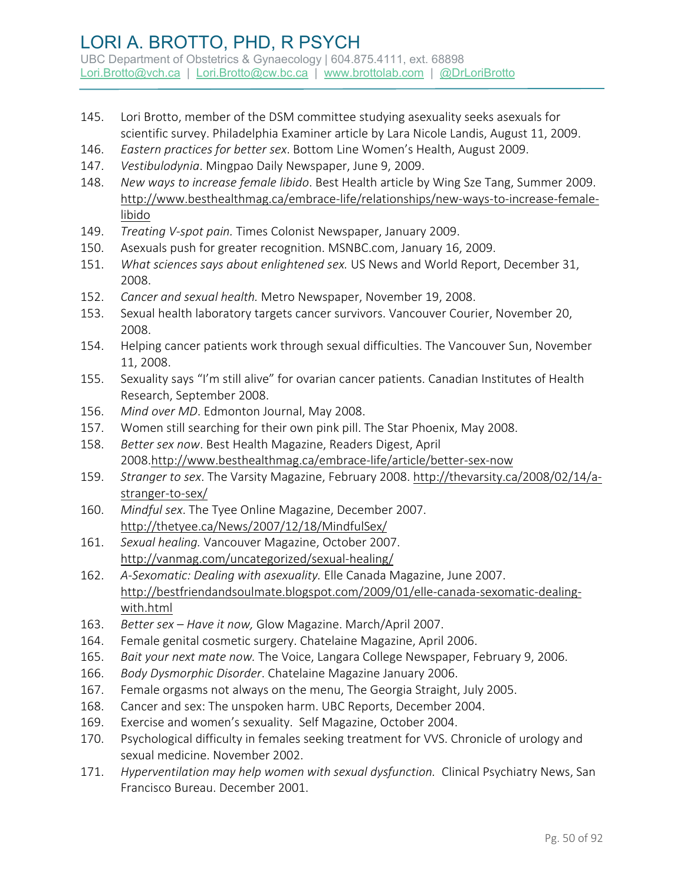- 145. Lori Brotto, member of the DSM committee studying asexuality seeks asexuals for scientific survey. Philadelphia Examiner article by Lara Nicole Landis, August 11, 2009.
- 146. *Eastern practices for better sex*. Bottom Line Women's Health, August 2009.
- 147. *Vestibulodynia*. Mingpao Daily Newspaper, June 9, 2009.
- 148. *New ways to increase female libido*. Best Health article by Wing Sze Tang, Summer 2009. [http://www.besthealthmag.ca/embrace-life/relationships/new-ways-to-increase-female](http://www.besthealthmag.ca/embrace-life/relationships/new-ways-to-increase-female-libido)[libido](http://www.besthealthmag.ca/embrace-life/relationships/new-ways-to-increase-female-libido)
- 149. *Treating V-spot pain.* Times Colonist Newspaper, January 2009.
- 150. Asexuals push for greater recognition. MSNBC.com, January 16, 2009.
- 151. *What sciences says about enlightened sex.* US News and World Report, December 31, 2008.
- 152. *Cancer and sexual health.* Metro Newspaper, November 19, 2008.
- 153. Sexual health laboratory targets cancer survivors. Vancouver Courier, November 20, 2008.
- 154. Helping cancer patients work through sexual difficulties. The Vancouver Sun, November 11, 2008.
- 155. Sexuality says "I'm still alive" for ovarian cancer patients. Canadian Institutes of Health Research, September 2008.
- 156. *Mind over MD*. Edmonton Journal, May 2008.
- 157. Women still searching for their own pink pill. The Star Phoenix, May 2008.
- 158. *Better sex now*. Best Health Magazine, Readers Digest, April 2008[.http://www.besthealthmag.ca/embrace-life/article/better-sex-now](http://www.besthealthmag.ca/embrace-life/article/better-sex-now)
- 159. *Stranger to sex*. The Varsity Magazine, February 2008. [http://thevarsity.ca/2008/02/14/a](http://thevarsity.ca/2008/02/14/a-stranger-to-sex/)[stranger-to-sex/](http://thevarsity.ca/2008/02/14/a-stranger-to-sex/)
- 160. *Mindful sex*. The Tyee Online Magazine, December 2007. <http://thetyee.ca/News/2007/12/18/MindfulSex/>
- 161. *Sexual healing.* Vancouver Magazine, October 2007. <http://vanmag.com/uncategorized/sexual-healing/>
- 162. *A-Sexomatic: Dealing with asexuality.* Elle Canada Magazine, June 2007. [http://bestfriendandsoulmate.blogspot.com/2009/01/elle-canada-sexomatic-dealing](http://bestfriendandsoulmate.blogspot.com/2009/01/elle-canada-sexomatic-dealing-with.html)[with.html](http://bestfriendandsoulmate.blogspot.com/2009/01/elle-canada-sexomatic-dealing-with.html)
- 163. *Better sex Have it now,* Glow Magazine. March/April 2007.
- 164. Female genital cosmetic surgery. Chatelaine Magazine, April 2006.
- 165. *Bait your next mate now.* The Voice, Langara College Newspaper, February 9, 2006.
- 166. *Body Dysmorphic Disorder*. Chatelaine Magazine January 2006.
- 167. Female orgasms not always on the menu, The Georgia Straight, July 2005.
- 168. Cancer and sex: The unspoken harm. UBC Reports, December 2004.
- 169. Exercise and women's sexuality. Self Magazine, October 2004.
- 170. Psychological difficulty in females seeking treatment for VVS. Chronicle of urology and sexual medicine. November 2002.
- 171. *Hyperventilation may help women with sexual dysfunction.* Clinical Psychiatry News, San Francisco Bureau. December 2001.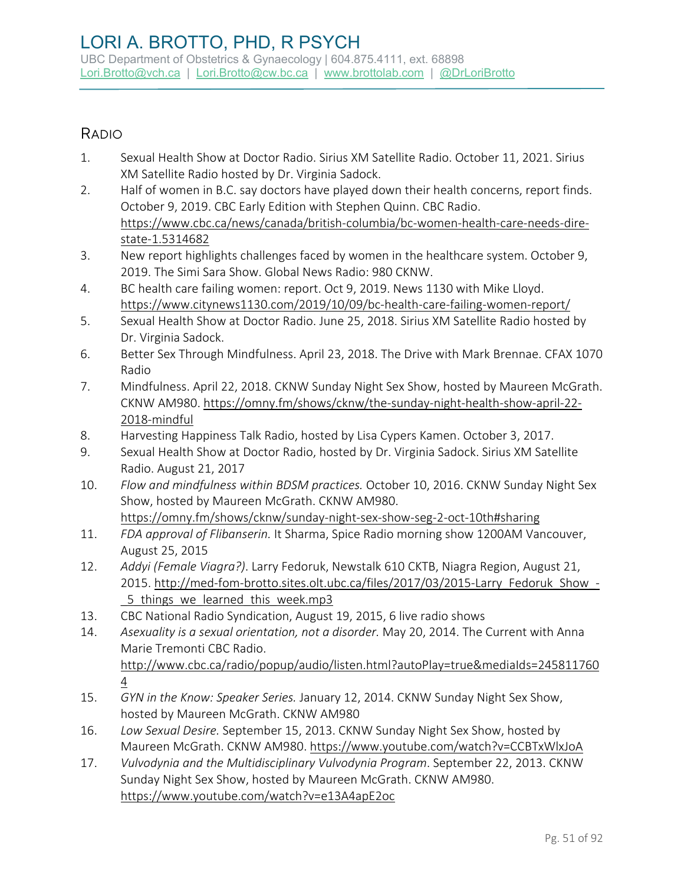### RADIO

- 1. Sexual Health Show at Doctor Radio. Sirius XM Satellite Radio. October 11, 2021. Sirius XM Satellite Radio hosted by Dr. Virginia Sadock.
- 2. Half of women in B.C. say doctors have played down their health concerns, report finds. October 9, 2019. [CBC Early Edition](https://www.cbc.ca/news/canada/british-columbia/bc-women-health-care-needs-dire-state-1.5314682) with Stephen Quinn. CBC Radio. [https://www.cbc.ca/news/canada/british-columbia/bc-women-health-care-needs-dire](https://www.cbc.ca/news/canada/british-columbia/bc-women-health-care-needs-dire-state-1.5314682)[state-1.5314682](https://www.cbc.ca/news/canada/british-columbia/bc-women-health-care-needs-dire-state-1.5314682)
- 3. New report highlights challenges faced by women in the healthcare system. October 9, 2019. The Simi Sara Show. Global News Radio: 980 CKNW.
- 4. BC health care failing women: report. Oct 9, 2019. News 1130 with Mike Lloyd. <https://www.citynews1130.com/2019/10/09/bc-health-care-failing-women-report/>
- 5. Sexual Health Show at Doctor Radio. June 25, 2018. Sirius XM Satellite Radio hosted by Dr. Virginia Sadock.
- 6. Better Sex Through Mindfulness. April 23, 2018. The Drive with Mark Brennae. CFAX 1070 Radio
- 7. Mindfulness. April 22, 2018. CKNW Sunday Night Sex Show, hosted by Maureen McGrath. CKNW AM980. [https://omny.fm/shows/cknw/the-sunday-night-health-show-april-22-](https://omny.fm/shows/cknw/the-sunday-night-health-show-april-22-2018-mindful) [2018-mindful](https://omny.fm/shows/cknw/the-sunday-night-health-show-april-22-2018-mindful)
- 8. Harvesting Happiness Talk Radio, hosted by Lisa Cypers Kamen. October 3, 2017.
- 9. Sexual Health Show at Doctor Radio, hosted by Dr. Virginia Sadock. Sirius XM Satellite Radio. August 21, 2017
- 10. *Flow and mindfulness within BDSM practices.* October 10, 2016. CKNW Sunday Night Sex Show, hosted by Maureen McGrath. CKNW AM980. <https://omny.fm/shows/cknw/sunday-night-sex-show-seg-2-oct-10th#sharing>
- 11. *FDA approval of Flibanserin.* It Sharma, Spice Radio morning show 1200AM Vancouver, August 25, 2015
- 12. *Addyi (Female Viagra?)*. Larry Fedoruk, Newstalk 610 CKTB, Niagra Region, August 21, 2015. [http://med-fom-brotto.sites.olt.ubc.ca/files/2017/03/2015-Larry\\_Fedoruk\\_Show\\_-](http://med-fom-brotto.sites.olt.ubc.ca/files/2017/03/2015-Larry_Fedoruk_Show_-_5_things_we_learned_this_week.mp3) 5 things we learned this week.mp3
- 13. CBC National Radio Syndication, August 19, 2015, 6 live radio shows
- 14. *Asexuality is a sexual orientation, not a disorder.* May 20, 2014. The Current with Anna Marie Tremonti CBC Radio. [http://www.cbc.ca/radio/popup/audio/listen.html?autoPlay=true&mediaIds=245811760](http://www.cbc.ca/radio/popup/audio/listen.html?autoPlay=true&mediaIds=2458117604) [4](http://www.cbc.ca/radio/popup/audio/listen.html?autoPlay=true&mediaIds=2458117604)
- 15. *GYN in the Know: Speaker Series.* January 12, 2014. CKNW Sunday Night Sex Show, hosted by Maureen McGrath. CKNW AM980
- 16. *Low Sexual Desire.* September 15, 2013. CKNW Sunday Night Sex Show, hosted by Maureen McGrath. CKNW AM980.<https://www.youtube.com/watch?v=CCBTxWlxJoA>
- 17. *Vulvodynia and the Multidisciplinary Vulvodynia Program*. September 22, 2013. CKNW Sunday Night Sex Show, hosted by Maureen McGrath. CKNW AM980. <https://www.youtube.com/watch?v=e13A4apE2oc>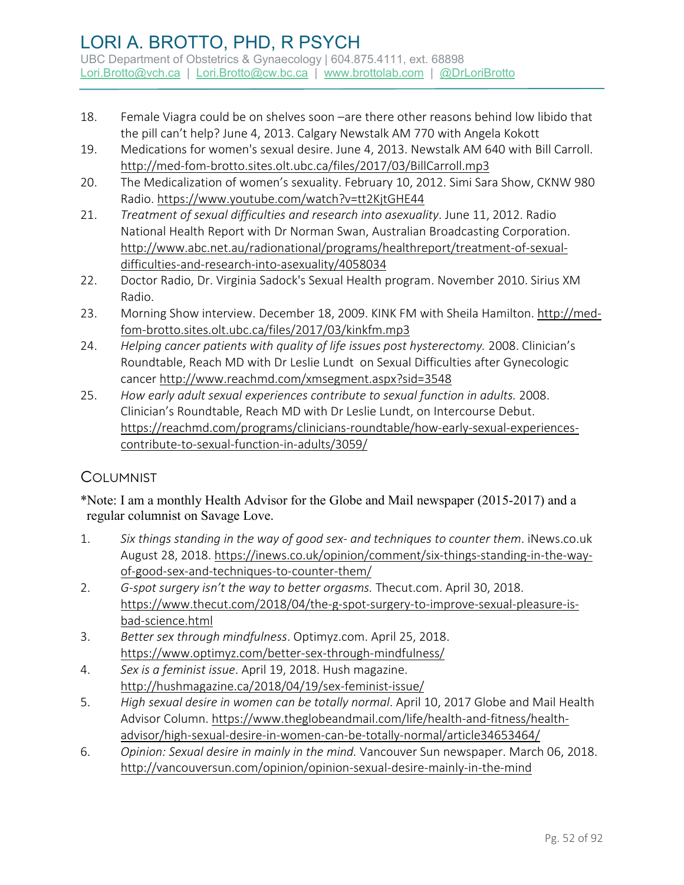- 18. Female Viagra could be on shelves soon –are there other reasons behind low libido that the pill can't help? June 4, 2013. Calgary Newstalk AM 770 with Angela Kokott
- 19. Medications for women's sexual desire. June 4, 2013. Newstalk AM 640 with Bill Carroll. <http://med-fom-brotto.sites.olt.ubc.ca/files/2017/03/BillCarroll.mp3>
- 20. The Medicalization of women's sexuality. February 10, 2012. Simi Sara Show, CKNW 980 Radio.<https://www.youtube.com/watch?v=tt2KjtGHE44>
- 21. *Treatment of sexual difficulties and research into asexuality*. June 11, 2012. Radio National Health Report with Dr Norman Swan, Australian Broadcasting Corporation. [http://www.abc.net.au/radionational/programs/healthreport/treatment-of-sexual](http://www.abc.net.au/radionational/programs/healthreport/treatment-of-sexual-difficulties-and-research-into-asexuality/4058034)[difficulties-and-research-into-asexuality/4058034](http://www.abc.net.au/radionational/programs/healthreport/treatment-of-sexual-difficulties-and-research-into-asexuality/4058034)
- 22. Doctor Radio, Dr. Virginia Sadock's Sexual Health program. November 2010. Sirius XM Radio.
- 23. Morning Show interview. December 18, 2009. KINK FM with Sheila Hamilton. [http://med](http://med-fom-brotto.sites.olt.ubc.ca/files/2017/03/kinkfm.mp3)[fom-brotto.sites.olt.ubc.ca/files/2017/03/kinkfm.mp3](http://med-fom-brotto.sites.olt.ubc.ca/files/2017/03/kinkfm.mp3)
- 24. *Helping cancer patients with quality of life issues post hysterectomy.* 2008. Clinician's Roundtable, Reach MD with Dr Leslie Lundt on Sexual Difficulties after Gynecologic cancer<http://www.reachmd.com/xmsegment.aspx?sid=3548>
- 25. *How early adult sexual experiences contribute to sexual function in adults.* 2008. Clinician's Roundtable, Reach MD with Dr Leslie Lundt, on Intercourse Debut. [https://reachmd.com/programs/clinicians-roundtable/how-early-sexual-experiences](https://reachmd.com/programs/clinicians-roundtable/how-early-sexual-experiences-contribute-to-sexual-function-in-adults/3059/)[contribute-to-sexual-function-in-adults/3059/](https://reachmd.com/programs/clinicians-roundtable/how-early-sexual-experiences-contribute-to-sexual-function-in-adults/3059/)

#### **COLUMNIST**

\*Note: I am a monthly Health Advisor for the Globe and Mail newspaper (2015-2017) and a regular columnist on Savage Love.

- 1. *Six things standing in the way of good sex- and techniques to counter them*. iNews.co.uk August 28, 2018. [https://inews.co.uk/opinion/comment/six-things-standing-in-the-way](https://inews.co.uk/opinion/comment/six-things-standing-in-the-way-of-good-sex-and-techniques-to-counter-them/)[of-good-sex-and-techniques-to-counter-them/](https://inews.co.uk/opinion/comment/six-things-standing-in-the-way-of-good-sex-and-techniques-to-counter-them/)
- 2. *G-spot surgery isn't the way to better orgasms.* Thecut.com. April 30, 2018. [https://www.thecut.com/2018/04/the-g-spot-surgery-to-improve-sexual-pleasure-is](https://www.thecut.com/2018/04/the-g-spot-surgery-to-improve-sexual-pleasure-is-bad-science.html)[bad-science.html](https://www.thecut.com/2018/04/the-g-spot-surgery-to-improve-sexual-pleasure-is-bad-science.html)
- 3. *Better sex through mindfulness*. Optimyz.com. April 25, 2018. <https://www.optimyz.com/better-sex-through-mindfulness/>
- 4. *Sex is a feminist issue*. April 19, 2018. Hush magazine. <http://hushmagazine.ca/2018/04/19/sex-feminist-issue/>
- 5. *High sexual desire in women can be totally normal*. April 10, 2017 Globe and Mail Health Advisor Column. [https://www.theglobeandmail.com/life/health-and-fitness/health](https://www.theglobeandmail.com/life/health-and-fitness/health-advisor/high-sexual-desire-in-women-can-be-totally-normal/article34653464/)[advisor/high-sexual-desire-in-women-can-be-totally-normal/article34653464/](https://www.theglobeandmail.com/life/health-and-fitness/health-advisor/high-sexual-desire-in-women-can-be-totally-normal/article34653464/)
- 6. *Opinion: Sexual desire in mainly in the mind.* Vancouver Sun newspaper. March 06, 2018. <http://vancouversun.com/opinion/opinion-sexual-desire-mainly-in-the-mind>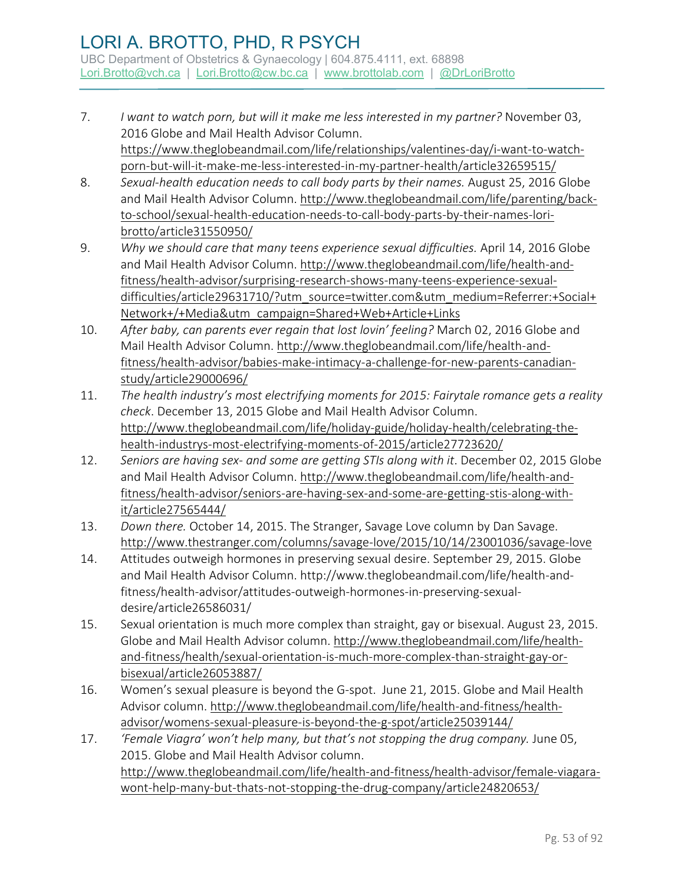- 7. *I want to watch porn, but will it make me less interested in my partner?* November 03, 2016 Globe and Mail Health Advisor Column. [https://www.theglobeandmail.com/life/relationships/valentines-day/i-want-to-watch](https://www.theglobeandmail.com/life/relationships/valentines-day/i-want-to-watch-porn-but-will-it-make-me-less-interested-in-my-partner-health/article32659515/)[porn-but-will-it-make-me-less-interested-in-my-partner-health/article32659515/](https://www.theglobeandmail.com/life/relationships/valentines-day/i-want-to-watch-porn-but-will-it-make-me-less-interested-in-my-partner-health/article32659515/)
- 8. *Sexual-health education needs to call body parts by their names.* August 25, 2016 Globe and Mail Health Advisor Column. [http://www.theglobeandmail.com/life/parenting/back](http://www.theglobeandmail.com/life/parenting/back-to-school/sexual-health-education-needs-to-call-body-parts-by-their-names-lori-brotto/article31550950/)[to-school/sexual-health-education-needs-to-call-body-parts-by-their-names-lori](http://www.theglobeandmail.com/life/parenting/back-to-school/sexual-health-education-needs-to-call-body-parts-by-their-names-lori-brotto/article31550950/)[brotto/article31550950/](http://www.theglobeandmail.com/life/parenting/back-to-school/sexual-health-education-needs-to-call-body-parts-by-their-names-lori-brotto/article31550950/)
- 9. *Why we should care that many teens experience sexual difficulties.* April 14, 2016 Globe and Mail Health Advisor Column. [http://www.theglobeandmail.com/life/health-and](http://www.theglobeandmail.com/life/health-and-fitness/health-advisor/surprising-research-shows-many-teens-experience-sexual-difficulties/article29631710/?utm_source=twitter.com&utm_medium=Referrer:+Social+Network+/+Media&utm_campaign=Shared+Web+Article+Links)[fitness/health-advisor/surprising-research-shows-many-teens-experience-sexual](http://www.theglobeandmail.com/life/health-and-fitness/health-advisor/surprising-research-shows-many-teens-experience-sexual-difficulties/article29631710/?utm_source=twitter.com&utm_medium=Referrer:+Social+Network+/+Media&utm_campaign=Shared+Web+Article+Links)[difficulties/article29631710/?utm\\_source=twitter.com&utm\\_medium=Referrer:+Social+](http://www.theglobeandmail.com/life/health-and-fitness/health-advisor/surprising-research-shows-many-teens-experience-sexual-difficulties/article29631710/?utm_source=twitter.com&utm_medium=Referrer:+Social+Network+/+Media&utm_campaign=Shared+Web+Article+Links) [Network+/+Media&utm\\_campaign=Shared+Web+Article+Links](http://www.theglobeandmail.com/life/health-and-fitness/health-advisor/surprising-research-shows-many-teens-experience-sexual-difficulties/article29631710/?utm_source=twitter.com&utm_medium=Referrer:+Social+Network+/+Media&utm_campaign=Shared+Web+Article+Links)
- 10. *After baby, can parents ever regain that lost lovin' feeling?* March 02, 2016 Globe and Mail Health Advisor Column. [http://www.theglobeandmail.com/life/health-and](http://www.theglobeandmail.com/life/health-and-fitness/health-advisor/babies-make-intimacy-a-challenge-for-new-parents-canadian-study/article29000696/)[fitness/health-advisor/babies-make-intimacy-a-challenge-for-new-parents-canadian](http://www.theglobeandmail.com/life/health-and-fitness/health-advisor/babies-make-intimacy-a-challenge-for-new-parents-canadian-study/article29000696/)[study/article29000696/](http://www.theglobeandmail.com/life/health-and-fitness/health-advisor/babies-make-intimacy-a-challenge-for-new-parents-canadian-study/article29000696/)
- 11. *The health industry's most electrifying moments for 2015: Fairytale romance gets a reality check*. December 13, 2015 Globe and Mail Health Advisor Column. [http://www.theglobeandmail.com/life/holiday-guide/holiday-health/celebrating-the](http://www.theglobeandmail.com/life/holiday-guide/holiday-health/celebrating-the-health-industrys-most-electrifying-moments-of-2015/article27723620/)[health-industrys-most-electrifying-moments-of-2015/article27723620/](http://www.theglobeandmail.com/life/holiday-guide/holiday-health/celebrating-the-health-industrys-most-electrifying-moments-of-2015/article27723620/)
- 12. *Seniors are having sex- and some are getting STIs along with it*. December 02, 2015 Globe and Mail Health Advisor Column. [http://www.theglobeandmail.com/life/health-and](http://www.theglobeandmail.com/life/health-and-fitness/health-advisor/seniors-are-having-sex-and-some-are-getting-stis-along-with-it/article27565444/)[fitness/health-advisor/seniors-are-having-sex-and-some-are-getting-stis-along-with](http://www.theglobeandmail.com/life/health-and-fitness/health-advisor/seniors-are-having-sex-and-some-are-getting-stis-along-with-it/article27565444/)[it/article27565444/](http://www.theglobeandmail.com/life/health-and-fitness/health-advisor/seniors-are-having-sex-and-some-are-getting-stis-along-with-it/article27565444/)
- 13. *Down there.* October 14, 2015. The Stranger, Savage Love column by Dan Savage. <http://www.thestranger.com/columns/savage-love/2015/10/14/23001036/savage-love>
- 14. Attitudes outweigh hormones in preserving sexual desire. September 29, 2015. Globe and Mail Health Advisor Column. http://www.theglobeandmail.com/life/health-andfitness/health-advisor/attitudes-outweigh-hormones-in-preserving-sexualdesire/article26586031/
- 15. Sexual orientation is much more complex than straight, gay or bisexual. August 23, 2015. Globe and Mail Health Advisor column. [http://www.theglobeandmail.com/life/health](http://www.theglobeandmail.com/life/health-and-fitness/health/sexual-orientation-is-much-more-complex-than-straight-gay-or-bisexual/article26053887/)[and-fitness/health/sexual-orientation-is-much-more-complex-than-straight-gay-or](http://www.theglobeandmail.com/life/health-and-fitness/health/sexual-orientation-is-much-more-complex-than-straight-gay-or-bisexual/article26053887/)[bisexual/article26053887/](http://www.theglobeandmail.com/life/health-and-fitness/health/sexual-orientation-is-much-more-complex-than-straight-gay-or-bisexual/article26053887/)
- 16. Women's sexual pleasure is beyond the G-spot. June 21, 2015. Globe and Mail Health Advisor column. [http://www.theglobeandmail.com/life/health-and-fitness/health](http://www.theglobeandmail.com/life/health-and-fitness/health-advisor/womens-sexual-pleasure-is-beyond-the-g-spot/article25039144/)[advisor/womens-sexual-pleasure-is-beyond-the-g-spot/article25039144/](http://www.theglobeandmail.com/life/health-and-fitness/health-advisor/womens-sexual-pleasure-is-beyond-the-g-spot/article25039144/)
- 17. *'Female Viagra' won't help many, but that's not stopping the drug company.* June 05, 2015. Globe and Mail Health Advisor column. [http://www.theglobeandmail.com/life/health-and-fitness/health-advisor/female-viagara](http://www.theglobeandmail.com/life/health-and-fitness/health-advisor/female-viagara-wont-help-many-but-thats-not-stopping-the-drug-company/article24820653/)[wont-help-many-but-thats-not-stopping-the-drug-company/article24820653/](http://www.theglobeandmail.com/life/health-and-fitness/health-advisor/female-viagara-wont-help-many-but-thats-not-stopping-the-drug-company/article24820653/)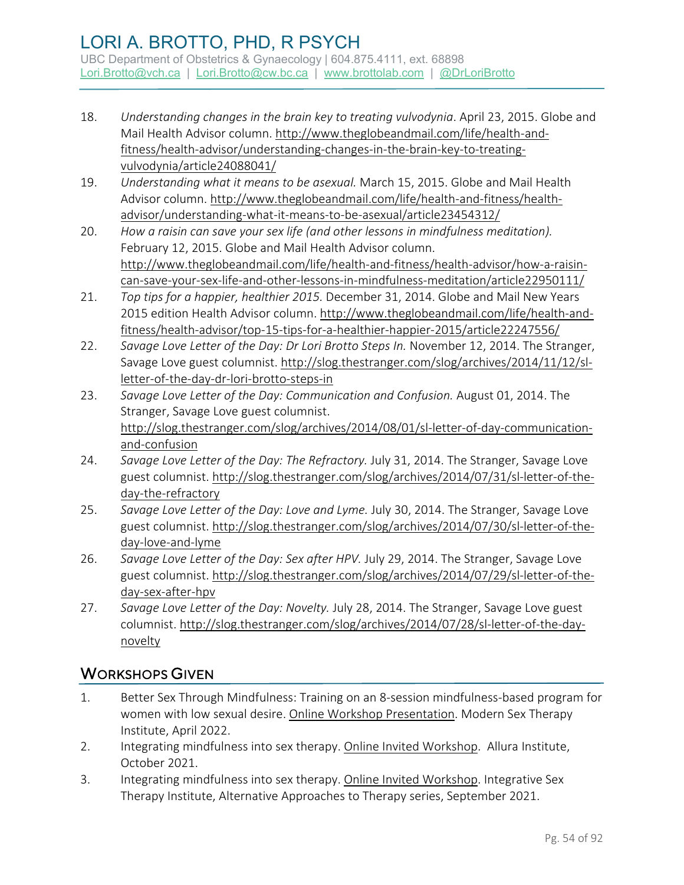- 18. *Understanding changes in the brain key to treating vulvodynia*. April 23, 2015. Globe and Mail Health Advisor column. [http://www.theglobeandmail.com/life/health-and](http://www.theglobeandmail.com/life/health-and-fitness/health-advisor/understanding-changes-in-the-brain-key-to-treating-vulvodynia/article24088041/)[fitness/health-advisor/understanding-changes-in-the-brain-key-to-treating](http://www.theglobeandmail.com/life/health-and-fitness/health-advisor/understanding-changes-in-the-brain-key-to-treating-vulvodynia/article24088041/)[vulvodynia/article24088041/](http://www.theglobeandmail.com/life/health-and-fitness/health-advisor/understanding-changes-in-the-brain-key-to-treating-vulvodynia/article24088041/)
- 19. *Understanding what it means to be asexual.* March 15, 2015. Globe and Mail Health Advisor column. [http://www.theglobeandmail.com/life/health-and-fitness/health](http://www.theglobeandmail.com/life/health-and-fitness/health-advisor/understanding-what-it-means-to-be-asexual/article23454312/)[advisor/understanding-what-it-means-to-be-asexual/article23454312/](http://www.theglobeandmail.com/life/health-and-fitness/health-advisor/understanding-what-it-means-to-be-asexual/article23454312/)
- 20. *How a raisin can save your sex life (and other lessons in mindfulness meditation).*  February 12, 2015. Globe and Mail Health Advisor column. [http://www.theglobeandmail.com/life/health-and-fitness/health-advisor/how-a-raisin](http://www.theglobeandmail.com/life/health-and-fitness/health-advisor/how-a-raisin-can-save-your-sex-life-and-other-lessons-in-mindfulness-meditation/article22950111/)[can-save-your-sex-life-and-other-lessons-in-mindfulness-meditation/article22950111/](http://www.theglobeandmail.com/life/health-and-fitness/health-advisor/how-a-raisin-can-save-your-sex-life-and-other-lessons-in-mindfulness-meditation/article22950111/)
- 21. *Top tips for a happier, healthier 2015.* December 31, 2014. Globe and Mail New Years 2015 edition Health Advisor column. [http://www.theglobeandmail.com/life/health-and](http://www.theglobeandmail.com/life/health-and-fitness/health-advisor/top-15-tips-for-a-healthier-happier-2015/article22247556/)[fitness/health-advisor/top-15-tips-for-a-healthier-happier-2015/article22247556/](http://www.theglobeandmail.com/life/health-and-fitness/health-advisor/top-15-tips-for-a-healthier-happier-2015/article22247556/)
- 22. *Savage Love Letter of the Day: Dr Lori Brotto Steps In.* November 12, 2014. The Stranger, Savage Love guest columnist. [http://slog.thestranger.com/slog/archives/2014/11/12/sl](http://slog.thestranger.com/slog/archives/2014/11/12/sl-letter-of-the-day-dr-lori-brotto-steps-in)[letter-of-the-day-dr-lori-brotto-steps-in](http://slog.thestranger.com/slog/archives/2014/11/12/sl-letter-of-the-day-dr-lori-brotto-steps-in)
- 23. *Savage Love Letter of the Day: Communication and Confusion.* August 01, 2014. The Stranger, Savage Love guest columnist. [http://slog.thestranger.com/slog/archives/2014/08/01/sl-letter-of-day-communication](http://slog.thestranger.com/slog/archives/2014/08/01/sl-letter-of-day-communication-and-confusion)[and-confusion](http://slog.thestranger.com/slog/archives/2014/08/01/sl-letter-of-day-communication-and-confusion)
- 24. *Savage Love Letter of the Day: The Refractory.* July 31, 2014. The Stranger, Savage Love guest columnist. [http://slog.thestranger.com/slog/archives/2014/07/31/sl-letter-of-the](http://slog.thestranger.com/slog/archives/2014/07/31/sl-letter-of-the-day-the-refractory)[day-the-refractory](http://slog.thestranger.com/slog/archives/2014/07/31/sl-letter-of-the-day-the-refractory)
- 25. *Savage Love Letter of the Day: Love and Lyme.* July 30, 2014. The Stranger, Savage Love guest columnist. [http://slog.thestranger.com/slog/archives/2014/07/30/sl-letter-of-the](http://slog.thestranger.com/slog/archives/2014/07/30/sl-letter-of-the-day-love-and-lyme)[day-love-and-lyme](http://slog.thestranger.com/slog/archives/2014/07/30/sl-letter-of-the-day-love-and-lyme)
- 26. *Savage Love Letter of the Day: Sex after HPV.* July 29, 2014. The Stranger, Savage Love guest columnist. [http://slog.thestranger.com/slog/archives/2014/07/29/sl-letter-of-the](http://slog.thestranger.com/slog/archives/2014/07/29/sl-letter-of-the-day-sex-after-hpv)[day-sex-after-hpv](http://slog.thestranger.com/slog/archives/2014/07/29/sl-letter-of-the-day-sex-after-hpv)
- 27. *Savage Love Letter of the Day: Novelty.* July 28, 2014. The Stranger, Savage Love guest columnist. [http://slog.thestranger.com/slog/archives/2014/07/28/sl-letter-of-the-day](http://slog.thestranger.com/slog/archives/2014/07/28/sl-letter-of-the-day-novelty)[novelty](http://slog.thestranger.com/slog/archives/2014/07/28/sl-letter-of-the-day-novelty)

## WORKSHOPS GIVEN

- 1. Better Sex Through Mindfulness: Training on an 8-session mindfulness-based program for women with low sexual desire. Online Workshop Presentation. Modern Sex Therapy Institute, April 2022.
- 2. Integrating mindfulness into sex therapy. Online Invited Workshop. Allura Institute, October 2021.
- 3. Integrating mindfulness into sex therapy. Online Invited Workshop. Integrative Sex Therapy Institute, Alternative Approaches to Therapy series, September 2021.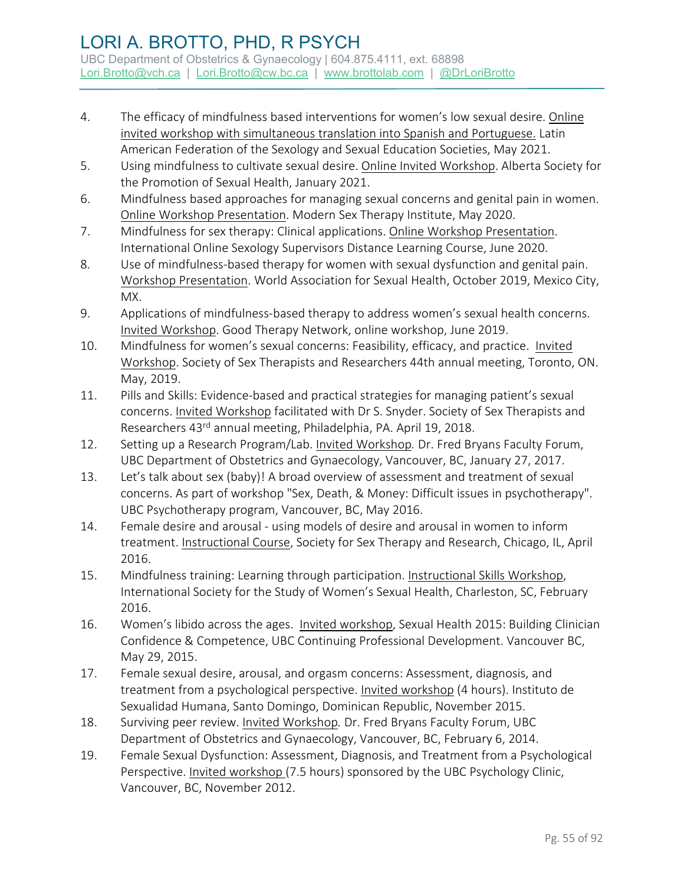- 4. The efficacy of mindfulness based interventions for women's low sexual desire. Online invited workshop with simultaneous translation into Spanish and Portuguese. Latin American Federation of the Sexology and Sexual Education Societies, May 2021.
- 5. Using mindfulness to cultivate sexual desire. Online Invited Workshop. Alberta Society for the Promotion of Sexual Health, January 2021.
- 6. Mindfulness based approaches for managing sexual concerns and genital pain in women. Online Workshop Presentation. Modern Sex Therapy Institute, May 2020.
- 7. Mindfulness for sex therapy: Clinical applications. Online Workshop Presentation. International Online Sexology Supervisors Distance Learning Course, June 2020.
- 8. Use of mindfulness-based therapy for women with sexual dysfunction and genital pain. Workshop Presentation. World Association for Sexual Health, October 2019, Mexico City, MX.
- 9. Applications of mindfulness-based therapy to address women's sexual health concerns. Invited Workshop. Good Therapy Network, online workshop, June 2019.
- 10. Mindfulness for women's sexual concerns: Feasibility, efficacy, and practice. Invited Workshop. Society of Sex Therapists and Researchers 44th annual meeting, Toronto, ON. May, 2019.
- 11. Pills and Skills: Evidence-based and practical strategies for managing patient's sexual concerns. Invited Workshop facilitated with Dr S. Snyder. Society of Sex Therapists and Researchers 43rd annual meeting, Philadelphia, PA. April 19, 2018.
- 12. Setting up a Research Program/Lab. Invited Workshop*.* Dr. Fred Bryans Faculty Forum, UBC Department of Obstetrics and Gynaecology, Vancouver, BC, January 27, 2017.
- 13. Let's talk about sex (baby)! A broad overview of assessment and treatment of sexual concerns. As part of workshop "Sex, Death, & Money: Difficult issues in psychotherapy". UBC Psychotherapy program, Vancouver, BC, May 2016.
- 14. Female desire and arousal using models of desire and arousal in women to inform treatment. Instructional Course, Society for Sex Therapy and Research, Chicago, IL, April 2016.
- 15. Mindfulness training: Learning through participation. Instructional Skills Workshop, International Society for the Study of Women's Sexual Health, Charleston, SC, February 2016.
- 16. Women's libido across the ages. Invited workshop, Sexual Health 2015: Building Clinician Confidence & Competence, UBC Continuing Professional Development. Vancouver BC, May 29, 2015.
- 17. Female sexual desire, arousal, and orgasm concerns: Assessment, diagnosis, and treatment from a psychological perspective. Invited workshop (4 hours). Instituto de Sexualidad Humana, Santo Domingo, Dominican Republic, November 2015.
- 18. Surviving peer review. Invited Workshop*.* Dr. Fred Bryans Faculty Forum, UBC Department of Obstetrics and Gynaecology, Vancouver, BC, February 6, 2014.
- 19. Female Sexual Dysfunction: Assessment, Diagnosis, and Treatment from a Psychological Perspective. Invited workshop (7.5 hours) sponsored by the UBC Psychology Clinic, Vancouver, BC, November 2012.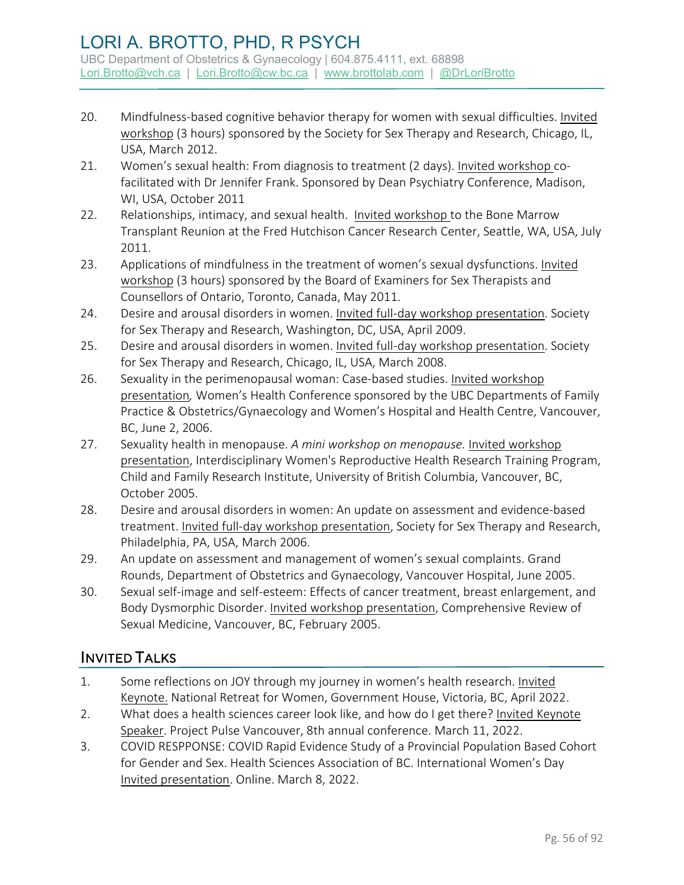- 20. Mindfulness-based cognitive behavior therapy for women with sexual difficulties. Invited workshop (3 hours) sponsored by the Society for Sex Therapy and Research, Chicago, IL, USA, March 2012.
- 21. Women's sexual health: From diagnosis to treatment (2 days). Invited workshop cofacilitated with Dr Jennifer Frank. Sponsored by Dean Psychiatry Conference, Madison, WI, USA, October 2011
- 22. Relationships, intimacy, and sexual health. Invited workshop to the Bone Marrow Transplant Reunion at the Fred Hutchison Cancer Research Center, Seattle, WA, USA, July 2011.
- 23. Applications of mindfulness in the treatment of women's sexual dysfunctions. Invited workshop (3 hours) sponsored by the Board of Examiners for Sex Therapists and Counsellors of Ontario, Toronto, Canada, May 2011.
- 24. Desire and arousal disorders in women. Invited full-day workshop presentation. Society for Sex Therapy and Research, Washington, DC, USA, April 2009.
- 25. Desire and arousal disorders in women. Invited full-day workshop presentation. Society for Sex Therapy and Research, Chicago, IL, USA, March 2008.
- 26. Sexuality in the perimenopausal woman: Case-based studies. Invited workshop presentation*,* Women's Health Conference sponsored by the UBC Departments of Family Practice & Obstetrics/Gynaecology and Women's Hospital and Health Centre, Vancouver, BC, June 2, 2006.
- 27. Sexuality health in menopause. *A mini workshop on menopause.* Invited workshop presentation, Interdisciplinary Women's Reproductive Health Research Training Program, Child and Family Research Institute, University of British Columbia, Vancouver, BC, October 2005.
- 28. Desire and arousal disorders in women: An update on assessment and evidence-based treatment. Invited full-day workshop presentation, Society for Sex Therapy and Research, Philadelphia, PA, USA, March 2006.
- 29. An update on assessment and management of women's sexual complaints. Grand Rounds, Department of Obstetrics and Gynaecology, Vancouver Hospital, June 2005.
- 30. Sexual self-image and self-esteem: Effects of cancer treatment, breast enlargement, and Body Dysmorphic Disorder. Invited workshop presentation, Comprehensive Review of Sexual Medicine, Vancouver, BC, February 2005.

## INVITED TALKS

- 1. Some reflections on JOY through my journey in women's health research. Invited Keynote. National Retreat for Women, Government House, Victoria, BC, April 2022.
- 2. What does a health sciences career look like, and how do I get there? Invited Keynote Speaker. Project Pulse Vancouver, 8th annual conference. March 11, 2022.
- 3. COVID RESPPONSE: COVID Rapid Evidence Study of a Provincial Population Based Cohort for Gender and Sex. Health Sciences Association of BC. International Women's Day Invited presentation. Online. March 8, 2022.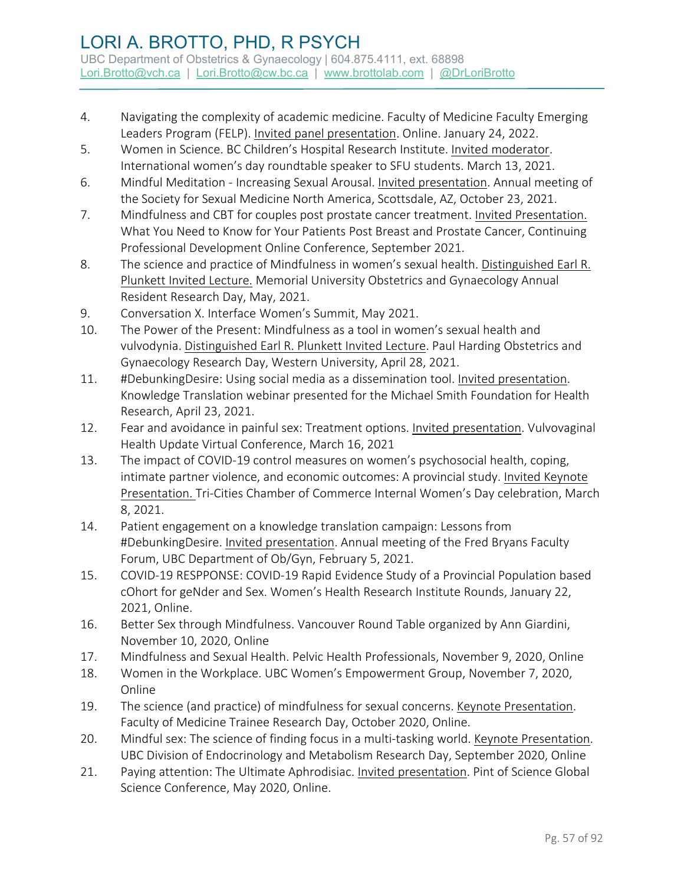- 4. Navigating the complexity of academic medicine. Faculty of Medicine Faculty Emerging Leaders Program (FELP). Invited panel presentation. Online. January 24, 2022.
- 5. Women in Science. BC Children's Hospital Research Institute. Invited moderator. International women's day roundtable speaker to SFU students. March 13, 2021.
- 6. Mindful Meditation Increasing Sexual Arousal. Invited presentation. Annual meeting of the Society for Sexual Medicine North America, Scottsdale, AZ, October 23, 2021.
- 7. Mindfulness and CBT for couples post prostate cancer treatment. Invited Presentation. What You Need to Know for Your Patients Post Breast and Prostate Cancer, Continuing Professional Development Online Conference, September 2021.
- 8. The science and practice of Mindfulness in women's sexual health. Distinguished Earl R. Plunkett Invited Lecture. Memorial University Obstetrics and Gynaecology Annual Resident Research Day, May, 2021.
- 9. Conversation X. Interface Women's Summit, May 2021.
- 10. The Power of the Present: Mindfulness as a tool in women's sexual health and vulvodynia. Distinguished Earl R. Plunkett Invited Lecture. Paul Harding Obstetrics and Gynaecology Research Day, Western University, April 28, 2021.
- 11. #DebunkingDesire: Using social media as a dissemination tool. Invited presentation. Knowledge Translation webinar presented for the Michael Smith Foundation for Health Research, April 23, 2021.
- 12. Fear and avoidance in painful sex: Treatment options. Invited presentation. Vulvovaginal Health Update Virtual Conference, March 16, 2021
- 13. The impact of COVID-19 control measures on women's psychosocial health, coping, intimate partner violence, and economic outcomes: A provincial study. Invited Keynote Presentation. Tri-Cities Chamber of Commerce Internal Women's Day celebration, March 8, 2021.
- 14. Patient engagement on a knowledge translation campaign: Lessons from #DebunkingDesire. Invited presentation. Annual meeting of the Fred Bryans Faculty Forum, UBC Department of Ob/Gyn, February 5, 2021.
- 15. COVID-19 RESPPONSE: COVID-19 Rapid Evidence Study of a Provincial Population based cOhort for geNder and Sex. Women's Health Research Institute Rounds, January 22, 2021, Online.
- 16. Better Sex through Mindfulness. Vancouver Round Table organized by Ann Giardini, November 10, 2020, Online
- 17. Mindfulness and Sexual Health. Pelvic Health Professionals, November 9, 2020, Online
- 18. Women in the Workplace. UBC Women's Empowerment Group, November 7, 2020, Online
- 19. The science (and practice) of mindfulness for sexual concerns. Keynote Presentation. Faculty of Medicine Trainee Research Day, October 2020, Online.
- 20. Mindful sex: The science of finding focus in a multi-tasking world. Keynote Presentation. UBC Division of Endocrinology and Metabolism Research Day, September 2020, Online
- 21. Paying attention: The Ultimate Aphrodisiac. Invited presentation. Pint of Science Global Science Conference, May 2020, Online.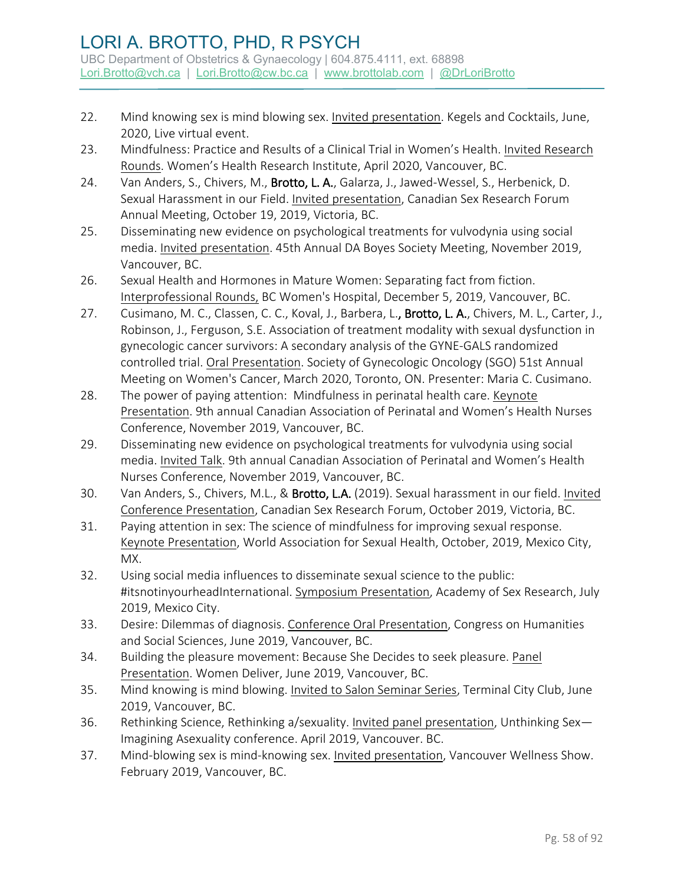- 22. Mind knowing sex is mind blowing sex. Invited presentation. Kegels and Cocktails, June, 2020, Live virtual event.
- 23. Mindfulness: Practice and Results of a Clinical Trial in Women's Health. Invited Research Rounds. Women's Health Research Institute, April 2020, Vancouver, BC.
- 24. Van Anders, S., Chivers, M., Brotto, L. A., Galarza, J., Jawed-Wessel, S., Herbenick, D. Sexual Harassment in our Field. Invited presentation, Canadian Sex Research Forum Annual Meeting, October 19, 2019, Victoria, BC.
- 25. Disseminating new evidence on psychological treatments for vulvodynia using social media. Invited presentation. 45th Annual DA Boyes Society Meeting, November 2019, Vancouver, BC.
- 26. Sexual Health and Hormones in Mature Women: Separating fact from fiction. Interprofessional Rounds, BC Women's Hospital, December 5, 2019, Vancouver, BC.
- 27. Cusimano, M. C., Classen, C. C., Koval, J., Barbera, L., Brotto, L. A., Chivers, M. L., Carter, J., Robinson, J., Ferguson, S.E. Association of treatment modality with sexual dysfunction in gynecologic cancer survivors: A secondary analysis of the GYNE-GALS randomized controlled trial. Oral Presentation. Society of Gynecologic Oncology (SGO) 51st Annual Meeting on Women's Cancer, March 2020, Toronto, ON. Presenter: Maria C. Cusimano.
- 28. The power of paying attention: Mindfulness in perinatal health care. Keynote Presentation. 9th annual Canadian Association of Perinatal and Women's Health Nurses Conference, November 2019, Vancouver, BC.
- 29. Disseminating new evidence on psychological treatments for vulvodynia using social media. Invited Talk. 9th annual Canadian Association of Perinatal and Women's Health Nurses Conference, November 2019, Vancouver, BC.
- 30. Van Anders, S., Chivers, M.L., & Brotto, L.A. (2019). Sexual harassment in our field. Invited Conference Presentation, Canadian Sex Research Forum, October 2019, Victoria, BC.
- 31. Paying attention in sex: The science of mindfulness for improving sexual response. Keynote Presentation, World Association for Sexual Health, October, 2019, Mexico City, MX.
- 32. Using social media influences to disseminate sexual science to the public: #itsnotinyourheadInternational. Symposium Presentation, Academy of Sex Research, July 2019, Mexico City.
- 33. Desire: Dilemmas of diagnosis. Conference Oral Presentation, Congress on Humanities and Social Sciences, June 2019, Vancouver, BC.
- 34. Building the pleasure movement: Because She Decides to seek pleasure. Panel Presentation. Women Deliver, June 2019, Vancouver, BC.
- 35. Mind knowing is mind blowing. Invited to Salon Seminar Series, Terminal City Club, June 2019, Vancouver, BC.
- 36. Rethinking Science, Rethinking a/sexuality. Invited panel presentation, Unthinking Sex— Imagining Asexuality conference. April 2019, Vancouver. BC.
- 37. Mind-blowing sex is mind-knowing sex. Invited presentation, Vancouver Wellness Show. February 2019, Vancouver, BC.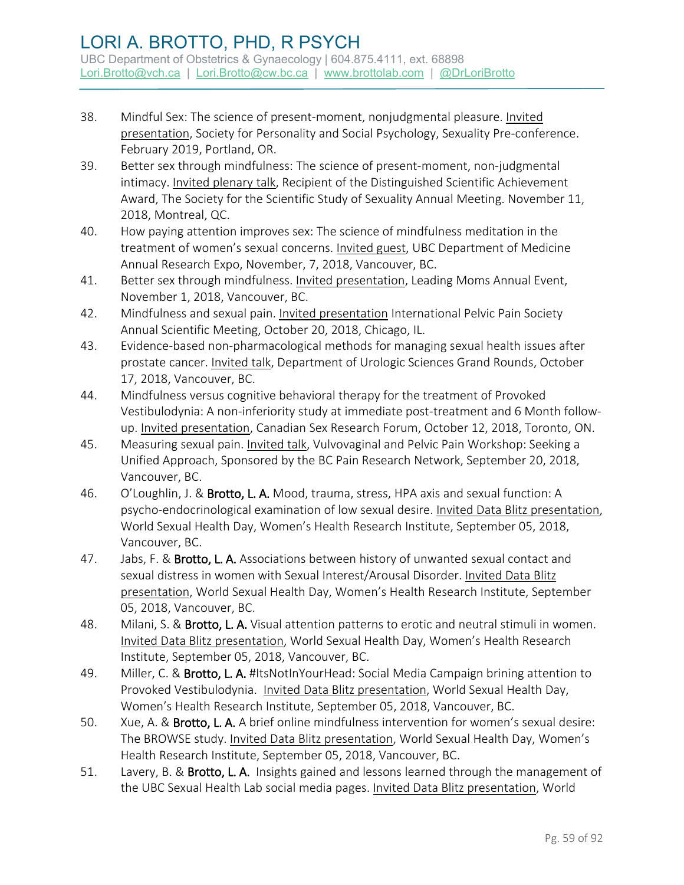- 38. Mindful Sex: The science of present-moment, nonjudgmental pleasure. Invited presentation, Society for Personality and Social Psychology, Sexuality Pre-conference. February 2019, Portland, OR.
- 39. Better sex through mindfulness: The science of present-moment, non-judgmental intimacy. Invited plenary talk, Recipient of the Distinguished Scientific Achievement Award, The Society for the Scientific Study of Sexuality Annual Meeting. November 11, 2018, Montreal, QC.
- 40. How paying attention improves sex: The science of mindfulness meditation in the treatment of women's sexual concerns. Invited guest, UBC Department of Medicine Annual Research Expo, November, 7, 2018, Vancouver, BC.
- 41. Better sex through mindfulness. Invited presentation, Leading Moms Annual Event, November 1, 2018, Vancouver, BC.
- 42. Mindfulness and sexual pain. Invited presentation International Pelvic Pain Society Annual Scientific Meeting, October 20, 2018, Chicago, IL.
- 43. Evidence-based non-pharmacological methods for managing sexual health issues after prostate cancer. Invited talk, Department of Urologic Sciences Grand Rounds, October 17, 2018, Vancouver, BC.
- 44. Mindfulness versus cognitive behavioral therapy for the treatment of Provoked Vestibulodynia: A non-inferiority study at immediate post-treatment and 6 Month followup. Invited presentation, Canadian Sex Research Forum, October 12, 2018, Toronto, ON.
- 45. Measuring sexual pain. Invited talk, Vulvovaginal and Pelvic Pain Workshop: Seeking a Unified Approach, Sponsored by the BC Pain Research Network, September 20, 2018, Vancouver, BC.
- 46. O'Loughlin, J. & Brotto, L. A. Mood, trauma, stress, HPA axis and sexual function: A psycho-endocrinological examination of low sexual desire. Invited Data Blitz presentation, World Sexual Health Day, Women's Health Research Institute, September 05, 2018, Vancouver, BC.
- 47. Jabs, F. & Brotto, L. A. Associations between history of unwanted sexual contact and sexual distress in women with Sexual Interest/Arousal Disorder. Invited Data Blitz presentation, World Sexual Health Day, Women's Health Research Institute, September 05, 2018, Vancouver, BC.
- 48. Milani, S. & Brotto, L. A. Visual attention patterns to erotic and neutral stimuli in women. Invited Data Blitz presentation, World Sexual Health Day, Women's Health Research Institute, September 05, 2018, Vancouver, BC.
- 49. Miller, C. & Brotto, L. A. #ItsNotInYourHead: Social Media Campaign brining attention to Provoked Vestibulodynia. Invited Data Blitz presentation, World Sexual Health Day, Women's Health Research Institute, September 05, 2018, Vancouver, BC.
- 50. Xue, A. & Brotto, L. A. A brief online mindfulness intervention for women's sexual desire: The BROWSE study. Invited Data Blitz presentation, World Sexual Health Day, Women's Health Research Institute, September 05, 2018, Vancouver, BC.
- 51. Lavery, B. & Brotto, L. A. Insights gained and lessons learned through the management of the UBC Sexual Health Lab social media pages. Invited Data Blitz presentation, World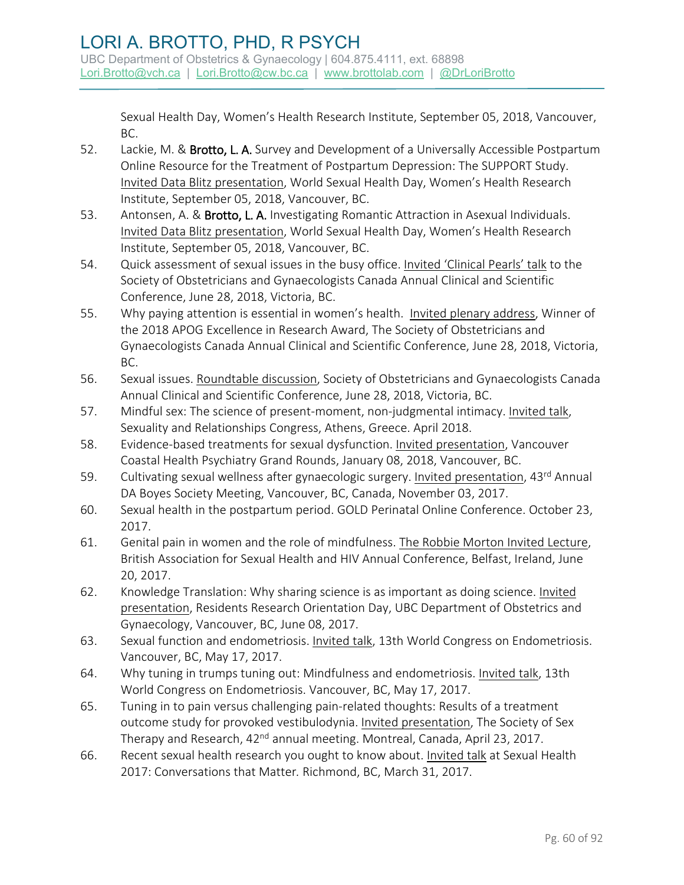Sexual Health Day, Women's Health Research Institute, September 05, 2018, Vancouver, BC.

- 52. Lackie, M. & Brotto, L. A. Survey and Development of a Universally Accessible Postpartum Online Resource for the Treatment of Postpartum Depression: The SUPPORT Study. Invited Data Blitz presentation, World Sexual Health Day, Women's Health Research Institute, September 05, 2018, Vancouver, BC.
- 53. Antonsen, A. & Brotto, L. A. Investigating Romantic Attraction in Asexual Individuals. Invited Data Blitz presentation, World Sexual Health Day, Women's Health Research Institute, September 05, 2018, Vancouver, BC.
- 54. Quick assessment of sexual issues in the busy office. Invited 'Clinical Pearls' talk to the Society of Obstetricians and Gynaecologists Canada Annual Clinical and Scientific Conference, June 28, 2018, Victoria, BC.
- 55. Why paying attention is essential in women's health. Invited plenary address, Winner of the 2018 APOG Excellence in Research Award, The Society of Obstetricians and Gynaecologists Canada Annual Clinical and Scientific Conference, June 28, 2018, Victoria, BC.
- 56. Sexual issues. Roundtable discussion, Society of Obstetricians and Gynaecologists Canada Annual Clinical and Scientific Conference, June 28, 2018, Victoria, BC.
- 57. Mindful sex: The science of present-moment, non-judgmental intimacy. Invited talk, Sexuality and Relationships Congress, Athens, Greece. April 2018.
- 58. Evidence-based treatments for sexual dysfunction. Invited presentation, Vancouver Coastal Health Psychiatry Grand Rounds, January 08, 2018, Vancouver, BC.
- 59. Cultivating sexual wellness after gynaecologic surgery. Invited presentation, 43rd Annual DA Boyes Society Meeting, Vancouver, BC, Canada, November 03, 2017.
- 60. Sexual health in the postpartum period. GOLD Perinatal Online Conference. October 23, 2017.
- 61. Genital pain in women and the role of mindfulness. The Robbie Morton Invited Lecture, British Association for Sexual Health and HIV Annual Conference, Belfast, Ireland, June 20, 2017.
- 62. Knowledge Translation: Why sharing science is as important as doing science. Invited presentation, Residents Research Orientation Day, UBC Department of Obstetrics and Gynaecology, Vancouver, BC, June 08, 2017.
- 63. Sexual function and endometriosis. Invited talk, 13th World Congress on Endometriosis. Vancouver, BC, May 17, 2017.
- 64. Why tuning in trumps tuning out: Mindfulness and endometriosis. Invited talk, 13th World Congress on Endometriosis. Vancouver, BC, May 17, 2017.
- 65. Tuning in to pain versus challenging pain-related thoughts: Results of a treatment outcome study for provoked vestibulodynia. Invited presentation, The Society of Sex Therapy and Research, 42<sup>nd</sup> annual meeting. Montreal, Canada, April 23, 2017.
- 66. Recent sexual health research you ought to know about. Invited talk at Sexual Health 2017: Conversations that Matter*.* Richmond, BC, March 31, 2017.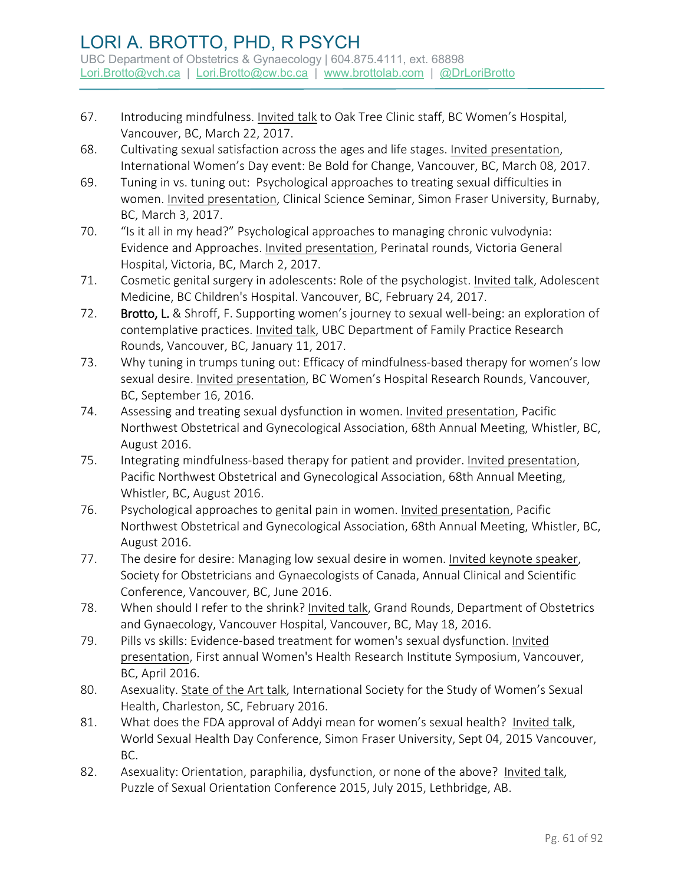## LORI A. BROTTO, PHD, R PSYCH UBC Department of Obstetrics & Gynaecology | 604.875.4111, ext. 68898

[Lori.Brotto@vch.ca](mailto:Lori.Brotto@vch.ca) | [Lori.Brotto@cw.bc.ca](mailto:Lori.Brotto@cw.bc.ca) | [www.brottolab.com](http://www.brottolab.com/) | [@DrLoriBrotto](https://twitter.com/DrLoriBrotto)

- 67. Introducing mindfulness. Invited talk to Oak Tree Clinic staff, BC Women's Hospital, Vancouver, BC, March 22, 2017.
- 68. Cultivating sexual satisfaction across the ages and life stages. Invited presentation, International Women's Day event: Be Bold for Change, Vancouver, BC, March 08, 2017.
- 69. Tuning in vs. tuning out: Psychological approaches to treating sexual difficulties in women. Invited presentation, Clinical Science Seminar, Simon Fraser University, Burnaby, BC, March 3, 2017.
- 70. "Is it all in my head?" Psychological approaches to managing chronic vulvodynia: Evidence and Approaches. Invited presentation, Perinatal rounds, Victoria General Hospital, Victoria, BC, March 2, 2017.
- 71. Cosmetic genital surgery in adolescents: Role of the psychologist. Invited talk, Adolescent Medicine, BC Children's Hospital. Vancouver, BC, February 24, 2017.
- 72. Brotto, L. & Shroff, F. Supporting women's journey to sexual well-being: an exploration of contemplative practices. Invited talk, UBC Department of Family Practice Research Rounds, Vancouver, BC, January 11, 2017.
- 73. Why tuning in trumps tuning out: Efficacy of mindfulness-based therapy for women's low sexual desire. Invited presentation, BC Women's Hospital Research Rounds, Vancouver, BC, September 16, 2016.
- 74. Assessing and treating sexual dysfunction in women. Invited presentation, Pacific Northwest Obstetrical and Gynecological Association, 68th Annual Meeting, Whistler, BC, August 2016.
- 75. Integrating mindfulness-based therapy for patient and provider. Invited presentation, Pacific Northwest Obstetrical and Gynecological Association, 68th Annual Meeting, Whistler, BC, August 2016.
- 76. Psychological approaches to genital pain in women. Invited presentation, Pacific Northwest Obstetrical and Gynecological Association, 68th Annual Meeting, Whistler, BC, August 2016.
- 77. The desire for desire: Managing low sexual desire in women. Invited keynote speaker, Society for Obstetricians and Gynaecologists of Canada, Annual Clinical and Scientific Conference, Vancouver, BC, June 2016.
- 78. When should I refer to the shrink? Invited talk, Grand Rounds, Department of Obstetrics and Gynaecology, Vancouver Hospital, Vancouver, BC, May 18, 2016.
- 79. Pills vs skills: Evidence-based treatment for women's sexual dysfunction. Invited presentation, First annual Women's Health Research Institute Symposium, Vancouver, BC, April 2016.
- 80. Asexuality. State of the Art talk, International Society for the Study of Women's Sexual Health, Charleston, SC, February 2016.
- 81. What does the FDA approval of Addyi mean for women's sexual health? Invited talk, World Sexual Health Day Conference, Simon Fraser University, Sept 04, 2015 Vancouver, BC.
- 82. Asexuality: Orientation, paraphilia, dysfunction, or none of the above? Invited talk, Puzzle of Sexual Orientation Conference 2015, July 2015, Lethbridge, AB.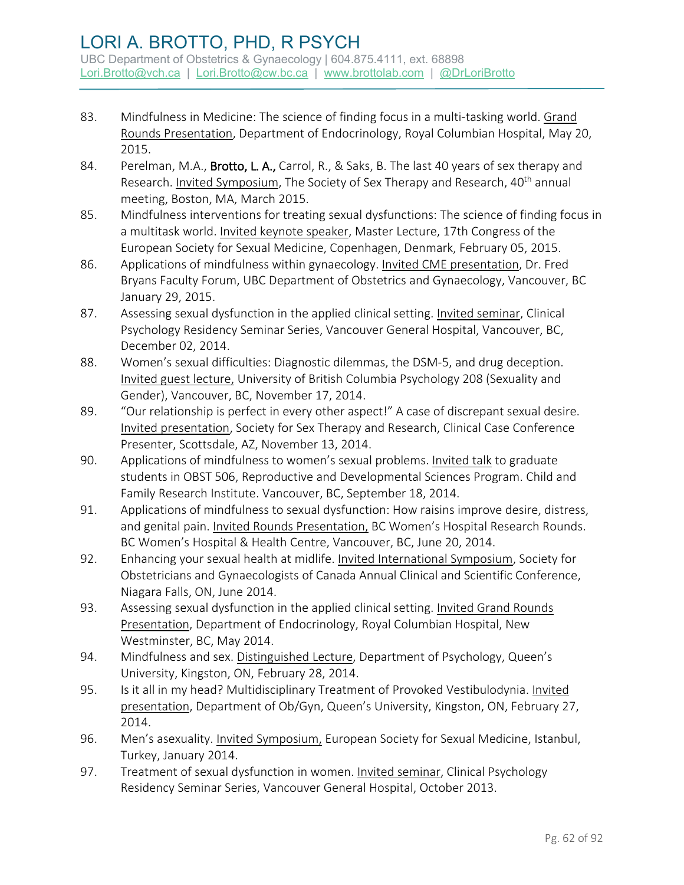- 83. Mindfulness in Medicine: The science of finding focus in a multi-tasking world. Grand Rounds Presentation, Department of Endocrinology, Royal Columbian Hospital, May 20, 2015.
- 84. Perelman, M.A., Brotto, L. A., Carrol, R., & Saks, B. The last 40 years of sex therapy and Research. Invited Symposium, The Society of Sex Therapy and Research, 40<sup>th</sup> annual meeting, Boston, MA, March 2015.
- 85. Mindfulness interventions for treating sexual dysfunctions: The science of finding focus in a multitask world. Invited keynote speaker, Master Lecture, 17th Congress of the European Society for Sexual Medicine, Copenhagen, Denmark, February 05, 2015.
- 86. Applications of mindfulness within gynaecology. Invited CME presentation, Dr. Fred Bryans Faculty Forum, UBC Department of Obstetrics and Gynaecology, Vancouver, BC January 29, 2015.
- 87. Assessing sexual dysfunction in the applied clinical setting. Invited seminar, Clinical Psychology Residency Seminar Series, Vancouver General Hospital, Vancouver, BC, December 02, 2014.
- 88. Women's sexual difficulties: Diagnostic dilemmas, the DSM-5, and drug deception. Invited guest lecture, University of British Columbia Psychology 208 (Sexuality and Gender), Vancouver, BC, November 17, 2014.
- 89. "Our relationship is perfect in every other aspect!" A case of discrepant sexual desire. Invited presentation, Society for Sex Therapy and Research, Clinical Case Conference Presenter, Scottsdale, AZ, November 13, 2014.
- 90. Applications of mindfulness to women's sexual problems. Invited talk to graduate students in OBST 506, Reproductive and Developmental Sciences Program. Child and Family Research Institute. Vancouver, BC, September 18, 2014.
- 91. Applications of mindfulness to sexual dysfunction: How raisins improve desire, distress, and genital pain. Invited Rounds Presentation, BC Women's Hospital Research Rounds. BC Women's Hospital & Health Centre, Vancouver, BC, June 20, 2014.
- 92. Enhancing your sexual health at midlife. Invited International Symposium, Society for Obstetricians and Gynaecologists of Canada Annual Clinical and Scientific Conference, Niagara Falls, ON, June 2014.
- 93. Assessing sexual dysfunction in the applied clinical setting. Invited Grand Rounds Presentation, Department of Endocrinology, Royal Columbian Hospital, New Westminster, BC, May 2014.
- 94. Mindfulness and sex. Distinguished Lecture, Department of Psychology, Queen's University, Kingston, ON, February 28, 2014.
- 95. Is it all in my head? Multidisciplinary Treatment of Provoked Vestibulodynia. Invited presentation, Department of Ob/Gyn, Queen's University, Kingston, ON, February 27, 2014.
- 96. Men's asexuality. Invited Symposium, European Society for Sexual Medicine, Istanbul, Turkey, January 2014.
- 97. Treatment of sexual dysfunction in women. Invited seminar, Clinical Psychology Residency Seminar Series, Vancouver General Hospital, October 2013.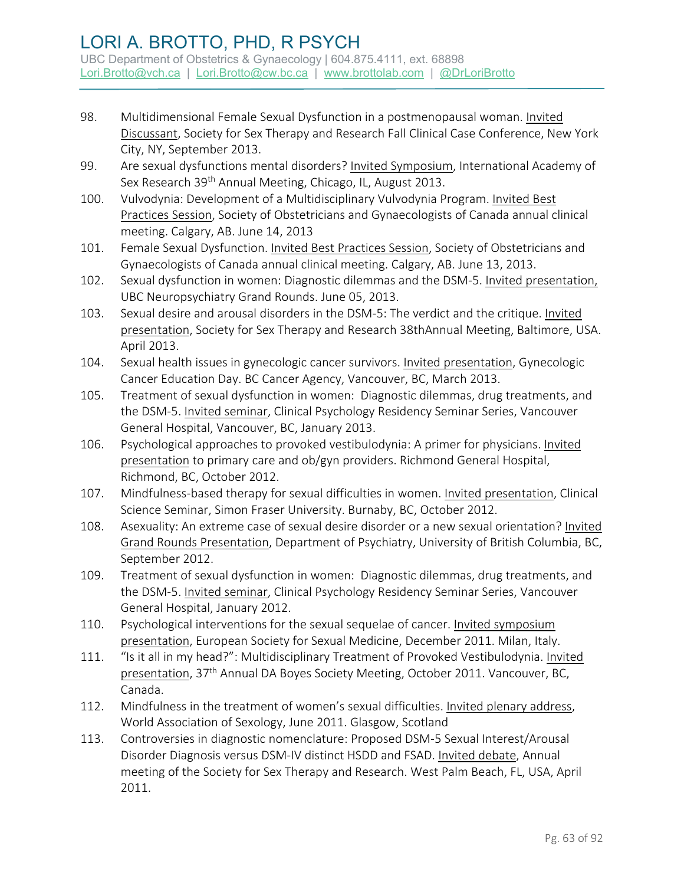- 98. Multidimensional Female Sexual Dysfunction in a postmenopausal woman. Invited Discussant, Society for Sex Therapy and Research Fall Clinical Case Conference, New York City, NY, September 2013.
- 99. Are sexual dysfunctions mental disorders? Invited Symposium, International Academy of Sex Research 39<sup>th</sup> Annual Meeting, Chicago, IL, August 2013.
- 100. Vulvodynia: Development of a Multidisciplinary Vulvodynia Program. Invited Best Practices Session, Society of Obstetricians and Gynaecologists of Canada annual clinical meeting. Calgary, AB. June 14, 2013
- 101. Female Sexual Dysfunction. Invited Best Practices Session, Society of Obstetricians and Gynaecologists of Canada annual clinical meeting. Calgary, AB. June 13, 2013.
- 102. Sexual dysfunction in women: Diagnostic dilemmas and the DSM-5. Invited presentation, UBC Neuropsychiatry Grand Rounds. June 05, 2013.
- 103. Sexual desire and arousal disorders in the DSM-5: The verdict and the critique. Invited presentation, Society for Sex Therapy and Research 38thAnnual Meeting, Baltimore, USA. April 2013.
- 104. Sexual health issues in gynecologic cancer survivors. Invited presentation, Gynecologic Cancer Education Day. BC Cancer Agency, Vancouver, BC, March 2013.
- 105. Treatment of sexual dysfunction in women: Diagnostic dilemmas, drug treatments, and the DSM-5. Invited seminar, Clinical Psychology Residency Seminar Series, Vancouver General Hospital, Vancouver, BC, January 2013.
- 106. Psychological approaches to provoked vestibulodynia: A primer for physicians. Invited presentation to primary care and ob/gyn providers. Richmond General Hospital, Richmond, BC, October 2012.
- 107. Mindfulness-based therapy for sexual difficulties in women. Invited presentation, Clinical Science Seminar, Simon Fraser University. Burnaby, BC, October 2012.
- 108. Asexuality: An extreme case of sexual desire disorder or a new sexual orientation? Invited Grand Rounds Presentation, Department of Psychiatry, University of British Columbia, BC, September 2012.
- 109. Treatment of sexual dysfunction in women: Diagnostic dilemmas, drug treatments, and the DSM-5. Invited seminar, Clinical Psychology Residency Seminar Series, Vancouver General Hospital, January 2012.
- 110. Psychological interventions for the sexual sequelae of cancer. Invited symposium presentation, European Society for Sexual Medicine, December 2011. Milan, Italy.
- 111. "Is it all in my head?": Multidisciplinary Treatment of Provoked Vestibulodynia. Invited presentation, 37<sup>th</sup> Annual DA Boyes Society Meeting, October 2011. Vancouver, BC, Canada.
- 112. Mindfulness in the treatment of women's sexual difficulties. Invited plenary address, World Association of Sexology, June 2011. Glasgow, Scotland
- 113. Controversies in diagnostic nomenclature: Proposed DSM-5 Sexual Interest/Arousal Disorder Diagnosis versus DSM-IV distinct HSDD and FSAD. Invited debate, Annual meeting of the Society for Sex Therapy and Research. West Palm Beach, FL, USA, April 2011.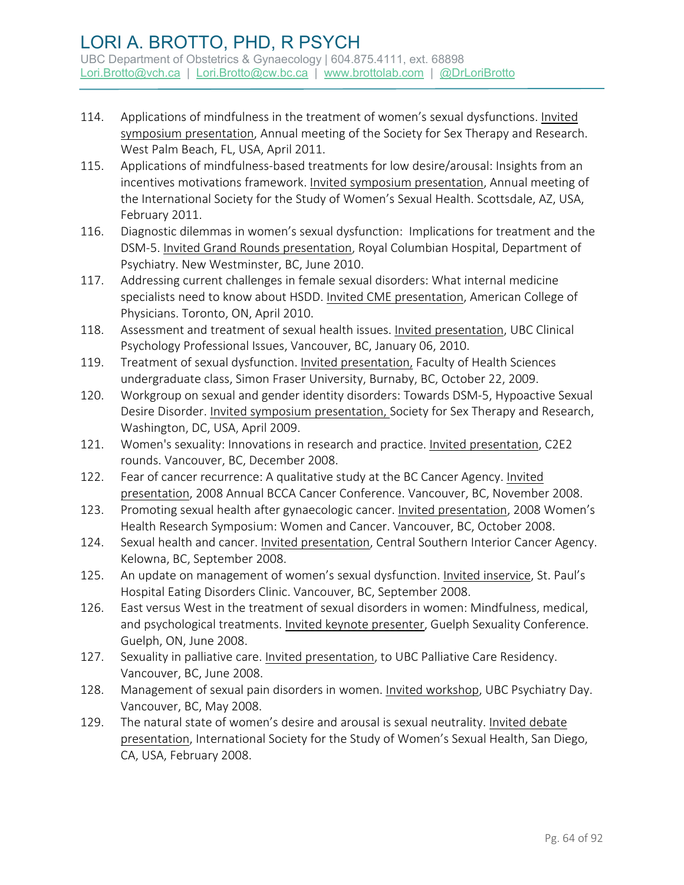- 114. Applications of mindfulness in the treatment of women's sexual dysfunctions. Invited symposium presentation, Annual meeting of the Society for Sex Therapy and Research. West Palm Beach, FL, USA, April 2011.
- 115. Applications of mindfulness-based treatments for low desire/arousal: Insights from an incentives motivations framework. Invited symposium presentation, Annual meeting of the International Society for the Study of Women's Sexual Health. Scottsdale, AZ, USA, February 2011.
- 116. Diagnostic dilemmas in women's sexual dysfunction: Implications for treatment and the DSM-5. Invited Grand Rounds presentation, Royal Columbian Hospital, Department of Psychiatry. New Westminster, BC, June 2010.
- 117. Addressing current challenges in female sexual disorders: What internal medicine specialists need to know about HSDD. Invited CME presentation, American College of Physicians. Toronto, ON, April 2010.
- 118. Assessment and treatment of sexual health issues. Invited presentation, UBC Clinical Psychology Professional Issues, Vancouver, BC, January 06, 2010.
- 119. Treatment of sexual dysfunction. Invited presentation, Faculty of Health Sciences undergraduate class, Simon Fraser University, Burnaby, BC, October 22, 2009.
- 120. Workgroup on sexual and gender identity disorders: Towards DSM-5, Hypoactive Sexual Desire Disorder. Invited symposium presentation, Society for Sex Therapy and Research, Washington, DC, USA, April 2009.
- 121. Women's sexuality: Innovations in research and practice. Invited presentation, C2E2 rounds. Vancouver, BC, December 2008.
- 122. Fear of cancer recurrence: A qualitative study at the BC Cancer Agency. Invited presentation, 2008 Annual BCCA Cancer Conference. Vancouver, BC, November 2008.
- 123. Promoting sexual health after gynaecologic cancer. Invited presentation, 2008 Women's Health Research Symposium: Women and Cancer. Vancouver, BC, October 2008.
- 124. Sexual health and cancer. Invited presentation, Central Southern Interior Cancer Agency. Kelowna, BC, September 2008.
- 125. An update on management of women's sexual dysfunction. Invited inservice, St. Paul's Hospital Eating Disorders Clinic. Vancouver, BC, September 2008.
- 126. East versus West in the treatment of sexual disorders in women: Mindfulness, medical, and psychological treatments. Invited keynote presenter, Guelph Sexuality Conference. Guelph, ON, June 2008.
- 127. Sexuality in palliative care. Invited presentation, to UBC Palliative Care Residency. Vancouver, BC, June 2008.
- 128. Management of sexual pain disorders in women. Invited workshop, UBC Psychiatry Day. Vancouver, BC, May 2008.
- 129. The natural state of women's desire and arousal is sexual neutrality. Invited debate presentation, International Society for the Study of Women's Sexual Health, San Diego, CA, USA, February 2008.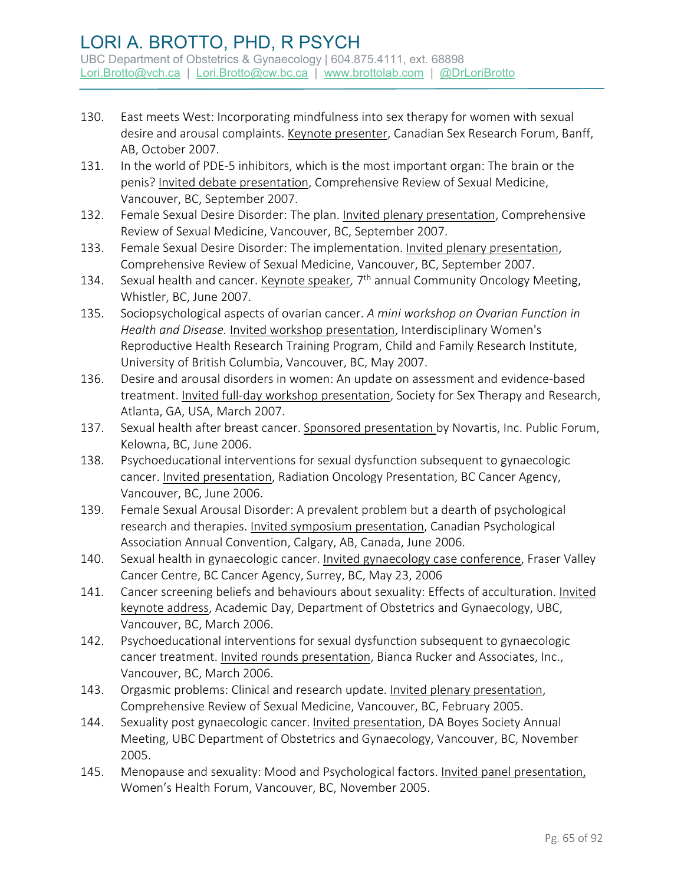- 130. East meets West: Incorporating mindfulness into sex therapy for women with sexual desire and arousal complaints. Keynote presenter, Canadian Sex Research Forum, Banff, AB, October 2007.
- 131. In the world of PDE-5 inhibitors, which is the most important organ: The brain or the penis? Invited debate presentation, Comprehensive Review of Sexual Medicine, Vancouver, BC, September 2007.
- 132. Female Sexual Desire Disorder: The plan. Invited plenary presentation, Comprehensive Review of Sexual Medicine, Vancouver, BC, September 2007.
- 133. Female Sexual Desire Disorder: The implementation. Invited plenary presentation, Comprehensive Review of Sexual Medicine, Vancouver, BC, September 2007.
- 134. Sexual health and cancer. Keynote speaker*,* 7th annual Community Oncology Meeting, Whistler, BC, June 2007.
- 135. Sociopsychological aspects of ovarian cancer. *A mini workshop on Ovarian Function in Health and Disease.* Invited workshop presentation, Interdisciplinary Women's Reproductive Health Research Training Program, Child and Family Research Institute, University of British Columbia, Vancouver, BC, May 2007.
- 136. Desire and arousal disorders in women: An update on assessment and evidence-based treatment. Invited full-day workshop presentation, Society for Sex Therapy and Research, Atlanta, GA, USA, March 2007.
- 137. Sexual health after breast cancer. Sponsored presentation by Novartis, Inc. Public Forum, Kelowna, BC, June 2006.
- 138. Psychoeducational interventions for sexual dysfunction subsequent to gynaecologic cancer. Invited presentation, Radiation Oncology Presentation, BC Cancer Agency, Vancouver, BC, June 2006.
- 139. Female Sexual Arousal Disorder: A prevalent problem but a dearth of psychological research and therapies. Invited symposium presentation, Canadian Psychological Association Annual Convention, Calgary, AB, Canada, June 2006.
- 140. Sexual health in gynaecologic cancer. Invited gynaecology case conference, Fraser Valley Cancer Centre, BC Cancer Agency, Surrey, BC, May 23, 2006
- 141. Cancer screening beliefs and behaviours about sexuality: Effects of acculturation. Invited keynote address, Academic Day, Department of Obstetrics and Gynaecology, UBC, Vancouver, BC, March 2006.
- 142. Psychoeducational interventions for sexual dysfunction subsequent to gynaecologic cancer treatment. Invited rounds presentation, Bianca Rucker and Associates, Inc., Vancouver, BC, March 2006.
- 143. Orgasmic problems: Clinical and research update. Invited plenary presentation, Comprehensive Review of Sexual Medicine, Vancouver, BC, February 2005.
- 144. Sexuality post gynaecologic cancer. Invited presentation, DA Boyes Society Annual Meeting, UBC Department of Obstetrics and Gynaecology, Vancouver, BC, November 2005.
- 145. Menopause and sexuality: Mood and Psychological factors. Invited panel presentation, Women's Health Forum, Vancouver, BC, November 2005.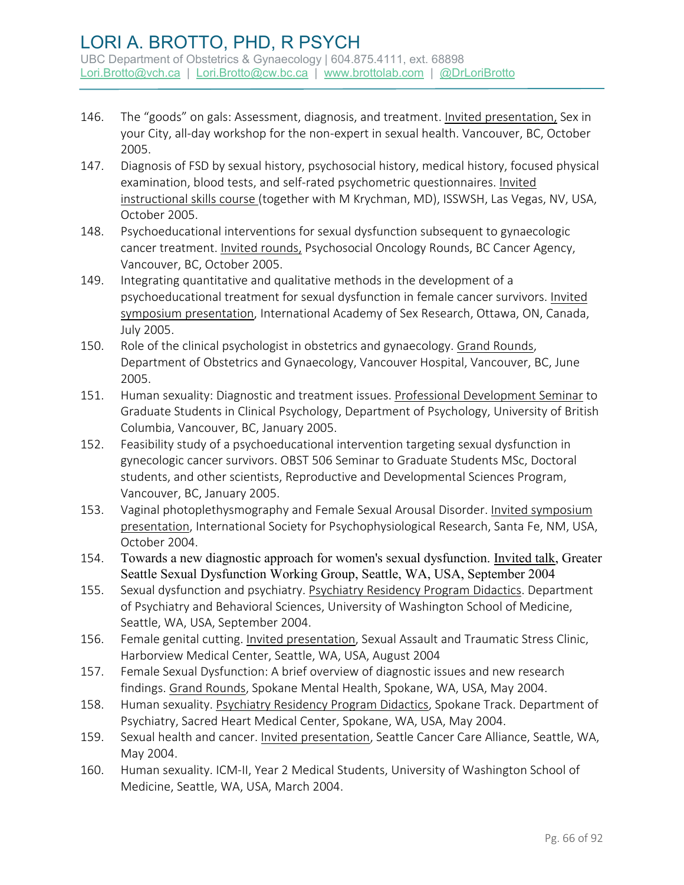### LORI A. BROTTO, PHD, R PSYCH UBC Department of Obstetrics & Gynaecology | 604.875.4111, ext. 68898

[Lori.Brotto@vch.ca](mailto:Lori.Brotto@vch.ca) | [Lori.Brotto@cw.bc.ca](mailto:Lori.Brotto@cw.bc.ca) | [www.brottolab.com](http://www.brottolab.com/) | [@DrLoriBrotto](https://twitter.com/DrLoriBrotto)

- 146. The "goods" on gals: Assessment, diagnosis, and treatment. Invited presentation, Sex in your City, all-day workshop for the non-expert in sexual health. Vancouver, BC, October 2005.
- 147. Diagnosis of FSD by sexual history, psychosocial history, medical history, focused physical examination, blood tests, and self-rated psychometric questionnaires. Invited instructional skills course (together with M Krychman, MD), ISSWSH, Las Vegas, NV, USA, October 2005.
- 148. Psychoeducational interventions for sexual dysfunction subsequent to gynaecologic cancer treatment. Invited rounds, Psychosocial Oncology Rounds, BC Cancer Agency, Vancouver, BC, October 2005.
- 149. Integrating quantitative and qualitative methods in the development of a psychoeducational treatment for sexual dysfunction in female cancer survivors. Invited symposium presentation, International Academy of Sex Research, Ottawa, ON, Canada, July 2005.
- 150. Role of the clinical psychologist in obstetrics and gynaecology. Grand Rounds, Department of Obstetrics and Gynaecology, Vancouver Hospital, Vancouver, BC, June 2005.
- 151. Human sexuality: Diagnostic and treatment issues. Professional Development Seminar to Graduate Students in Clinical Psychology, Department of Psychology, University of British Columbia, Vancouver, BC, January 2005.
- 152. Feasibility study of a psychoeducational intervention targeting sexual dysfunction in gynecologic cancer survivors. OBST 506 Seminar to Graduate Students MSc, Doctoral students, and other scientists, Reproductive and Developmental Sciences Program, Vancouver, BC, January 2005.
- 153. Vaginal photoplethysmography and Female Sexual Arousal Disorder. Invited symposium presentation, International Society for Psychophysiological Research, Santa Fe, NM, USA, October 2004.
- 154. Towards a new diagnostic approach for women's sexual dysfunction. Invited talk, Greater Seattle Sexual Dysfunction Working Group, Seattle, WA, USA, September 2004
- 155. Sexual dysfunction and psychiatry. Psychiatry Residency Program Didactics. Department of Psychiatry and Behavioral Sciences, University of Washington School of Medicine, Seattle, WA, USA, September 2004.
- 156. Female genital cutting. Invited presentation, Sexual Assault and Traumatic Stress Clinic, Harborview Medical Center, Seattle, WA, USA, August 2004
- 157. Female Sexual Dysfunction: A brief overview of diagnostic issues and new research findings. Grand Rounds, Spokane Mental Health, Spokane, WA, USA, May 2004.
- 158. Human sexuality. Psychiatry Residency Program Didactics, Spokane Track. Department of Psychiatry, Sacred Heart Medical Center, Spokane, WA, USA, May 2004.
- 159. Sexual health and cancer. Invited presentation, Seattle Cancer Care Alliance, Seattle, WA, May 2004.
- 160. Human sexuality. ICM-II, Year 2 Medical Students, University of Washington School of Medicine, Seattle, WA, USA, March 2004.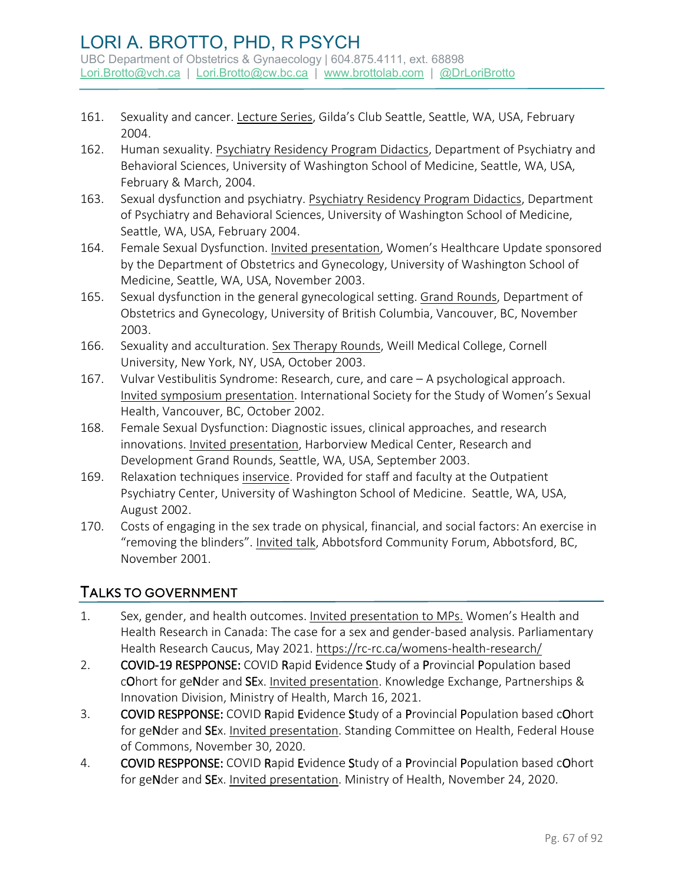- 161. Sexuality and cancer. Lecture Series, Gilda's Club Seattle, Seattle, WA, USA, February 2004.
- 162. Human sexuality. Psychiatry Residency Program Didactics, Department of Psychiatry and Behavioral Sciences, University of Washington School of Medicine, Seattle, WA, USA, February & March, 2004.
- 163. Sexual dysfunction and psychiatry. Psychiatry Residency Program Didactics, Department of Psychiatry and Behavioral Sciences, University of Washington School of Medicine, Seattle, WA, USA, February 2004.
- 164. Female Sexual Dysfunction. Invited presentation, Women's Healthcare Update sponsored by the Department of Obstetrics and Gynecology, University of Washington School of Medicine, Seattle, WA, USA, November 2003.
- 165. Sexual dysfunction in the general gynecological setting. Grand Rounds, Department of Obstetrics and Gynecology, University of British Columbia, Vancouver, BC, November 2003.
- 166. Sexuality and acculturation. Sex Therapy Rounds, Weill Medical College, Cornell University, New York, NY, USA, October 2003.
- 167. Vulvar Vestibulitis Syndrome: Research, cure, and care A psychological approach. Invited symposium presentation. International Society for the Study of Women's Sexual Health, Vancouver, BC, October 2002.
- 168. Female Sexual Dysfunction: Diagnostic issues, clinical approaches, and research innovations. Invited presentation, Harborview Medical Center, Research and Development Grand Rounds, Seattle, WA, USA, September 2003.
- 169. Relaxation techniques inservice. Provided for staff and faculty at the Outpatient Psychiatry Center, University of Washington School of Medicine. Seattle, WA, USA, August 2002.
- 170. Costs of engaging in the sex trade on physical, financial, and social factors: An exercise in "removing the blinders". Invited talk, Abbotsford Community Forum, Abbotsford, BC, November 2001.

#### TALKS TO GOVERNMENT

- 1. Sex, gender, and health outcomes. Invited presentation to MPs. Women's Health and Health Research in Canada: The case for a sex and gender-based analysis. Parliamentary Health Research Caucus, May 2021.<https://rc-rc.ca/womens-health-research/>
- 2. COVID-19 RESPPONSE: COVID Rapid Evidence Study of a Provincial Population based cOhort for geNder and SEx. Invited presentation. Knowledge Exchange, Partnerships & Innovation Division, Ministry of Health, March 16, 2021.
- 3. COVID RESPPONSE: COVID Rapid Evidence Study of a Provincial Population based cOhort for geNder and SEx. Invited presentation. Standing Committee on Health, Federal House of Commons, November 30, 2020.
- 4. COVID RESPPONSE: COVID Rapid Evidence Study of a Provincial Population based cOhort for geNder and SEx. Invited presentation. Ministry of Health, November 24, 2020.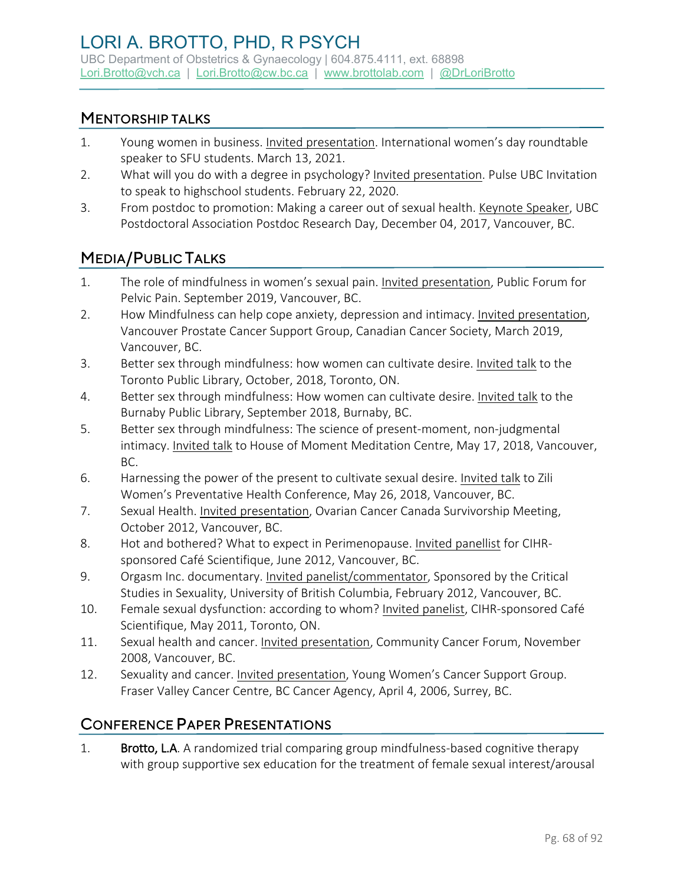#### MENTORSHIP TALKS

- 1. Young women in business. Invited presentation. International women's day roundtable speaker to SFU students. March 13, 2021.
- 2. What will you do with a degree in psychology? Invited presentation. Pulse UBC Invitation to speak to highschool students. February 22, 2020.
- 3. From postdoc to promotion: Making a career out of sexual health. Keynote Speaker, UBC Postdoctoral Association Postdoc Research Day, December 04, 2017, Vancouver, BC.

## MEDIA/PUBLIC TALKS

- 1. The role of mindfulness in women's sexual pain. Invited presentation, Public Forum for Pelvic Pain. September 2019, Vancouver, BC.
- 2. How Mindfulness can help cope anxiety, depression and intimacy. Invited presentation, Vancouver Prostate Cancer Support Group, Canadian Cancer Society, March 2019, Vancouver, BC.
- 3. Better sex through mindfulness: how women can cultivate desire. Invited talk to the Toronto Public Library, October, 2018, Toronto, ON.
- 4. Better sex through mindfulness: How women can cultivate desire. Invited talk to the Burnaby Public Library, September 2018, Burnaby, BC.
- 5. Better sex through mindfulness: The science of present-moment, non-judgmental intimacy. Invited talk to House of Moment Meditation Centre, May 17, 2018, Vancouver, BC.
- 6. Harnessing the power of the present to cultivate sexual desire. Invited talk to Zili Women's Preventative Health Conference, May 26, 2018, Vancouver, BC.
- 7. Sexual Health. Invited presentation, Ovarian Cancer Canada Survivorship Meeting, October 2012, Vancouver, BC.
- 8. Hot and bothered? What to expect in Perimenopause. Invited panellist for CIHRsponsored Café Scientifique, June 2012, Vancouver, BC.
- 9. Orgasm Inc. documentary. Invited panelist/commentator, Sponsored by the Critical Studies in Sexuality, University of British Columbia, February 2012, Vancouver, BC.
- 10. Female sexual dysfunction: according to whom? Invited panelist, CIHR-sponsored Café Scientifique, May 2011, Toronto, ON.
- 11. Sexual health and cancer. Invited presentation, Community Cancer Forum, November 2008, Vancouver, BC.
- 12. Sexuality and cancer. Invited presentation, Young Women's Cancer Support Group. Fraser Valley Cancer Centre, BC Cancer Agency, April 4, 2006, Surrey, BC.

## CONFERENCE PAPER PRESENTATIONS

1. Brotto, L.A. A randomized trial comparing group mindfulness-based cognitive therapy with group supportive sex education for the treatment of female sexual interest/arousal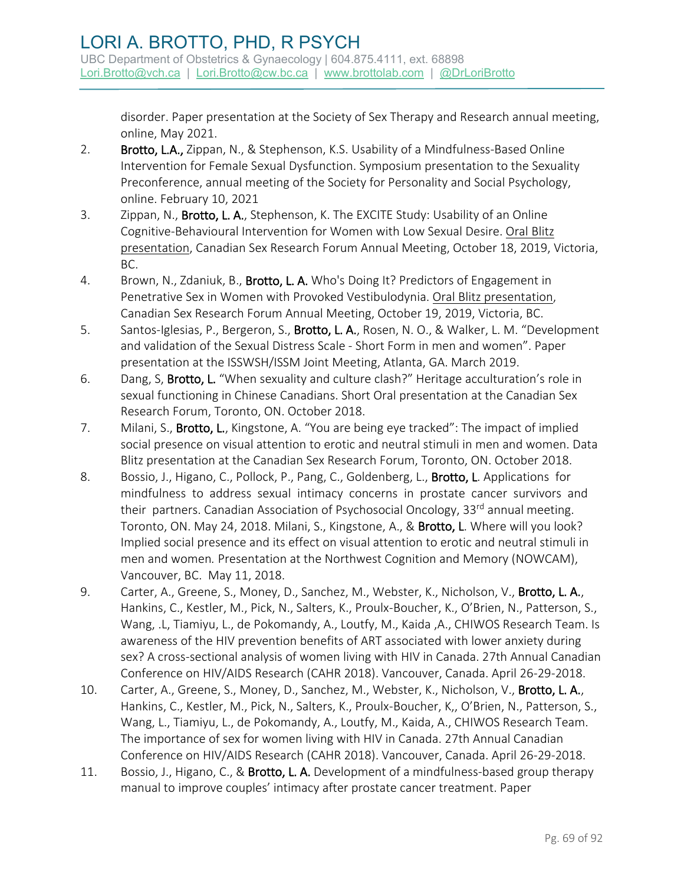disorder. Paper presentation at the Society of Sex Therapy and Research annual meeting, online, May 2021.

- 2. Brotto, L.A., Zippan, N., & Stephenson, K.S. Usability of a Mindfulness-Based Online Intervention for Female Sexual Dysfunction. Symposium presentation to the Sexuality Preconference, annual meeting of the Society for Personality and Social Psychology, online. February 10, 2021
- 3. Zippan, N., Brotto, L. A., Stephenson, K. The EXCITE Study: Usability of an Online Cognitive-Behavioural Intervention for Women with Low Sexual Desire. Oral Blitz presentation, Canadian Sex Research Forum Annual Meeting, October 18, 2019, Victoria, BC.
- 4. Brown, N., Zdaniuk, B., Brotto, L. A. Who's Doing It? Predictors of Engagement in Penetrative Sex in Women with Provoked Vestibulodynia. Oral Blitz presentation, Canadian Sex Research Forum Annual Meeting, October 19, 2019, Victoria, BC.
- 5. Santos-Iglesias, P., Bergeron, S., Brotto, L. A., Rosen, N. O., & Walker, L. M. "Development and validation of the Sexual Distress Scale - Short Form in men and women". Paper presentation at the ISSWSH/ISSM Joint Meeting, Atlanta, GA. March 2019.
- 6. Dang, S, Brotto, L. "When sexuality and culture clash?" Heritage acculturation's role in sexual functioning in Chinese Canadians. Short Oral presentation at the Canadian Sex Research Forum, Toronto, ON. October 2018.
- 7. Milani, S., **Brotto, L.**, Kingstone, A. "You are being eye tracked": The impact of implied social presence on visual attention to erotic and neutral stimuli in men and women. Data Blitz presentation at the Canadian Sex Research Forum, Toronto, ON. October 2018.
- 8. Bossio, J., Higano, C., Pollock, P., Pang, C., Goldenberg, L., Brotto, L. Applications for mindfulness to address sexual intimacy concerns in prostate cancer survivors and their partners. Canadian Association of Psychosocial Oncology, 33<sup>rd</sup> annual meeting. Toronto, ON. May 24, 2018. Milani, S., Kingstone, A., & Brotto, L. Where will you look? Implied social presence and its effect on visual attention to erotic and neutral stimuli in men and women*.* Presentation at the Northwest Cognition and Memory (NOWCAM), Vancouver, BC. May 11, 2018.
- 9. Carter, A., Greene, S., Money, D., Sanchez, M., Webster, K., Nicholson, V., Brotto, L. A., Hankins, C., Kestler, M., Pick, N., Salters, K., Proulx-Boucher, K., O'Brien, N., Patterson, S., Wang, .L, Tiamiyu, L., de Pokomandy, A., Loutfy, M., Kaida, A., CHIWOS Research Team. Is awareness of the HIV prevention benefits of ART associated with lower anxiety during sex? A cross-sectional analysis of women living with HIV in Canada. 27th Annual Canadian Conference on HIV/AIDS Research (CAHR 2018). Vancouver, Canada. April 26-29-2018.
- 10. Carter, A., Greene, S., Money, D., Sanchez, M., Webster, K., Nicholson, V., Brotto, L. A., Hankins, C., Kestler, M., Pick, N., Salters, K., Proulx-Boucher, K,, O'Brien, N., Patterson, S., Wang, L., Tiamiyu, L., de Pokomandy, A., Loutfy, M., Kaida, A., CHIWOS Research Team. The importance of sex for women living with HIV in Canada. 27th Annual Canadian Conference on HIV/AIDS Research (CAHR 2018). Vancouver, Canada. April 26-29-2018.
- 11. Bossio, J., Higano, C., & Brotto, L. A. Development of a mindfulness-based group therapy manual to improve couples' intimacy after prostate cancer treatment. Paper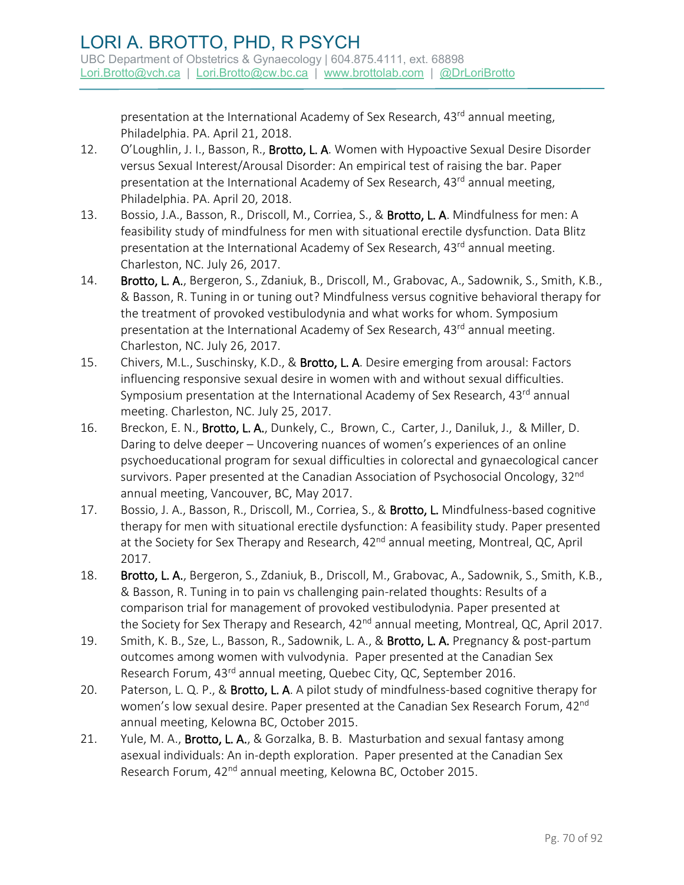presentation at the International Academy of Sex Research, 43<sup>rd</sup> annual meeting, Philadelphia. PA. April 21, 2018.

- 12. O'Loughlin, J. I., Basson, R., Brotto, L. A. Women with Hypoactive Sexual Desire Disorder versus Sexual Interest/Arousal Disorder: An empirical test of raising the bar. Paper presentation at the International Academy of Sex Research, 43<sup>rd</sup> annual meeting, Philadelphia. PA. April 20, 2018.
- 13. Bossio, J.A., Basson, R., Driscoll, M., Corriea, S., & Brotto, L. A. Mindfulness for men: A feasibility study of mindfulness for men with situational erectile dysfunction. Data Blitz presentation at the International Academy of Sex Research, 43<sup>rd</sup> annual meeting. Charleston, NC. July 26, 2017.
- 14. Brotto, L. A., Bergeron, S., Zdaniuk, B., Driscoll, M., Grabovac, A., Sadownik, S., Smith, K.B., & Basson, R. Tuning in or tuning out? Mindfulness versus cognitive behavioral therapy for the treatment of provoked vestibulodynia and what works for whom. Symposium presentation at the International Academy of Sex Research, 43<sup>rd</sup> annual meeting. Charleston, NC. July 26, 2017.
- 15. Chivers, M.L., Suschinsky, K.D., & Brotto, L. A. Desire emerging from arousal: Factors influencing responsive sexual desire in women with and without sexual difficulties. Symposium presentation at the International Academy of Sex Research, 43rd annual meeting. Charleston, NC. July 25, 2017.
- 16. Breckon, E. N., Brotto, L. A., Dunkely, C., Brown, C., Carter, J., Daniluk, J., & Miller, D. Daring to delve deeper – Uncovering nuances of women's experiences of an online psychoeducational program for sexual difficulties in colorectal and gynaecological cancer survivors. Paper presented at the Canadian Association of Psychosocial Oncology, 32<sup>nd</sup> annual meeting, Vancouver, BC, May 2017.
- 17. Bossio, J. A., Basson, R., Driscoll, M., Corriea, S., & Brotto, L. Mindfulness-based cognitive therapy for men with situational erectile dysfunction: A feasibility study. Paper presented at the Society for Sex Therapy and Research, 42<sup>nd</sup> annual meeting, Montreal, QC, April 2017.
- 18. Brotto, L. A., Bergeron, S., Zdaniuk, B., Driscoll, M., Grabovac, A., Sadownik, S., Smith, K.B., & Basson, R. Tuning in to pain vs challenging pain-related thoughts: Results of a comparison trial for management of provoked vestibulodynia. Paper presented at the Society for Sex Therapy and Research, 42<sup>nd</sup> annual meeting, Montreal, QC, April 2017.
- 19. Smith, K. B., Sze, L., Basson, R., Sadownik, L. A., & Brotto, L. A. Pregnancy & post-partum outcomes among women with vulvodynia. Paper presented at the Canadian Sex Research Forum, 43<sup>rd</sup> annual meeting, Quebec City, QC, September 2016.
- 20. Paterson, L. Q. P., & Brotto, L. A. A pilot study of mindfulness-based cognitive therapy for women's low sexual desire. Paper presented at the Canadian Sex Research Forum, 42<sup>nd</sup> annual meeting, Kelowna BC, October 2015.
- 21. Yule, M. A., Brotto, L. A., & Gorzalka, B. B. Masturbation and sexual fantasy among asexual individuals: An in-depth exploration. Paper presented at the Canadian Sex Research Forum, 42<sup>nd</sup> annual meeting, Kelowna BC, October 2015.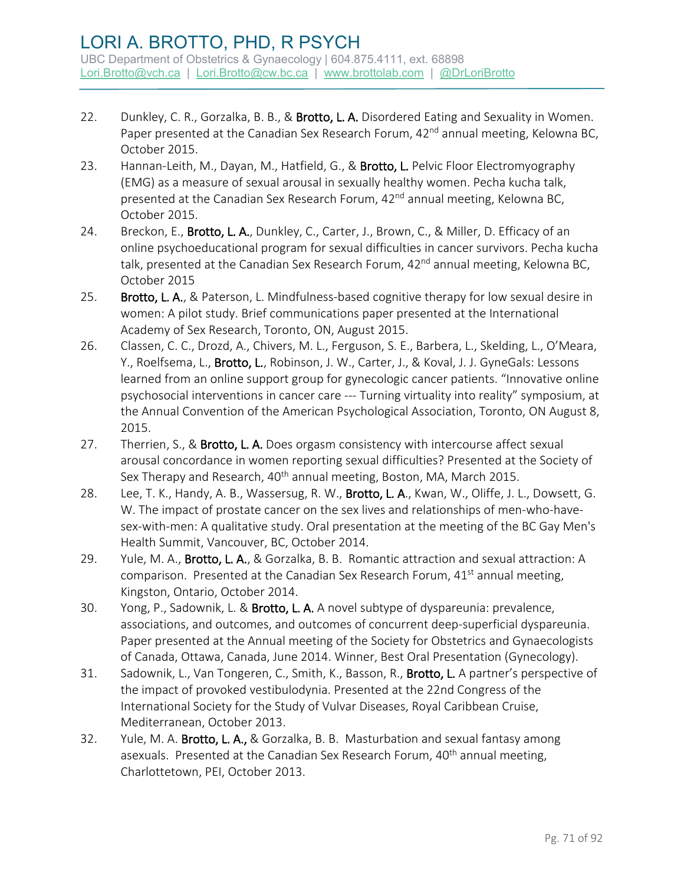- 22. Dunkley, C. R., Gorzalka, B. B., & Brotto, L. A. Disordered Eating and Sexuality in Women. Paper presented at the Canadian Sex Research Forum, 42<sup>nd</sup> annual meeting, Kelowna BC, October 2015.
- 23. Hannan-Leith, M., Dayan, M., Hatfield, G., & Brotto, L. Pelvic Floor Electromyography (EMG) as a measure of sexual arousal in sexually healthy women. Pecha kucha talk, presented at the Canadian Sex Research Forum, 42<sup>nd</sup> annual meeting, Kelowna BC, October 2015.
- 24. Breckon, E., Brotto, L. A., Dunkley, C., Carter, J., Brown, C., & Miller, D. Efficacy of an online psychoeducational program for sexual difficulties in cancer survivors. Pecha kucha talk, presented at the Canadian Sex Research Forum, 42<sup>nd</sup> annual meeting, Kelowna BC, October 2015
- 25. Brotto, L. A., & Paterson, L. Mindfulness-based cognitive therapy for low sexual desire in women: A pilot study. Brief communications paper presented at the International Academy of Sex Research, Toronto, ON, August 2015.
- 26. Classen, C. C., Drozd, A., Chivers, M. L., Ferguson, S. E., Barbera, L., Skelding, L., O'Meara, Y., Roelfsema, L., Brotto, L., Robinson, J. W., Carter, J., & Koval, J. J. GyneGals: Lessons learned from an online support group for gynecologic cancer patients. "Innovative online psychosocial interventions in cancer care --- Turning virtuality into reality" symposium, at the Annual Convention of the American Psychological Association, Toronto, ON August 8, 2015.
- 27. Therrien, S., & Brotto, L. A. Does orgasm consistency with intercourse affect sexual arousal concordance in women reporting sexual difficulties? Presented at the Society of Sex Therapy and Research, 40<sup>th</sup> annual meeting, Boston, MA, March 2015.
- 28. Lee, T. K., Handy, A. B., Wassersug, R. W., Brotto, L. A., Kwan, W., Oliffe, J. L., Dowsett, G. W. The impact of prostate cancer on the sex lives and relationships of men-who-havesex-with-men: A qualitative study. Oral presentation at the meeting of the BC Gay Men's Health Summit, Vancouver, BC, October 2014.
- 29. Yule, M. A., Brotto, L. A., & Gorzalka, B. B. Romantic attraction and sexual attraction: A comparison. Presented at the Canadian Sex Research Forum,  $41<sup>st</sup>$  annual meeting, Kingston, Ontario, October 2014.
- 30. Yong, P., Sadownik, L. & Brotto, L. A. A novel subtype of dyspareunia: prevalence, associations, and outcomes, and outcomes of concurrent deep-superficial dyspareunia. Paper presented at the Annual meeting of the Society for Obstetrics and Gynaecologists of Canada, Ottawa, Canada, June 2014. Winner, Best Oral Presentation (Gynecology).
- 31. Sadownik, L., Van Tongeren, C., Smith, K., Basson, R., Brotto, L. A partner's perspective of the impact of provoked vestibulodynia. Presented at the 22nd Congress of the International Society for the Study of Vulvar Diseases, Royal Caribbean Cruise, Mediterranean, October 2013.
- 32. Yule, M. A. Brotto, L. A., & Gorzalka, B. B. Masturbation and sexual fantasy among asexuals. Presented at the Canadian Sex Research Forum, 40<sup>th</sup> annual meeting, Charlottetown, PEI, October 2013.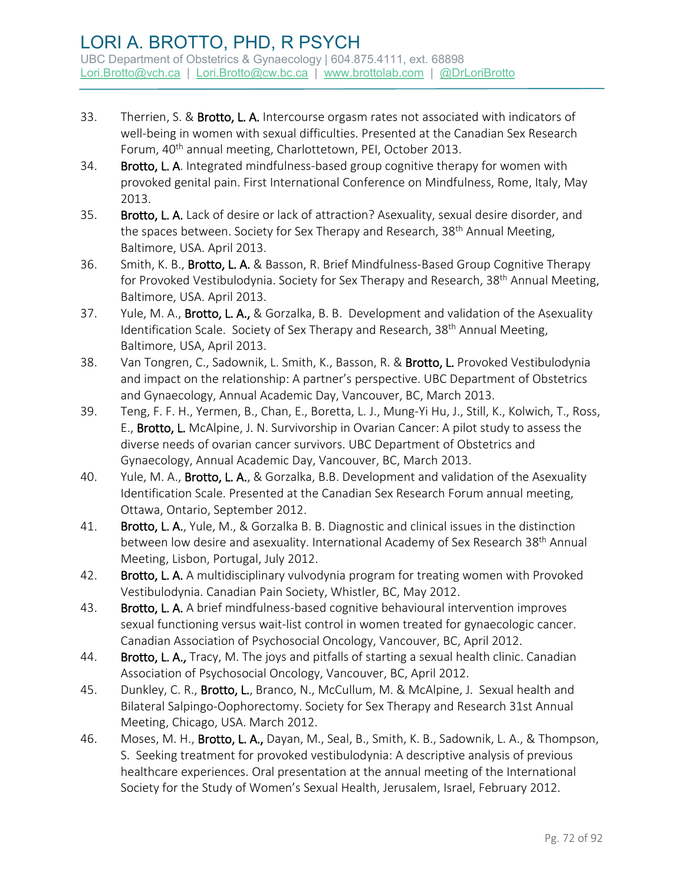- 33. Therrien, S. & Brotto, L. A. Intercourse orgasm rates not associated with indicators of well-being in women with sexual difficulties. Presented at the Canadian Sex Research Forum, 40<sup>th</sup> annual meeting, Charlottetown, PEI, October 2013.
- 34. Brotto, L. A. Integrated mindfulness-based group cognitive therapy for women with provoked genital pain. First International Conference on Mindfulness, Rome, Italy, May 2013.
- 35. Brotto, L. A. Lack of desire or lack of attraction? Asexuality, sexual desire disorder, and the spaces between. Society for Sex Therapy and Research, 38<sup>th</sup> Annual Meeting, Baltimore, USA. April 2013.
- 36. Smith, K. B., **Brotto, L. A.** & Basson, R. Brief Mindfulness-Based Group Cognitive Therapy for Provoked Vestibulodynia. Society for Sex Therapy and Research, 38<sup>th</sup> Annual Meeting, Baltimore, USA. April 2013.
- 37. Yule, M. A., Brotto, L. A., & Gorzalka, B. B. Development and validation of the Asexuality Identification Scale. Society of Sex Therapy and Research, 38<sup>th</sup> Annual Meeting, Baltimore, USA, April 2013.
- 38. Van Tongren, C., Sadownik, L. Smith, K., Basson, R. & Brotto, L. Provoked Vestibulodynia and impact on the relationship: A partner's perspective. UBC Department of Obstetrics and Gynaecology, Annual Academic Day, Vancouver, BC, March 2013.
- 39. Teng, F. F. H., Yermen, B., Chan, E., Boretta, L. J., Mung-Yi Hu, J., Still, K., Kolwich, T., Ross, E., Brotto, L. McAlpine, J. N. Survivorship in Ovarian Cancer: A pilot study to assess the diverse needs of ovarian cancer survivors. UBC Department of Obstetrics and Gynaecology, Annual Academic Day, Vancouver, BC, March 2013.
- 40. Yule, M. A., Brotto, L. A., & Gorzalka, B.B. Development and validation of the Asexuality Identification Scale. Presented at the Canadian Sex Research Forum annual meeting, Ottawa, Ontario, September 2012.
- 41. Brotto, L. A., Yule, M., & Gorzalka B. B. Diagnostic and clinical issues in the distinction between low desire and asexuality. International Academy of Sex Research 38<sup>th</sup> Annual Meeting, Lisbon, Portugal, July 2012.
- 42. Brotto, L. A. A multidisciplinary vulvodynia program for treating women with Provoked Vestibulodynia. Canadian Pain Society, Whistler, BC, May 2012.
- 43. Brotto, L. A. A brief mindfulness-based cognitive behavioural intervention improves sexual functioning versus wait-list control in women treated for gynaecologic cancer. Canadian Association of Psychosocial Oncology, Vancouver, BC, April 2012.
- 44. Brotto, L. A., Tracy, M. The joys and pitfalls of starting a sexual health clinic. Canadian Association of Psychosocial Oncology, Vancouver, BC, April 2012.
- 45. Dunkley, C. R., Brotto, L., Branco, N., McCullum, M. & McAlpine, J. Sexual health and Bilateral Salpingo-Oophorectomy. Society for Sex Therapy and Research 31st Annual Meeting, Chicago, USA. March 2012.
- 46. Moses, M. H., **Brotto, L. A.,** Dayan, M., Seal, B., Smith, K. B., Sadownik, L. A., & Thompson, S. Seeking treatment for provoked vestibulodynia: A descriptive analysis of previous healthcare experiences. Oral presentation at the annual meeting of the International Society for the Study of Women's Sexual Health, Jerusalem, Israel, February 2012.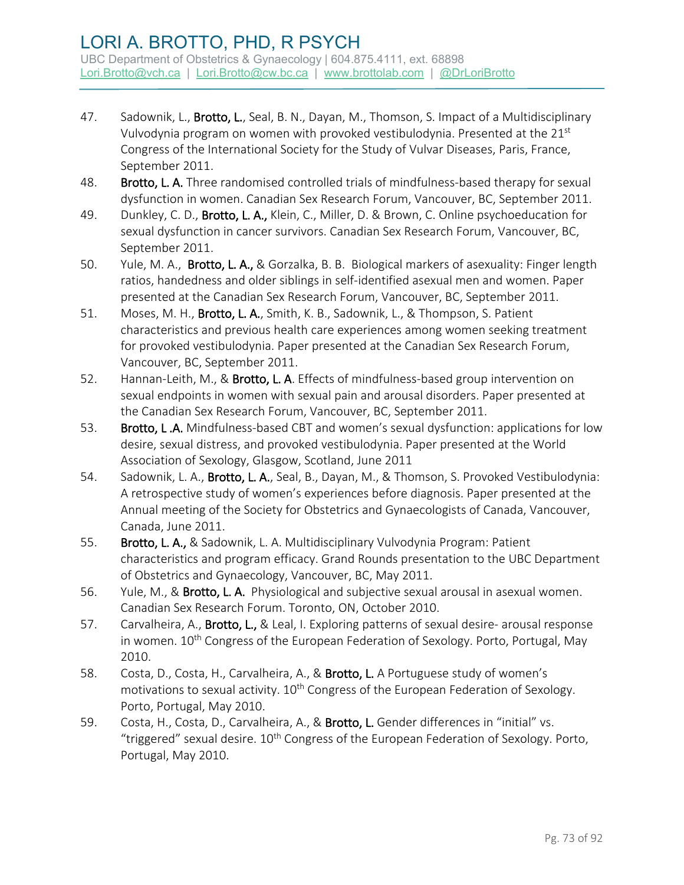- 47. Sadownik, L., Brotto, L., Seal, B. N., Dayan, M., Thomson, S. Impact of a Multidisciplinary Vulvodynia program on women with provoked vestibulodynia. Presented at the 21<sup>st</sup> Congress of the International Society for the Study of Vulvar Diseases, Paris, France, September 2011.
- 48. Brotto, L. A. Three randomised controlled trials of mindfulness-based therapy for sexual dysfunction in women. Canadian Sex Research Forum, Vancouver, BC, September 2011.
- 49. Dunkley, C. D., Brotto, L. A., Klein, C., Miller, D. & Brown, C. Online psychoeducation for sexual dysfunction in cancer survivors. Canadian Sex Research Forum, Vancouver, BC, September 2011.
- 50. Yule, M. A., Brotto, L. A., & Gorzalka, B. B. Biological markers of asexuality: Finger length ratios, handedness and older siblings in self-identified asexual men and women. Paper presented at the Canadian Sex Research Forum, Vancouver, BC, September 2011.
- 51. Moses, M. H., Brotto, L. A., Smith, K. B., Sadownik, L., & Thompson, S. Patient characteristics and previous health care experiences among women seeking treatment for provoked vestibulodynia. Paper presented at the Canadian Sex Research Forum, Vancouver, BC, September 2011.
- 52. Hannan-Leith, M., & Brotto, L. A. Effects of mindfulness-based group intervention on sexual endpoints in women with sexual pain and arousal disorders. Paper presented at the Canadian Sex Research Forum, Vancouver, BC, September 2011.
- 53. Brotto, L.A. Mindfulness-based CBT and women's sexual dysfunction: applications for low desire, sexual distress, and provoked vestibulodynia. Paper presented at the World Association of Sexology, Glasgow, Scotland, June 2011
- 54. Sadownik, L. A., Brotto, L. A., Seal, B., Dayan, M., & Thomson, S. Provoked Vestibulodynia: A retrospective study of women's experiences before diagnosis. Paper presented at the Annual meeting of the Society for Obstetrics and Gynaecologists of Canada, Vancouver, Canada, June 2011.
- 55. Brotto, L. A., & Sadownik, L. A. Multidisciplinary Vulvodynia Program: Patient characteristics and program efficacy. Grand Rounds presentation to the UBC Department of Obstetrics and Gynaecology, Vancouver, BC, May 2011.
- 56. Yule, M., & Brotto, L. A. Physiological and subjective sexual arousal in asexual women. Canadian Sex Research Forum. Toronto, ON, October 2010.
- 57. Carvalheira, A., **Brotto, L.,** & Leal, I. Exploring patterns of sexual desire- arousal response in women. 10<sup>th</sup> Congress of the European Federation of Sexology. Porto, Portugal, May 2010.
- 58. Costa, D., Costa, H., Carvalheira, A., & Brotto, L. A Portuguese study of women's motivations to sexual activity. 10<sup>th</sup> Congress of the European Federation of Sexology. Porto, Portugal, May 2010.
- 59. Costa, H., Costa, D., Carvalheira, A., & Brotto, L. Gender differences in "initial" vs. "triggered" sexual desire.  $10<sup>th</sup>$  Congress of the European Federation of Sexology. Porto, Portugal, May 2010.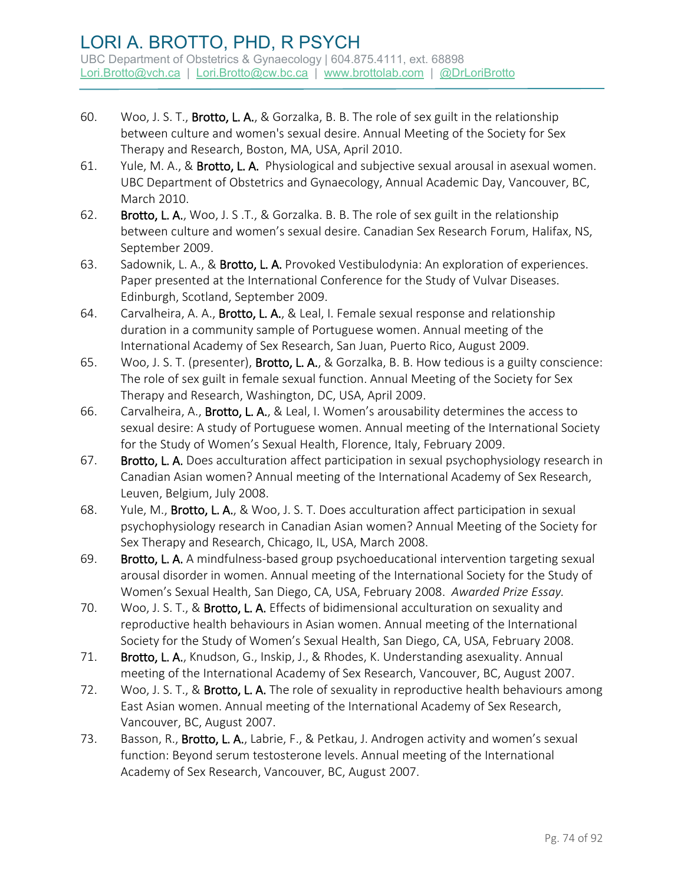- 60. Woo, J. S. T., Brotto, L. A., & Gorzalka, B. B. The role of sex guilt in the relationship between culture and women's sexual desire. Annual Meeting of the Society for Sex Therapy and Research, Boston, MA, USA, April 2010.
- 61. Yule, M. A., & Brotto, L. A. Physiological and subjective sexual arousal in asexual women. UBC Department of Obstetrics and Gynaecology, Annual Academic Day, Vancouver, BC, March 2010.
- 62. Brotto, L. A., Woo, J. S .T., & Gorzalka. B. B. The role of sex guilt in the relationship between culture and women's sexual desire. Canadian Sex Research Forum, Halifax, NS, September 2009.
- 63. Sadownik, L. A., & Brotto, L. A. Provoked Vestibulodynia: An exploration of experiences. Paper presented at the International Conference for the Study of Vulvar Diseases. Edinburgh, Scotland, September 2009.
- 64. Carvalheira, A. A., Brotto, L. A., & Leal, I. Female sexual response and relationship duration in a community sample of Portuguese women. Annual meeting of the International Academy of Sex Research, San Juan, Puerto Rico, August 2009.
- 65. Woo, J. S. T. (presenter), Brotto, L. A., & Gorzalka, B. B. How tedious is a guilty conscience: The role of sex guilt in female sexual function. Annual Meeting of the Society for Sex Therapy and Research, Washington, DC, USA, April 2009.
- 66. Carvalheira, A., Brotto, L. A., & Leal, I. Women's arousability determines the access to sexual desire: A study of Portuguese women. Annual meeting of the International Society for the Study of Women's Sexual Health, Florence, Italy, February 2009.
- 67. Brotto, L. A. Does acculturation affect participation in sexual psychophysiology research in Canadian Asian women? Annual meeting of the International Academy of Sex Research, Leuven, Belgium, July 2008.
- 68. Yule, M., Brotto, L. A., & Woo, J. S. T. Does acculturation affect participation in sexual psychophysiology research in Canadian Asian women? Annual Meeting of the Society for Sex Therapy and Research, Chicago, IL, USA, March 2008.
- 69. Brotto, L. A. A mindfulness-based group psychoeducational intervention targeting sexual arousal disorder in women. Annual meeting of the International Society for the Study of Women's Sexual Health, San Diego, CA, USA, February 2008. *Awarded Prize Essay.*
- 70. Woo, J. S. T., & Brotto, L. A. Effects of bidimensional acculturation on sexuality and reproductive health behaviours in Asian women. Annual meeting of the International Society for the Study of Women's Sexual Health, San Diego, CA, USA, February 2008.
- 71. Brotto, L. A., Knudson, G., Inskip, J., & Rhodes, K. Understanding asexuality. Annual meeting of the International Academy of Sex Research, Vancouver, BC, August 2007.
- 72. Woo, J. S. T., & Brotto, L. A. The role of sexuality in reproductive health behaviours among East Asian women. Annual meeting of the International Academy of Sex Research, Vancouver, BC, August 2007.
- 73. Basson, R., Brotto, L. A., Labrie, F., & Petkau, J. Androgen activity and women's sexual function: Beyond serum testosterone levels. Annual meeting of the International Academy of Sex Research, Vancouver, BC, August 2007.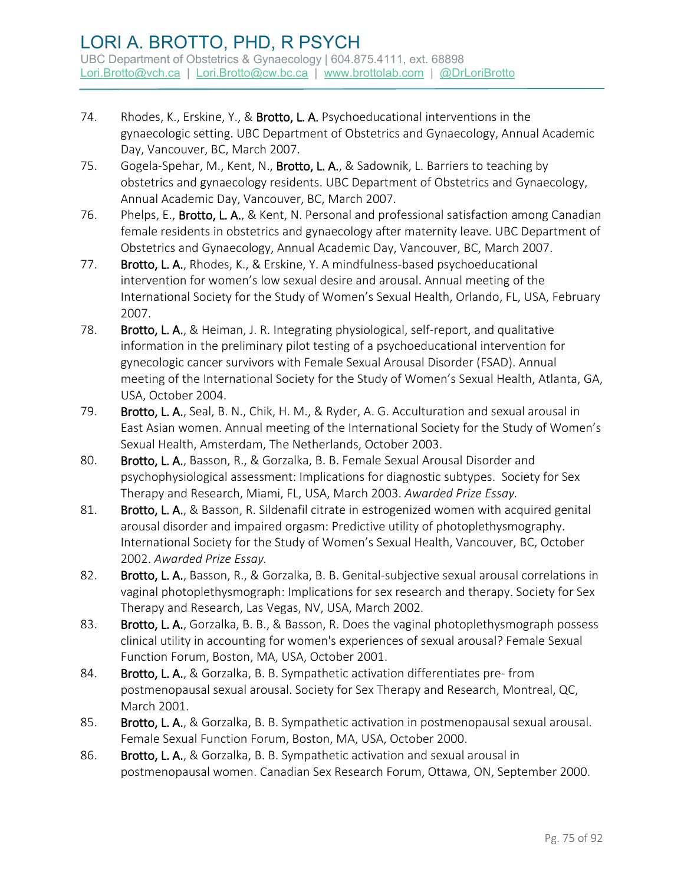- 74. Rhodes, K., Erskine, Y., & Brotto, L. A. Psychoeducational interventions in the gynaecologic setting. UBC Department of Obstetrics and Gynaecology, Annual Academic Day, Vancouver, BC, March 2007.
- 75. Gogela-Spehar, M., Kent, N., Brotto, L. A., & Sadownik, L. Barriers to teaching by obstetrics and gynaecology residents. UBC Department of Obstetrics and Gynaecology, Annual Academic Day, Vancouver, BC, March 2007.
- 76. Phelps, E., Brotto, L. A., & Kent, N. Personal and professional satisfaction among Canadian female residents in obstetrics and gynaecology after maternity leave. UBC Department of Obstetrics and Gynaecology, Annual Academic Day, Vancouver, BC, March 2007.
- 77. Brotto, L. A., Rhodes, K., & Erskine, Y. A mindfulness-based psychoeducational intervention for women's low sexual desire and arousal. Annual meeting of the International Society for the Study of Women's Sexual Health, Orlando, FL, USA, February 2007.
- 78. Brotto, L. A., & Heiman, J. R. Integrating physiological, self-report, and qualitative information in the preliminary pilot testing of a psychoeducational intervention for gynecologic cancer survivors with Female Sexual Arousal Disorder (FSAD). Annual meeting of the International Society for the Study of Women's Sexual Health, Atlanta, GA, USA, October 2004.
- 79. Brotto, L. A., Seal, B. N., Chik, H. M., & Ryder, A. G. Acculturation and sexual arousal in East Asian women. Annual meeting of the International Society for the Study of Women's Sexual Health, Amsterdam, The Netherlands, October 2003.
- 80. Brotto, L. A., Basson, R., & Gorzalka, B. B. Female Sexual Arousal Disorder and psychophysiological assessment: Implications for diagnostic subtypes. Society for Sex Therapy and Research, Miami, FL, USA, March 2003. *Awarded Prize Essay.*
- 81. Brotto, L. A., & Basson, R. Sildenafil citrate in estrogenized women with acquired genital arousal disorder and impaired orgasm: Predictive utility of photoplethysmography. International Society for the Study of Women's Sexual Health, Vancouver, BC, October 2002. *Awarded Prize Essay.*
- 82. Brotto, L. A., Basson, R., & Gorzalka, B. B. Genital-subjective sexual arousal correlations in vaginal photoplethysmograph: Implications for sex research and therapy. Society for Sex Therapy and Research, Las Vegas, NV, USA, March 2002.
- 83. Brotto, L. A., Gorzalka, B. B., & Basson, R. Does the vaginal photoplethysmograph possess clinical utility in accounting for women's experiences of sexual arousal? Female Sexual Function Forum, Boston, MA, USA, October 2001.
- 84. Brotto, L. A., & Gorzalka, B. B. Sympathetic activation differentiates pre-from postmenopausal sexual arousal. Society for Sex Therapy and Research, Montreal, QC, March 2001.
- 85. Brotto, L. A., & Gorzalka, B. B. Sympathetic activation in postmenopausal sexual arousal. Female Sexual Function Forum, Boston, MA, USA, October 2000.
- 86. Brotto, L. A., & Gorzalka, B. B. Sympathetic activation and sexual arousal in postmenopausal women. Canadian Sex Research Forum, Ottawa, ON, September 2000.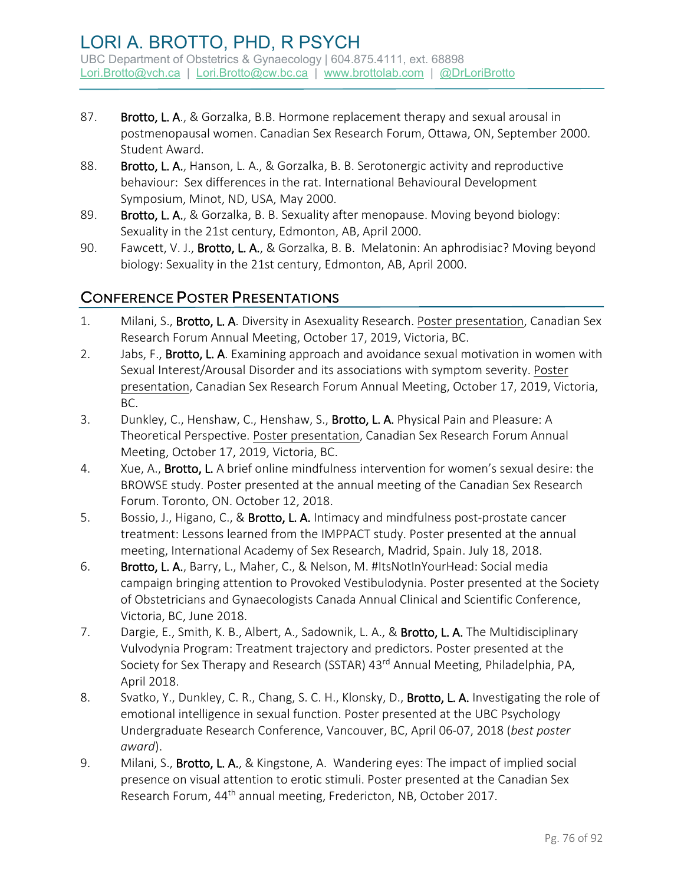- 87. Brotto, L. A., & Gorzalka, B.B. Hormone replacement therapy and sexual arousal in postmenopausal women. Canadian Sex Research Forum, Ottawa, ON, September 2000. Student Award.
- 88. Brotto, L. A., Hanson, L. A., & Gorzalka, B. B. Serotonergic activity and reproductive behaviour: Sex differences in the rat. International Behavioural Development Symposium, Minot, ND, USA, May 2000.
- 89. Brotto, L. A., & Gorzalka, B. B. Sexuality after menopause. Moving beyond biology: Sexuality in the 21st century, Edmonton, AB, April 2000.
- 90. Fawcett, V. J., **Brotto, L. A.**, & Gorzalka, B. B. Melatonin: An aphrodisiac? Moving beyond biology: Sexuality in the 21st century, Edmonton, AB, April 2000.

# CONFERENCE POSTER PRESENTATIONS

- 1. Milani, S., Brotto, L. A. Diversity in Asexuality Research. Poster presentation, Canadian Sex Research Forum Annual Meeting, October 17, 2019, Victoria, BC.
- 2. Jabs, F., Brotto, L. A. Examining approach and avoidance sexual motivation in women with Sexual Interest/Arousal Disorder and its associations with symptom severity. Poster presentation, Canadian Sex Research Forum Annual Meeting, October 17, 2019, Victoria, BC.
- 3. Dunkley, C., Henshaw, C., Henshaw, S., Brotto, L. A. Physical Pain and Pleasure: A Theoretical Perspective. Poster presentation, Canadian Sex Research Forum Annual Meeting, October 17, 2019, Victoria, BC.
- 4. Xue, A., Brotto, L. A brief online mindfulness intervention for women's sexual desire: the BROWSE study. Poster presented at the annual meeting of the Canadian Sex Research Forum. Toronto, ON. October 12, 2018.
- 5. Bossio, J., Higano, C., & Brotto, L. A. Intimacy and mindfulness post-prostate cancer treatment: Lessons learned from the IMPPACT study. Poster presented at the annual meeting, International Academy of Sex Research, Madrid, Spain. July 18, 2018.
- 6. Brotto, L. A., Barry, L., Maher, C., & Nelson, M. #ItsNotInYourHead: Social media campaign bringing attention to Provoked Vestibulodynia. Poster presented at the Society of Obstetricians and Gynaecologists Canada Annual Clinical and Scientific Conference, Victoria, BC, June 2018.
- 7. Dargie, E., Smith, K. B., Albert, A., Sadownik, L. A., & Brotto, L. A. The Multidisciplinary Vulvodynia Program: Treatment trajectory and predictors. Poster presented at the Society for Sex Therapy and Research (SSTAR) 43rd Annual Meeting, Philadelphia, PA, April 2018.
- 8. Svatko, Y., Dunkley, C. R., Chang, S. C. H., Klonsky, D., Brotto, L. A. Investigating the role of emotional intelligence in sexual function. Poster presented at the UBC Psychology Undergraduate Research Conference, Vancouver, BC, April 06-07, 2018 (*best poster award*).
- 9. Milani, S., Brotto, L. A., & Kingstone, A. Wandering eyes: The impact of implied social presence on visual attention to erotic stimuli. Poster presented at the Canadian Sex Research Forum, 44<sup>th</sup> annual meeting, Fredericton, NB, October 2017.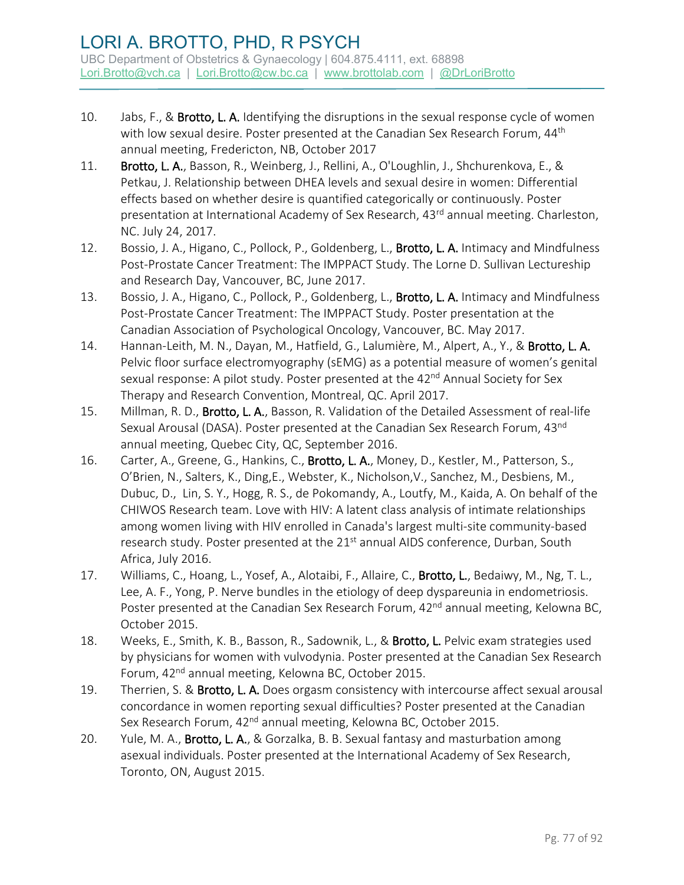- 10. Jabs, F., & Brotto, L. A. Identifying the disruptions in the sexual response cycle of women with low sexual desire. Poster presented at the Canadian Sex Research Forum, 44<sup>th</sup> annual meeting, Fredericton, NB, October 2017
- 11. Brotto, L. A., Basson, R., Weinberg, J., Rellini, A., O'Loughlin, J., Shchurenkova, E., & Petkau, J. Relationship between DHEA levels and sexual desire in women: Differential effects based on whether desire is quantified categorically or continuously. Poster presentation at International Academy of Sex Research, 43<sup>rd</sup> annual meeting. Charleston, NC. July 24, 2017.
- 12. Bossio, J. A., Higano, C., Pollock, P., Goldenberg, L., Brotto, L. A. Intimacy and Mindfulness Post-Prostate Cancer Treatment: The IMPPACT Study. The Lorne D. Sullivan Lectureship and Research Day, Vancouver, BC, June 2017.
- 13. Bossio, J. A., Higano, C., Pollock, P., Goldenberg, L., Brotto, L. A. Intimacy and Mindfulness Post-Prostate Cancer Treatment: The IMPPACT Study. Poster presentation at the Canadian Association of Psychological Oncology, Vancouver, BC. May 2017.
- 14. Hannan-Leith, M. N., Dayan, M., Hatfield, G., Lalumière, M., Alpert, A., Y., & Brotto, L. A. Pelvic floor surface electromyography (sEMG) as a potential measure of women's genital sexual response: A pilot study. Poster presented at the 42<sup>nd</sup> Annual Society for Sex Therapy and Research Convention, Montreal, QC. April 2017.
- 15. Millman, R. D., Brotto, L. A., Basson, R. Validation of the Detailed Assessment of real-life Sexual Arousal (DASA). Poster presented at the Canadian Sex Research Forum, 43<sup>nd</sup> annual meeting, Quebec City, QC, September 2016.
- 16. Carter, A., Greene, G., Hankins, C., Brotto, L. A., Money, D., Kestler, M., Patterson, S., O'Brien, N., Salters, K., Ding,E., Webster, K., Nicholson,V., Sanchez, M., Desbiens, M., Dubuc, D., Lin, S. Y., Hogg, R. S., de Pokomandy, A., Loutfy, M., Kaida, A. On behalf of the CHIWOS Research team. Love with HIV: A latent class analysis of intimate relationships among women living with HIV enrolled in Canada's largest multi-site community-based research study. Poster presented at the 21<sup>st</sup> annual AIDS conference, Durban, South Africa, July 2016.
- 17. Williams, C., Hoang, L., Yosef, A., Alotaibi, F., Allaire, C., Brotto, L., Bedaiwy, M., Ng, T. L., Lee, A. F., Yong, P. Nerve bundles in the etiology of deep dyspareunia in endometriosis. Poster presented at the Canadian Sex Research Forum, 42<sup>nd</sup> annual meeting, Kelowna BC, October 2015.
- 18. Weeks, E., Smith, K. B., Basson, R., Sadownik, L., & Brotto, L. Pelvic exam strategies used by physicians for women with vulvodynia. Poster presented at the Canadian Sex Research Forum, 42<sup>nd</sup> annual meeting, Kelowna BC, October 2015.
- 19. Therrien, S. & Brotto, L. A. Does orgasm consistency with intercourse affect sexual arousal concordance in women reporting sexual difficulties? Poster presented at the Canadian Sex Research Forum, 42<sup>nd</sup> annual meeting, Kelowna BC, October 2015.
- 20. Yule, M. A., Brotto, L. A., & Gorzalka, B. B. Sexual fantasy and masturbation among asexual individuals. Poster presented at the International Academy of Sex Research, Toronto, ON, August 2015.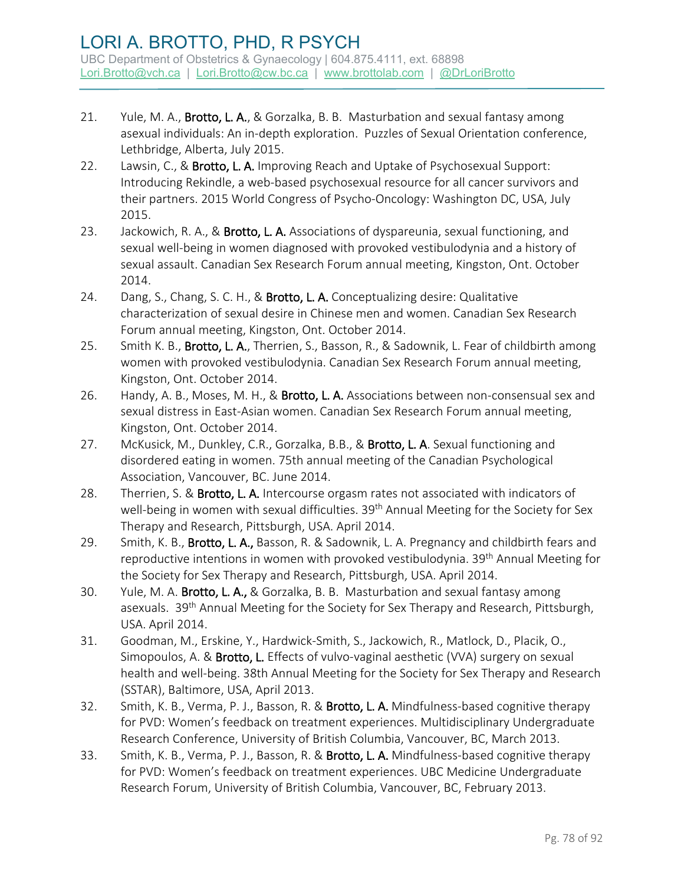- 21. Yule, M. A., Brotto, L. A., & Gorzalka, B. B. Masturbation and sexual fantasy among asexual individuals: An in-depth exploration. Puzzles of Sexual Orientation conference, Lethbridge, Alberta, July 2015.
- 22. Lawsin, C., & Brotto, L. A. Improving Reach and Uptake of Psychosexual Support: Introducing Rekindle, a web-based psychosexual resource for all cancer survivors and their partners. 2015 World Congress of Psycho-Oncology: Washington DC, USA, July 2015.
- 23. Jackowich, R. A., & Brotto, L. A. Associations of dyspareunia, sexual functioning, and sexual well-being in women diagnosed with provoked vestibulodynia and a history of sexual assault. Canadian Sex Research Forum annual meeting, Kingston, Ont. October 2014.
- 24. Dang, S., Chang, S. C. H., & Brotto, L. A. Conceptualizing desire: Qualitative characterization of sexual desire in Chinese men and women. Canadian Sex Research Forum annual meeting, Kingston, Ont. October 2014.
- 25. Smith K. B., Brotto, L. A., Therrien, S., Basson, R., & Sadownik, L. Fear of childbirth among women with provoked vestibulodynia. Canadian Sex Research Forum annual meeting, Kingston, Ont. October 2014.
- 26. Handy, A. B., Moses, M. H., & Brotto, L. A. Associations between non-consensual sex and sexual distress in East-Asian women. Canadian Sex Research Forum annual meeting, Kingston, Ont. October 2014.
- 27. McKusick, M., Dunkley, C.R., Gorzalka, B.B., & Brotto, L. A. Sexual functioning and disordered eating in women. 75th annual meeting of the Canadian Psychological Association, Vancouver, BC. June 2014.
- 28. Therrien, S. & Brotto, L. A. Intercourse orgasm rates not associated with indicators of well-being in women with sexual difficulties. 39<sup>th</sup> Annual Meeting for the Society for Sex Therapy and Research, Pittsburgh, USA. April 2014.
- 29. Smith, K. B., **Brotto, L. A.,** Basson, R. & Sadownik, L. A. Pregnancy and childbirth fears and reproductive intentions in women with provoked vestibulodynia. 39<sup>th</sup> Annual Meeting for the Society for Sex Therapy and Research, Pittsburgh, USA. April 2014.
- 30. Yule, M. A. Brotto, L. A., & Gorzalka, B. B. Masturbation and sexual fantasy among asexuals. 39<sup>th</sup> Annual Meeting for the Society for Sex Therapy and Research, Pittsburgh, USA. April 2014.
- 31. Goodman, M., Erskine, Y., Hardwick-Smith, S., Jackowich, R., Matlock, D., Placik, O., Simopoulos, A. & Brotto, L. Effects of vulvo-vaginal aesthetic (VVA) surgery on sexual health and well-being. 38th Annual Meeting for the Society for Sex Therapy and Research (SSTAR), Baltimore, USA, April 2013.
- 32. Smith, K. B., Verma, P. J., Basson, R. & Brotto, L. A. Mindfulness-based cognitive therapy for PVD: Women's feedback on treatment experiences. Multidisciplinary Undergraduate Research Conference, University of British Columbia, Vancouver, BC, March 2013.
- 33. Smith, K. B., Verma, P. J., Basson, R. & Brotto, L. A. Mindfulness-based cognitive therapy for PVD: Women's feedback on treatment experiences. UBC Medicine Undergraduate Research Forum, University of British Columbia, Vancouver, BC, February 2013.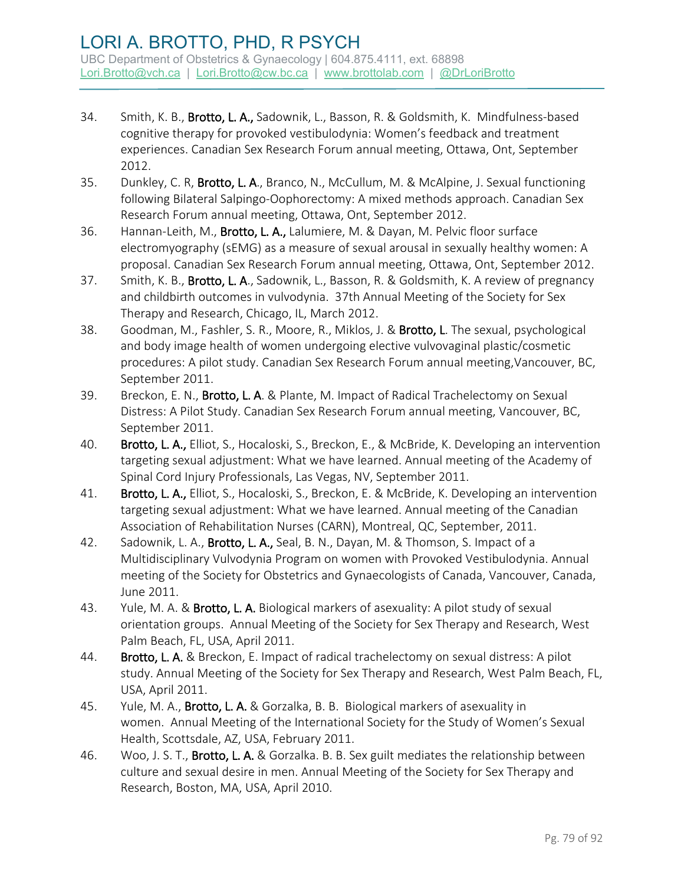- 34. Smith, K. B., Brotto, L. A., Sadownik, L., Basson, R. & Goldsmith, K. Mindfulness-based cognitive therapy for provoked vestibulodynia: Women's feedback and treatment experiences. Canadian Sex Research Forum annual meeting, Ottawa, Ont, September 2012.
- 35. Dunkley, C. R, Brotto, L. A., Branco, N., McCullum, M. & McAlpine, J. Sexual functioning following Bilateral Salpingo-Oophorectomy: A mixed methods approach. Canadian Sex Research Forum annual meeting, Ottawa, Ont, September 2012.
- 36. Hannan-Leith, M., Brotto, L. A., Lalumiere, M. & Dayan, M. Pelvic floor surface electromyography (sEMG) as a measure of sexual arousal in sexually healthy women: A proposal. Canadian Sex Research Forum annual meeting, Ottawa, Ont, September 2012.
- 37. Smith, K. B., **Brotto, L. A.**, Sadownik, L., Basson, R. & Goldsmith, K. A review of pregnancy and childbirth outcomes in vulvodynia. 37th Annual Meeting of the Society for Sex Therapy and Research, Chicago, IL, March 2012.
- 38. Goodman, M., Fashler, S. R., Moore, R., Miklos, J. & Brotto, L. The sexual, psychological and body image health of women undergoing elective vulvovaginal plastic/cosmetic procedures: A pilot study. Canadian Sex Research Forum annual meeting,Vancouver, BC, September 2011.
- 39. Breckon, E. N., Brotto, L. A. & Plante, M. Impact of Radical Trachelectomy on Sexual Distress: A Pilot Study. Canadian Sex Research Forum annual meeting, Vancouver, BC, September 2011.
- 40. Brotto, L. A., Elliot, S., Hocaloski, S., Breckon, E., & McBride, K. Developing an intervention targeting sexual adjustment: What we have learned. Annual meeting of the Academy of Spinal Cord Injury Professionals, Las Vegas, NV, September 2011.
- 41. Brotto, L. A., Elliot, S., Hocaloski, S., Breckon, E. & McBride, K. Developing an intervention targeting sexual adjustment: What we have learned. Annual meeting of the Canadian Association of Rehabilitation Nurses (CARN), Montreal, QC, September, 2011.
- 42. Sadownik, L. A., Brotto, L. A., Seal, B. N., Dayan, M. & Thomson, S. Impact of a Multidisciplinary Vulvodynia Program on women with Provoked Vestibulodynia. Annual meeting of the Society for Obstetrics and Gynaecologists of Canada, Vancouver, Canada, June 2011.
- 43. Yule, M. A. & Brotto, L. A. Biological markers of asexuality: A pilot study of sexual orientation groups. Annual Meeting of the Society for Sex Therapy and Research, West Palm Beach, FL, USA, April 2011.
- 44. Brotto, L. A. & Breckon, E. Impact of radical trachelectomy on sexual distress: A pilot study. Annual Meeting of the Society for Sex Therapy and Research, West Palm Beach, FL, USA, April 2011.
- 45. Yule, M. A., Brotto, L. A. & Gorzalka, B. B. Biological markers of asexuality in women. Annual Meeting of the International Society for the Study of Women's Sexual Health, Scottsdale, AZ, USA, February 2011.
- 46. Woo, J. S. T., **Brotto, L. A.** & Gorzalka. B. B. Sex guilt mediates the relationship between culture and sexual desire in men. Annual Meeting of the Society for Sex Therapy and Research, Boston, MA, USA, April 2010.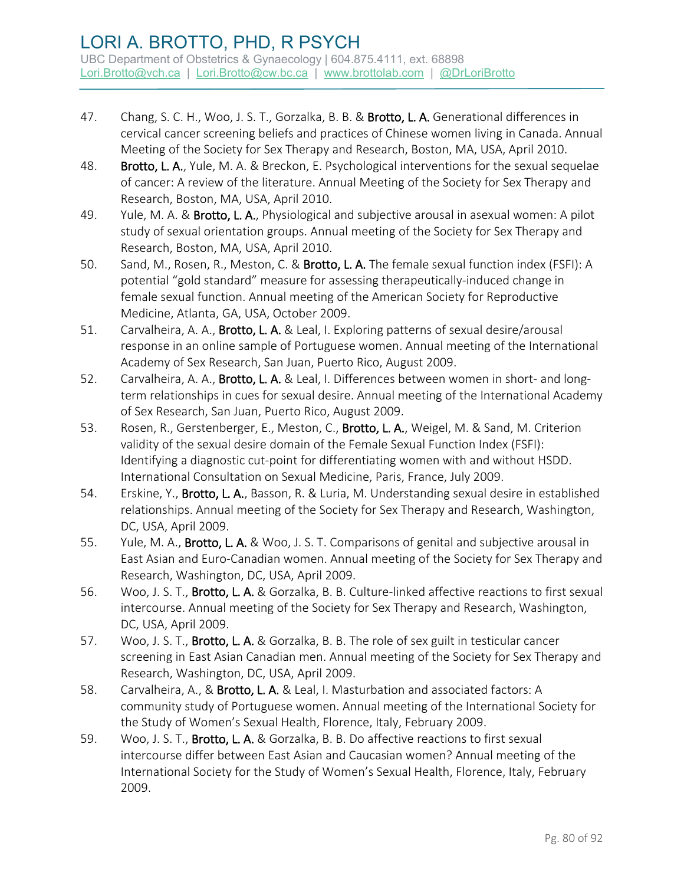- 47. Chang, S. C. H., Woo, J. S. T., Gorzalka, B. B. & Brotto, L. A. Generational differences in cervical cancer screening beliefs and practices of Chinese women living in Canada. Annual Meeting of the Society for Sex Therapy and Research, Boston, MA, USA, April 2010.
- 48. Brotto, L. A., Yule, M. A. & Breckon, E. Psychological interventions for the sexual sequelae of cancer: A review of the literature. Annual Meeting of the Society for Sex Therapy and Research, Boston, MA, USA, April 2010.
- 49. Yule, M. A. & Brotto, L. A., Physiological and subjective arousal in asexual women: A pilot study of sexual orientation groups. Annual meeting of the Society for Sex Therapy and Research, Boston, MA, USA, April 2010.
- 50. Sand, M., Rosen, R., Meston, C. & Brotto, L. A. The female sexual function index (FSFI): A potential "gold standard" measure for assessing therapeutically-induced change in female sexual function. Annual meeting of the American Society for Reproductive Medicine, Atlanta, GA, USA, October 2009.
- 51. Carvalheira, A. A., Brotto, L. A. & Leal, I. Exploring patterns of sexual desire/arousal response in an online sample of Portuguese women. Annual meeting of the International Academy of Sex Research, San Juan, Puerto Rico, August 2009.
- 52. Carvalheira, A. A., Brotto, L. A. & Leal, I. Differences between women in short- and longterm relationships in cues for sexual desire. Annual meeting of the International Academy of Sex Research, San Juan, Puerto Rico, August 2009.
- 53. Rosen, R., Gerstenberger, E., Meston, C., Brotto, L. A., Weigel, M. & Sand, M. Criterion validity of the sexual desire domain of the Female Sexual Function Index (FSFI): Identifying a diagnostic cut-point for differentiating women with and without HSDD. International Consultation on Sexual Medicine, Paris, France, July 2009.
- 54. Erskine, Y., Brotto, L. A., Basson, R. & Luria, M. Understanding sexual desire in established relationships. Annual meeting of the Society for Sex Therapy and Research, Washington, DC, USA, April 2009.
- 55. Yule, M. A., **Brotto, L. A.** & Woo, J. S. T. Comparisons of genital and subjective arousal in East Asian and Euro-Canadian women. Annual meeting of the Society for Sex Therapy and Research, Washington, DC, USA, April 2009.
- 56. Woo, J. S. T., Brotto, L. A. & Gorzalka, B. B. Culture-linked affective reactions to first sexual intercourse. Annual meeting of the Society for Sex Therapy and Research, Washington, DC, USA, April 2009.
- 57. Woo, J. S. T., **Brotto, L. A.** & Gorzalka, B. B. The role of sex guilt in testicular cancer screening in East Asian Canadian men. Annual meeting of the Society for Sex Therapy and Research, Washington, DC, USA, April 2009.
- 58. Carvalheira, A., & Brotto, L. A. & Leal, I. Masturbation and associated factors: A community study of Portuguese women. Annual meeting of the International Society for the Study of Women's Sexual Health, Florence, Italy, February 2009.
- 59. Woo, J. S. T., Brotto, L. A. & Gorzalka, B. B. Do affective reactions to first sexual intercourse differ between East Asian and Caucasian women? Annual meeting of the International Society for the Study of Women's Sexual Health, Florence, Italy, February 2009.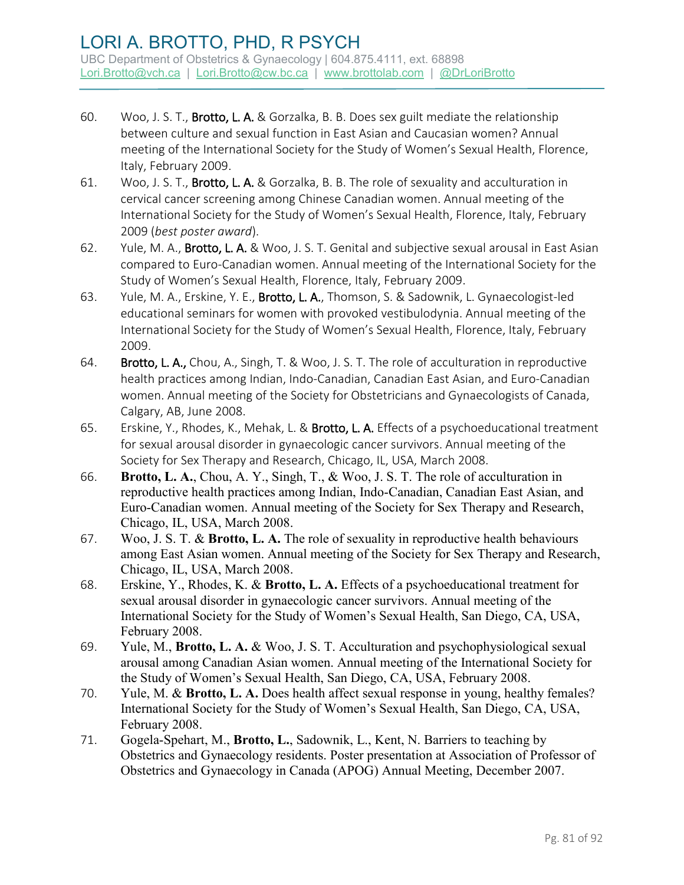- 60. Woo, J. S. T., Brotto, L. A. & Gorzalka, B. B. Does sex guilt mediate the relationship between culture and sexual function in East Asian and Caucasian women? Annual meeting of the International Society for the Study of Women's Sexual Health, Florence, Italy, February 2009.
- 61. Woo, J. S. T., Brotto, L. A. & Gorzalka, B. B. The role of sexuality and acculturation in cervical cancer screening among Chinese Canadian women. Annual meeting of the International Society for the Study of Women's Sexual Health, Florence, Italy, February 2009 (*best poster award*).
- 62. Yule, M. A., Brotto, L. A. & Woo, J. S. T. Genital and subjective sexual arousal in East Asian compared to Euro-Canadian women. Annual meeting of the International Society for the Study of Women's Sexual Health, Florence, Italy, February 2009.
- 63. Yule, M. A., Erskine, Y. E., Brotto, L. A., Thomson, S. & Sadownik, L. Gynaecologist-led educational seminars for women with provoked vestibulodynia. Annual meeting of the International Society for the Study of Women's Sexual Health, Florence, Italy, February 2009.
- 64. Brotto, L. A., Chou, A., Singh, T. & Woo, J. S. T. The role of acculturation in reproductive health practices among Indian, Indo-Canadian, Canadian East Asian, and Euro-Canadian women. Annual meeting of the Society for Obstetricians and Gynaecologists of Canada, Calgary, AB, June 2008.
- 65. Erskine, Y., Rhodes, K., Mehak, L. & Brotto, L. A. Effects of a psychoeducational treatment for sexual arousal disorder in gynaecologic cancer survivors. Annual meeting of the Society for Sex Therapy and Research, Chicago, IL, USA, March 2008.
- 66. **Brotto, L. A.**, Chou, A. Y., Singh, T., & Woo, J. S. T. The role of acculturation in reproductive health practices among Indian, Indo-Canadian, Canadian East Asian, and Euro-Canadian women. Annual meeting of the Society for Sex Therapy and Research, Chicago, IL, USA, March 2008.
- 67. Woo, J. S. T. & **Brotto, L. A.** The role of sexuality in reproductive health behaviours among East Asian women. Annual meeting of the Society for Sex Therapy and Research, Chicago, IL, USA, March 2008.
- 68. Erskine, Y., Rhodes, K. & **Brotto, L. A.** Effects of a psychoeducational treatment for sexual arousal disorder in gynaecologic cancer survivors. Annual meeting of the International Society for the Study of Women's Sexual Health, San Diego, CA, USA, February 2008.
- 69. Yule, M., **Brotto, L. A.** & Woo, J. S. T. Acculturation and psychophysiological sexual arousal among Canadian Asian women. Annual meeting of the International Society for the Study of Women's Sexual Health, San Diego, CA, USA, February 2008.
- 70. Yule, M. & **Brotto, L. A.** Does health affect sexual response in young, healthy females? International Society for the Study of Women's Sexual Health, San Diego, CA, USA, February 2008.
- 71. Gogela-Spehart, M., **Brotto, L.**, Sadownik, L., Kent, N. Barriers to teaching by Obstetrics and Gynaecology residents. Poster presentation at Association of Professor of Obstetrics and Gynaecology in Canada (APOG) Annual Meeting, December 2007.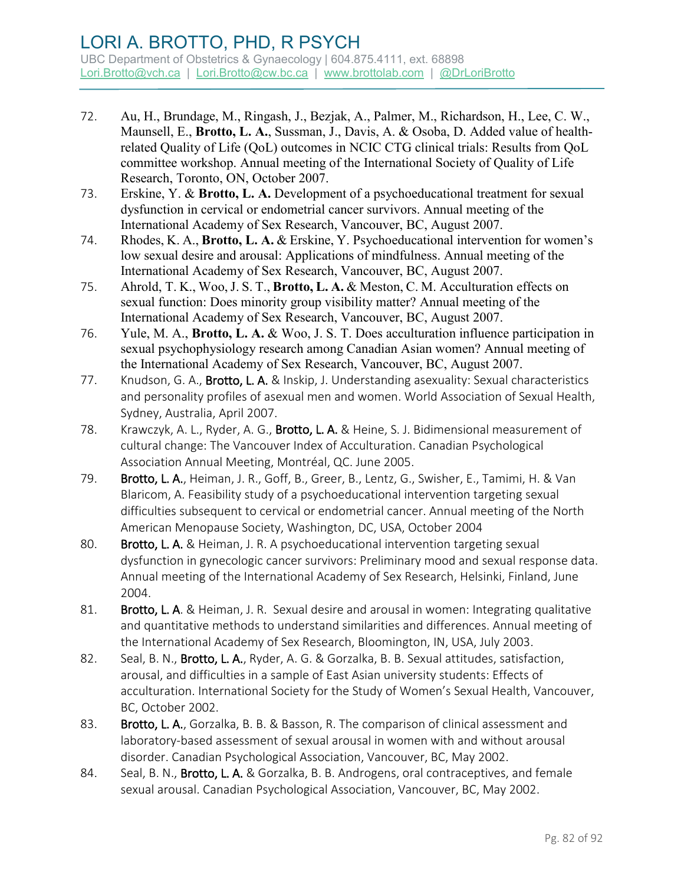- 72. Au, H., Brundage, M., Ringash, J., Bezjak, A., Palmer, M., Richardson, H., Lee, C. W., Maunsell, E., **Brotto, L. A.**, Sussman, J., Davis, A. & Osoba, D. Added value of healthrelated Quality of Life (QoL) outcomes in NCIC CTG clinical trials: Results from QoL committee workshop. Annual meeting of the International Society of Quality of Life Research, Toronto, ON, October 2007.
- 73. Erskine, Y. & **Brotto, L. A.** Development of a psychoeducational treatment for sexual dysfunction in cervical or endometrial cancer survivors. Annual meeting of the International Academy of Sex Research, Vancouver, BC, August 2007.
- 74. Rhodes, K. A., **Brotto, L. A.** & Erskine, Y. Psychoeducational intervention for women's low sexual desire and arousal: Applications of mindfulness. Annual meeting of the International Academy of Sex Research, Vancouver, BC, August 2007.
- 75. Ahrold, T. K., Woo,J. S. T., **Brotto, L. A.** & Meston, C. M. Acculturation effects on sexual function: Does minority group visibility matter? Annual meeting of the International Academy of Sex Research, Vancouver, BC, August 2007.
- 76. Yule, M. A., **Brotto, L. A.** & Woo, J. S. T. Does acculturation influence participation in sexual psychophysiology research among Canadian Asian women? Annual meeting of the International Academy of Sex Research, Vancouver, BC, August 2007.
- 77. Knudson, G. A., Brotto, L. A. & Inskip, J. Understanding asexuality: Sexual characteristics and personality profiles of asexual men and women. World Association of Sexual Health, Sydney, Australia, April 2007.
- 78. Krawczyk, A. L., Ryder, A. G., Brotto, L. A. & Heine, S. J. Bidimensional measurement of cultural change: The Vancouver Index of Acculturation. Canadian Psychological Association Annual Meeting, Montréal, QC. June 2005.
- 79. Brotto, L. A., Heiman, J. R., Goff, B., Greer, B., Lentz, G., Swisher, E., Tamimi, H. & Van Blaricom, A. Feasibility study of a psychoeducational intervention targeting sexual difficulties subsequent to cervical or endometrial cancer. Annual meeting of the North American Menopause Society, Washington, DC, USA, October 2004
- 80. Brotto, L. A. & Heiman, J. R. A psychoeducational intervention targeting sexual dysfunction in gynecologic cancer survivors: Preliminary mood and sexual response data. Annual meeting of the International Academy of Sex Research, Helsinki, Finland, June 2004.
- 81. Brotto, L. A. & Heiman, J. R. Sexual desire and arousal in women: Integrating qualitative and quantitative methods to understand similarities and differences. Annual meeting of the International Academy of Sex Research, Bloomington, IN, USA, July 2003.
- 82. Seal, B. N., **Brotto, L. A.**, Ryder, A. G. & Gorzalka, B. B. Sexual attitudes, satisfaction, arousal, and difficulties in a sample of East Asian university students: Effects of acculturation. International Society for the Study of Women's Sexual Health, Vancouver, BC, October 2002.
- 83. Brotto, L. A., Gorzalka, B. B. & Basson, R. The comparison of clinical assessment and laboratory-based assessment of sexual arousal in women with and without arousal disorder. Canadian Psychological Association, Vancouver, BC, May 2002.
- 84. Seal, B. N., Brotto, L. A. & Gorzalka, B. B. Androgens, oral contraceptives, and female sexual arousal. Canadian Psychological Association, Vancouver, BC, May 2002.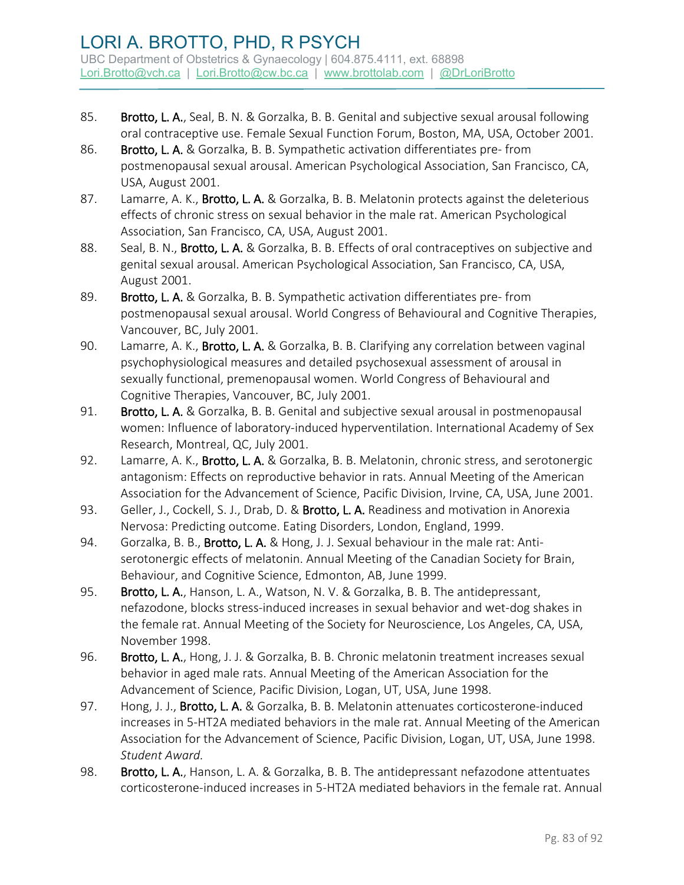- 85. Brotto, L. A., Seal, B. N. & Gorzalka, B. B. Genital and subjective sexual arousal following oral contraceptive use. Female Sexual Function Forum, Boston, MA, USA, October 2001.
- 86. Brotto, L. A. & Gorzalka, B. B. Sympathetic activation differentiates pre-from postmenopausal sexual arousal. American Psychological Association, San Francisco, CA, USA, August 2001.
- 87. Lamarre, A. K., Brotto, L. A. & Gorzalka, B. B. Melatonin protects against the deleterious effects of chronic stress on sexual behavior in the male rat. American Psychological Association, San Francisco, CA, USA, August 2001.
- 88. Seal, B. N., **Brotto, L. A.** & Gorzalka, B. B. Effects of oral contraceptives on subjective and genital sexual arousal. American Psychological Association, San Francisco, CA, USA, August 2001.
- 89. Brotto, L. A. & Gorzalka, B. B. Sympathetic activation differentiates pre-from postmenopausal sexual arousal. World Congress of Behavioural and Cognitive Therapies, Vancouver, BC, July 2001.
- 90. Lamarre, A. K., Brotto, L. A. & Gorzalka, B. B. Clarifying any correlation between vaginal psychophysiological measures and detailed psychosexual assessment of arousal in sexually functional, premenopausal women. World Congress of Behavioural and Cognitive Therapies, Vancouver, BC, July 2001.
- 91. Brotto, L. A. & Gorzalka, B. B. Genital and subjective sexual arousal in postmenopausal women: Influence of laboratory-induced hyperventilation. International Academy of Sex Research, Montreal, QC, July 2001.
- 92. Lamarre, A. K., Brotto, L. A. & Gorzalka, B. B. Melatonin, chronic stress, and serotonergic antagonism: Effects on reproductive behavior in rats. Annual Meeting of the American Association for the Advancement of Science, Pacific Division, Irvine, CA, USA, June 2001.
- 93. Geller, J., Cockell, S. J., Drab, D. & Brotto, L. A. Readiness and motivation in Anorexia Nervosa: Predicting outcome. Eating Disorders, London, England, 1999.
- 94. Gorzalka, B. B., **Brotto, L. A.** & Hong, J. J. Sexual behaviour in the male rat: Antiserotonergic effects of melatonin. Annual Meeting of the Canadian Society for Brain, Behaviour, and Cognitive Science, Edmonton, AB, June 1999.
- 95. Brotto, L. A., Hanson, L. A., Watson, N. V. & Gorzalka, B. B. The antidepressant, nefazodone, blocks stress-induced increases in sexual behavior and wet-dog shakes in the female rat. Annual Meeting of the Society for Neuroscience, Los Angeles, CA, USA, November 1998.
- 96. Brotto, L. A., Hong, J. J. & Gorzalka, B. B. Chronic melatonin treatment increases sexual behavior in aged male rats. Annual Meeting of the American Association for the Advancement of Science, Pacific Division, Logan, UT, USA, June 1998.
- 97. Hong, J. J., Brotto, L. A. & Gorzalka, B. B. Melatonin attenuates corticosterone-induced increases in 5-HT2A mediated behaviors in the male rat. Annual Meeting of the American Association for the Advancement of Science, Pacific Division, Logan, UT, USA, June 1998. *Student Award.*
- 98. Brotto, L. A., Hanson, L. A. & Gorzalka, B. B. The antidepressant nefazodone attentuates corticosterone-induced increases in 5-HT2A mediated behaviors in the female rat. Annual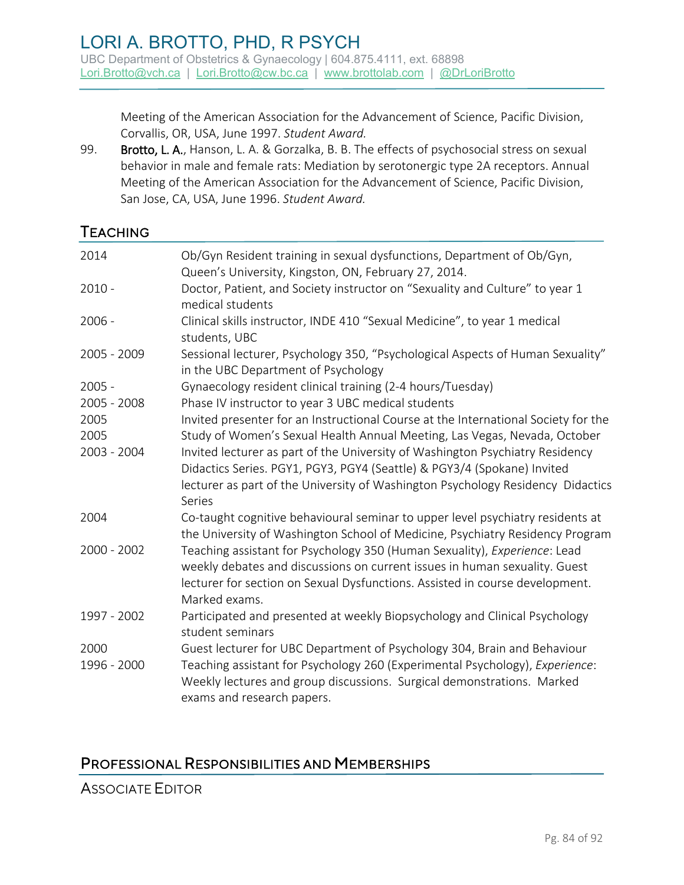Meeting of the American Association for the Advancement of Science, Pacific Division, Corvallis, OR, USA, June 1997. *Student Award.*

99. Brotto, L. A., Hanson, L. A. & Gorzalka, B. B. The effects of psychosocial stress on sexual behavior in male and female rats: Mediation by serotonergic type 2A receptors. Annual Meeting of the American Association for the Advancement of Science, Pacific Division, San Jose, CA, USA, June 1996. *Student Award.*

# **TEACHING**

| 2014                | Ob/Gyn Resident training in sexual dysfunctions, Department of Ob/Gyn,<br>Queen's University, Kingston, ON, February 27, 2014.                                                                                                                                   |
|---------------------|------------------------------------------------------------------------------------------------------------------------------------------------------------------------------------------------------------------------------------------------------------------|
|                     |                                                                                                                                                                                                                                                                  |
| $2010 -$            | Doctor, Patient, and Society instructor on "Sexuality and Culture" to year 1<br>medical students                                                                                                                                                                 |
| $2006 -$            | Clinical skills instructor, INDE 410 "Sexual Medicine", to year 1 medical<br>students, UBC                                                                                                                                                                       |
| 2005 - 2009         | Sessional lecturer, Psychology 350, "Psychological Aspects of Human Sexuality"<br>in the UBC Department of Psychology                                                                                                                                            |
| $2005 -$            | Gynaecology resident clinical training (2-4 hours/Tuesday)                                                                                                                                                                                                       |
| 2005 - 2008         | Phase IV instructor to year 3 UBC medical students                                                                                                                                                                                                               |
| 2005                | Invited presenter for an Instructional Course at the International Society for the                                                                                                                                                                               |
| 2005                | Study of Women's Sexual Health Annual Meeting, Las Vegas, Nevada, October                                                                                                                                                                                        |
| 2003 - 2004         | Invited lecturer as part of the University of Washington Psychiatry Residency<br>Didactics Series. PGY1, PGY3, PGY4 (Seattle) & PGY3/4 (Spokane) Invited<br>lecturer as part of the University of Washington Psychology Residency Didactics<br>Series            |
| 2004                | Co-taught cognitive behavioural seminar to upper level psychiatry residents at<br>the University of Washington School of Medicine, Psychiatry Residency Program                                                                                                  |
| $2000 - 2002$       | Teaching assistant for Psychology 350 (Human Sexuality), Experience: Lead<br>weekly debates and discussions on current issues in human sexuality. Guest<br>lecturer for section on Sexual Dysfunctions. Assisted in course development.<br>Marked exams.         |
| 1997 - 2002         | Participated and presented at weekly Biopsychology and Clinical Psychology<br>student seminars                                                                                                                                                                   |
| 2000<br>1996 - 2000 | Guest lecturer for UBC Department of Psychology 304, Brain and Behaviour<br>Teaching assistant for Psychology 260 (Experimental Psychology), Experience:<br>Weekly lectures and group discussions. Surgical demonstrations. Marked<br>exams and research papers. |

# PROFESSIONAL RESPONSIBILITIES AND MEMBERSHIPS

ASSOCIATE EDITOR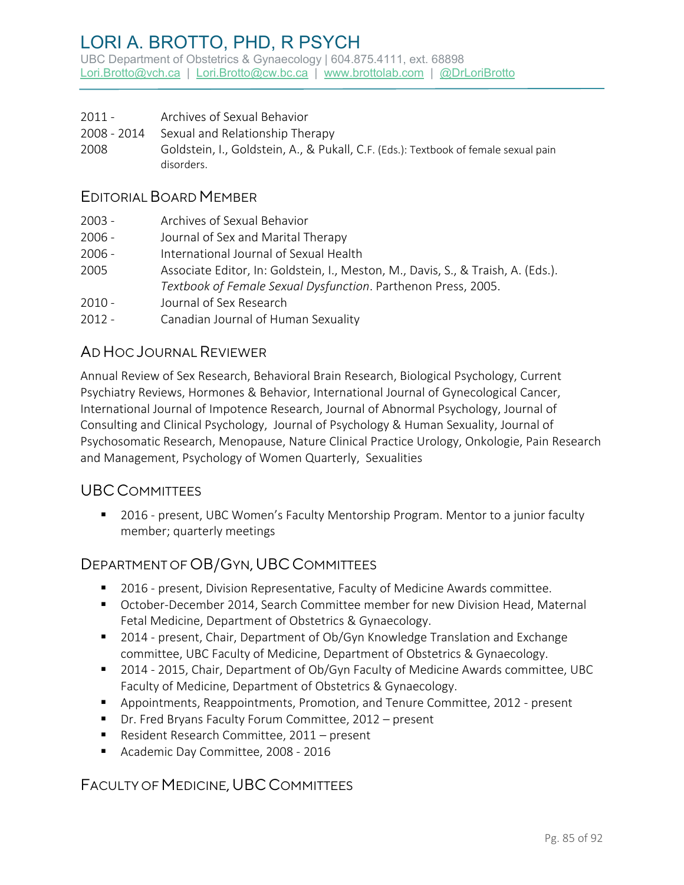# LORI A. BROTTO, PHD, R PSYCH

UBC Department of Obstetrics & Gynaecology | 604.875.4111, ext. 68898 [Lori.Brotto@vch.ca](mailto:Lori.Brotto@vch.ca) | [Lori.Brotto@cw.bc.ca](mailto:Lori.Brotto@cw.bc.ca) | [www.brottolab.com](http://www.brottolab.com/) | [@DrLoriBrotto](https://twitter.com/DrLoriBrotto)

- 2011 Archives of Sexual Behavior
- 2008 2014 Sexual and Relationship Therapy
- 2008 Goldstein, I., Goldstein, A., & Pukall, C.F. (Eds.): Textbook of female sexual pain disorders.

#### EDITORIAL BOARD MEMBER

- 2003 Archives of Sexual Behavior
- 2006 Journal of Sex and Marital Therapy
- 2006 International Journal of Sexual Health
- 2005 Associate Editor, In: Goldstein, I., Meston, M., Davis, S., & Traish, A. (Eds.). *Textbook of Female Sexual Dysfunction*. Parthenon Press, 2005.
- 2010 Journal of Sex Research
- 2012 Canadian Journal of Human Sexuality

#### AD HOC JOURNAL REVIEWER

Annual Review of Sex Research, Behavioral Brain Research, Biological Psychology, Current Psychiatry Reviews, Hormones & Behavior, International Journal of Gynecological Cancer, International Journal of Impotence Research, Journal of Abnormal Psychology, Journal of Consulting and Clinical Psychology, Journal of Psychology & Human Sexuality, Journal of Psychosomatic Research, Menopause, Nature Clinical Practice Urology, Onkologie, Pain Research and Management, Psychology of Women Quarterly, Sexualities

#### UBCCOMMITTEES

■ 2016 - present, UBC Women's Faculty Mentorship Program. Mentor to a junior faculty member; quarterly meetings

## DEPARTMENT OF OB/GYN, UBC COMMITTEES

- **2016 present, Division Representative, Faculty of Medicine Awards committee.**
- October-December 2014, Search Committee member for new Division Head, Maternal Fetal Medicine, Department of Obstetrics & Gynaecology.
- 2014 present, Chair, Department of Ob/Gyn Knowledge Translation and Exchange committee, UBC Faculty of Medicine, Department of Obstetrics & Gynaecology.
- 2014 2015, Chair, Department of Ob/Gyn Faculty of Medicine Awards committee, UBC Faculty of Medicine, Department of Obstetrics & Gynaecology.
- Appointments, Reappointments, Promotion, and Tenure Committee, 2012 present
- Dr. Fred Bryans Faculty Forum Committee, 2012 present
- Resident Research Committee, 2011 present
- Academic Day Committee, 2008 2016

## FACULTY OF MEDICINE, UBC COMMITTEES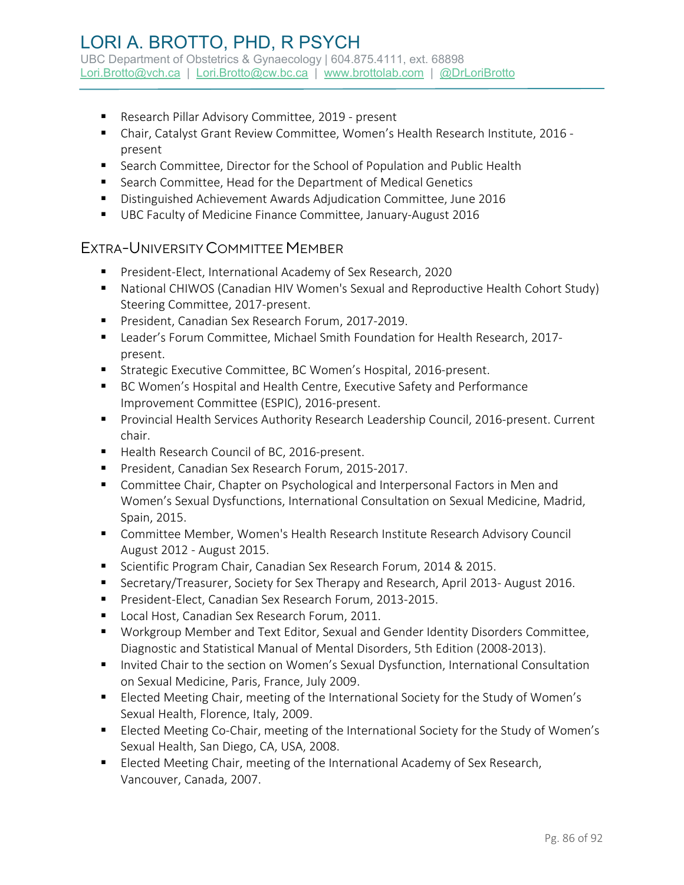## LORI A. BROTTO, PHD, R PSYCH UBC Department of Obstetrics & Gynaecology | 604.875.4111, ext. 68898

[Lori.Brotto@vch.ca](mailto:Lori.Brotto@vch.ca) | [Lori.Brotto@cw.bc.ca](mailto:Lori.Brotto@cw.bc.ca) | [www.brottolab.com](http://www.brottolab.com/) | [@DrLoriBrotto](https://twitter.com/DrLoriBrotto)

- **Research Pillar Advisory Committee, 2019 present**
- Chair, Catalyst Grant Review Committee, Women's Health Research Institute, 2016 present
- **Search Committee, Director for the School of Population and Public Health**
- Search Committee, Head for the Department of Medical Genetics
- Distinguished Achievement Awards Adjudication Committee, June 2016
- UBC Faculty of Medicine Finance Committee, January-August 2016

#### EXTRA-UNIVERSITY COMMITTEE MEMBER

- **President-Elect, International Academy of Sex Research, 2020**
- National CHIWOS (Canadian HIV Women's Sexual and Reproductive Health Cohort Study) Steering Committee, 2017-present.
- President, Canadian Sex Research Forum, 2017-2019.
- Leader's Forum Committee, Michael Smith Foundation for Health Research, 2017 present.
- **Strategic Executive Committee, BC Women's Hospital, 2016-present.**
- BC Women's Hospital and Health Centre, Executive Safety and Performance Improvement Committee (ESPIC), 2016-present.
- **Provincial Health Services Authority Research Leadership Council, 2016-present. Current** chair.
- Health Research Council of BC, 2016-present.
- President, Canadian Sex Research Forum, 2015-2017.
- **Committee Chair, Chapter on Psychological and Interpersonal Factors in Men and** Women's Sexual Dysfunctions, International Consultation on Sexual Medicine, Madrid, Spain, 2015.
- Committee Member, Women's Health Research Institute Research Advisory Council August 2012 - August 2015.
- Scientific Program Chair, Canadian Sex Research Forum, 2014 & 2015.
- **Secretary/Treasurer, Society for Sex Therapy and Research, April 2013- August 2016.**
- **President-Elect, Canadian Sex Research Forum, 2013-2015.**
- **Local Host, Canadian Sex Research Forum, 2011.**
- Workgroup Member and Text Editor, Sexual and Gender Identity Disorders Committee, Diagnostic and Statistical Manual of Mental Disorders, 5th Edition (2008-2013).
- **Invited Chair to the section on Women's Sexual Dysfunction, International Consultation** on Sexual Medicine, Paris, France, July 2009.
- **Elected Meeting Chair, meeting of the International Society for the Study of Women's** Sexual Health, Florence, Italy, 2009.
- Elected Meeting Co-Chair, meeting of the International Society for the Study of Women's Sexual Health, San Diego, CA, USA, 2008.
- **Elected Meeting Chair, meeting of the International Academy of Sex Research,** Vancouver, Canada, 2007.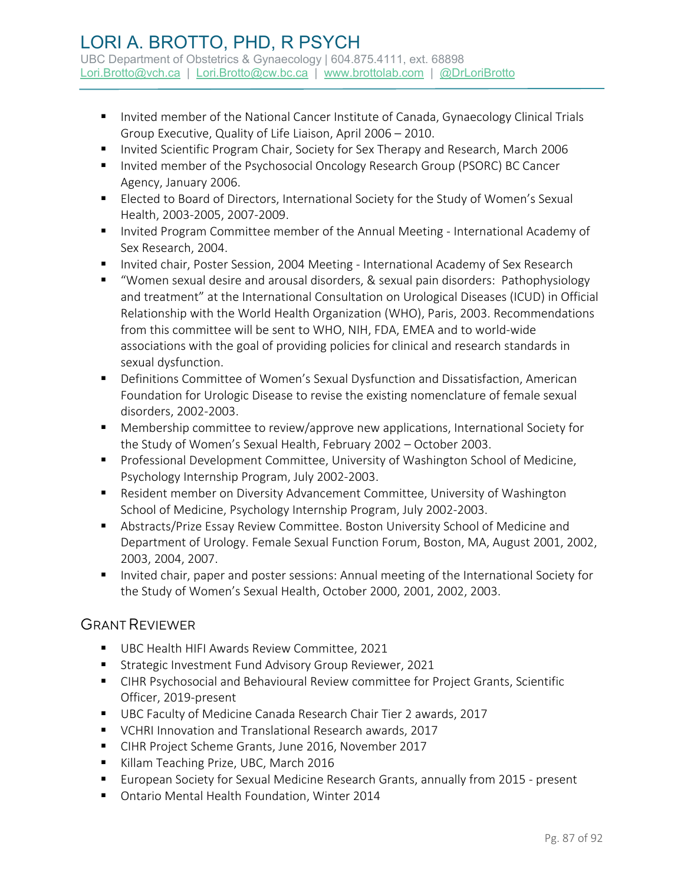- **Invited member of the National Cancer Institute of Canada, Gynaecology Clinical Trials** Group Executive, Quality of Life Liaison, April 2006 – 2010.
- Invited Scientific Program Chair, Society for Sex Therapy and Research, March 2006
- **Invited member of the Psychosocial Oncology Research Group (PSORC) BC Cancer** Agency, January 2006.
- Elected to Board of Directors, International Society for the Study of Women's Sexual Health, 2003-2005, 2007-2009.
- **Invited Program Committee member of the Annual Meeting International Academy of** Sex Research, 2004.
- **Invited chair, Poster Session, 2004 Meeting International Academy of Sex Research**
- "Women sexual desire and arousal disorders, & sexual pain disorders: Pathophysiology and treatment" at the International Consultation on Urological Diseases (ICUD) in Official Relationship with the World Health Organization (WHO), Paris, 2003. Recommendations from this committee will be sent to WHO, NIH, FDA, EMEA and to world-wide associations with the goal of providing policies for clinical and research standards in sexual dysfunction.
- Definitions Committee of Women's Sexual Dysfunction and Dissatisfaction, American Foundation for Urologic Disease to revise the existing nomenclature of female sexual disorders, 2002-2003.
- Membership committee to review/approve new applications, International Society for the Study of Women's Sexual Health, February 2002 – October 2003.
- **Professional Development Committee, University of Washington School of Medicine,** Psychology Internship Program, July 2002-2003.
- Resident member on Diversity Advancement Committee, University of Washington School of Medicine, Psychology Internship Program, July 2002-2003.
- Abstracts/Prize Essay Review Committee. Boston University School of Medicine and Department of Urology. Female Sexual Function Forum, Boston, MA, August 2001, 2002, 2003, 2004, 2007.
- **Invited chair, paper and poster sessions: Annual meeting of the International Society for** the Study of Women's Sexual Health, October 2000, 2001, 2002, 2003.

## GRANT REVIEWER

- UBC Health HIFI Awards Review Committee, 2021
- **Strategic Investment Fund Advisory Group Reviewer, 2021**
- CIHR Psychosocial and Behavioural Review committee for Project Grants, Scientific Officer, 2019-present
- UBC Faculty of Medicine Canada Research Chair Tier 2 awards, 2017
- VCHRI Innovation and Translational Research awards, 2017
- CIHR Project Scheme Grants, June 2016, November 2017
- Killam Teaching Prize, UBC, March 2016
- **European Society for Sexual Medicine Research Grants, annually from 2015 present**
- Ontario Mental Health Foundation, Winter 2014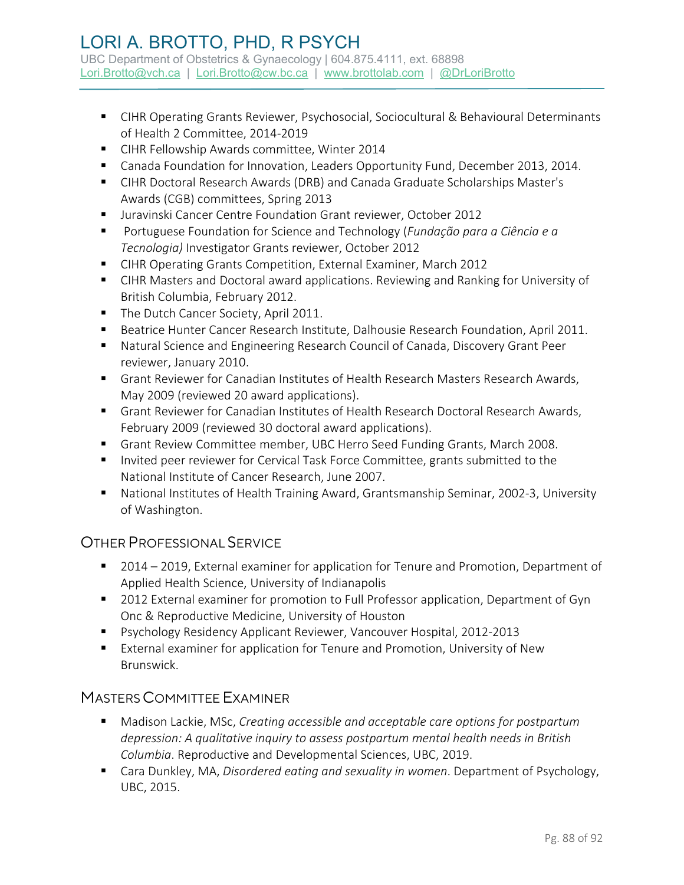- CIHR Operating Grants Reviewer, Psychosocial, Sociocultural & Behavioural Determinants of Health 2 Committee, 2014-2019
- CIHR Fellowship Awards committee, Winter 2014
- Canada Foundation for Innovation, Leaders Opportunity Fund, December 2013, 2014.
- CIHR Doctoral Research Awards (DRB) and Canada Graduate Scholarships Master's Awards (CGB) committees, Spring 2013
- Juravinski Cancer Centre Foundation Grant reviewer, October 2012
- Portuguese Foundation for Science and Technology (*Fundação para a Ciência e a Tecnologia)* Investigator Grants reviewer, October 2012
- CIHR Operating Grants Competition, External Examiner, March 2012
- CIHR Masters and Doctoral award applications. Reviewing and Ranking for University of British Columbia, February 2012.
- The Dutch Cancer Society, April 2011.
- **Beatrice Hunter Cancer Research Institute, Dalhousie Research Foundation, April 2011.**
- Natural Science and Engineering Research Council of Canada, Discovery Grant Peer reviewer, January 2010.
- Grant Reviewer for Canadian Institutes of Health Research Masters Research Awards, May 2009 (reviewed 20 award applications).
- Grant Reviewer for Canadian Institutes of Health Research Doctoral Research Awards, February 2009 (reviewed 30 doctoral award applications).
- Grant Review Committee member, UBC Herro Seed Funding Grants, March 2008.
- **Invited peer reviewer for Cervical Task Force Committee, grants submitted to the** National Institute of Cancer Research, June 2007.
- National Institutes of Health Training Award, Grantsmanship Seminar, 2002-3, University of Washington.

#### OTHER PROFESSIONAL SERVICE

- 2014 2019, External examiner for application for Tenure and Promotion, Department of Applied Health Science, University of Indianapolis
- 2012 External examiner for promotion to Full Professor application, Department of Gyn Onc & Reproductive Medicine, University of Houston
- Psychology Residency Applicant Reviewer, Vancouver Hospital, 2012-2013
- External examiner for application for Tenure and Promotion, University of New Brunswick.

#### MASTERS COMMITTEE EXAMINER

- Madison Lackie, MSc, *Creating accessible and acceptable care options for postpartum depression: A qualitative inquiry to assess postpartum mental health needs in British Columbia*. Reproductive and Developmental Sciences, UBC, 2019.
- Cara Dunkley, MA, *Disordered eating and sexuality in women*. Department of Psychology, UBC, 2015.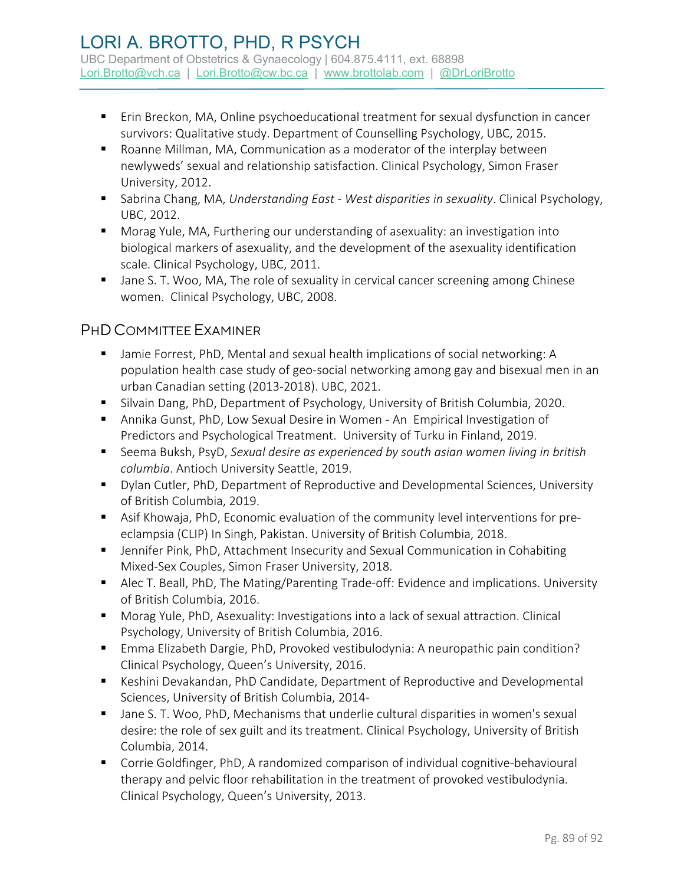- Erin Breckon, MA, Online psychoeducational treatment for sexual dysfunction in cancer survivors: Qualitative study. Department of Counselling Psychology, UBC, 2015.
- Roanne Millman, MA, Communication as a moderator of the interplay between newlyweds' sexual and relationship satisfaction. Clinical Psychology, Simon Fraser University, 2012.
- Sabrina Chang, MA, *Understanding East - West disparities in sexuality*. Clinical Psychology, UBC, 2012.
- Morag Yule, MA, Furthering our understanding of asexuality: an investigation into biological markers of asexuality, and the development of the asexuality identification scale. Clinical Psychology, UBC, 2011.
- **Jane S. T. Woo, MA, The role of sexuality in cervical cancer screening among Chinese** women. Clinical Psychology, UBC, 2008.

## PHDCOMMITTEE EXAMINER

- Jamie Forrest, PhD, Mental and sexual health implications of social networking: A population health case study of geo-social networking among gay and bisexual men in an urban Canadian setting (2013-2018). UBC, 2021.
- **Silvain Dang, PhD, Department of Psychology, University of British Columbia, 2020.**
- Annika Gunst, PhD, Low Sexual Desire in Women An Empirical Investigation of Predictors and Psychological Treatment. University of Turku in Finland, 2019.
- Seema Buksh, PsyD, *Sexual desire as experienced by south asian women living in british columbia*. Antioch University Seattle, 2019.
- Dylan Cutler, PhD, Department of Reproductive and Developmental Sciences, University of British Columbia, 2019.
- Asif Khowaja, PhD, Economic evaluation of the community level interventions for preeclampsia (CLIP) In Singh, Pakistan. University of British Columbia, 2018.
- Jennifer Pink, PhD, Attachment Insecurity and Sexual Communication in Cohabiting Mixed-Sex Couples, Simon Fraser University, 2018.
- Alec T. Beall, PhD, The Mating/Parenting Trade-off: Evidence and implications. University of British Columbia, 2016.
- Morag Yule, PhD, Asexuality: Investigations into a lack of sexual attraction. Clinical Psychology, University of British Columbia, 2016.
- Emma Elizabeth Dargie, PhD, Provoked vestibulodynia: A neuropathic pain condition? Clinical Psychology, Queen's University, 2016.
- Keshini Devakandan, PhD Candidate, Department of Reproductive and Developmental Sciences, University of British Columbia, 2014-
- **Jane S. T. Woo, PhD, Mechanisms that underlie cultural disparities in women's sexual** desire: the role of sex guilt and its treatment. Clinical Psychology, University of British Columbia, 2014.
- Corrie Goldfinger, PhD, A randomized comparison of individual cognitive-behavioural therapy and pelvic floor rehabilitation in the treatment of provoked vestibulodynia. Clinical Psychology, Queen's University, 2013.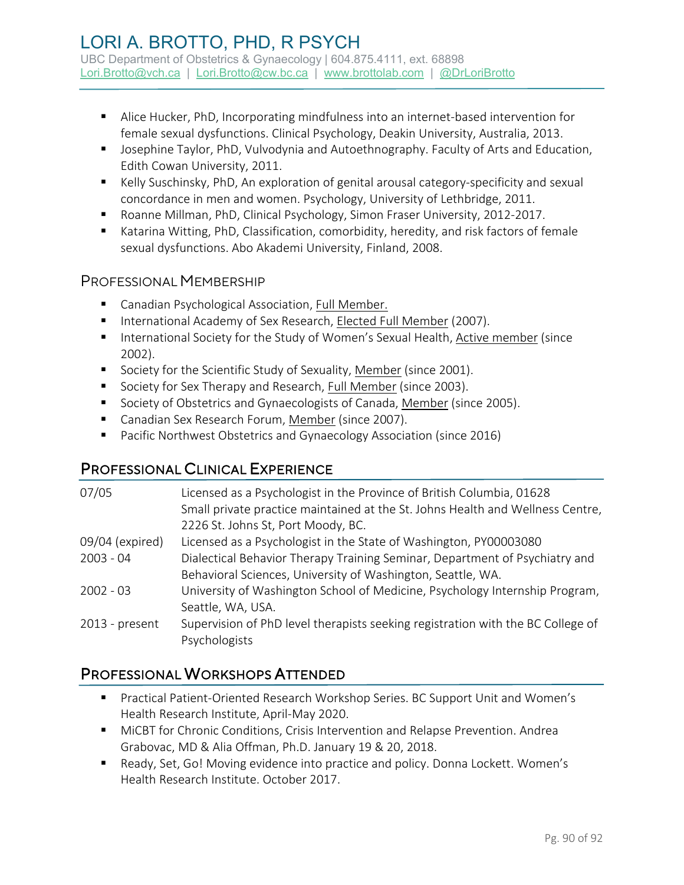- Alice Hucker, PhD, Incorporating mindfulness into an internet-based intervention for female sexual dysfunctions. Clinical Psychology, Deakin University, Australia, 2013.
- **Josephine Taylor, PhD, Vulvodynia and Autoethnography. Faculty of Arts and Education,** Edith Cowan University, 2011.
- Kelly Suschinsky, PhD, An exploration of genital arousal category-specificity and sexual concordance in men and women. Psychology, University of Lethbridge, 2011.
- Roanne Millman, PhD, Clinical Psychology, Simon Fraser University, 2012-2017.
- Katarina Witting, PhD, Classification, comorbidity, heredity, and risk factors of female sexual dysfunctions. Abo Akademi University, Finland, 2008.

### PROFESSIONAL MEMBERSHIP

- **E** Canadian Psychological Association, Full Member.
- International Academy of Sex Research, Elected Full Member (2007).
- **International Society for the Study of Women's Sexual Health, Active member (since** 2002).
- Society for the Scientific Study of Sexuality, Member (since 2001).
- Society for Sex Therapy and Research, Full Member (since 2003).
- **Society of Obstetrics and Gynaecologists of Canada, Member (since 2005).**
- Canadian Sex Research Forum, Member (since 2007).
- **Pacific Northwest Obstetrics and Gynaecology Association (since 2016)**

# PROFESSIONAL CLINICAL EXPERIENCE

| 07/05           | Licensed as a Psychologist in the Province of British Columbia, 01628<br>Small private practice maintained at the St. Johns Health and Wellness Centre,<br>2226 St. Johns St, Port Moody, BC. |
|-----------------|-----------------------------------------------------------------------------------------------------------------------------------------------------------------------------------------------|
| 09/04 (expired) | Licensed as a Psychologist in the State of Washington, PY00003080                                                                                                                             |
| $2003 - 04$     | Dialectical Behavior Therapy Training Seminar, Department of Psychiatry and                                                                                                                   |
|                 | Behavioral Sciences, University of Washington, Seattle, WA.                                                                                                                                   |
| $2002 - 03$     | University of Washington School of Medicine, Psychology Internship Program,                                                                                                                   |
|                 | Seattle, WA, USA.                                                                                                                                                                             |
| 2013 - present  | Supervision of PhD level therapists seeking registration with the BC College of                                                                                                               |
|                 | Psychologists                                                                                                                                                                                 |

# PROFESSIONAL WORKSHOPS ATTENDED

- Practical Patient-Oriented Research Workshop Series. BC Support Unit and Women's Health Research Institute, April-May 2020.
- MiCBT for Chronic Conditions, Crisis Intervention and Relapse Prevention. Andrea Grabovac, MD & Alia Offman, Ph.D. January 19 & 20, 2018.
- Ready, Set, Go! Moving evidence into practice and policy. Donna Lockett. Women's Health Research Institute. October 2017.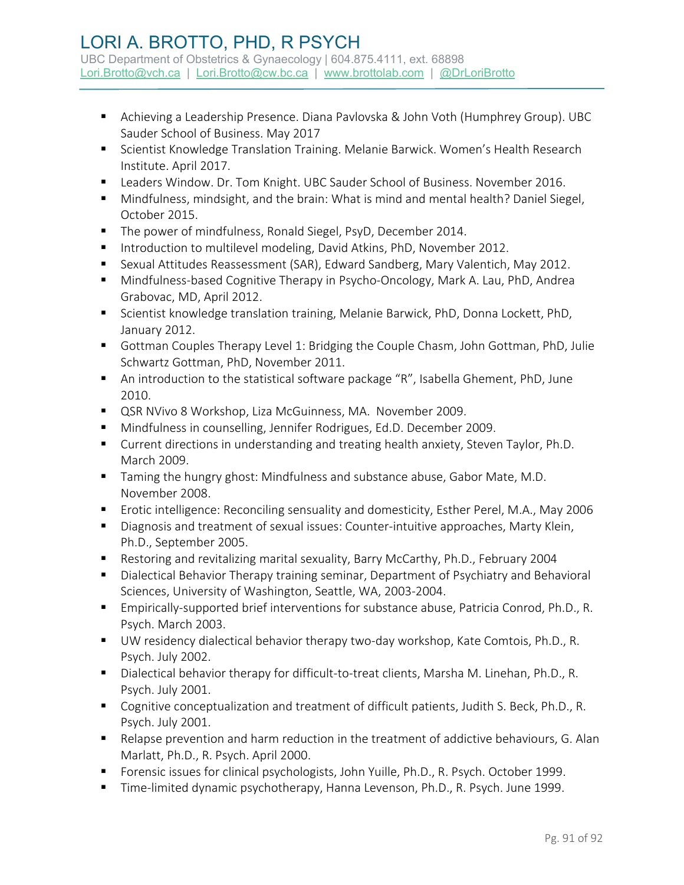- Achieving a Leadership Presence. Diana Pavlovska & John Voth (Humphrey Group). UBC Sauder School of Business. May 2017
- **Scientist Knowledge Translation Training. Melanie Barwick. Women's Health Research** Institute. April 2017.
- **EXECT:** Leaders Window. Dr. Tom Knight. UBC Sauder School of Business. November 2016.
- Mindfulness, mindsight, and the brain: What is mind and mental health? Daniel Siegel, October 2015.
- The power of mindfulness, Ronald Siegel, PsyD, December 2014.
- Introduction to multilevel modeling, David Atkins, PhD, November 2012.
- Sexual Attitudes Reassessment (SAR), Edward Sandberg, Mary Valentich, May 2012.
- Mindfulness-based Cognitive Therapy in Psycho-Oncology, Mark A. Lau, PhD, Andrea Grabovac, MD, April 2012.
- Scientist knowledge translation training, Melanie Barwick, PhD, Donna Lockett, PhD, January 2012.
- Gottman Couples Therapy Level 1: Bridging the Couple Chasm, John Gottman, PhD, Julie Schwartz Gottman, PhD, November 2011.
- An introduction to the statistical software package "R", Isabella Ghement, PhD, June 2010.
- QSR NVivo 8 Workshop, Liza McGuinness, MA. November 2009.
- Mindfulness in counselling, Jennifer Rodrigues, Ed.D. December 2009.
- Current directions in understanding and treating health anxiety, Steven Taylor, Ph.D. March 2009.
- **Taming the hungry ghost: Mindfulness and substance abuse, Gabor Mate, M.D.** November 2008.
- **Example 2018** Erotic intelligence: Reconciling sensuality and domesticity, Esther Perel, M.A., May 2006
- Diagnosis and treatment of sexual issues: Counter-intuitive approaches, Marty Klein, Ph.D., September 2005.
- Restoring and revitalizing marital sexuality, Barry McCarthy, Ph.D., February 2004
- Dialectical Behavior Therapy training seminar, Department of Psychiatry and Behavioral Sciences, University of Washington, Seattle, WA, 2003-2004.
- Empirically-supported brief interventions for substance abuse, Patricia Conrod, Ph.D., R. Psych. March 2003.
- UW residency dialectical behavior therapy two-day workshop, Kate Comtois, Ph.D., R. Psych. July 2002.
- Dialectical behavior therapy for difficult-to-treat clients, Marsha M. Linehan, Ph.D., R. Psych. July 2001.
- Cognitive conceptualization and treatment of difficult patients, Judith S. Beck, Ph.D., R. Psych. July 2001.
- Relapse prevention and harm reduction in the treatment of addictive behaviours, G. Alan Marlatt, Ph.D., R. Psych. April 2000.
- Forensic issues for clinical psychologists, John Yuille, Ph.D., R. Psych. October 1999.
- Time-limited dynamic psychotherapy, Hanna Levenson, Ph.D., R. Psych. June 1999.